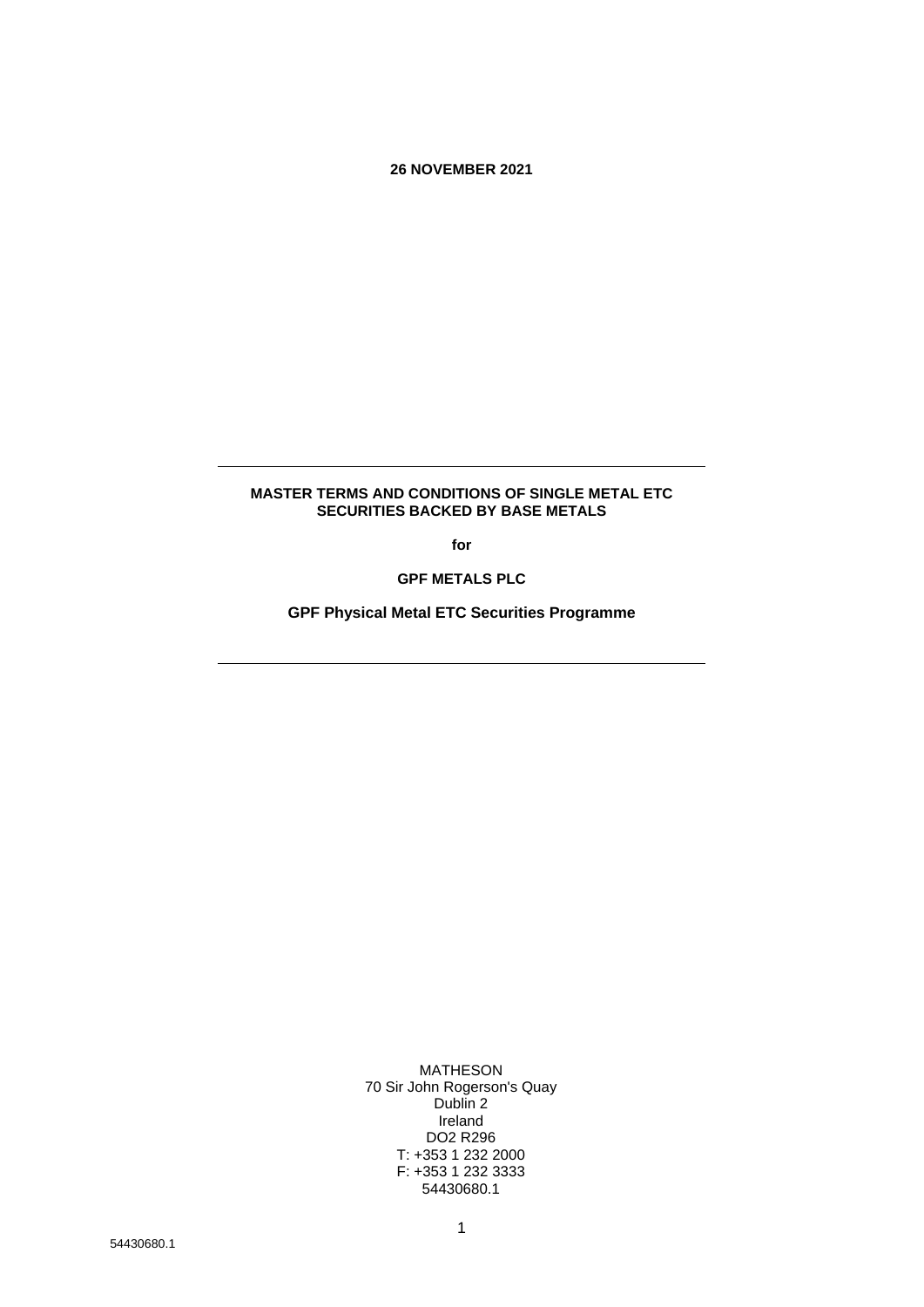**26 NOVEMBER 2021**

### **MASTER TERMS AND CONDITIONS OF SINGLE METAL ETC SECURITIES BACKED BY BASE METALS**

**for**

**GPF METALS PLC**

**GPF Physical Metal ETC Securities Programme**

MATHESON 70 Sir John Rogerson's Quay Dublin 2 Ireland DO2 R296 T: +353 1 232 2000 F: +353 1 232 3333 54430680.1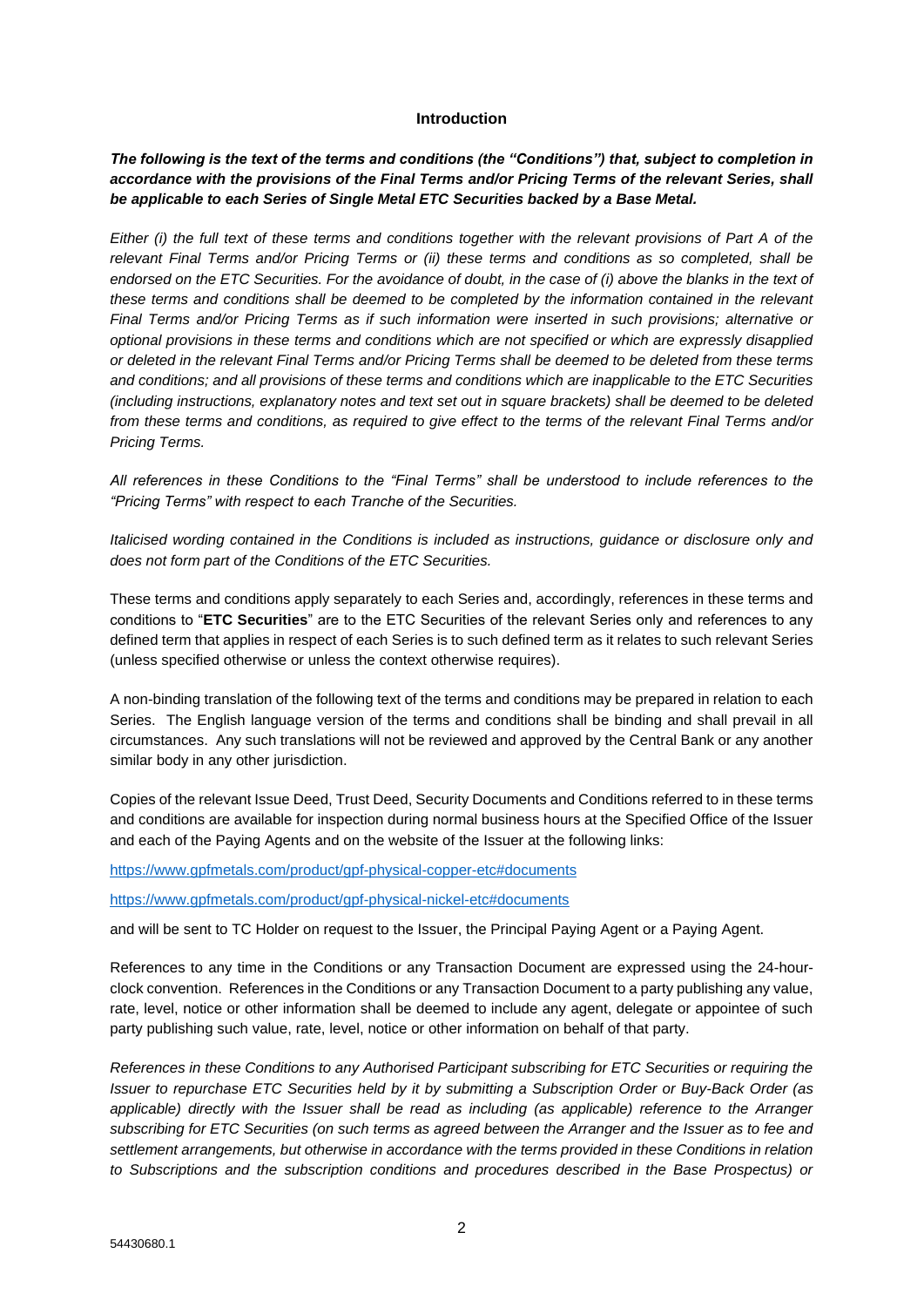## **Introduction**

*The following is the text of the terms and conditions (the "Conditions") that, subject to completion in accordance with the provisions of the Final Terms and/or Pricing Terms of the relevant Series, shall be applicable to each Series of Single Metal ETC Securities backed by a Base Metal.* 

*Either (i) the full text of these terms and conditions together with the relevant provisions of Part A of the relevant Final Terms and/or Pricing Terms or (ii) these terms and conditions as so completed, shall be endorsed on the ETC Securities. For the avoidance of doubt, in the case of (i) above the blanks in the text of these terms and conditions shall be deemed to be completed by the information contained in the relevant Final Terms and/or Pricing Terms as if such information were inserted in such provisions; alternative or optional provisions in these terms and conditions which are not specified or which are expressly disapplied or deleted in the relevant Final Terms and/or Pricing Terms shall be deemed to be deleted from these terms and conditions; and all provisions of these terms and conditions which are inapplicable to the ETC Securities (including instructions, explanatory notes and text set out in square brackets) shall be deemed to be deleted from these terms and conditions, as required to give effect to the terms of the relevant Final Terms and/or Pricing Terms.*

*All references in these Conditions to the "Final Terms" shall be understood to include references to the "Pricing Terms" with respect to each Tranche of the Securities.*

*Italicised wording contained in the Conditions is included as instructions, guidance or disclosure only and does not form part of the Conditions of the ETC Securities.*

These terms and conditions apply separately to each Series and, accordingly, references in these terms and conditions to "**ETC Securities**" are to the ETC Securities of the relevant Series only and references to any defined term that applies in respect of each Series is to such defined term as it relates to such relevant Series (unless specified otherwise or unless the context otherwise requires).

A non-binding translation of the following text of the terms and conditions may be prepared in relation to each Series. The English language version of the terms and conditions shall be binding and shall prevail in all circumstances. Any such translations will not be reviewed and approved by the Central Bank or any another similar body in any other jurisdiction.

Copies of the relevant Issue Deed, Trust Deed, Security Documents and Conditions referred to in these terms and conditions are available for inspection during normal business hours at the Specified Office of the Issuer and each of the Paying Agents and on the website of the Issuer at the following links:

[https://www.gpfmetals.com/product/gpf-physical-copper-etc#documents](https://protect-de.mimecast.com/s/WNOkC08wMJIY1XRfoikRW?domain=gpfmetals.com)

[https://www.gpfmetals.com/product/gpf-physical-nickel-etc#documents](https://protect-de.mimecast.com/s/aCPICgpRylI4M1Lt6-dYk?domain=gpfmetals.com)

and will be sent to TC Holder on request to the Issuer, the Principal Paying Agent or a Paying Agent.

References to any time in the Conditions or any Transaction Document are expressed using the 24-hourclock convention. References in the Conditions or any Transaction Document to a party publishing any value, rate, level, notice or other information shall be deemed to include any agent, delegate or appointee of such party publishing such value, rate, level, notice or other information on behalf of that party.

*References in these Conditions to any Authorised Participant subscribing for ETC Securities or requiring the Issuer to repurchase ETC Securities held by it by submitting a Subscription Order or Buy-Back Order (as applicable) directly with the Issuer shall be read as including (as applicable) reference to the Arranger subscribing for ETC Securities (on such terms as agreed between the Arranger and the Issuer as to fee and settlement arrangements, but otherwise in accordance with the terms provided in these Conditions in relation to Subscriptions and the subscription conditions and procedures described in the Base Prospectus) or*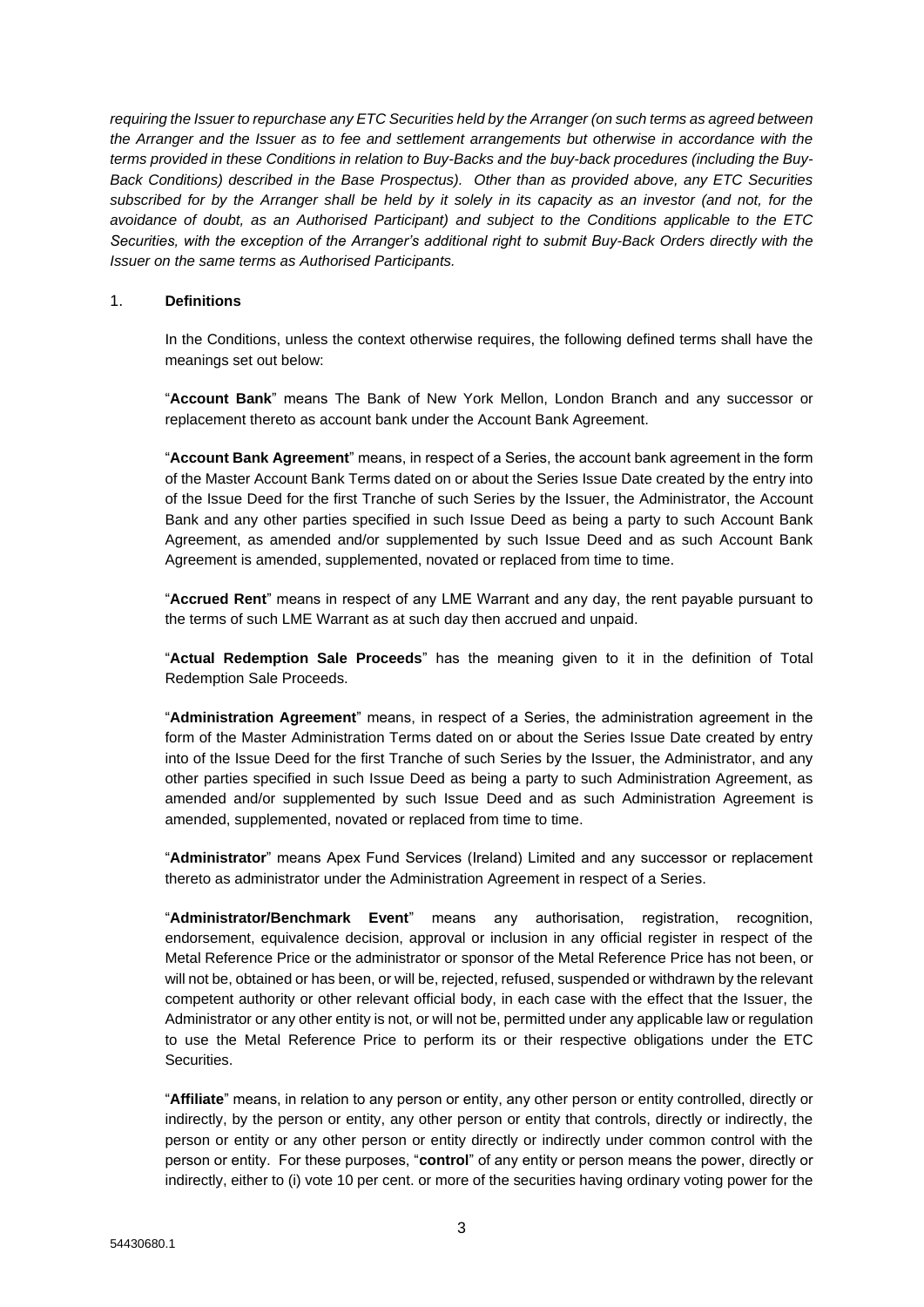*requiring the Issuer to repurchase any ETC Securities held by the Arranger (on such terms as agreed between the Arranger and the Issuer as to fee and settlement arrangements but otherwise in accordance with the terms provided in these Conditions in relation to Buy-Backs and the buy-back procedures (including the Buy-Back Conditions) described in the Base Prospectus). Other than as provided above, any ETC Securities subscribed for by the Arranger shall be held by it solely in its capacity as an investor (and not, for the avoidance of doubt, as an Authorised Participant) and subject to the Conditions applicable to the ETC Securities, with the exception of the Arranger's additional right to submit Buy-Back Orders directly with the Issuer on the same terms as Authorised Participants.*

## 1. **Definitions**

In the Conditions, unless the context otherwise requires, the following defined terms shall have the meanings set out below:

"**Account Bank**" means The Bank of New York Mellon, London Branch and any successor or replacement thereto as account bank under the Account Bank Agreement.

"**Account Bank Agreement**" means, in respect of a Series, the account bank agreement in the form of the Master Account Bank Terms dated on or about the Series Issue Date created by the entry into of the Issue Deed for the first Tranche of such Series by the Issuer, the Administrator, the Account Bank and any other parties specified in such Issue Deed as being a party to such Account Bank Agreement, as amended and/or supplemented by such Issue Deed and as such Account Bank Agreement is amended, supplemented, novated or replaced from time to time.

"**Accrued Rent**" means in respect of any LME Warrant and any day, the rent payable pursuant to the terms of such LME Warrant as at such day then accrued and unpaid.

"**Actual Redemption Sale Proceeds**" has the meaning given to it in the definition of Total Redemption Sale Proceeds.

"**Administration Agreement**" means, in respect of a Series, the administration agreement in the form of the Master Administration Terms dated on or about the Series Issue Date created by entry into of the Issue Deed for the first Tranche of such Series by the Issuer, the Administrator, and any other parties specified in such Issue Deed as being a party to such Administration Agreement, as amended and/or supplemented by such Issue Deed and as such Administration Agreement is amended, supplemented, novated or replaced from time to time.

"**Administrator**" means Apex Fund Services (Ireland) Limited and any successor or replacement thereto as administrator under the Administration Agreement in respect of a Series.

"**Administrator/Benchmark Event**" means any authorisation, registration, recognition, endorsement, equivalence decision, approval or inclusion in any official register in respect of the Metal Reference Price or the administrator or sponsor of the Metal Reference Price has not been, or will not be, obtained or has been, or will be, rejected, refused, suspended or withdrawn by the relevant competent authority or other relevant official body, in each case with the effect that the Issuer, the Administrator or any other entity is not, or will not be, permitted under any applicable law or regulation to use the Metal Reference Price to perform its or their respective obligations under the ETC Securities.

"**Affiliate**" means, in relation to any person or entity, any other person or entity controlled, directly or indirectly, by the person or entity, any other person or entity that controls, directly or indirectly, the person or entity or any other person or entity directly or indirectly under common control with the person or entity. For these purposes, "**control**" of any entity or person means the power, directly or indirectly, either to (i) vote 10 per cent. or more of the securities having ordinary voting power for the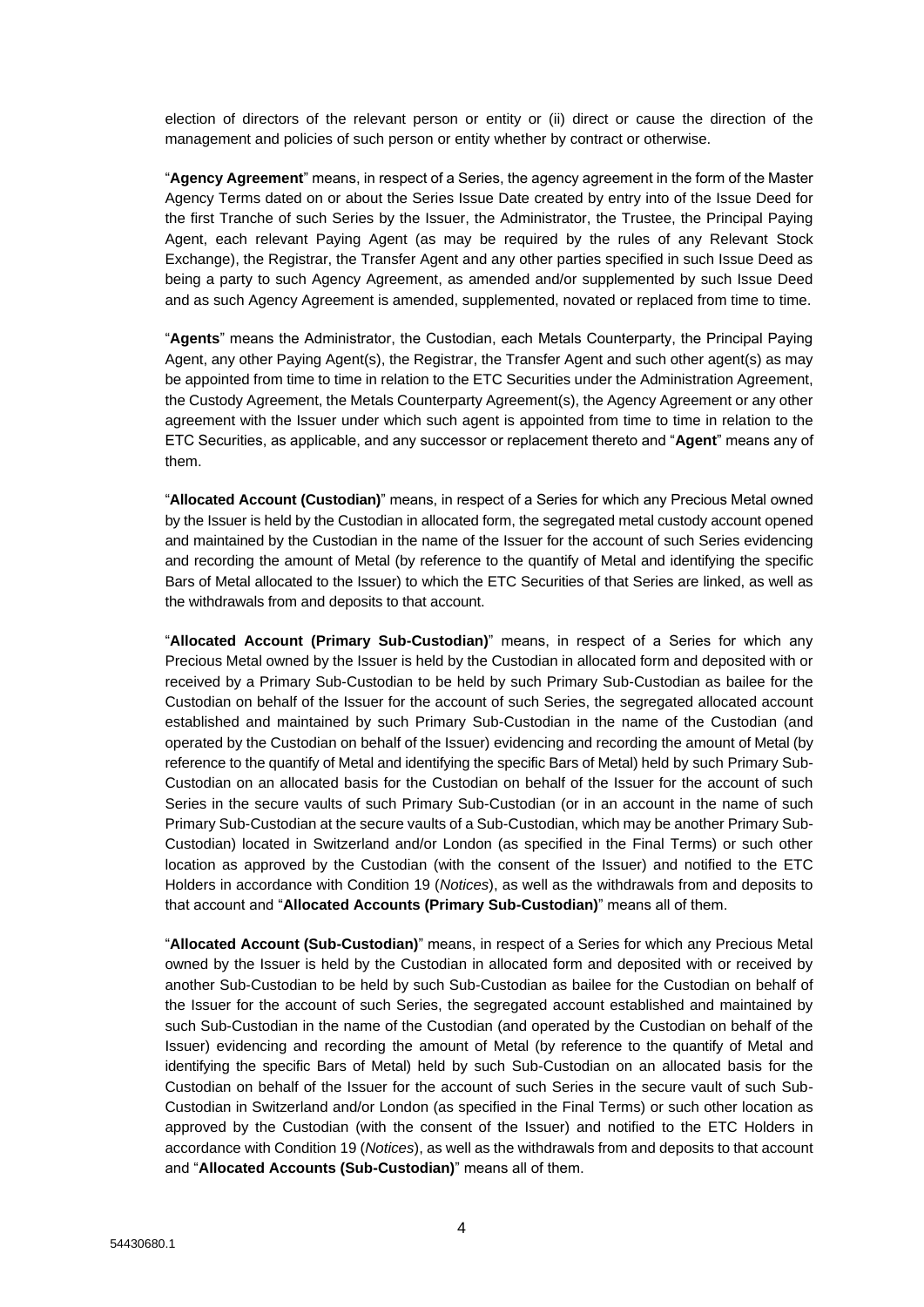election of directors of the relevant person or entity or (ii) direct or cause the direction of the management and policies of such person or entity whether by contract or otherwise.

"**Agency Agreement**" means, in respect of a Series, the agency agreement in the form of the Master Agency Terms dated on or about the Series Issue Date created by entry into of the Issue Deed for the first Tranche of such Series by the Issuer, the Administrator, the Trustee, the Principal Paying Agent, each relevant Paying Agent (as may be required by the rules of any Relevant Stock Exchange), the Registrar, the Transfer Agent and any other parties specified in such Issue Deed as being a party to such Agency Agreement, as amended and/or supplemented by such Issue Deed and as such Agency Agreement is amended, supplemented, novated or replaced from time to time.

"**Agents**" means the Administrator, the Custodian, each Metals Counterparty, the Principal Paying Agent, any other Paying Agent(s), the Registrar, the Transfer Agent and such other agent(s) as may be appointed from time to time in relation to the ETC Securities under the Administration Agreement, the Custody Agreement, the Metals Counterparty Agreement(s), the Agency Agreement or any other agreement with the Issuer under which such agent is appointed from time to time in relation to the ETC Securities, as applicable, and any successor or replacement thereto and "**Agent**" means any of them.

"**Allocated Account (Custodian)**" means, in respect of a Series for which any Precious Metal owned by the Issuer is held by the Custodian in allocated form, the segregated metal custody account opened and maintained by the Custodian in the name of the Issuer for the account of such Series evidencing and recording the amount of Metal (by reference to the quantify of Metal and identifying the specific Bars of Metal allocated to the Issuer) to which the ETC Securities of that Series are linked, as well as the withdrawals from and deposits to that account.

"**Allocated Account (Primary Sub-Custodian)**" means, in respect of a Series for which any Precious Metal owned by the Issuer is held by the Custodian in allocated form and deposited with or received by a Primary Sub-Custodian to be held by such Primary Sub-Custodian as bailee for the Custodian on behalf of the Issuer for the account of such Series, the segregated allocated account established and maintained by such Primary Sub-Custodian in the name of the Custodian (and operated by the Custodian on behalf of the Issuer) evidencing and recording the amount of Metal (by reference to the quantify of Metal and identifying the specific Bars of Metal) held by such Primary Sub-Custodian on an allocated basis for the Custodian on behalf of the Issuer for the account of such Series in the secure vaults of such Primary Sub-Custodian (or in an account in the name of such Primary Sub-Custodian at the secure vaults of a Sub-Custodian, which may be another Primary Sub-Custodian) located in Switzerland and/or London (as specified in the Final Terms) or such other location as approved by the Custodian (with the consent of the Issuer) and notified to the ETC Holders in accordance with Condition 19 (*Notices*), as well as the withdrawals from and deposits to that account and "**Allocated Accounts (Primary Sub-Custodian)**" means all of them.

"**Allocated Account (Sub-Custodian)**" means, in respect of a Series for which any Precious Metal owned by the Issuer is held by the Custodian in allocated form and deposited with or received by another Sub-Custodian to be held by such Sub-Custodian as bailee for the Custodian on behalf of the Issuer for the account of such Series, the segregated account established and maintained by such Sub-Custodian in the name of the Custodian (and operated by the Custodian on behalf of the Issuer) evidencing and recording the amount of Metal (by reference to the quantify of Metal and identifying the specific Bars of Metal) held by such Sub-Custodian on an allocated basis for the Custodian on behalf of the Issuer for the account of such Series in the secure vault of such Sub-Custodian in Switzerland and/or London (as specified in the Final Terms) or such other location as approved by the Custodian (with the consent of the Issuer) and notified to the ETC Holders in accordance with Condition 19 (*Notices*), as well as the withdrawals from and deposits to that account and "**Allocated Accounts (Sub-Custodian)**" means all of them.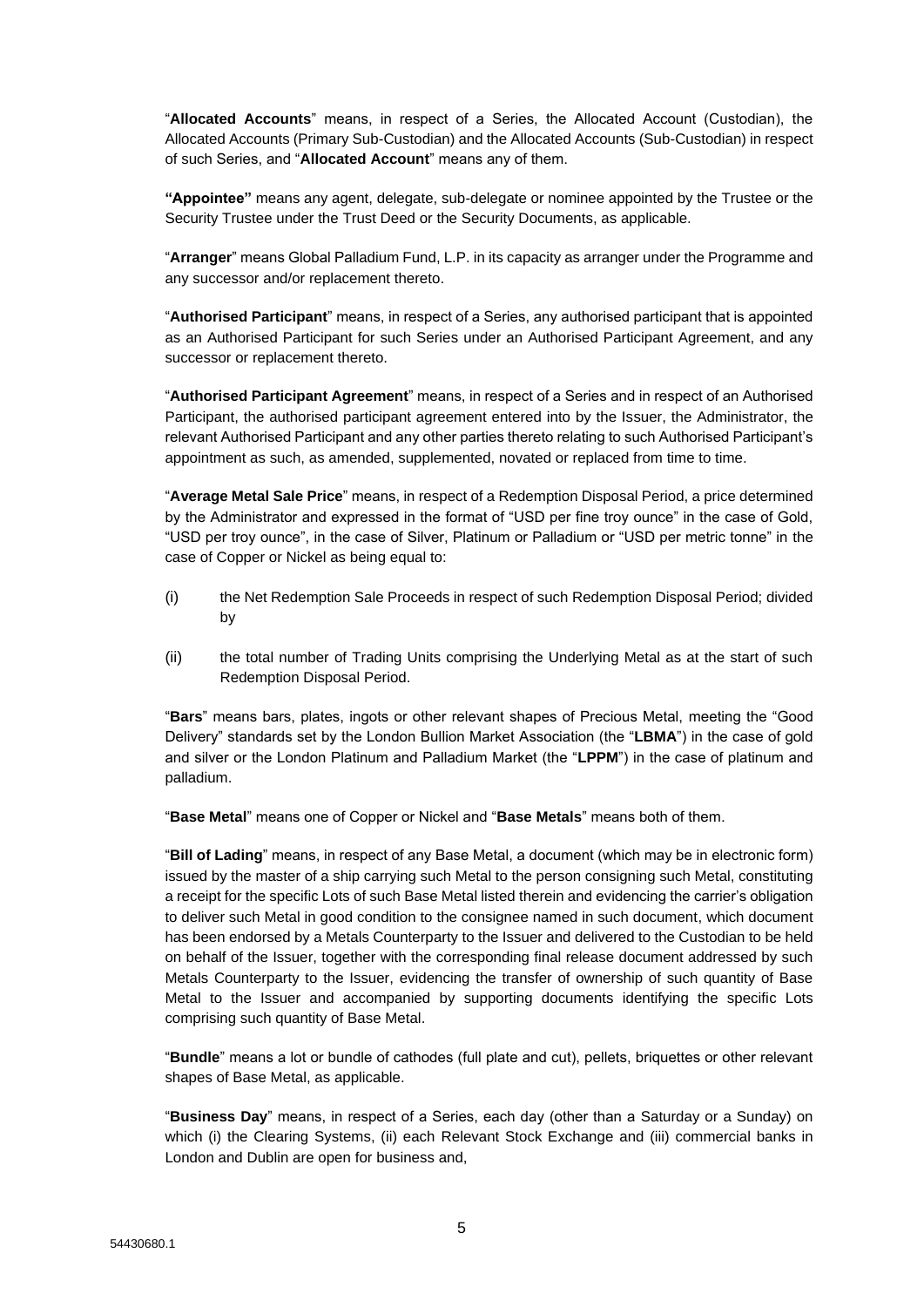"**Allocated Accounts**" means, in respect of a Series, the Allocated Account (Custodian), the Allocated Accounts (Primary Sub-Custodian) and the Allocated Accounts (Sub-Custodian) in respect of such Series, and "**Allocated Account**" means any of them.

**"Appointee"** means any agent, delegate, sub-delegate or nominee appointed by the Trustee or the Security Trustee under the Trust Deed or the Security Documents, as applicable.

"**Arranger**" means Global Palladium Fund, L.P. in its capacity as arranger under the Programme and any successor and/or replacement thereto.

"**Authorised Participant**" means, in respect of a Series, any authorised participant that is appointed as an Authorised Participant for such Series under an Authorised Participant Agreement, and any successor or replacement thereto.

"**Authorised Participant Agreement**" means, in respect of a Series and in respect of an Authorised Participant, the authorised participant agreement entered into by the Issuer, the Administrator, the relevant Authorised Participant and any other parties thereto relating to such Authorised Participant's appointment as such, as amended, supplemented, novated or replaced from time to time.

"**Average Metal Sale Price**" means, in respect of a Redemption Disposal Period, a price determined by the Administrator and expressed in the format of "USD per fine troy ounce" in the case of Gold, "USD per troy ounce", in the case of Silver, Platinum or Palladium or "USD per metric tonne" in the case of Copper or Nickel as being equal to:

- (i) the Net Redemption Sale Proceeds in respect of such Redemption Disposal Period; divided by
- (ii) the total number of Trading Units comprising the Underlying Metal as at the start of such Redemption Disposal Period.

"**Bars**" means bars, plates, ingots or other relevant shapes of Precious Metal, meeting the "Good Delivery" standards set by the London Bullion Market Association (the "**LBMA**") in the case of gold and silver or the London Platinum and Palladium Market (the "**LPPM**") in the case of platinum and palladium.

"**Base Metal**" means one of Copper or Nickel and "**Base Metals**" means both of them.

"**Bill of Lading**" means, in respect of any Base Metal, a document (which may be in electronic form) issued by the master of a ship carrying such Metal to the person consigning such Metal, constituting a receipt for the specific Lots of such Base Metal listed therein and evidencing the carrier's obligation to deliver such Metal in good condition to the consignee named in such document, which document has been endorsed by a Metals Counterparty to the Issuer and delivered to the Custodian to be held on behalf of the Issuer, together with the corresponding final release document addressed by such Metals Counterparty to the Issuer, evidencing the transfer of ownership of such quantity of Base Metal to the Issuer and accompanied by supporting documents identifying the specific Lots comprising such quantity of Base Metal.

"**Bundle**" means a lot or bundle of cathodes (full plate and cut), pellets, briquettes or other relevant shapes of Base Metal, as applicable.

"**Business Day**" means, in respect of a Series, each day (other than a Saturday or a Sunday) on which (i) the Clearing Systems, (ii) each Relevant Stock Exchange and (iii) commercial banks in London and Dublin are open for business and,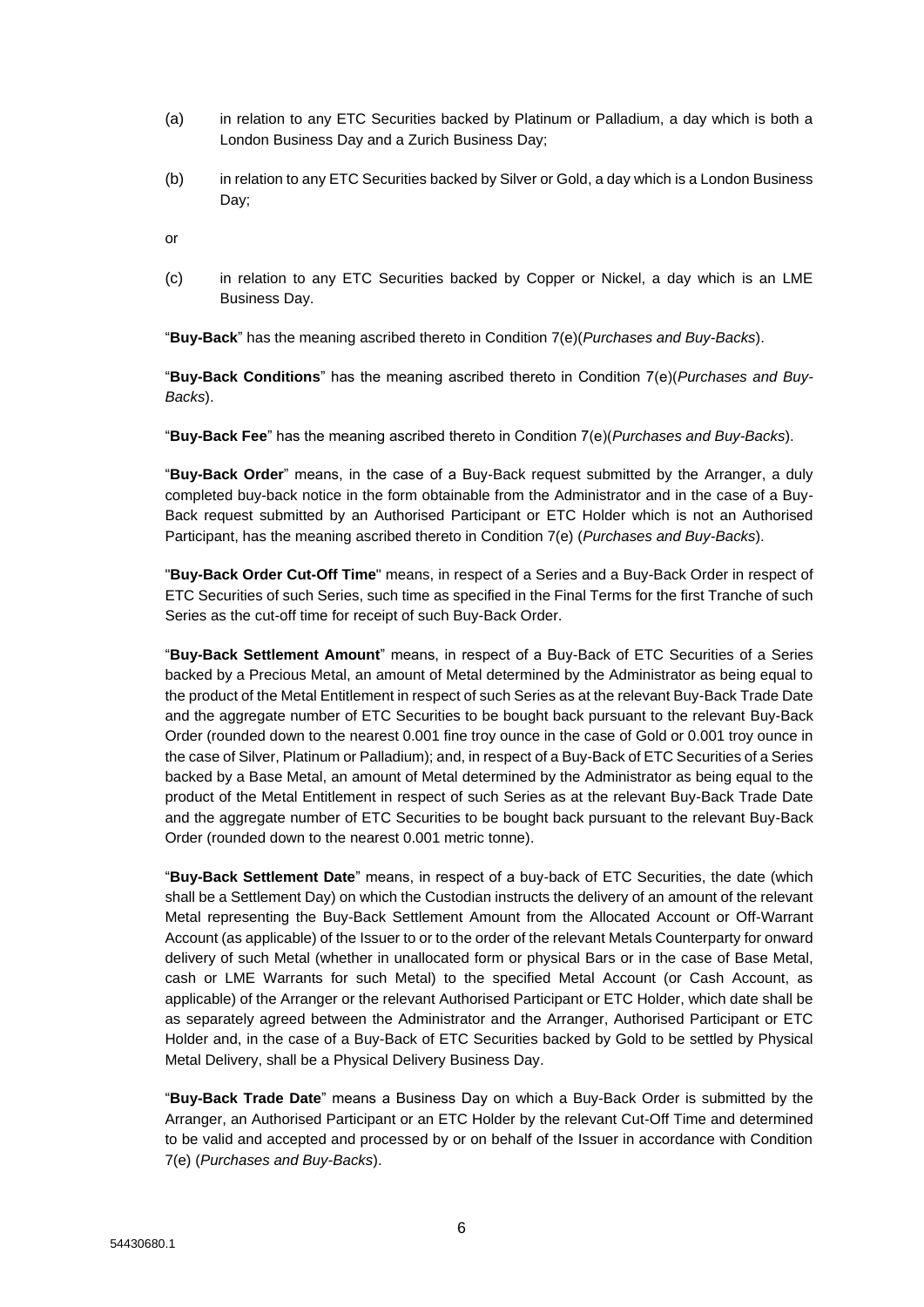- (a) in relation to any ETC Securities backed by Platinum or Palladium, a day which is both a London Business Day and a Zurich Business Day;
- (b) in relation to any ETC Securities backed by Silver or Gold, a day which is a London Business Day;

or

(c) in relation to any ETC Securities backed by Copper or Nickel, a day which is an LME Business Day.

"**Buy-Back**" has the meaning ascribed thereto in Condition 7(e)(*Purchases and Buy-Backs*).

"**Buy-Back Conditions**" has the meaning ascribed thereto in Condition 7(e)(*Purchases and Buy-Backs*).

"**Buy-Back Fee**" has the meaning ascribed thereto in Condition 7(e)(*Purchases and Buy-Backs*).

"**Buy-Back Order**" means, in the case of a Buy-Back request submitted by the Arranger, a duly completed buy-back notice in the form obtainable from the Administrator and in the case of a Buy-Back request submitted by an Authorised Participant or ETC Holder which is not an Authorised Participant, has the meaning ascribed thereto in Condition 7(e) (*Purchases and Buy-Backs*).

"**Buy-Back Order Cut-Off Time**" means, in respect of a Series and a Buy-Back Order in respect of ETC Securities of such Series, such time as specified in the Final Terms for the first Tranche of such Series as the cut-off time for receipt of such Buy-Back Order.

"**Buy-Back Settlement Amount**" means, in respect of a Buy-Back of ETC Securities of a Series backed by a Precious Metal, an amount of Metal determined by the Administrator as being equal to the product of the Metal Entitlement in respect of such Series as at the relevant Buy-Back Trade Date and the aggregate number of ETC Securities to be bought back pursuant to the relevant Buy-Back Order (rounded down to the nearest 0.001 fine troy ounce in the case of Gold or 0.001 troy ounce in the case of Silver, Platinum or Palladium); and, in respect of a Buy-Back of ETC Securities of a Series backed by a Base Metal, an amount of Metal determined by the Administrator as being equal to the product of the Metal Entitlement in respect of such Series as at the relevant Buy-Back Trade Date and the aggregate number of ETC Securities to be bought back pursuant to the relevant Buy-Back Order (rounded down to the nearest 0.001 metric tonne).

"**Buy-Back Settlement Date**" means, in respect of a buy-back of ETC Securities, the date (which shall be a Settlement Day) on which the Custodian instructs the delivery of an amount of the relevant Metal representing the Buy-Back Settlement Amount from the Allocated Account or Off-Warrant Account (as applicable) of the Issuer to or to the order of the relevant Metals Counterparty for onward delivery of such Metal (whether in unallocated form or physical Bars or in the case of Base Metal, cash or LME Warrants for such Metal) to the specified Metal Account (or Cash Account, as applicable) of the Arranger or the relevant Authorised Participant or ETC Holder, which date shall be as separately agreed between the Administrator and the Arranger, Authorised Participant or ETC Holder and, in the case of a Buy-Back of ETC Securities backed by Gold to be settled by Physical Metal Delivery, shall be a Physical Delivery Business Day.

"**Buy-Back Trade Date**" means a Business Day on which a Buy-Back Order is submitted by the Arranger, an Authorised Participant or an ETC Holder by the relevant Cut-Off Time and determined to be valid and accepted and processed by or on behalf of the Issuer in accordance with Condition 7(e) (*Purchases and Buy-Backs*).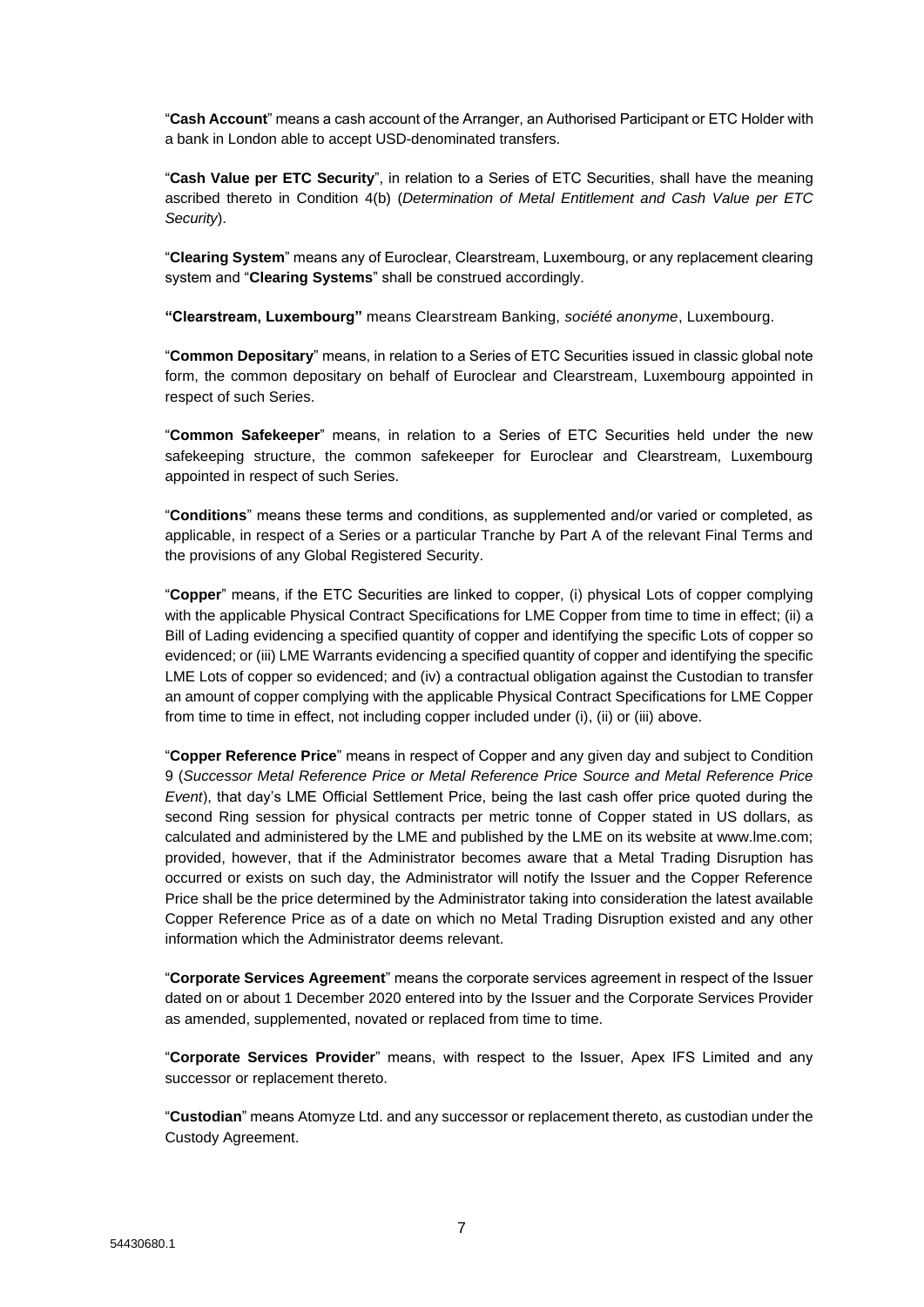"**Cash Account**" means a cash account of the Arranger, an Authorised Participant or ETC Holder with a bank in London able to accept USD-denominated transfers.

"**Cash Value per ETC Security**", in relation to a Series of ETC Securities, shall have the meaning ascribed thereto in Condition 4(b) (*Determination of Metal Entitlement and Cash Value per ETC Security*).

"**Clearing System**" means any of Euroclear, Clearstream, Luxembourg, or any replacement clearing system and "**Clearing Systems**" shall be construed accordingly.

**"Clearstream, Luxembourg"** means Clearstream Banking, *société anonyme*, Luxembourg.

"**Common Depositary**" means, in relation to a Series of ETC Securities issued in classic global note form, the common depositary on behalf of Euroclear and Clearstream, Luxembourg appointed in respect of such Series.

"**Common Safekeeper**" means, in relation to a Series of ETC Securities held under the new safekeeping structure, the common safekeeper for Euroclear and Clearstream, Luxembourg appointed in respect of such Series.

"**Conditions**" means these terms and conditions, as supplemented and/or varied or completed, as applicable, in respect of a Series or a particular Tranche by Part A of the relevant Final Terms and the provisions of any Global Registered Security.

"**Copper**" means, if the ETC Securities are linked to copper, (i) physical Lots of copper complying with the applicable Physical Contract Specifications for LME Copper from time to time in effect; (ii) a Bill of Lading evidencing a specified quantity of copper and identifying the specific Lots of copper so evidenced; or (iii) LME Warrants evidencing a specified quantity of copper and identifying the specific LME Lots of copper so evidenced; and (iv) a contractual obligation against the Custodian to transfer an amount of copper complying with the applicable Physical Contract Specifications for LME Copper from time to time in effect, not including copper included under (i), (ii) or (iii) above.

"**Copper Reference Price**" means in respect of Copper and any given day and subject to Condition 9 (*Successor Metal Reference Price or Metal Reference Price Source and Metal Reference Price Event*), that day's LME Official Settlement Price, being the last cash offer price quoted during the second Ring session for physical contracts per metric tonne of Copper stated in US dollars, as calculated and administered by the LME and published by the LME on its website at www.lme.com; provided, however, that if the Administrator becomes aware that a Metal Trading Disruption has occurred or exists on such day, the Administrator will notify the Issuer and the Copper Reference Price shall be the price determined by the Administrator taking into consideration the latest available Copper Reference Price as of a date on which no Metal Trading Disruption existed and any other information which the Administrator deems relevant.

"**Corporate Services Agreement**" means the corporate services agreement in respect of the Issuer dated on or about 1 December 2020 entered into by the Issuer and the Corporate Services Provider as amended, supplemented, novated or replaced from time to time.

"**Corporate Services Provider**" means, with respect to the Issuer, Apex IFS Limited and any successor or replacement thereto.

"**Custodian**" means Atomyze Ltd. and any successor or replacement thereto, as custodian under the Custody Agreement.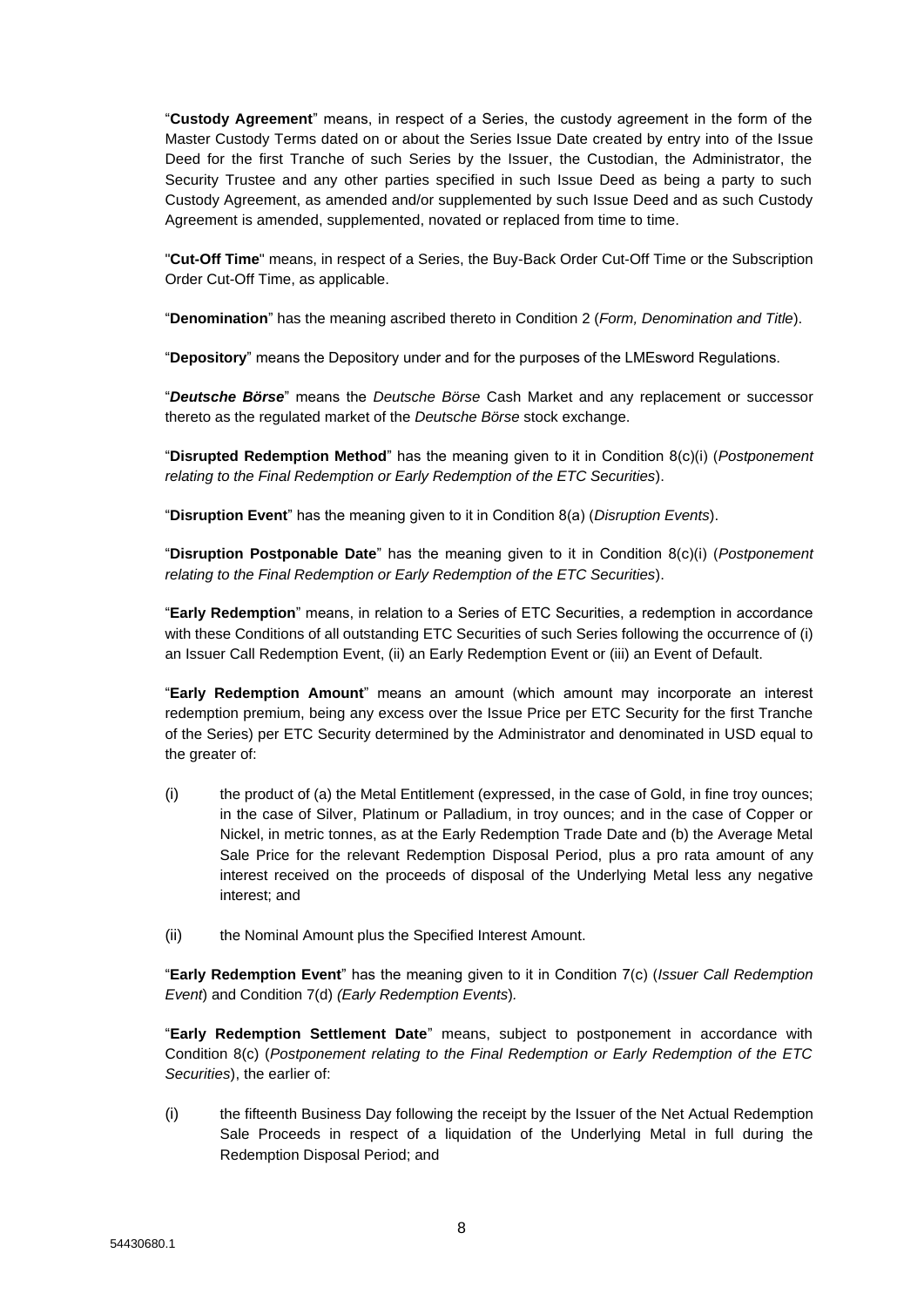"**Custody Agreement**" means, in respect of a Series, the custody agreement in the form of the Master Custody Terms dated on or about the Series Issue Date created by entry into of the Issue Deed for the first Tranche of such Series by the Issuer, the Custodian, the Administrator, the Security Trustee and any other parties specified in such Issue Deed as being a party to such Custody Agreement, as amended and/or supplemented by such Issue Deed and as such Custody Agreement is amended, supplemented, novated or replaced from time to time.

"**Cut-Off Time**" means, in respect of a Series, the Buy-Back Order Cut-Off Time or the Subscription Order Cut-Off Time, as applicable.

"**Denomination**" has the meaning ascribed thereto in Condition 2 (*Form, Denomination and Title*).

"**Depository**" means the Depository under and for the purposes of the LMEsword Regulations.

"*Deutsche Börse*" means the *Deutsche Börse* Cash Market and any replacement or successor thereto as the regulated market of the *Deutsche Börse* stock exchange.

"**Disrupted Redemption Method**" has the meaning given to it in Condition 8(c)(i) (*Postponement relating to the Final Redemption or Early Redemption of the ETC Securities*).

"**Disruption Event**" has the meaning given to it in Condition 8(a) (*Disruption Events*).

"**Disruption Postponable Date**" has the meaning given to it in Condition 8(c)(i) (*Postponement relating to the Final Redemption or Early Redemption of the ETC Securities*).

"**Early Redemption**" means, in relation to a Series of ETC Securities, a redemption in accordance with these Conditions of all outstanding ETC Securities of such Series following the occurrence of (i) an Issuer Call Redemption Event, (ii) an Early Redemption Event or (iii) an Event of Default.

"**Early Redemption Amount**" means an amount (which amount may incorporate an interest redemption premium, being any excess over the Issue Price per ETC Security for the first Tranche of the Series) per ETC Security determined by the Administrator and denominated in USD equal to the greater of:

- (i) the product of (a) the Metal Entitlement (expressed, in the case of Gold, in fine troy ounces; in the case of Silver, Platinum or Palladium, in troy ounces; and in the case of Copper or Nickel, in metric tonnes, as at the Early Redemption Trade Date and (b) the Average Metal Sale Price for the relevant Redemption Disposal Period, plus a pro rata amount of any interest received on the proceeds of disposal of the Underlying Metal less any negative interest; and
- (ii) the Nominal Amount plus the Specified Interest Amount.

"**Early Redemption Event**" has the meaning given to it in Condition 7(c) (*Issuer Call Redemption Event*) and Condition 7(d) *(Early Redemption Events*)*.*

"**Early Redemption Settlement Date**" means, subject to postponement in accordance with Condition 8(c) (*Postponement relating to the Final Redemption or Early Redemption of the ETC Securities*), the earlier of:

(i) the fifteenth Business Day following the receipt by the Issuer of the Net Actual Redemption Sale Proceeds in respect of a liquidation of the Underlying Metal in full during the Redemption Disposal Period; and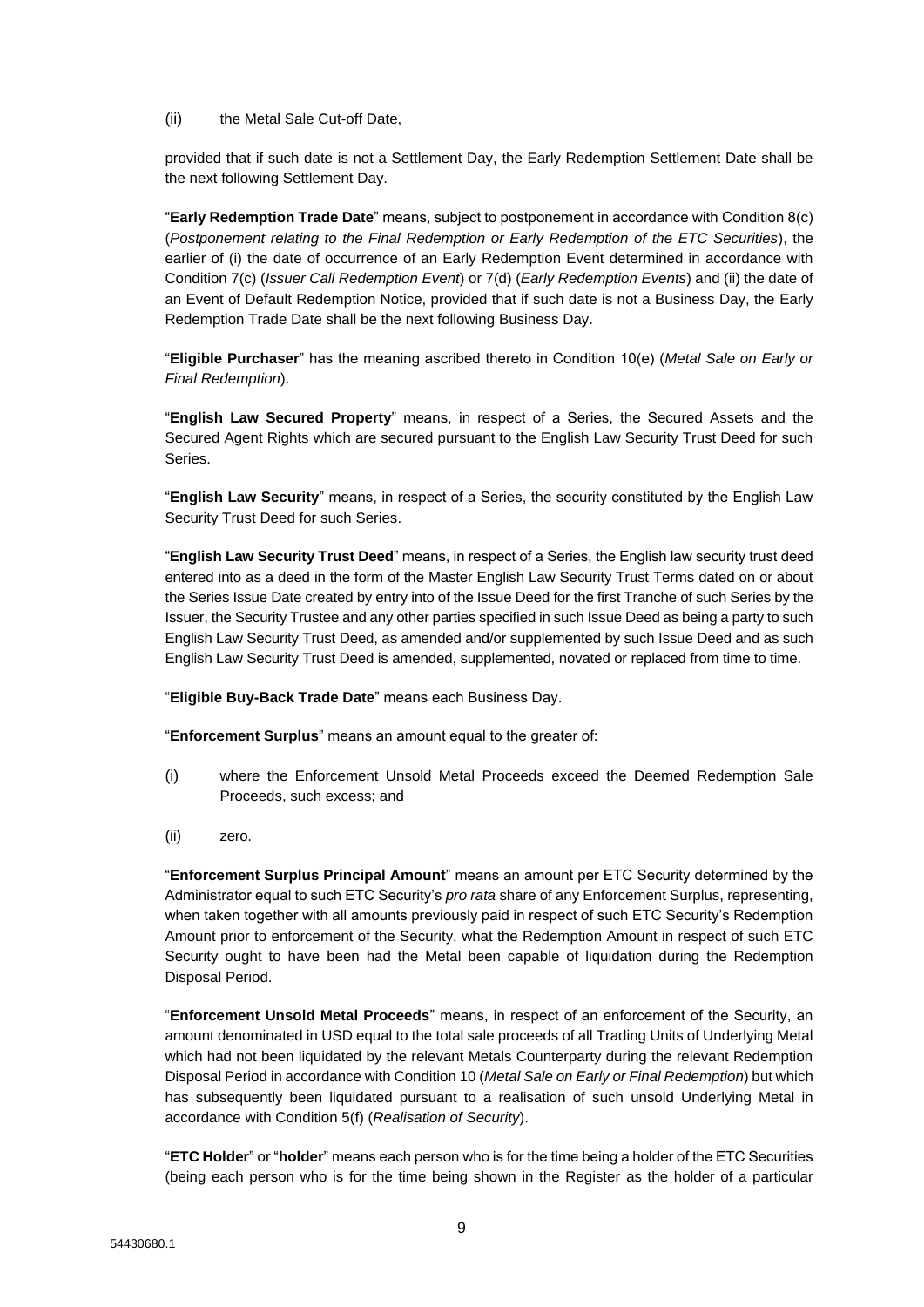(ii) the Metal Sale Cut-off Date,

provided that if such date is not a Settlement Day, the Early Redemption Settlement Date shall be the next following Settlement Day.

"**Early Redemption Trade Date**" means, subject to postponement in accordance with Condition 8(c) (*Postponement relating to the Final Redemption or Early Redemption of the ETC Securities*), the earlier of (i) the date of occurrence of an Early Redemption Event determined in accordance with Condition 7(c) (*Issuer Call Redemption Event*) or 7(d) (*Early Redemption Events*) and (ii) the date of an Event of Default Redemption Notice, provided that if such date is not a Business Day, the Early Redemption Trade Date shall be the next following Business Day.

"**Eligible Purchaser**" has the meaning ascribed thereto in Condition 10(e) (*Metal Sale on Early or Final Redemption*).

"**English Law Secured Property**" means, in respect of a Series, the Secured Assets and the Secured Agent Rights which are secured pursuant to the English Law Security Trust Deed for such Series.

"**English Law Security**" means, in respect of a Series, the security constituted by the English Law Security Trust Deed for such Series.

"**English Law Security Trust Deed**" means, in respect of a Series, the English law security trust deed entered into as a deed in the form of the Master English Law Security Trust Terms dated on or about the Series Issue Date created by entry into of the Issue Deed for the first Tranche of such Series by the Issuer, the Security Trustee and any other parties specified in such Issue Deed as being a party to such English Law Security Trust Deed, as amended and/or supplemented by such Issue Deed and as such English Law Security Trust Deed is amended, supplemented, novated or replaced from time to time.

"**Eligible Buy-Back Trade Date**" means each Business Day.

"**Enforcement Surplus**" means an amount equal to the greater of:

- (i) where the Enforcement Unsold Metal Proceeds exceed the Deemed Redemption Sale Proceeds, such excess; and
- (ii) zero.

"**Enforcement Surplus Principal Amount**" means an amount per ETC Security determined by the Administrator equal to such ETC Security's *pro rata* share of any Enforcement Surplus, representing, when taken together with all amounts previously paid in respect of such ETC Security's Redemption Amount prior to enforcement of the Security, what the Redemption Amount in respect of such ETC Security ought to have been had the Metal been capable of liquidation during the Redemption Disposal Period.

"**Enforcement Unsold Metal Proceeds**" means, in respect of an enforcement of the Security, an amount denominated in USD equal to the total sale proceeds of all Trading Units of Underlying Metal which had not been liquidated by the relevant Metals Counterparty during the relevant Redemption Disposal Period in accordance with Condition 10 (*Metal Sale on Early or Final Redemption*) but which has subsequently been liquidated pursuant to a realisation of such unsold Underlying Metal in accordance with Condition 5(f) (*Realisation of Security*).

"**ETC Holder**" or "**holder**" means each person who is for the time being a holder of the ETC Securities (being each person who is for the time being shown in the Register as the holder of a particular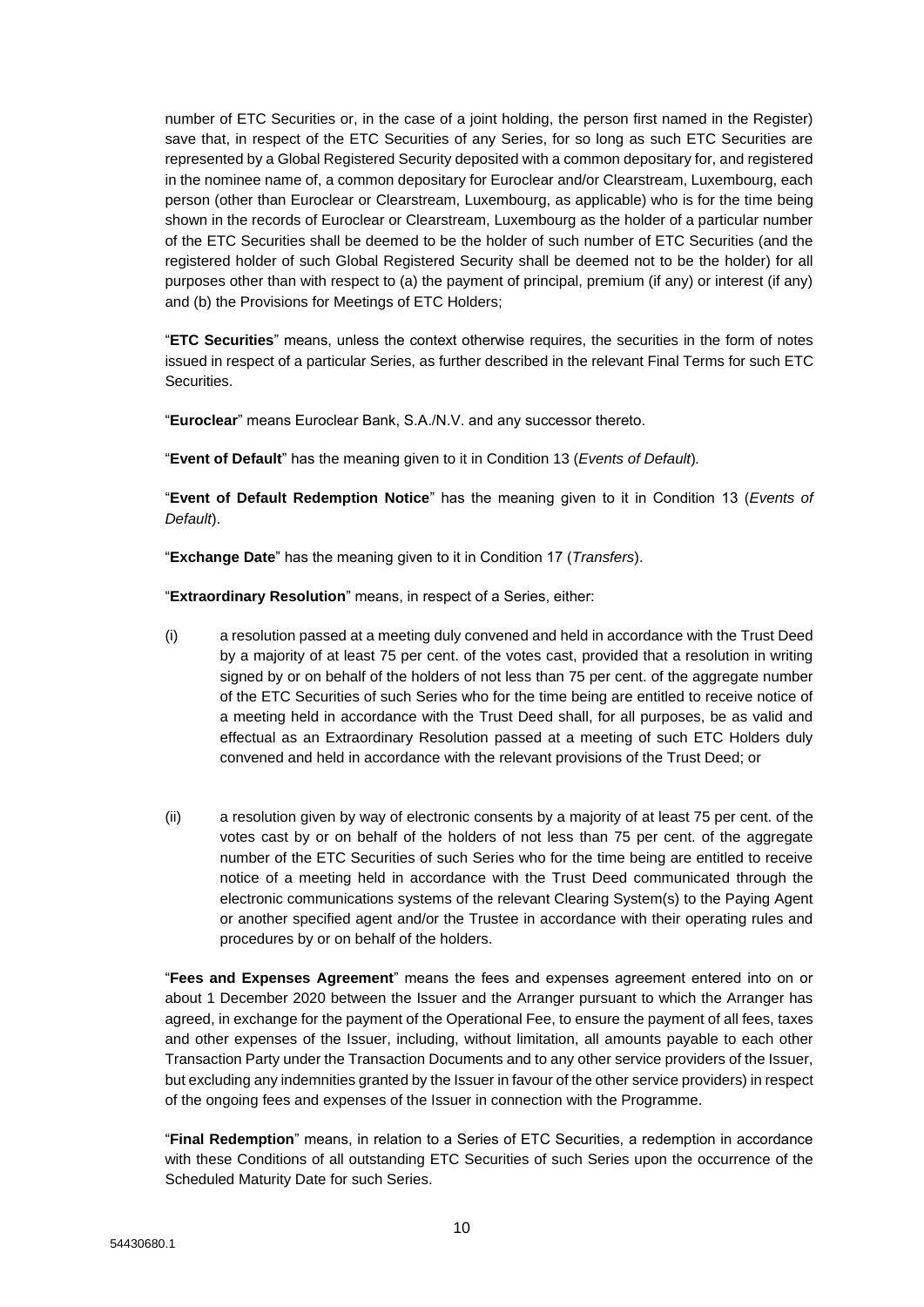number of ETC Securities or, in the case of a joint holding, the person first named in the Register) save that, in respect of the ETC Securities of any Series, for so long as such ETC Securities are represented by a Global Registered Security deposited with a common depositary for, and registered in the nominee name of, a common depositary for Euroclear and/or Clearstream, Luxembourg, each person (other than Euroclear or Clearstream, Luxembourg, as applicable) who is for the time being shown in the records of Euroclear or Clearstream, Luxembourg as the holder of a particular number of the ETC Securities shall be deemed to be the holder of such number of ETC Securities (and the registered holder of such Global Registered Security shall be deemed not to be the holder) for all purposes other than with respect to (a) the payment of principal, premium (if any) or interest (if any) and (b) the Provisions for Meetings of ETC Holders;

"**ETC Securities**" means, unless the context otherwise requires, the securities in the form of notes issued in respect of a particular Series, as further described in the relevant Final Terms for such ETC **Securities.** 

"**Euroclear**" means Euroclear Bank, S.A./N.V. and any successor thereto.

"**Event of Default**" has the meaning given to it in Condition 13 (*Events of Default*)*.*

"**Event of Default Redemption Notice**" has the meaning given to it in Condition 13 (*Events of Default*).

"**Exchange Date**" has the meaning given to it in Condition 17 (*Transfers*).

"**Extraordinary Resolution**" means, in respect of a Series, either:

- (i) a resolution passed at a meeting duly convened and held in accordance with the Trust Deed by a majority of at least 75 per cent. of the votes cast, provided that a resolution in writing signed by or on behalf of the holders of not less than 75 per cent. of the aggregate number of the ETC Securities of such Series who for the time being are entitled to receive notice of a meeting held in accordance with the Trust Deed shall, for all purposes, be as valid and effectual as an Extraordinary Resolution passed at a meeting of such ETC Holders duly convened and held in accordance with the relevant provisions of the Trust Deed; or
- (ii) a resolution given by way of electronic consents by a majority of at least 75 per cent. of the votes cast by or on behalf of the holders of not less than 75 per cent. of the aggregate number of the ETC Securities of such Series who for the time being are entitled to receive notice of a meeting held in accordance with the Trust Deed communicated through the electronic communications systems of the relevant Clearing System(s) to the Paying Agent or another specified agent and/or the Trustee in accordance with their operating rules and procedures by or on behalf of the holders.

"**Fees and Expenses Agreement**" means the fees and expenses agreement entered into on or about 1 December 2020 between the Issuer and the Arranger pursuant to which the Arranger has agreed, in exchange for the payment of the Operational Fee, to ensure the payment of all fees, taxes and other expenses of the Issuer, including, without limitation, all amounts payable to each other Transaction Party under the Transaction Documents and to any other service providers of the Issuer, but excluding any indemnities granted by the Issuer in favour of the other service providers) in respect of the ongoing fees and expenses of the Issuer in connection with the Programme.

"**Final Redemption**" means, in relation to a Series of ETC Securities, a redemption in accordance with these Conditions of all outstanding ETC Securities of such Series upon the occurrence of the Scheduled Maturity Date for such Series.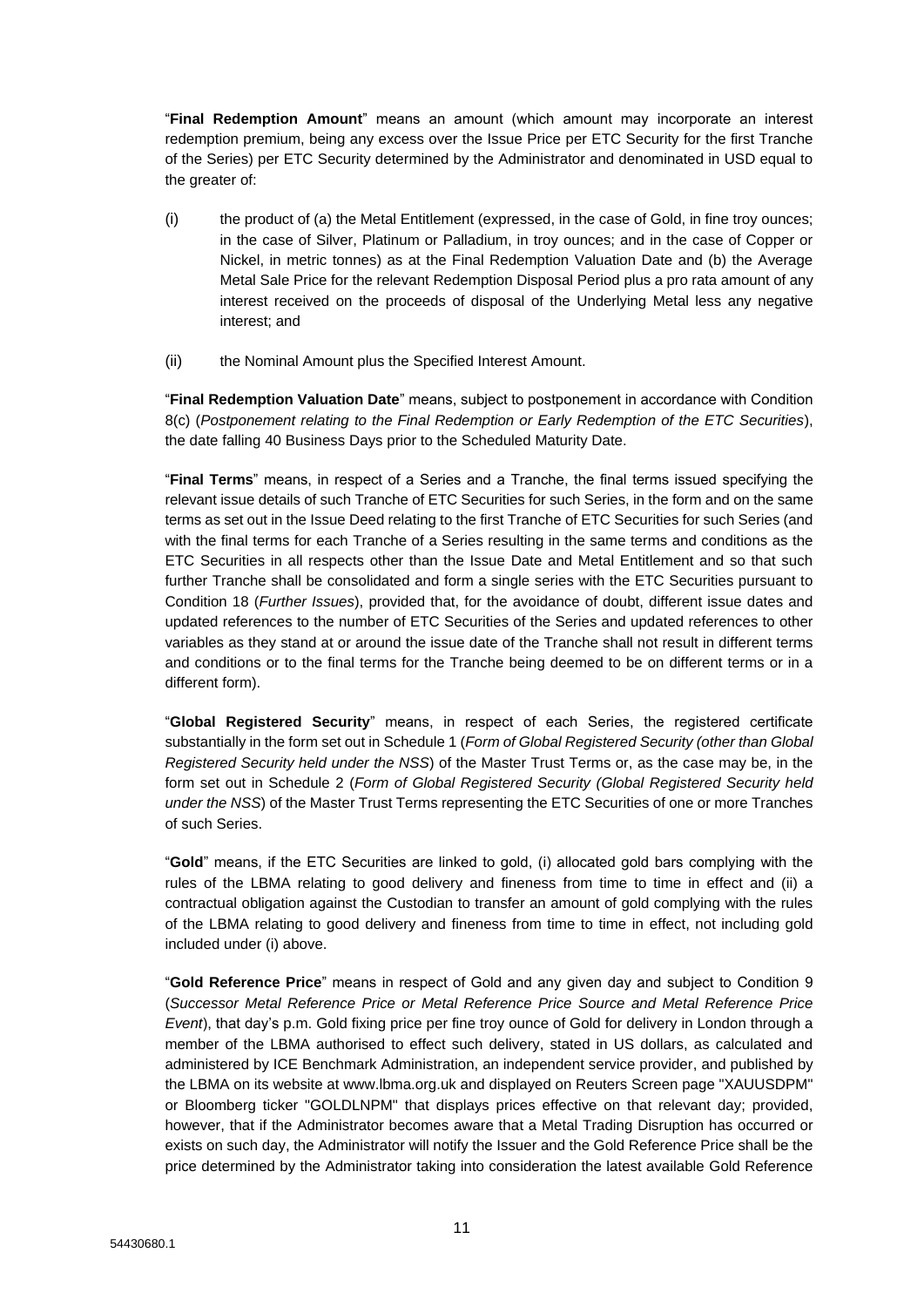"**Final Redemption Amount**" means an amount (which amount may incorporate an interest redemption premium, being any excess over the Issue Price per ETC Security for the first Tranche of the Series) per ETC Security determined by the Administrator and denominated in USD equal to the greater of:

- (i) the product of (a) the Metal Entitlement (expressed, in the case of Gold, in fine troy ounces; in the case of Silver, Platinum or Palladium, in troy ounces; and in the case of Copper or Nickel, in metric tonnes) as at the Final Redemption Valuation Date and (b) the Average Metal Sale Price for the relevant Redemption Disposal Period plus a pro rata amount of any interest received on the proceeds of disposal of the Underlying Metal less any negative interest; and
- (ii) the Nominal Amount plus the Specified Interest Amount.

"**Final Redemption Valuation Date**" means, subject to postponement in accordance with Condition 8(c) (*Postponement relating to the Final Redemption or Early Redemption of the ETC Securities*), the date falling 40 Business Days prior to the Scheduled Maturity Date.

"**Final Terms**" means, in respect of a Series and a Tranche, the final terms issued specifying the relevant issue details of such Tranche of ETC Securities for such Series, in the form and on the same terms as set out in the Issue Deed relating to the first Tranche of ETC Securities for such Series (and with the final terms for each Tranche of a Series resulting in the same terms and conditions as the ETC Securities in all respects other than the Issue Date and Metal Entitlement and so that such further Tranche shall be consolidated and form a single series with the ETC Securities pursuant to Condition 18 (*Further Issues*), provided that, for the avoidance of doubt, different issue dates and updated references to the number of ETC Securities of the Series and updated references to other variables as they stand at or around the issue date of the Tranche shall not result in different terms and conditions or to the final terms for the Tranche being deemed to be on different terms or in a different form).

"**Global Registered Security**" means, in respect of each Series, the registered certificate substantially in the form set out in Schedule 1 (*Form of Global Registered Security (other than Global Registered Security held under the NSS*) of the Master Trust Terms or, as the case may be, in the form set out in Schedule 2 (*Form of Global Registered Security (Global Registered Security held under the NSS*) of the Master Trust Terms representing the ETC Securities of one or more Tranches of such Series.

"**Gold**" means, if the ETC Securities are linked to gold, (i) allocated gold bars complying with the rules of the LBMA relating to good delivery and fineness from time to time in effect and (ii) a contractual obligation against the Custodian to transfer an amount of gold complying with the rules of the LBMA relating to good delivery and fineness from time to time in effect, not including gold included under (i) above.

"**Gold Reference Price**" means in respect of Gold and any given day and subject to Condition 9 (*Successor Metal Reference Price or Metal Reference Price Source and Metal Reference Price Event*), that day's p.m. Gold fixing price per fine troy ounce of Gold for delivery in London through a member of the LBMA authorised to effect such delivery, stated in US dollars, as calculated and administered by ICE Benchmark Administration, an independent service provider, and published by the LBMA on its website at www.lbma.org.uk and displayed on Reuters Screen page "XAUUSDPM" or Bloomberg ticker "GOLDLNPM" that displays prices effective on that relevant day; provided, however, that if the Administrator becomes aware that a Metal Trading Disruption has occurred or exists on such day, the Administrator will notify the Issuer and the Gold Reference Price shall be the price determined by the Administrator taking into consideration the latest available Gold Reference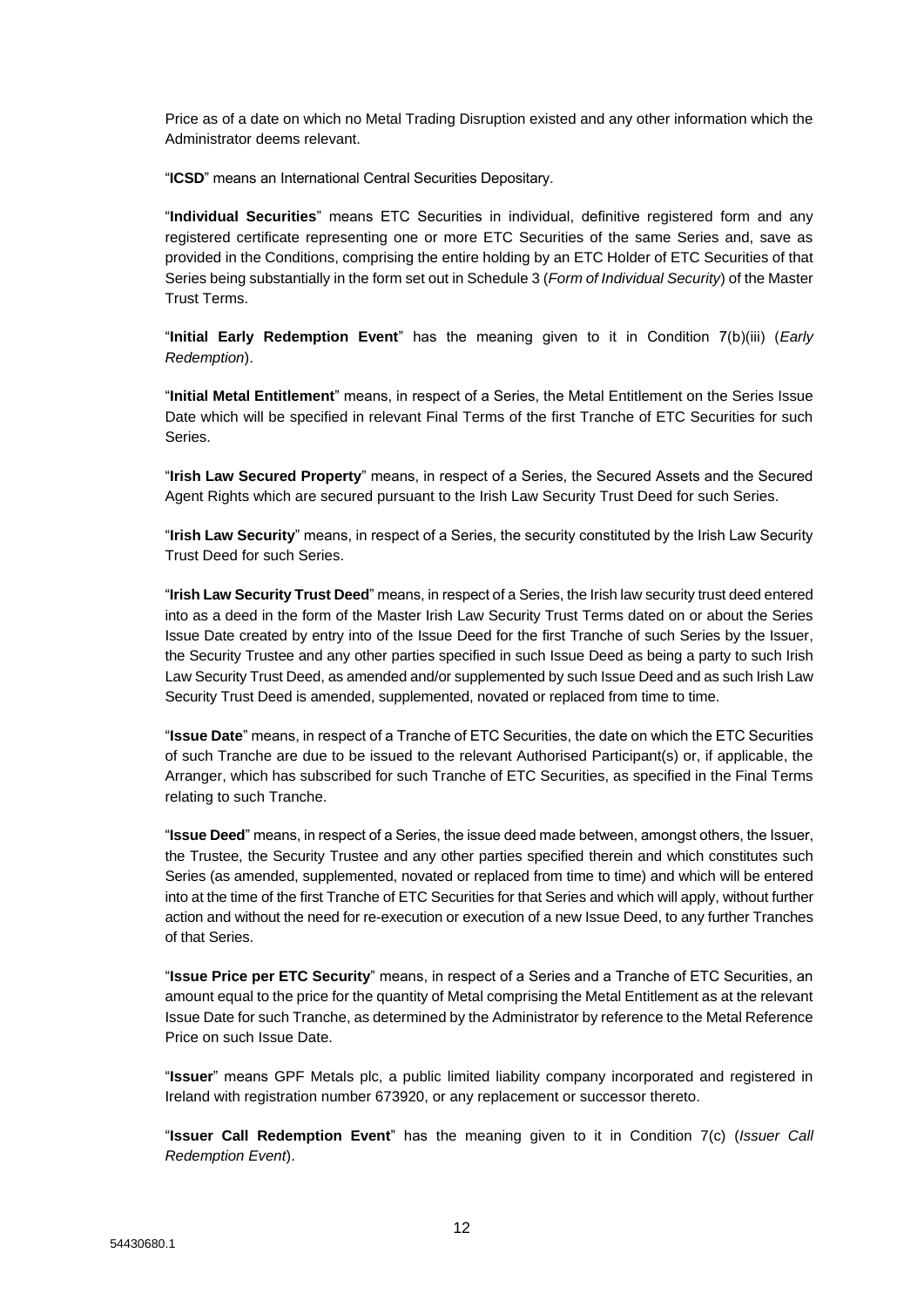Price as of a date on which no Metal Trading Disruption existed and any other information which the Administrator deems relevant.

"**ICSD**" means an International Central Securities Depositary.

"**Individual Securities**" means ETC Securities in individual, definitive registered form and any registered certificate representing one or more ETC Securities of the same Series and, save as provided in the Conditions, comprising the entire holding by an ETC Holder of ETC Securities of that Series being substantially in the form set out in Schedule 3 (*Form of Individual Security*) of the Master Trust Terms.

"**Initial Early Redemption Event**" has the meaning given to it in Condition 7(b)(iii) (*Early Redemption*).

"**Initial Metal Entitlement**" means, in respect of a Series, the Metal Entitlement on the Series Issue Date which will be specified in relevant Final Terms of the first Tranche of ETC Securities for such Series.

"**Irish Law Secured Property**" means, in respect of a Series, the Secured Assets and the Secured Agent Rights which are secured pursuant to the Irish Law Security Trust Deed for such Series.

"**Irish Law Security**" means, in respect of a Series, the security constituted by the Irish Law Security Trust Deed for such Series.

"**Irish Law Security Trust Deed**" means, in respect of a Series, the Irish law security trust deed entered into as a deed in the form of the Master Irish Law Security Trust Terms dated on or about the Series Issue Date created by entry into of the Issue Deed for the first Tranche of such Series by the Issuer, the Security Trustee and any other parties specified in such Issue Deed as being a party to such Irish Law Security Trust Deed, as amended and/or supplemented by such Issue Deed and as such Irish Law Security Trust Deed is amended, supplemented, novated or replaced from time to time.

"**Issue Date**" means, in respect of a Tranche of ETC Securities, the date on which the ETC Securities of such Tranche are due to be issued to the relevant Authorised Participant(s) or, if applicable, the Arranger, which has subscribed for such Tranche of ETC Securities, as specified in the Final Terms relating to such Tranche.

"**Issue Deed**" means, in respect of a Series, the issue deed made between, amongst others, the Issuer, the Trustee, the Security Trustee and any other parties specified therein and which constitutes such Series (as amended, supplemented, novated or replaced from time to time) and which will be entered into at the time of the first Tranche of ETC Securities for that Series and which will apply, without further action and without the need for re-execution or execution of a new Issue Deed, to any further Tranches of that Series.

"**Issue Price per ETC Security**" means, in respect of a Series and a Tranche of ETC Securities, an amount equal to the price for the quantity of Metal comprising the Metal Entitlement as at the relevant Issue Date for such Tranche, as determined by the Administrator by reference to the Metal Reference Price on such Issue Date.

"**Issuer**" means GPF Metals plc, a public limited liability company incorporated and registered in Ireland with registration number 673920, or any replacement or successor thereto.

"**Issuer Call Redemption Event**" has the meaning given to it in Condition 7(c) (*Issuer Call Redemption Event*).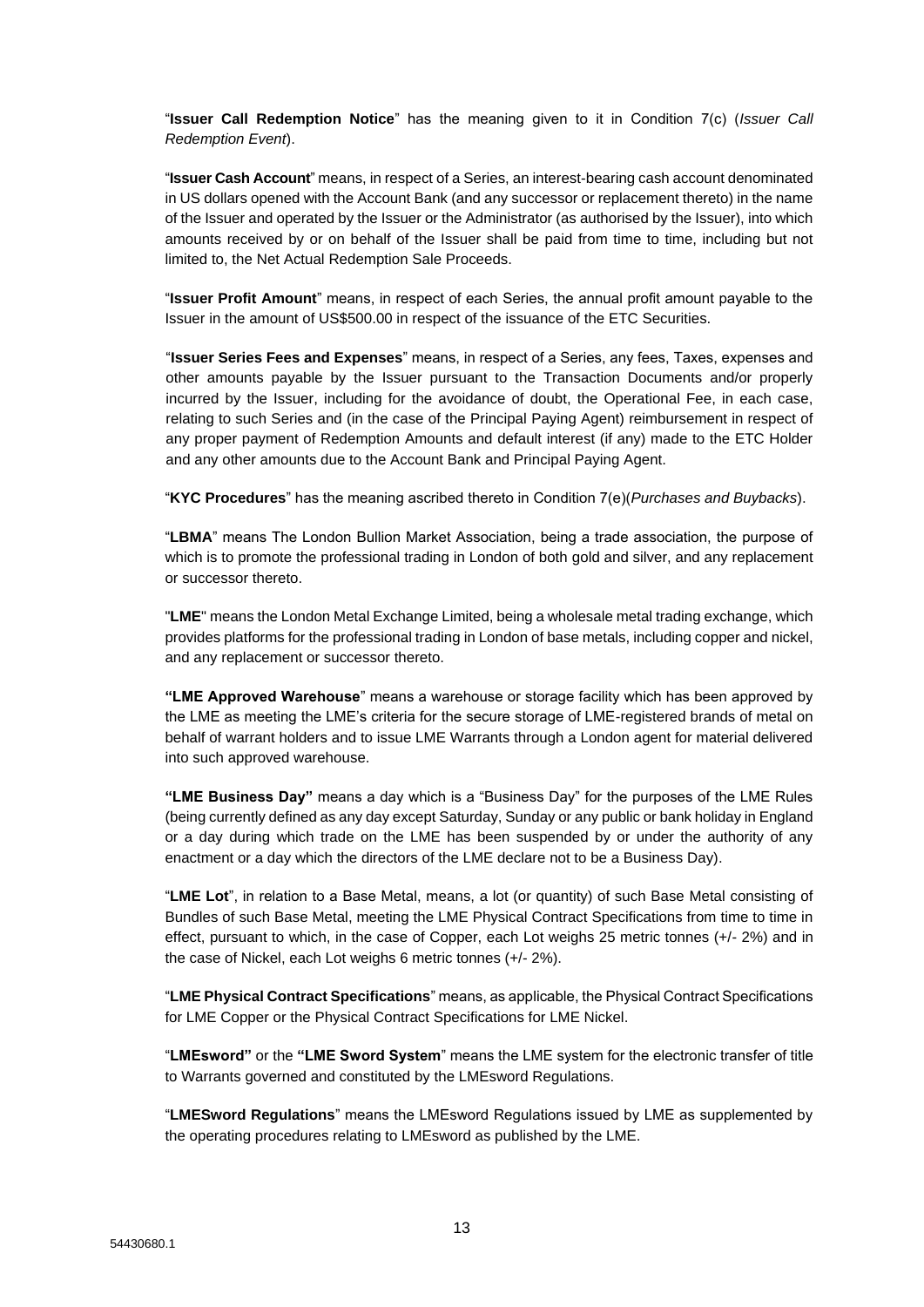"**Issuer Call Redemption Notice**" has the meaning given to it in Condition 7(c) (*Issuer Call Redemption Event*).

"**Issuer Cash Account**" means, in respect of a Series, an interest-bearing cash account denominated in US dollars opened with the Account Bank (and any successor or replacement thereto) in the name of the Issuer and operated by the Issuer or the Administrator (as authorised by the Issuer), into which amounts received by or on behalf of the Issuer shall be paid from time to time, including but not limited to, the Net Actual Redemption Sale Proceeds.

"**Issuer Profit Amount**" means, in respect of each Series, the annual profit amount payable to the Issuer in the amount of US\$500.00 in respect of the issuance of the ETC Securities.

"**Issuer Series Fees and Expenses**" means, in respect of a Series, any fees, Taxes, expenses and other amounts payable by the Issuer pursuant to the Transaction Documents and/or properly incurred by the Issuer, including for the avoidance of doubt, the Operational Fee, in each case, relating to such Series and (in the case of the Principal Paying Agent) reimbursement in respect of any proper payment of Redemption Amounts and default interest (if any) made to the ETC Holder and any other amounts due to the Account Bank and Principal Paying Agent.

"**KYC Procedures**" has the meaning ascribed thereto in Condition 7(e)(*Purchases and Buybacks*).

"**LBMA**" means The London Bullion Market Association, being a trade association, the purpose of which is to promote the professional trading in London of both gold and silver, and any replacement or successor thereto.

"**LME**" means the London Metal Exchange Limited, being a wholesale metal trading exchange, which provides platforms for the professional trading in London of base metals, including copper and nickel, and any replacement or successor thereto.

**"LME Approved Warehouse**" means a warehouse or storage facility which has been approved by the LME as meeting the LME's criteria for the secure storage of LME-registered brands of metal on behalf of warrant holders and to issue LME Warrants through a London agent for material delivered into such approved warehouse.

**"LME Business Day"** means a day which is a "Business Day" for the purposes of the LME Rules (being currently defined as any day except Saturday, Sunday or any public or bank holiday in England or a day during which trade on the LME has been suspended by or under the authority of any enactment or a day which the directors of the LME declare not to be a Business Day).

"**LME Lot**", in relation to a Base Metal, means, a lot (or quantity) of such Base Metal consisting of Bundles of such Base Metal, meeting the LME Physical Contract Specifications from time to time in effect, pursuant to which, in the case of Copper, each Lot weighs 25 metric tonnes (+/- 2%) and in the case of Nickel, each Lot weighs 6 metric tonnes (+/- 2%).

"**LME Physical Contract Specifications**" means, as applicable, the Physical Contract Specifications for LME Copper or the Physical Contract Specifications for LME Nickel.

"**LMEsword"** or the **"LME Sword System**" means the LME system for the electronic transfer of title to Warrants governed and constituted by the LMEsword Regulations.

"**LMESword Regulations**" means the LMEsword Regulations issued by LME as supplemented by the operating procedures relating to LMEsword as published by the LME.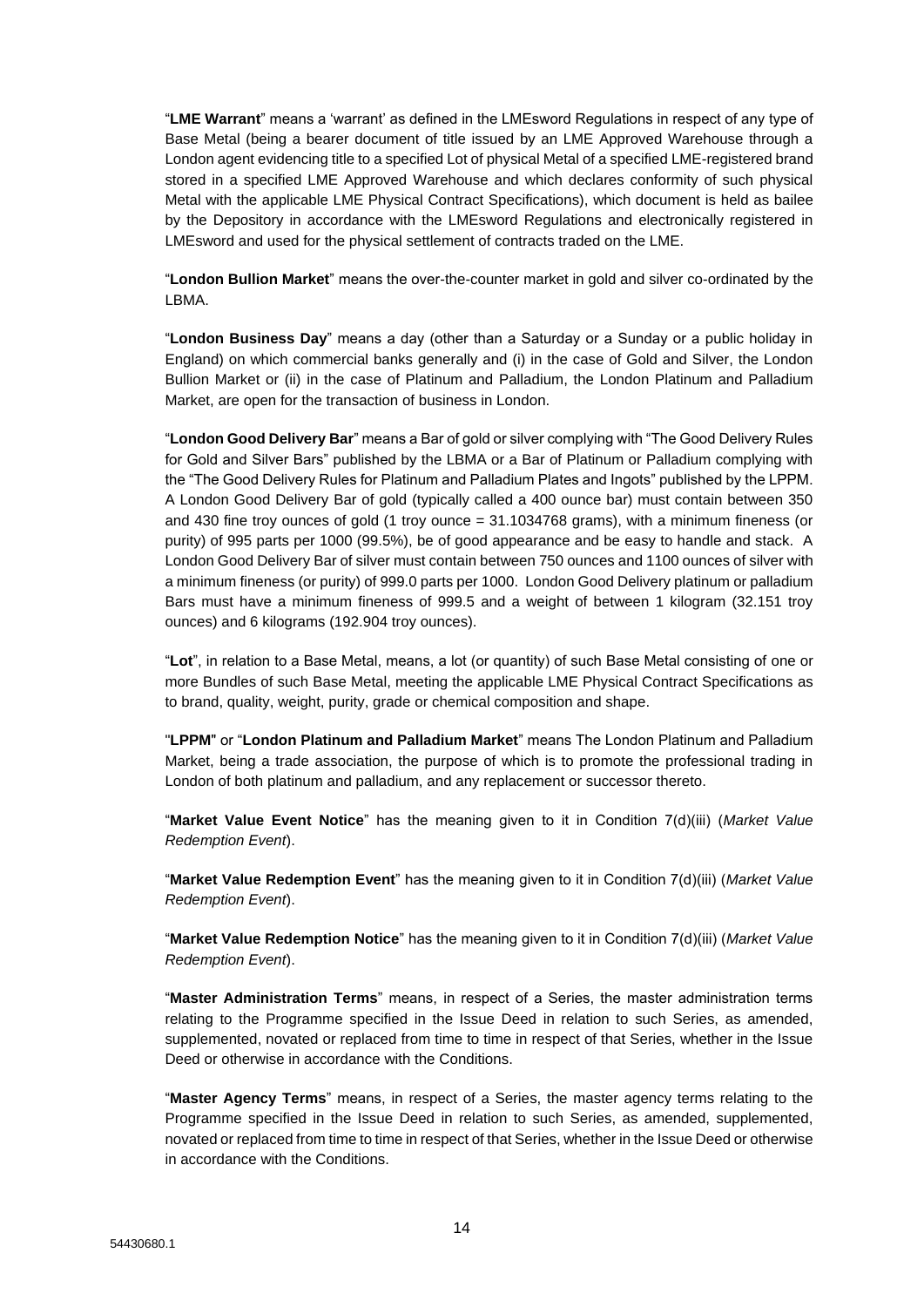"**LME Warrant**" means a 'warrant' as defined in the LMEsword Regulations in respect of any type of Base Metal (being a bearer document of title issued by an LME Approved Warehouse through a London agent evidencing title to a specified Lot of physical Metal of a specified LME-registered brand stored in a specified LME Approved Warehouse and which declares conformity of such physical Metal with the applicable LME Physical Contract Specifications), which document is held as bailee by the Depository in accordance with the LMEsword Regulations and electronically registered in LMEsword and used for the physical settlement of contracts traded on the LME.

"**London Bullion Market**" means the over-the-counter market in gold and silver co-ordinated by the LBMA.

"**London Business Day**" means a day (other than a Saturday or a Sunday or a public holiday in England) on which commercial banks generally and (i) in the case of Gold and Silver, the London Bullion Market or (ii) in the case of Platinum and Palladium, the London Platinum and Palladium Market, are open for the transaction of business in London.

"**London Good Delivery Bar**" means a Bar of gold or silver complying with "The Good Delivery Rules for Gold and Silver Bars" published by the LBMA or a Bar of Platinum or Palladium complying with the "The Good Delivery Rules for Platinum and Palladium Plates and Ingots" published by the LPPM. A London Good Delivery Bar of gold (typically called a 400 ounce bar) must contain between 350 and 430 fine troy ounces of gold (1 troy ounce = 31.1034768 grams), with a minimum fineness (or purity) of 995 parts per 1000 (99.5%), be of good appearance and be easy to handle and stack. A London Good Delivery Bar of silver must contain between 750 ounces and 1100 ounces of silver with a minimum fineness (or purity) of 999.0 parts per 1000. London Good Delivery platinum or palladium Bars must have a minimum fineness of 999.5 and a weight of between 1 kilogram (32.151 troy ounces) and 6 kilograms (192.904 troy ounces).

"**Lot**", in relation to a Base Metal, means, a lot (or quantity) of such Base Metal consisting of one or more Bundles of such Base Metal, meeting the applicable LME Physical Contract Specifications as to brand, quality, weight, purity, grade or chemical composition and shape.

"**LPPM**" or "**London Platinum and Palladium Market**" means The London Platinum and Palladium Market, being a trade association, the purpose of which is to promote the professional trading in London of both platinum and palladium, and any replacement or successor thereto.

"**Market Value Event Notice**" has the meaning given to it in Condition 7(d)(iii) (*Market Value Redemption Event*).

"**Market Value Redemption Event**" has the meaning given to it in Condition 7(d)(iii) (*Market Value Redemption Event*).

"**Market Value Redemption Notice**" has the meaning given to it in Condition 7(d)(iii) (*Market Value Redemption Event*).

"**Master Administration Terms**" means, in respect of a Series, the master administration terms relating to the Programme specified in the Issue Deed in relation to such Series, as amended, supplemented, novated or replaced from time to time in respect of that Series, whether in the Issue Deed or otherwise in accordance with the Conditions.

"**Master Agency Terms**" means, in respect of a Series, the master agency terms relating to the Programme specified in the Issue Deed in relation to such Series, as amended, supplemented, novated or replaced from time to time in respect of that Series, whether in the Issue Deed or otherwise in accordance with the Conditions.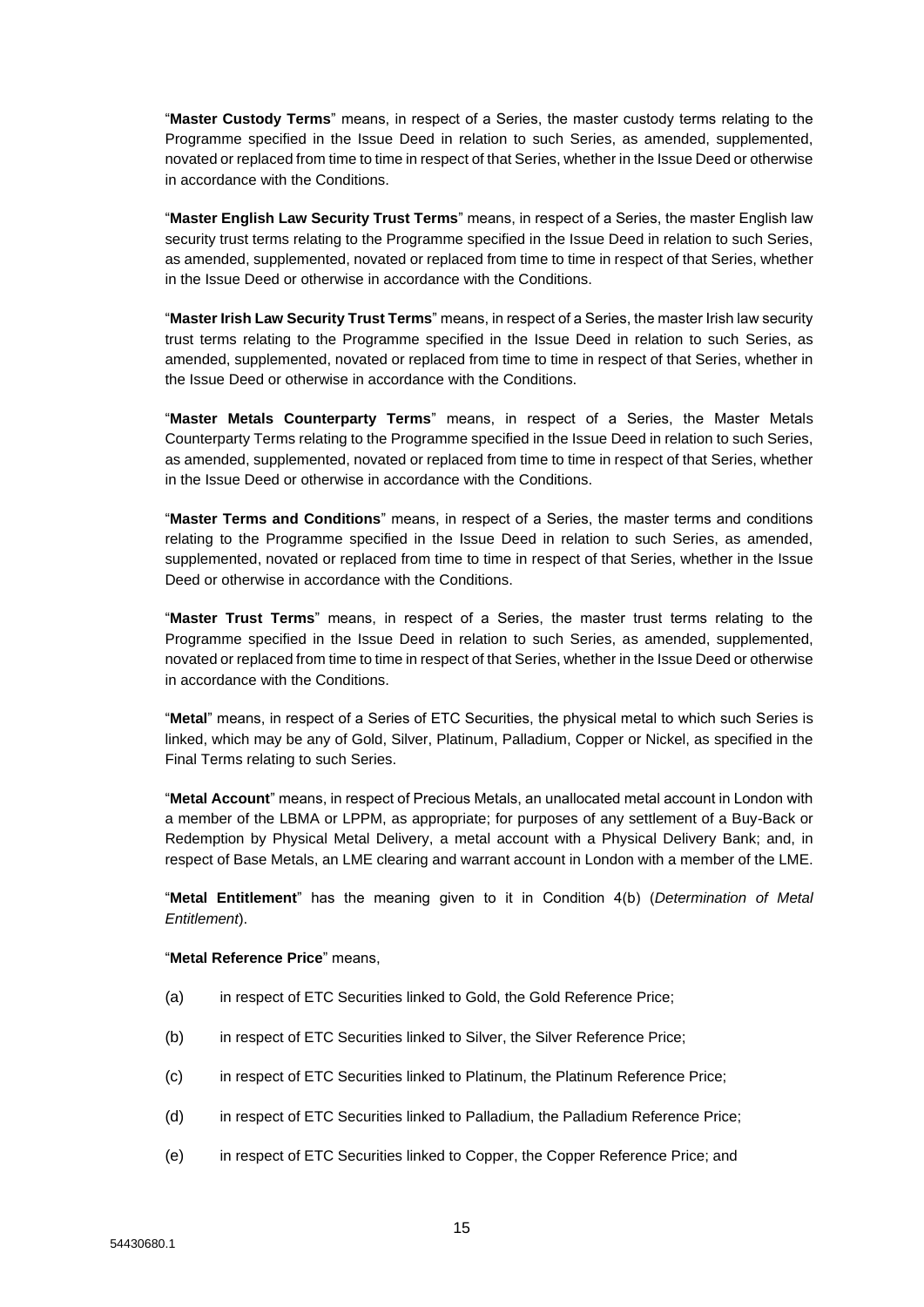"**Master Custody Terms**" means, in respect of a Series, the master custody terms relating to the Programme specified in the Issue Deed in relation to such Series, as amended, supplemented, novated or replaced from time to time in respect of that Series, whether in the Issue Deed or otherwise in accordance with the Conditions.

"**Master English Law Security Trust Terms**" means, in respect of a Series, the master English law security trust terms relating to the Programme specified in the Issue Deed in relation to such Series, as amended, supplemented, novated or replaced from time to time in respect of that Series, whether in the Issue Deed or otherwise in accordance with the Conditions.

"**Master Irish Law Security Trust Terms**" means, in respect of a Series, the master Irish law security trust terms relating to the Programme specified in the Issue Deed in relation to such Series, as amended, supplemented, novated or replaced from time to time in respect of that Series, whether in the Issue Deed or otherwise in accordance with the Conditions.

"**Master Metals Counterparty Terms**" means, in respect of a Series, the Master Metals Counterparty Terms relating to the Programme specified in the Issue Deed in relation to such Series, as amended, supplemented, novated or replaced from time to time in respect of that Series, whether in the Issue Deed or otherwise in accordance with the Conditions.

"**Master Terms and Conditions**" means, in respect of a Series, the master terms and conditions relating to the Programme specified in the Issue Deed in relation to such Series, as amended, supplemented, novated or replaced from time to time in respect of that Series, whether in the Issue Deed or otherwise in accordance with the Conditions.

"**Master Trust Terms**" means, in respect of a Series, the master trust terms relating to the Programme specified in the Issue Deed in relation to such Series, as amended, supplemented, novated or replaced from time to time in respect of that Series, whether in the Issue Deed or otherwise in accordance with the Conditions.

"**Metal**" means, in respect of a Series of ETC Securities, the physical metal to which such Series is linked, which may be any of Gold, Silver, Platinum, Palladium, Copper or Nickel, as specified in the Final Terms relating to such Series.

"**Metal Account**" means, in respect of Precious Metals, an unallocated metal account in London with a member of the LBMA or LPPM, as appropriate; for purposes of any settlement of a Buy-Back or Redemption by Physical Metal Delivery, a metal account with a Physical Delivery Bank; and, in respect of Base Metals, an LME clearing and warrant account in London with a member of the LME.

"**Metal Entitlement**" has the meaning given to it in Condition 4(b) (*Determination of Metal Entitlement*).

### "**Metal Reference Price**" means,

- (a) in respect of ETC Securities linked to Gold, the Gold Reference Price;
- (b) in respect of ETC Securities linked to Silver, the Silver Reference Price;
- (c) in respect of ETC Securities linked to Platinum, the Platinum Reference Price;
- (d) in respect of ETC Securities linked to Palladium, the Palladium Reference Price;
- (e) in respect of ETC Securities linked to Copper, the Copper Reference Price; and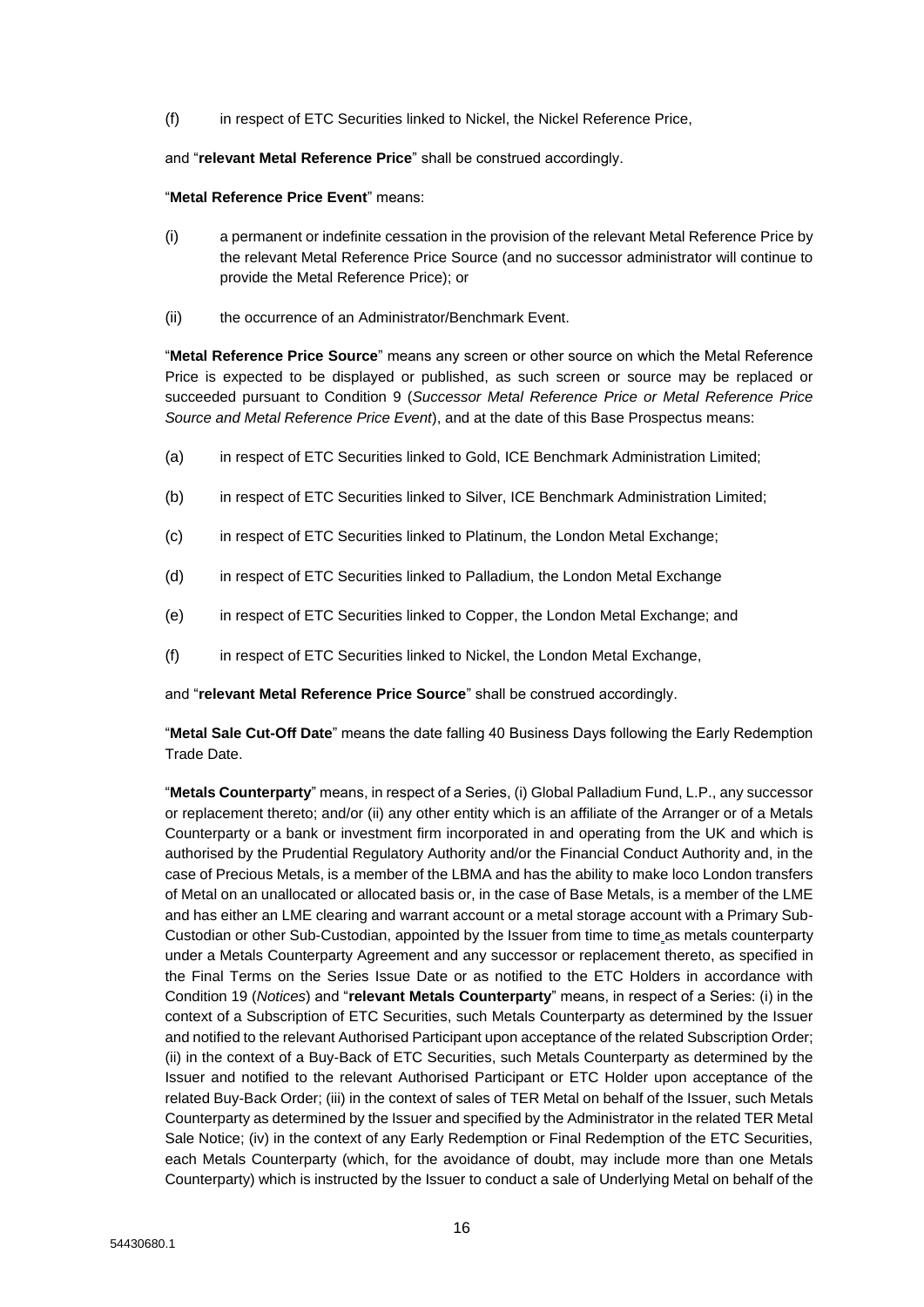(f) in respect of ETC Securities linked to Nickel, the Nickel Reference Price,

and "**relevant Metal Reference Price**" shall be construed accordingly.

"**Metal Reference Price Event**" means:

- (i) a permanent or indefinite cessation in the provision of the relevant Metal Reference Price by the relevant Metal Reference Price Source (and no successor administrator will continue to provide the Metal Reference Price); or
- (ii) the occurrence of an Administrator/Benchmark Event.

"**Metal Reference Price Source**" means any screen or other source on which the Metal Reference Price is expected to be displayed or published, as such screen or source may be replaced or succeeded pursuant to Condition 9 (*Successor Metal Reference Price or Metal Reference Price Source and Metal Reference Price Event*), and at the date of this Base Prospectus means:

- (a) in respect of ETC Securities linked to Gold, ICE Benchmark Administration Limited;
- (b) in respect of ETC Securities linked to Silver, ICE Benchmark Administration Limited;
- (c) in respect of ETC Securities linked to Platinum, the London Metal Exchange;
- (d) in respect of ETC Securities linked to Palladium, the London Metal Exchange
- (e) in respect of ETC Securities linked to Copper, the London Metal Exchange; and
- (f) in respect of ETC Securities linked to Nickel, the London Metal Exchange,

and "**relevant Metal Reference Price Source**" shall be construed accordingly.

"**Metal Sale Cut-Off Date**" means the date falling 40 Business Days following the Early Redemption Trade Date.

"**Metals Counterparty**" means, in respect of a Series, (i) Global Palladium Fund, L.P., any successor or replacement thereto; and/or (ii) any other entity which is an affiliate of the Arranger or of a Metals Counterparty or a bank or investment firm incorporated in and operating from the UK and which is authorised by the Prudential Regulatory Authority and/or the Financial Conduct Authority and, in the case of Precious Metals, is a member of the LBMA and has the ability to make loco London transfers of Metal on an unallocated or allocated basis or, in the case of Base Metals, is a member of the LME and has either an LME clearing and warrant account or a metal storage account with a Primary Sub-Custodian or other Sub-Custodian, appointed by the Issuer from time to time as metals counterparty under a Metals Counterparty Agreement and any successor or replacement thereto, as specified in the Final Terms on the Series Issue Date or as notified to the ETC Holders in accordance with Condition 19 (*Notices*) and "**relevant Metals Counterparty**" means, in respect of a Series: (i) in the context of a Subscription of ETC Securities, such Metals Counterparty as determined by the Issuer and notified to the relevant Authorised Participant upon acceptance of the related Subscription Order; (ii) in the context of a Buy-Back of ETC Securities, such Metals Counterparty as determined by the Issuer and notified to the relevant Authorised Participant or ETC Holder upon acceptance of the related Buy-Back Order; (iii) in the context of sales of TER Metal on behalf of the Issuer, such Metals Counterparty as determined by the Issuer and specified by the Administrator in the related TER Metal Sale Notice; (iv) in the context of any Early Redemption or Final Redemption of the ETC Securities, each Metals Counterparty (which, for the avoidance of doubt, may include more than one Metals Counterparty) which is instructed by the Issuer to conduct a sale of Underlying Metal on behalf of the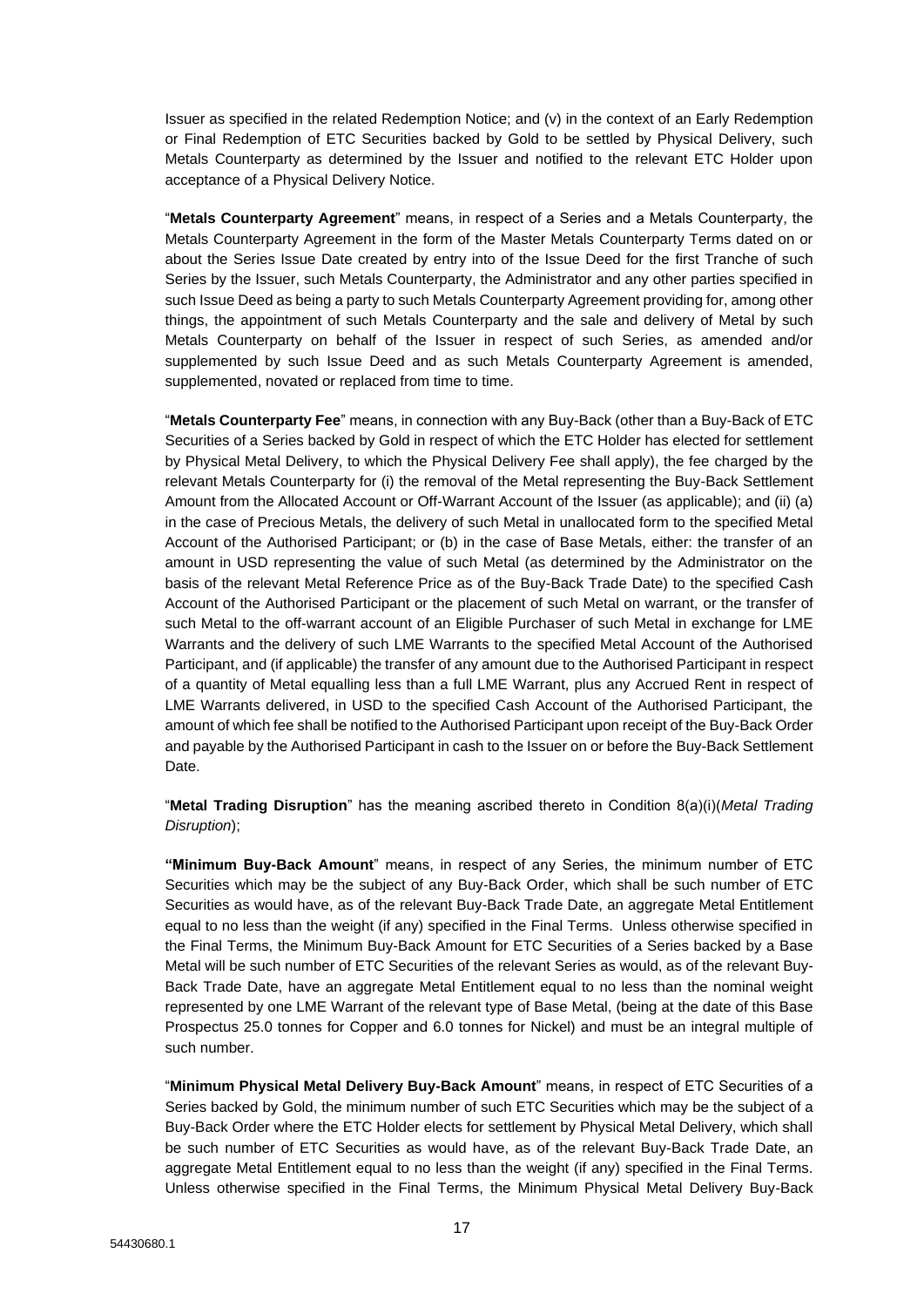Issuer as specified in the related Redemption Notice; and (v) in the context of an Early Redemption or Final Redemption of ETC Securities backed by Gold to be settled by Physical Delivery, such Metals Counterparty as determined by the Issuer and notified to the relevant ETC Holder upon acceptance of a Physical Delivery Notice.

"**Metals Counterparty Agreement**" means, in respect of a Series and a Metals Counterparty, the Metals Counterparty Agreement in the form of the Master Metals Counterparty Terms dated on or about the Series Issue Date created by entry into of the Issue Deed for the first Tranche of such Series by the Issuer, such Metals Counterparty, the Administrator and any other parties specified in such Issue Deed as being a party to such Metals Counterparty Agreement providing for, among other things, the appointment of such Metals Counterparty and the sale and delivery of Metal by such Metals Counterparty on behalf of the Issuer in respect of such Series, as amended and/or supplemented by such Issue Deed and as such Metals Counterparty Agreement is amended, supplemented, novated or replaced from time to time.

"**Metals Counterparty Fee**" means, in connection with any Buy-Back (other than a Buy-Back of ETC Securities of a Series backed by Gold in respect of which the ETC Holder has elected for settlement by Physical Metal Delivery, to which the Physical Delivery Fee shall apply), the fee charged by the relevant Metals Counterparty for (i) the removal of the Metal representing the Buy-Back Settlement Amount from the Allocated Account or Off-Warrant Account of the Issuer (as applicable); and (ii) (a) in the case of Precious Metals, the delivery of such Metal in unallocated form to the specified Metal Account of the Authorised Participant; or (b) in the case of Base Metals, either: the transfer of an amount in USD representing the value of such Metal (as determined by the Administrator on the basis of the relevant Metal Reference Price as of the Buy-Back Trade Date) to the specified Cash Account of the Authorised Participant or the placement of such Metal on warrant, or the transfer of such Metal to the off-warrant account of an Eligible Purchaser of such Metal in exchange for LME Warrants and the delivery of such LME Warrants to the specified Metal Account of the Authorised Participant, and (if applicable) the transfer of any amount due to the Authorised Participant in respect of a quantity of Metal equalling less than a full LME Warrant, plus any Accrued Rent in respect of LME Warrants delivered, in USD to the specified Cash Account of the Authorised Participant, the amount of which fee shall be notified to the Authorised Participant upon receipt of the Buy-Back Order and payable by the Authorised Participant in cash to the Issuer on or before the Buy-Back Settlement Date.

"**Metal Trading Disruption**" has the meaning ascribed thereto in Condition 8(a)(i)(*Metal Trading Disruption*);

**"Minimum Buy-Back Amount**" means, in respect of any Series, the minimum number of ETC Securities which may be the subject of any Buy-Back Order, which shall be such number of ETC Securities as would have, as of the relevant Buy-Back Trade Date, an aggregate Metal Entitlement equal to no less than the weight (if any) specified in the Final Terms. Unless otherwise specified in the Final Terms, the Minimum Buy-Back Amount for ETC Securities of a Series backed by a Base Metal will be such number of ETC Securities of the relevant Series as would, as of the relevant Buy-Back Trade Date, have an aggregate Metal Entitlement equal to no less than the nominal weight represented by one LME Warrant of the relevant type of Base Metal, (being at the date of this Base Prospectus 25.0 tonnes for Copper and 6.0 tonnes for Nickel) and must be an integral multiple of such number.

"**Minimum Physical Metal Delivery Buy-Back Amount**" means, in respect of ETC Securities of a Series backed by Gold, the minimum number of such ETC Securities which may be the subject of a Buy-Back Order where the ETC Holder elects for settlement by Physical Metal Delivery, which shall be such number of ETC Securities as would have, as of the relevant Buy-Back Trade Date, an aggregate Metal Entitlement equal to no less than the weight (if any) specified in the Final Terms. Unless otherwise specified in the Final Terms, the Minimum Physical Metal Delivery Buy-Back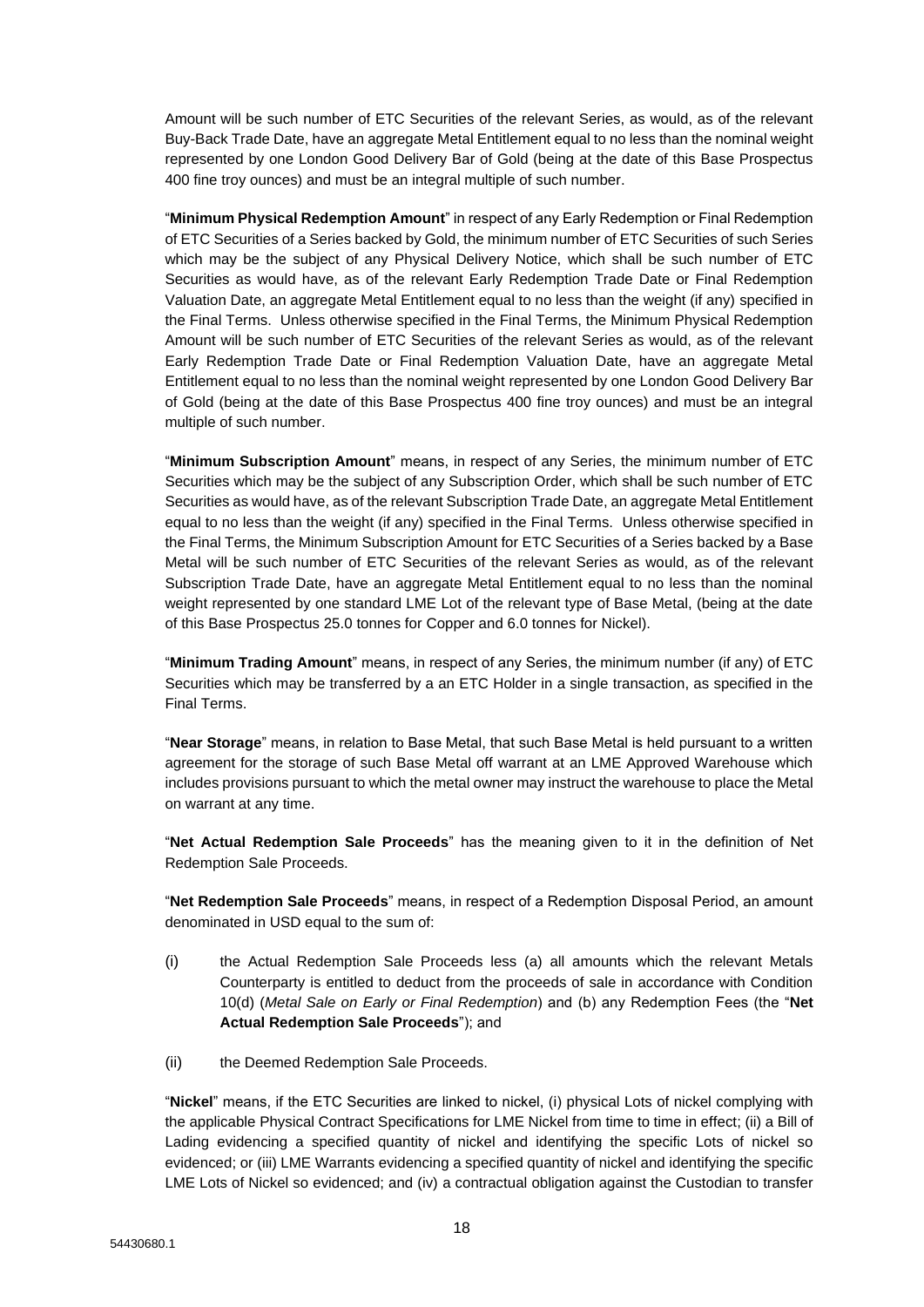Amount will be such number of ETC Securities of the relevant Series, as would, as of the relevant Buy-Back Trade Date, have an aggregate Metal Entitlement equal to no less than the nominal weight represented by one London Good Delivery Bar of Gold (being at the date of this Base Prospectus 400 fine troy ounces) and must be an integral multiple of such number.

"**Minimum Physical Redemption Amount**" in respect of any Early Redemption or Final Redemption of ETC Securities of a Series backed by Gold, the minimum number of ETC Securities of such Series which may be the subject of any Physical Delivery Notice, which shall be such number of ETC Securities as would have, as of the relevant Early Redemption Trade Date or Final Redemption Valuation Date, an aggregate Metal Entitlement equal to no less than the weight (if any) specified in the Final Terms. Unless otherwise specified in the Final Terms, the Minimum Physical Redemption Amount will be such number of ETC Securities of the relevant Series as would, as of the relevant Early Redemption Trade Date or Final Redemption Valuation Date, have an aggregate Metal Entitlement equal to no less than the nominal weight represented by one London Good Delivery Bar of Gold (being at the date of this Base Prospectus 400 fine troy ounces) and must be an integral multiple of such number.

"**Minimum Subscription Amount**" means, in respect of any Series, the minimum number of ETC Securities which may be the subject of any Subscription Order, which shall be such number of ETC Securities as would have, as of the relevant Subscription Trade Date, an aggregate Metal Entitlement equal to no less than the weight (if any) specified in the Final Terms. Unless otherwise specified in the Final Terms, the Minimum Subscription Amount for ETC Securities of a Series backed by a Base Metal will be such number of ETC Securities of the relevant Series as would, as of the relevant Subscription Trade Date, have an aggregate Metal Entitlement equal to no less than the nominal weight represented by one standard LME Lot of the relevant type of Base Metal, (being at the date of this Base Prospectus 25.0 tonnes for Copper and 6.0 tonnes for Nickel).

"**Minimum Trading Amount**" means, in respect of any Series, the minimum number (if any) of ETC Securities which may be transferred by a an ETC Holder in a single transaction, as specified in the Final Terms.

"**Near Storage**" means, in relation to Base Metal, that such Base Metal is held pursuant to a written agreement for the storage of such Base Metal off warrant at an LME Approved Warehouse which includes provisions pursuant to which the metal owner may instruct the warehouse to place the Metal on warrant at any time.

"**Net Actual Redemption Sale Proceeds**" has the meaning given to it in the definition of Net Redemption Sale Proceeds.

"**Net Redemption Sale Proceeds**" means, in respect of a Redemption Disposal Period, an amount denominated in USD equal to the sum of:

- (i) the Actual Redemption Sale Proceeds less (a) all amounts which the relevant Metals Counterparty is entitled to deduct from the proceeds of sale in accordance with Condition 10(d) (*Metal Sale on Early or Final Redemption*) and (b) any Redemption Fees (the "**Net Actual Redemption Sale Proceeds**"); and
- (ii) the Deemed Redemption Sale Proceeds.

"**Nickel**" means, if the ETC Securities are linked to nickel, (i) physical Lots of nickel complying with the applicable Physical Contract Specifications for LME Nickel from time to time in effect; (ii) a Bill of Lading evidencing a specified quantity of nickel and identifying the specific Lots of nickel so evidenced; or (iii) LME Warrants evidencing a specified quantity of nickel and identifying the specific LME Lots of Nickel so evidenced; and (iv) a contractual obligation against the Custodian to transfer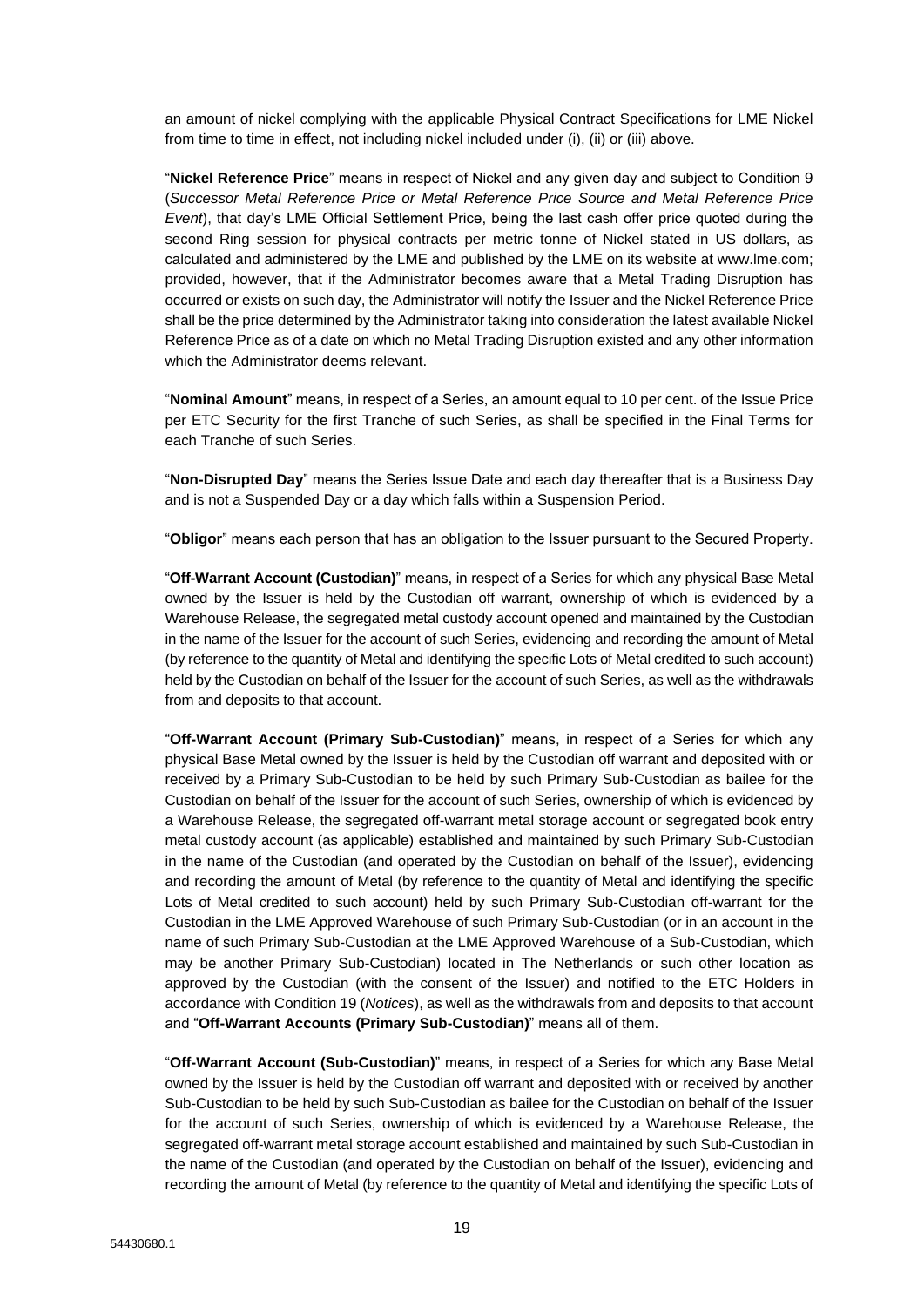an amount of nickel complying with the applicable Physical Contract Specifications for LME Nickel from time to time in effect, not including nickel included under (i), (ii) or (iii) above.

"**Nickel Reference Price**" means in respect of Nickel and any given day and subject to Condition 9 (*Successor Metal Reference Price or Metal Reference Price Source and Metal Reference Price Event*), that day's LME Official Settlement Price, being the last cash offer price quoted during the second Ring session for physical contracts per metric tonne of Nickel stated in US dollars, as calculated and administered by the LME and published by the LME on its website at www.lme.com; provided, however, that if the Administrator becomes aware that a Metal Trading Disruption has occurred or exists on such day, the Administrator will notify the Issuer and the Nickel Reference Price shall be the price determined by the Administrator taking into consideration the latest available Nickel Reference Price as of a date on which no Metal Trading Disruption existed and any other information which the Administrator deems relevant.

"**Nominal Amount**" means, in respect of a Series, an amount equal to 10 per cent. of the Issue Price per ETC Security for the first Tranche of such Series, as shall be specified in the Final Terms for each Tranche of such Series.

"**Non-Disrupted Day**" means the Series Issue Date and each day thereafter that is a Business Day and is not a Suspended Day or a day which falls within a Suspension Period.

"**Obligor**" means each person that has an obligation to the Issuer pursuant to the Secured Property.

"**Off-Warrant Account (Custodian)**" means, in respect of a Series for which any physical Base Metal owned by the Issuer is held by the Custodian off warrant, ownership of which is evidenced by a Warehouse Release, the segregated metal custody account opened and maintained by the Custodian in the name of the Issuer for the account of such Series, evidencing and recording the amount of Metal (by reference to the quantity of Metal and identifying the specific Lots of Metal credited to such account) held by the Custodian on behalf of the Issuer for the account of such Series, as well as the withdrawals from and deposits to that account.

"**Off-Warrant Account (Primary Sub-Custodian)**" means, in respect of a Series for which any physical Base Metal owned by the Issuer is held by the Custodian off warrant and deposited with or received by a Primary Sub-Custodian to be held by such Primary Sub-Custodian as bailee for the Custodian on behalf of the Issuer for the account of such Series, ownership of which is evidenced by a Warehouse Release, the segregated off-warrant metal storage account or segregated book entry metal custody account (as applicable) established and maintained by such Primary Sub-Custodian in the name of the Custodian (and operated by the Custodian on behalf of the Issuer), evidencing and recording the amount of Metal (by reference to the quantity of Metal and identifying the specific Lots of Metal credited to such account) held by such Primary Sub-Custodian off-warrant for the Custodian in the LME Approved Warehouse of such Primary Sub-Custodian (or in an account in the name of such Primary Sub-Custodian at the LME Approved Warehouse of a Sub-Custodian, which may be another Primary Sub-Custodian) located in The Netherlands or such other location as approved by the Custodian (with the consent of the Issuer) and notified to the ETC Holders in accordance with Condition 19 (*Notices*), as well as the withdrawals from and deposits to that account and "**Off-Warrant Accounts (Primary Sub-Custodian)**" means all of them.

"**Off-Warrant Account (Sub-Custodian)**" means, in respect of a Series for which any Base Metal owned by the Issuer is held by the Custodian off warrant and deposited with or received by another Sub-Custodian to be held by such Sub-Custodian as bailee for the Custodian on behalf of the Issuer for the account of such Series, ownership of which is evidenced by a Warehouse Release, the segregated off-warrant metal storage account established and maintained by such Sub-Custodian in the name of the Custodian (and operated by the Custodian on behalf of the Issuer), evidencing and recording the amount of Metal (by reference to the quantity of Metal and identifying the specific Lots of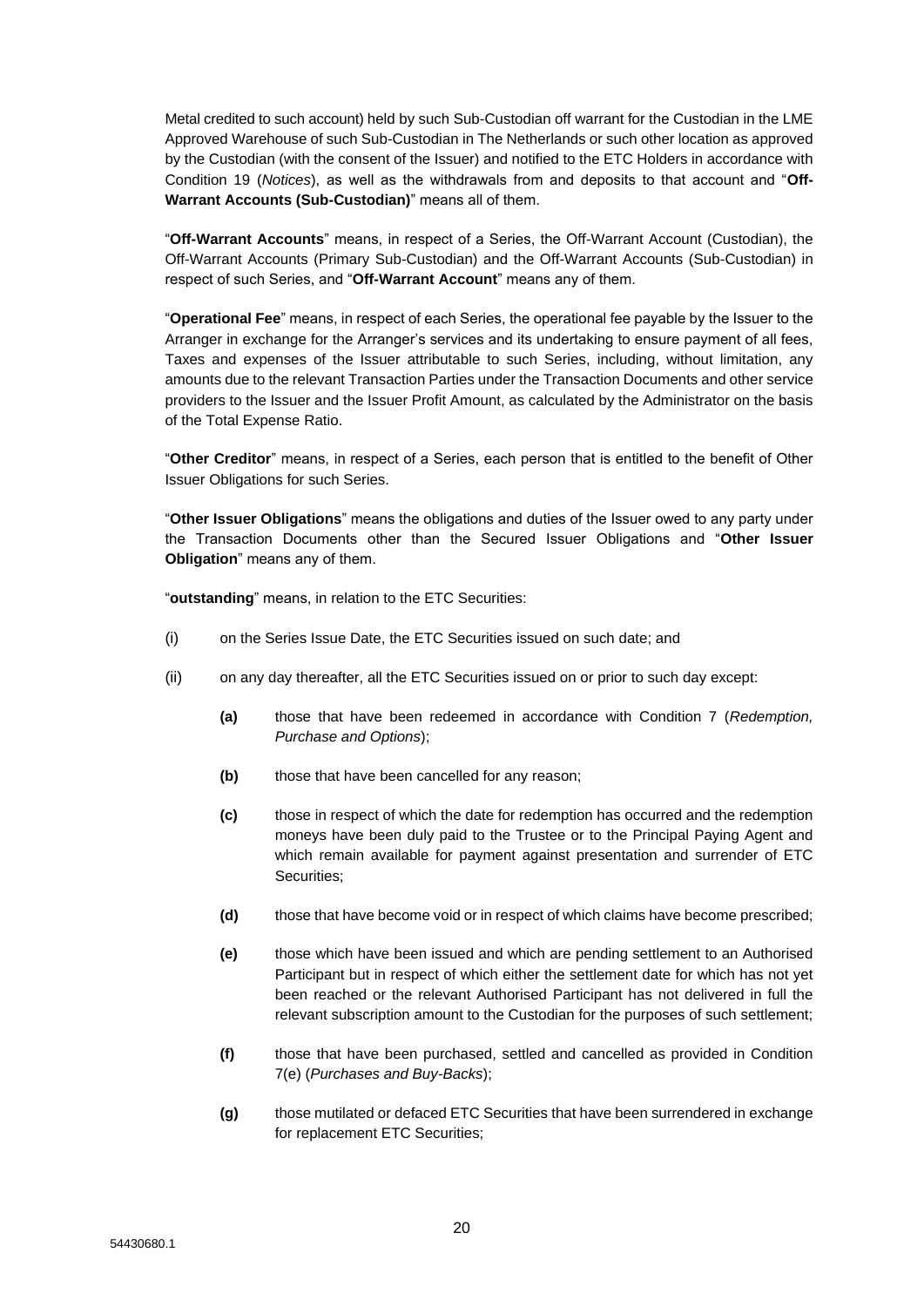Metal credited to such account) held by such Sub-Custodian off warrant for the Custodian in the LME Approved Warehouse of such Sub-Custodian in The Netherlands or such other location as approved by the Custodian (with the consent of the Issuer) and notified to the ETC Holders in accordance with Condition 19 (*Notices*), as well as the withdrawals from and deposits to that account and "**Off-Warrant Accounts (Sub-Custodian)**" means all of them.

"**Off-Warrant Accounts**" means, in respect of a Series, the Off-Warrant Account (Custodian), the Off-Warrant Accounts (Primary Sub-Custodian) and the Off-Warrant Accounts (Sub-Custodian) in respect of such Series, and "**Off-Warrant Account**" means any of them.

"**Operational Fee**" means, in respect of each Series, the operational fee payable by the Issuer to the Arranger in exchange for the Arranger's services and its undertaking to ensure payment of all fees, Taxes and expenses of the Issuer attributable to such Series, including, without limitation, any amounts due to the relevant Transaction Parties under the Transaction Documents and other service providers to the Issuer and the Issuer Profit Amount, as calculated by the Administrator on the basis of the Total Expense Ratio.

"**Other Creditor**" means, in respect of a Series, each person that is entitled to the benefit of Other Issuer Obligations for such Series.

"**Other Issuer Obligations**" means the obligations and duties of the Issuer owed to any party under the Transaction Documents other than the Secured Issuer Obligations and "**Other Issuer Obligation**" means any of them.

"**outstanding**" means, in relation to the ETC Securities:

- (i) on the Series Issue Date, the ETC Securities issued on such date; and
- (ii) on any day thereafter, all the ETC Securities issued on or prior to such day except:
	- **(a)** those that have been redeemed in accordance with Condition 7 (*Redemption, Purchase and Options*);
	- **(b)** those that have been cancelled for any reason;
	- **(c)** those in respect of which the date for redemption has occurred and the redemption moneys have been duly paid to the Trustee or to the Principal Paying Agent and which remain available for payment against presentation and surrender of ETC Securities;
	- **(d)** those that have become void or in respect of which claims have become prescribed;
	- **(e)** those which have been issued and which are pending settlement to an Authorised Participant but in respect of which either the settlement date for which has not yet been reached or the relevant Authorised Participant has not delivered in full the relevant subscription amount to the Custodian for the purposes of such settlement;
	- **(f)** those that have been purchased, settled and cancelled as provided in Condition 7(e) (*Purchases and Buy-Backs*);
	- **(g)** those mutilated or defaced ETC Securities that have been surrendered in exchange for replacement ETC Securities;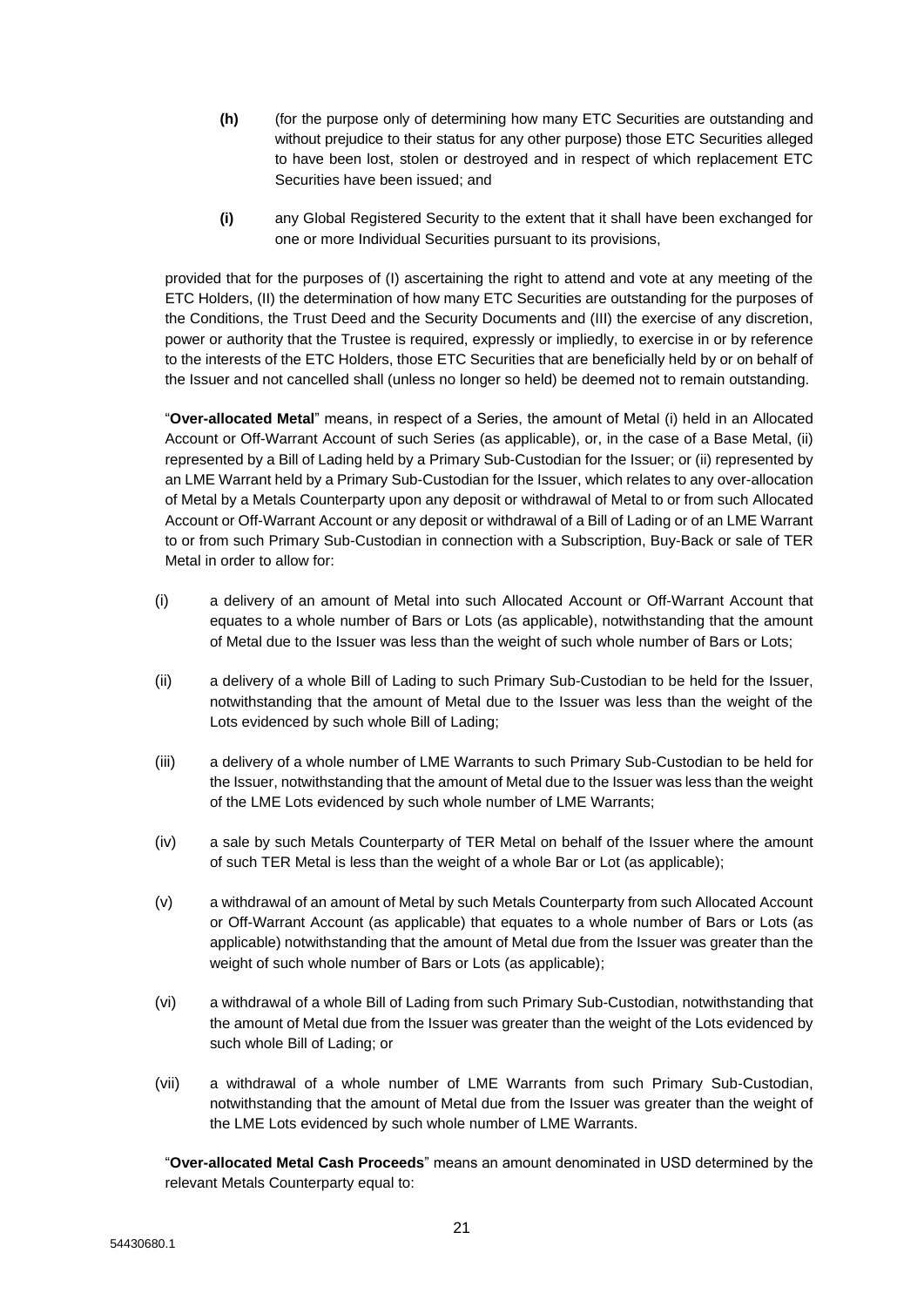- **(h)** (for the purpose only of determining how many ETC Securities are outstanding and without prejudice to their status for any other purpose) those ETC Securities alleged to have been lost, stolen or destroyed and in respect of which replacement ETC Securities have been issued; and
- **(i)** any Global Registered Security to the extent that it shall have been exchanged for one or more Individual Securities pursuant to its provisions,

provided that for the purposes of (I) ascertaining the right to attend and vote at any meeting of the ETC Holders, (II) the determination of how many ETC Securities are outstanding for the purposes of the Conditions, the Trust Deed and the Security Documents and (III) the exercise of any discretion, power or authority that the Trustee is required, expressly or impliedly, to exercise in or by reference to the interests of the ETC Holders, those ETC Securities that are beneficially held by or on behalf of the Issuer and not cancelled shall (unless no longer so held) be deemed not to remain outstanding.

"**Over-allocated Metal**" means, in respect of a Series, the amount of Metal (i) held in an Allocated Account or Off-Warrant Account of such Series (as applicable), or, in the case of a Base Metal, (ii) represented by a Bill of Lading held by a Primary Sub-Custodian for the Issuer; or (ii) represented by an LME Warrant held by a Primary Sub-Custodian for the Issuer, which relates to any over-allocation of Metal by a Metals Counterparty upon any deposit or withdrawal of Metal to or from such Allocated Account or Off-Warrant Account or any deposit or withdrawal of a Bill of Lading or of an LME Warrant to or from such Primary Sub-Custodian in connection with a Subscription, Buy-Back or sale of TER Metal in order to allow for:

- (i) a delivery of an amount of Metal into such Allocated Account or Off-Warrant Account that equates to a whole number of Bars or Lots (as applicable), notwithstanding that the amount of Metal due to the Issuer was less than the weight of such whole number of Bars or Lots;
- (ii) a delivery of a whole Bill of Lading to such Primary Sub-Custodian to be held for the Issuer, notwithstanding that the amount of Metal due to the Issuer was less than the weight of the Lots evidenced by such whole Bill of Lading;
- (iii) a delivery of a whole number of LME Warrants to such Primary Sub-Custodian to be held for the Issuer, notwithstanding that the amount of Metal due to the Issuer was less than the weight of the LME Lots evidenced by such whole number of LME Warrants;
- (iv) a sale by such Metals Counterparty of TER Metal on behalf of the Issuer where the amount of such TER Metal is less than the weight of a whole Bar or Lot (as applicable);
- (v) a withdrawal of an amount of Metal by such Metals Counterparty from such Allocated Account or Off-Warrant Account (as applicable) that equates to a whole number of Bars or Lots (as applicable) notwithstanding that the amount of Metal due from the Issuer was greater than the weight of such whole number of Bars or Lots (as applicable);
- (vi) a withdrawal of a whole Bill of Lading from such Primary Sub-Custodian, notwithstanding that the amount of Metal due from the Issuer was greater than the weight of the Lots evidenced by such whole Bill of Lading; or
- (vii) a withdrawal of a whole number of LME Warrants from such Primary Sub-Custodian, notwithstanding that the amount of Metal due from the Issuer was greater than the weight of the LME Lots evidenced by such whole number of LME Warrants.

"**Over-allocated Metal Cash Proceeds**" means an amount denominated in USD determined by the relevant Metals Counterparty equal to: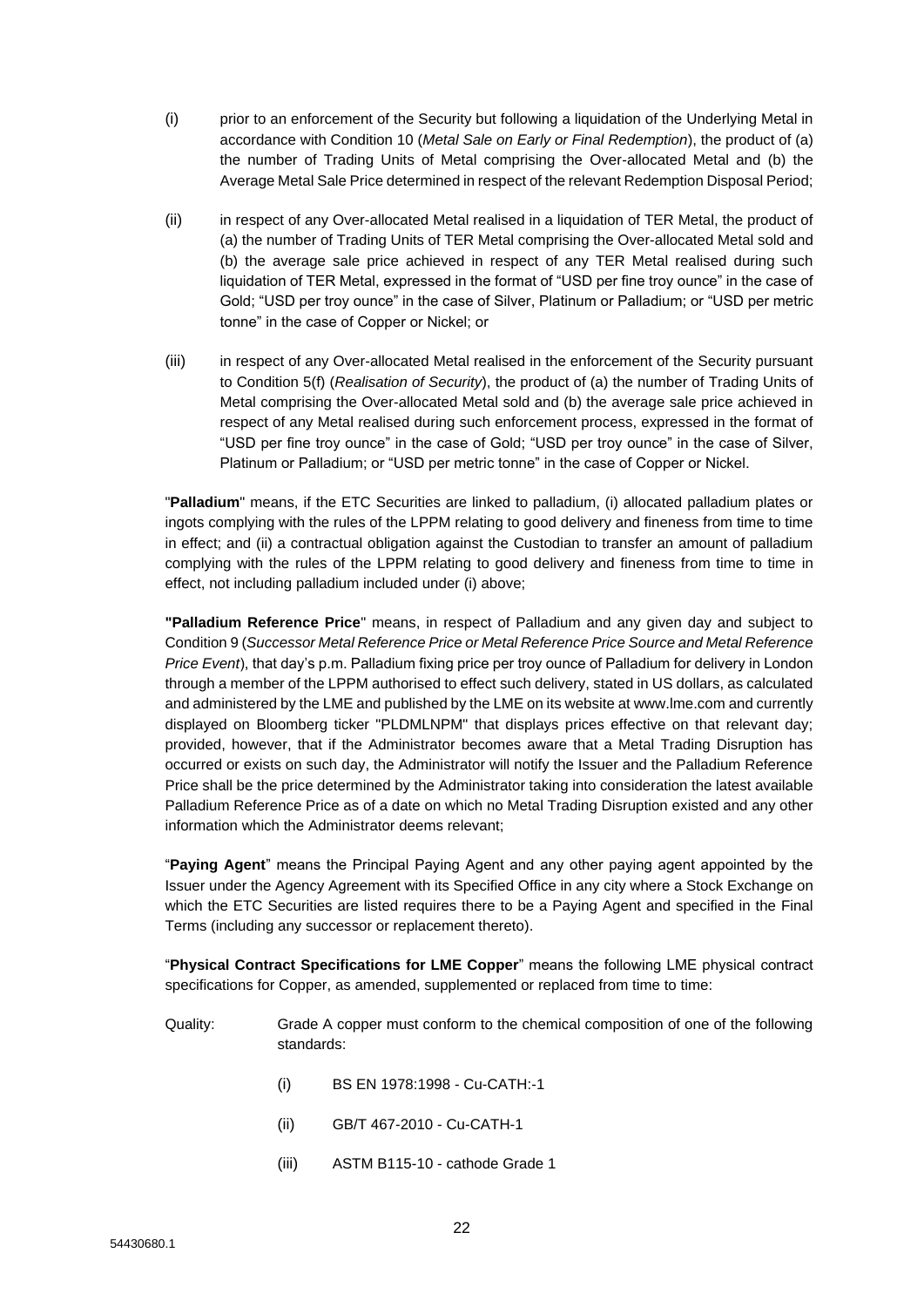- (i) prior to an enforcement of the Security but following a liquidation of the Underlying Metal in accordance with Condition 10 (*Metal Sale on Early or Final Redemption*), the product of (a) the number of Trading Units of Metal comprising the Over-allocated Metal and (b) the Average Metal Sale Price determined in respect of the relevant Redemption Disposal Period;
- (ii) in respect of any Over-allocated Metal realised in a liquidation of TER Metal, the product of (a) the number of Trading Units of TER Metal comprising the Over-allocated Metal sold and (b) the average sale price achieved in respect of any TER Metal realised during such liquidation of TER Metal, expressed in the format of "USD per fine troy ounce" in the case of Gold; "USD per troy ounce" in the case of Silver, Platinum or Palladium; or "USD per metric tonne" in the case of Copper or Nickel; or
- (iii) in respect of any Over-allocated Metal realised in the enforcement of the Security pursuant to Condition 5(f) (*Realisation of Security*), the product of (a) the number of Trading Units of Metal comprising the Over-allocated Metal sold and (b) the average sale price achieved in respect of any Metal realised during such enforcement process, expressed in the format of "USD per fine troy ounce" in the case of Gold; "USD per troy ounce" in the case of Silver, Platinum or Palladium; or "USD per metric tonne" in the case of Copper or Nickel.

"**Palladium**" means, if the ETC Securities are linked to palladium, (i) allocated palladium plates or ingots complying with the rules of the LPPM relating to good delivery and fineness from time to time in effect; and (ii) a contractual obligation against the Custodian to transfer an amount of palladium complying with the rules of the LPPM relating to good delivery and fineness from time to time in effect, not including palladium included under (i) above;

**"Palladium Reference Price**" means, in respect of Palladium and any given day and subject to Condition 9 (*Successor Metal Reference Price or Metal Reference Price Source and Metal Reference Price Event*), that day's p.m. Palladium fixing price per troy ounce of Palladium for delivery in London through a member of the LPPM authorised to effect such delivery, stated in US dollars, as calculated and administered by the LME and published by the LME on its website at www.lme.com and currently displayed on Bloomberg ticker "PLDMLNPM" that displays prices effective on that relevant day; provided, however, that if the Administrator becomes aware that a Metal Trading Disruption has occurred or exists on such day, the Administrator will notify the Issuer and the Palladium Reference Price shall be the price determined by the Administrator taking into consideration the latest available Palladium Reference Price as of a date on which no Metal Trading Disruption existed and any other information which the Administrator deems relevant;

"**Paying Agent**" means the Principal Paying Agent and any other paying agent appointed by the Issuer under the Agency Agreement with its Specified Office in any city where a Stock Exchange on which the ETC Securities are listed requires there to be a Paying Agent and specified in the Final Terms (including any successor or replacement thereto).

"**Physical Contract Specifications for LME Copper**" means the following LME physical contract specifications for Copper, as amended, supplemented or replaced from time to time:

Quality: Grade A copper must conform to the chemical composition of one of the following standards:

- (i) BS EN 1978:1998 Cu-CATH:-1
- (ii) GB/T 467-2010 Cu-CATH-1
- (iii) ASTM B115-10 cathode Grade 1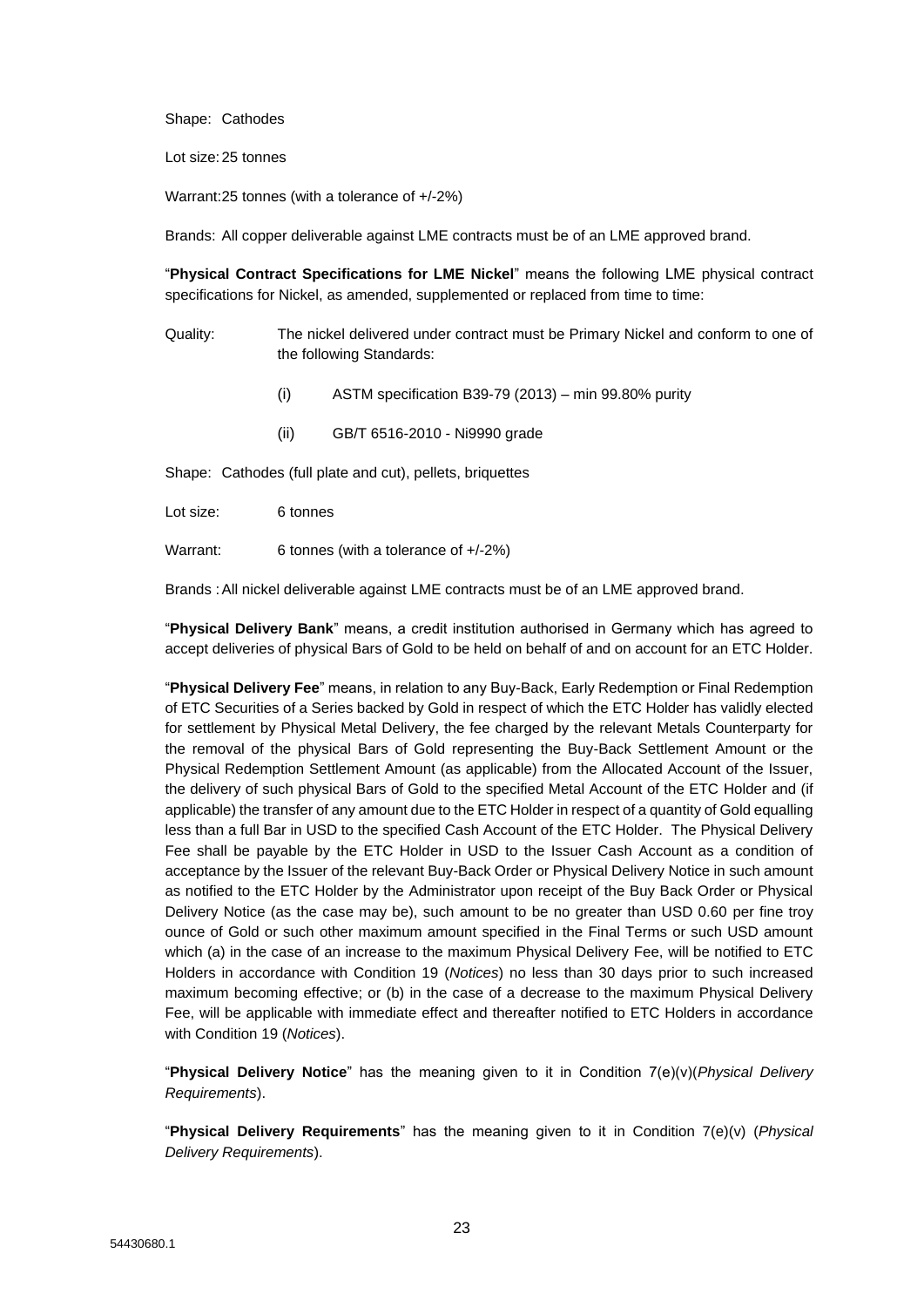Shape: Cathodes

Lot size:25 tonnes

Warrant:25 tonnes (with a tolerance of +/-2%)

Brands: All copper deliverable against LME contracts must be of an LME approved brand.

"**Physical Contract Specifications for LME Nickel**" means the following LME physical contract specifications for Nickel, as amended, supplemented or replaced from time to time:

- Quality: The nickel delivered under contract must be Primary Nickel and conform to one of the following Standards:
	- (i) ASTM specification B39-79 (2013) min 99.80% purity
	- (ii) GB/T 6516-2010 Ni9990 grade

Shape: Cathodes (full plate and cut), pellets, briquettes

Lot size: 6 tonnes

Warrant: 6 tonnes (with a tolerance of +/-2%)

Brands :All nickel deliverable against LME contracts must be of an LME approved brand.

"**Physical Delivery Bank**" means, a credit institution authorised in Germany which has agreed to accept deliveries of physical Bars of Gold to be held on behalf of and on account for an ETC Holder.

"**Physical Delivery Fee**" means, in relation to any Buy-Back, Early Redemption or Final Redemption of ETC Securities of a Series backed by Gold in respect of which the ETC Holder has validly elected for settlement by Physical Metal Delivery, the fee charged by the relevant Metals Counterparty for the removal of the physical Bars of Gold representing the Buy-Back Settlement Amount or the Physical Redemption Settlement Amount (as applicable) from the Allocated Account of the Issuer, the delivery of such physical Bars of Gold to the specified Metal Account of the ETC Holder and (if applicable) the transfer of any amount due to the ETC Holder in respect of a quantity of Gold equalling less than a full Bar in USD to the specified Cash Account of the ETC Holder. The Physical Delivery Fee shall be payable by the ETC Holder in USD to the Issuer Cash Account as a condition of acceptance by the Issuer of the relevant Buy-Back Order or Physical Delivery Notice in such amount as notified to the ETC Holder by the Administrator upon receipt of the Buy Back Order or Physical Delivery Notice (as the case may be), such amount to be no greater than USD 0.60 per fine troy ounce of Gold or such other maximum amount specified in the Final Terms or such USD amount which (a) in the case of an increase to the maximum Physical Delivery Fee, will be notified to ETC Holders in accordance with Condition 19 (*Notices*) no less than 30 days prior to such increased maximum becoming effective; or (b) in the case of a decrease to the maximum Physical Delivery Fee, will be applicable with immediate effect and thereafter notified to ETC Holders in accordance with Condition 19 (*Notices*).

"**Physical Delivery Notice**" has the meaning given to it in Condition 7(e)(v)(*Physical Delivery Requirements*).

"**Physical Delivery Requirements**" has the meaning given to it in Condition 7(e)(v) (*Physical Delivery Requirements*).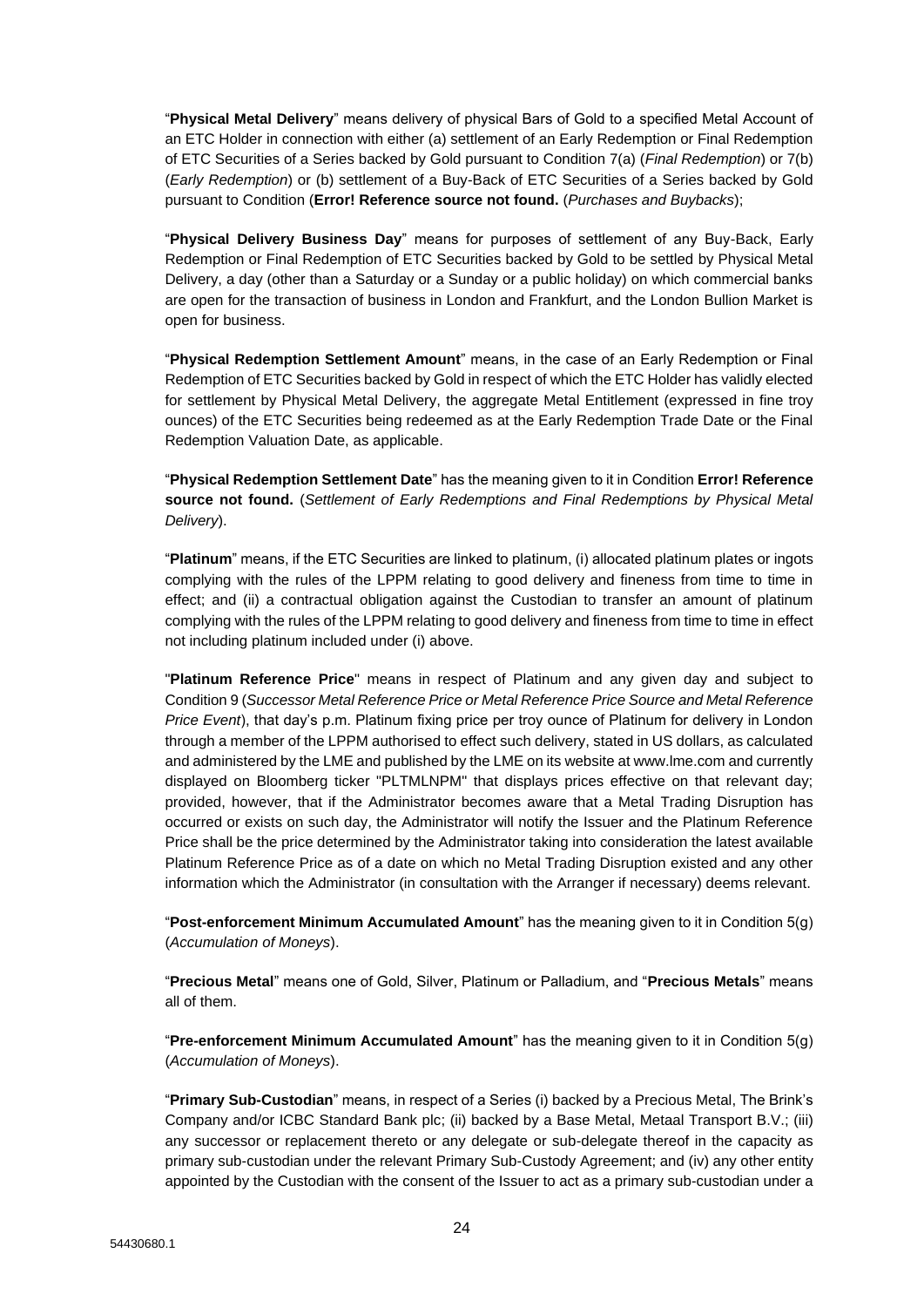"**Physical Metal Delivery**" means delivery of physical Bars of Gold to a specified Metal Account of an ETC Holder in connection with either (a) settlement of an Early Redemption or Final Redemption of ETC Securities of a Series backed by Gold pursuant to Condition 7(a) (*Final Redemption*) or 7(b) (*Early Redemption*) or (b) settlement of a Buy-Back of ETC Securities of a Series backed by Gold pursuant to Condition (**Error! Reference source not found.** (*Purchases and Buybacks*);

"**Physical Delivery Business Day**" means for purposes of settlement of any Buy-Back, Early Redemption or Final Redemption of ETC Securities backed by Gold to be settled by Physical Metal Delivery, a day (other than a Saturday or a Sunday or a public holiday) on which commercial banks are open for the transaction of business in London and Frankfurt, and the London Bullion Market is open for business.

"**Physical Redemption Settlement Amount**" means, in the case of an Early Redemption or Final Redemption of ETC Securities backed by Gold in respect of which the ETC Holder has validly elected for settlement by Physical Metal Delivery, the aggregate Metal Entitlement (expressed in fine troy ounces) of the ETC Securities being redeemed as at the Early Redemption Trade Date or the Final Redemption Valuation Date, as applicable.

"**Physical Redemption Settlement Date**" has the meaning given to it in Condition **Error! Reference source not found.** (*Settlement of Early Redemptions and Final Redemptions by Physical Metal Delivery*).

"**Platinum**" means, if the ETC Securities are linked to platinum, (i) allocated platinum plates or ingots complying with the rules of the LPPM relating to good delivery and fineness from time to time in effect; and (ii) a contractual obligation against the Custodian to transfer an amount of platinum complying with the rules of the LPPM relating to good delivery and fineness from time to time in effect not including platinum included under (i) above.

"**Platinum Reference Price**" means in respect of Platinum and any given day and subject to Condition 9 (*Successor Metal Reference Price or Metal Reference Price Source and Metal Reference Price Event*), that day's p.m. Platinum fixing price per troy ounce of Platinum for delivery in London through a member of the LPPM authorised to effect such delivery, stated in US dollars, as calculated and administered by the LME and published by the LME on its website at www.lme.com and currently displayed on Bloomberg ticker "PLTMLNPM" that displays prices effective on that relevant day; provided, however, that if the Administrator becomes aware that a Metal Trading Disruption has occurred or exists on such day, the Administrator will notify the Issuer and the Platinum Reference Price shall be the price determined by the Administrator taking into consideration the latest available Platinum Reference Price as of a date on which no Metal Trading Disruption existed and any other information which the Administrator (in consultation with the Arranger if necessary) deems relevant.

"**Post-enforcement Minimum Accumulated Amount**" has the meaning given to it in Condition 5(g) (*Accumulation of Moneys*).

"**Precious Metal**" means one of Gold, Silver, Platinum or Palladium, and "**Precious Metals**" means all of them.

"**Pre-enforcement Minimum Accumulated Amount**" has the meaning given to it in Condition 5(g) (*Accumulation of Moneys*).

"**Primary Sub-Custodian**" means, in respect of a Series (i) backed by a Precious Metal, The Brink's Company and/or ICBC Standard Bank plc; (ii) backed by a Base Metal, Metaal Transport B.V.; (iii) any successor or replacement thereto or any delegate or sub-delegate thereof in the capacity as primary sub-custodian under the relevant Primary Sub-Custody Agreement; and (iv) any other entity appointed by the Custodian with the consent of the Issuer to act as a primary sub-custodian under a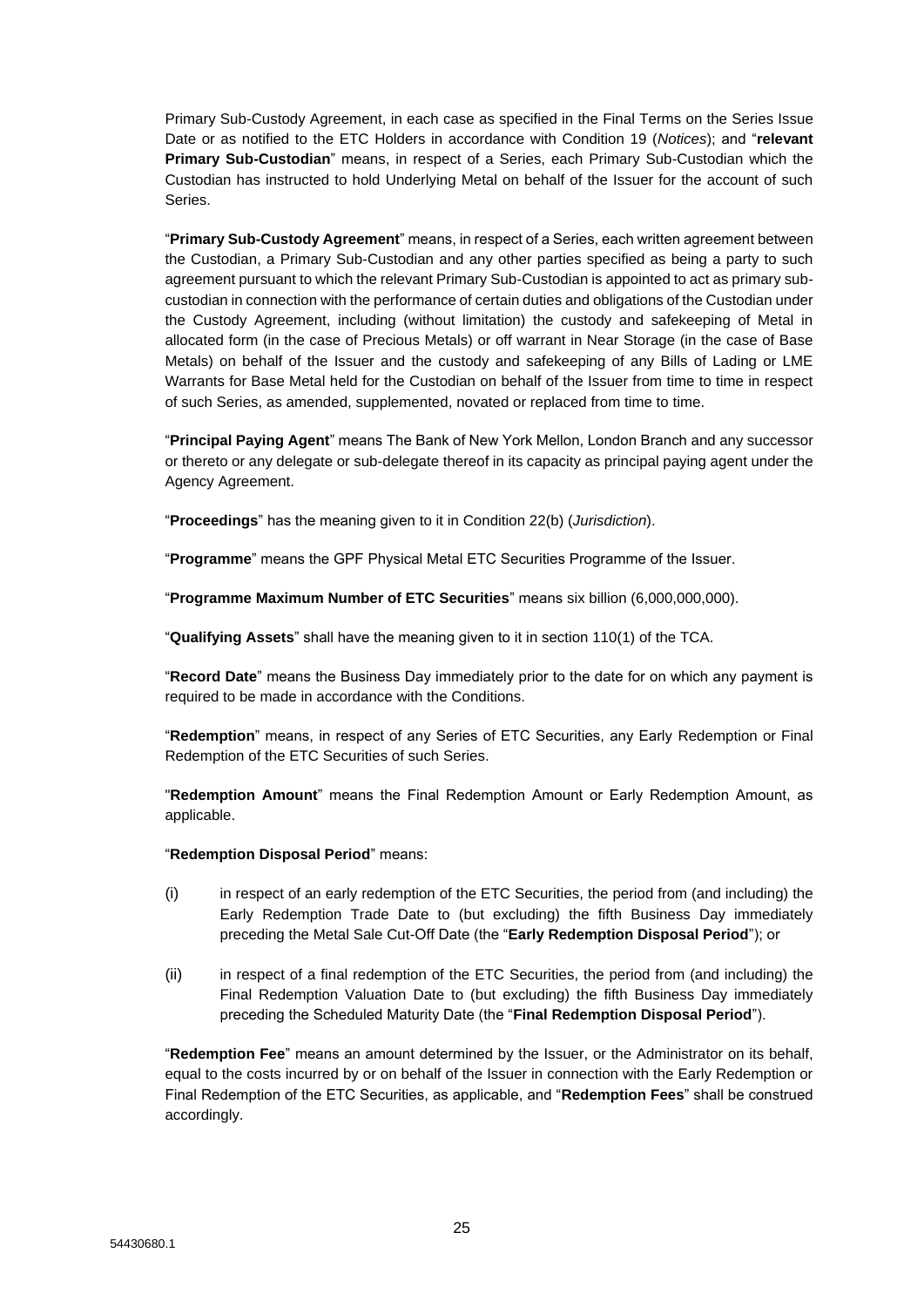Primary Sub-Custody Agreement, in each case as specified in the Final Terms on the Series Issue Date or as notified to the ETC Holders in accordance with Condition 19 (*Notices*); and "**relevant Primary Sub-Custodian**" means, in respect of a Series, each Primary Sub-Custodian which the Custodian has instructed to hold Underlying Metal on behalf of the Issuer for the account of such Series.

"**Primary Sub-Custody Agreement**" means, in respect of a Series, each written agreement between the Custodian, a Primary Sub-Custodian and any other parties specified as being a party to such agreement pursuant to which the relevant Primary Sub-Custodian is appointed to act as primary subcustodian in connection with the performance of certain duties and obligations of the Custodian under the Custody Agreement, including (without limitation) the custody and safekeeping of Metal in allocated form (in the case of Precious Metals) or off warrant in Near Storage (in the case of Base Metals) on behalf of the Issuer and the custody and safekeeping of any Bills of Lading or LME Warrants for Base Metal held for the Custodian on behalf of the Issuer from time to time in respect of such Series, as amended, supplemented, novated or replaced from time to time.

"**Principal Paying Agent**" means The Bank of New York Mellon, London Branch and any successor or thereto or any delegate or sub-delegate thereof in its capacity as principal paying agent under the Agency Agreement.

"**Proceedings**" has the meaning given to it in Condition 22(b) (*Jurisdiction*).

"**Programme**" means the GPF Physical Metal ETC Securities Programme of the Issuer.

"**Programme Maximum Number of ETC Securities**" means six billion (6,000,000,000).

"**Qualifying Assets**" shall have the meaning given to it in section 110(1) of the TCA.

"**Record Date**" means the Business Day immediately prior to the date for on which any payment is required to be made in accordance with the Conditions.

"**Redemption**" means, in respect of any Series of ETC Securities, any Early Redemption or Final Redemption of the ETC Securities of such Series.

"**Redemption Amount**" means the Final Redemption Amount or Early Redemption Amount, as applicable.

"**Redemption Disposal Period**" means:

- (i) in respect of an early redemption of the ETC Securities, the period from (and including) the Early Redemption Trade Date to (but excluding) the fifth Business Day immediately preceding the Metal Sale Cut-Off Date (the "**Early Redemption Disposal Period**"); or
- (ii) in respect of a final redemption of the ETC Securities, the period from (and including) the Final Redemption Valuation Date to (but excluding) the fifth Business Day immediately preceding the Scheduled Maturity Date (the "**Final Redemption Disposal Period**").

"**Redemption Fee**" means an amount determined by the Issuer, or the Administrator on its behalf, equal to the costs incurred by or on behalf of the Issuer in connection with the Early Redemption or Final Redemption of the ETC Securities, as applicable, and "**Redemption Fees**" shall be construed accordingly.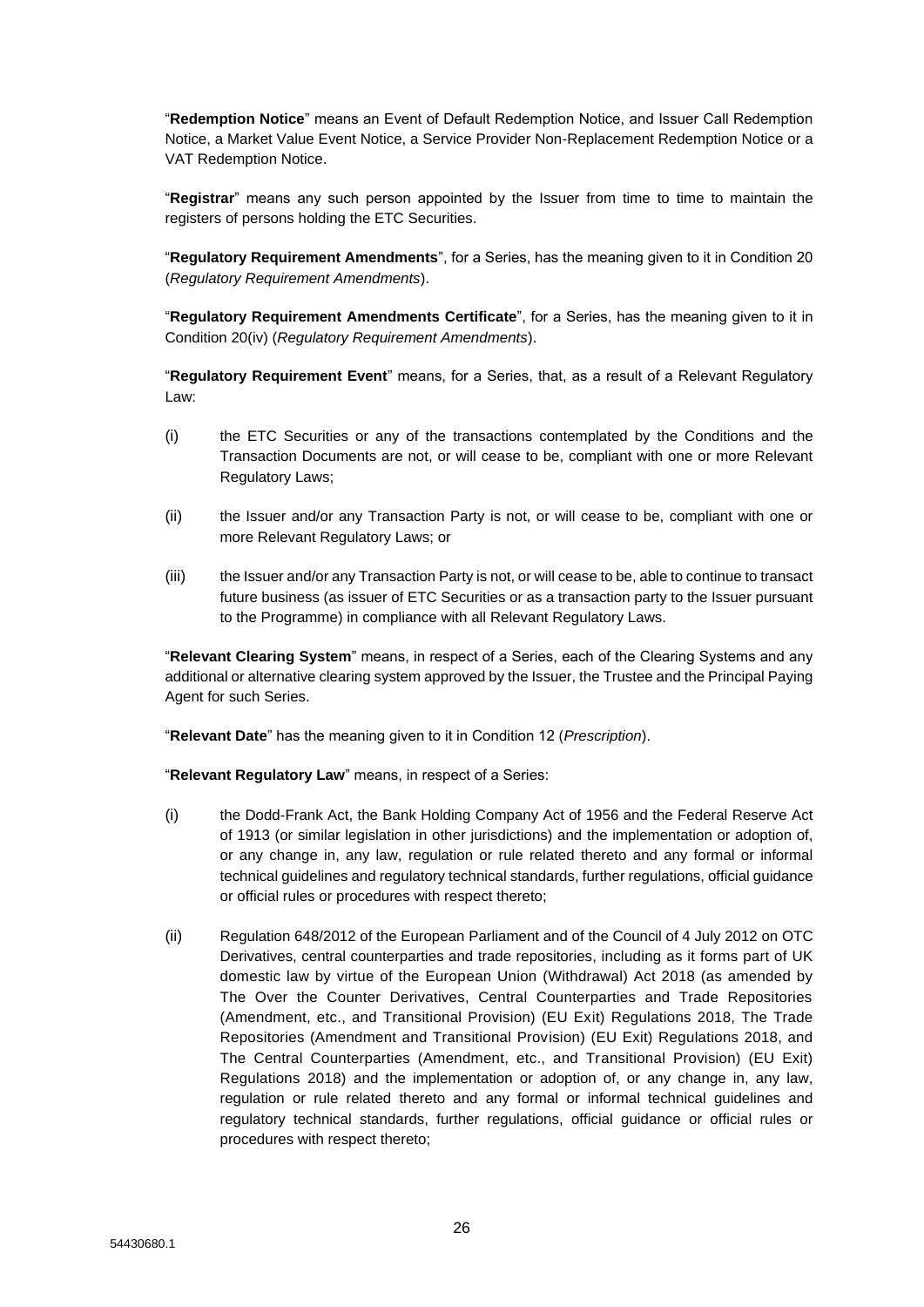"**Redemption Notice**" means an Event of Default Redemption Notice, and Issuer Call Redemption Notice, a Market Value Event Notice, a Service Provider Non-Replacement Redemption Notice or a VAT Redemption Notice.

"**Registrar**" means any such person appointed by the Issuer from time to time to maintain the registers of persons holding the ETC Securities.

"**Regulatory Requirement Amendments**", for a Series, has the meaning given to it in Condition 20 (*Regulatory Requirement Amendments*).

"**Regulatory Requirement Amendments Certificate**", for a Series, has the meaning given to it in Condition 20(iv) (*Regulatory Requirement Amendments*).

"**Regulatory Requirement Event**" means, for a Series, that, as a result of a Relevant Regulatory Law:

- (i) the ETC Securities or any of the transactions contemplated by the Conditions and the Transaction Documents are not, or will cease to be, compliant with one or more Relevant Regulatory Laws;
- (ii) the Issuer and/or any Transaction Party is not, or will cease to be, compliant with one or more Relevant Regulatory Laws; or
- (iii) the Issuer and/or any Transaction Party is not, or will cease to be, able to continue to transact future business (as issuer of ETC Securities or as a transaction party to the Issuer pursuant to the Programme) in compliance with all Relevant Regulatory Laws.

"**Relevant Clearing System**" means, in respect of a Series, each of the Clearing Systems and any additional or alternative clearing system approved by the Issuer, the Trustee and the Principal Paying Agent for such Series.

"**Relevant Date**" has the meaning given to it in Condition 12 (*Prescription*).

"**Relevant Regulatory Law**" means, in respect of a Series:

- (i) the Dodd-Frank Act, the Bank Holding Company Act of 1956 and the Federal Reserve Act of 1913 (or similar legislation in other jurisdictions) and the implementation or adoption of, or any change in, any law, regulation or rule related thereto and any formal or informal technical guidelines and regulatory technical standards, further regulations, official guidance or official rules or procedures with respect thereto;
- (ii) Regulation 648/2012 of the European Parliament and of the Council of 4 July 2012 on OTC Derivatives, central counterparties and trade repositories, including as it forms part of UK domestic law by virtue of the European Union (Withdrawal) Act 2018 (as amended by The Over the Counter Derivatives, Central Counterparties and Trade Repositories (Amendment, etc., and Transitional Provision) (EU Exit) Regulations 2018, The Trade Repositories (Amendment and Transitional Provision) (EU Exit) Regulations 2018, and The Central Counterparties (Amendment, etc., and Transitional Provision) (EU Exit) Regulations 2018) and the implementation or adoption of, or any change in, any law, regulation or rule related thereto and any formal or informal technical guidelines and regulatory technical standards, further regulations, official guidance or official rules or procedures with respect thereto;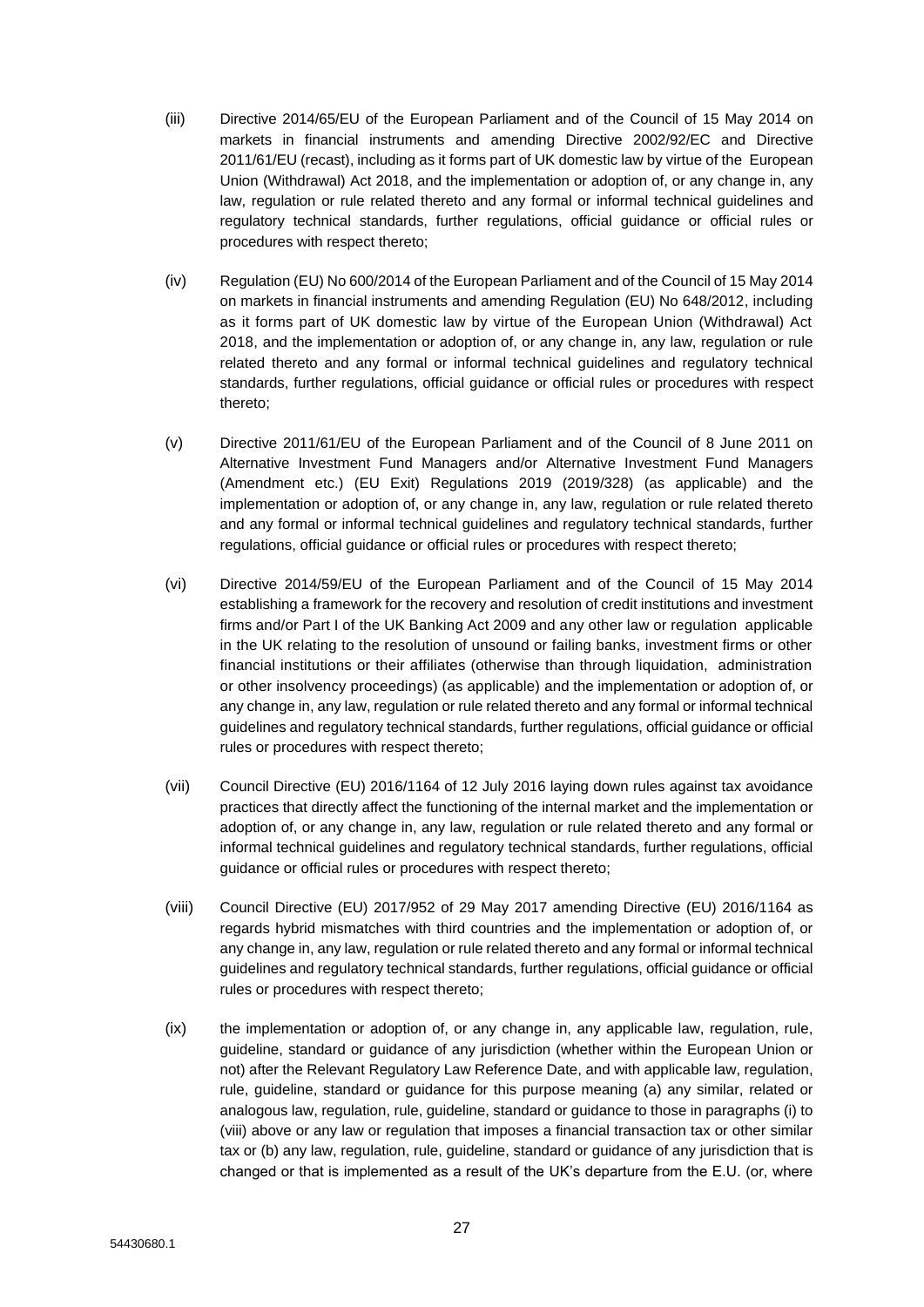- (iii) Directive 2014/65/EU of the European Parliament and of the Council of 15 May 2014 on markets in financial instruments and amending Directive 2002/92/EC and Directive 2011/61/EU (recast), including as it forms part of UK domestic law by virtue of the European Union (Withdrawal) Act 2018, and the implementation or adoption of, or any change in, any law, regulation or rule related thereto and any formal or informal technical guidelines and regulatory technical standards, further regulations, official guidance or official rules or procedures with respect thereto;
- (iv) Regulation (EU) No 600/2014 of the European Parliament and of the Council of 15 May 2014 on markets in financial instruments and amending Regulation (EU) No 648/2012, including as it forms part of UK domestic law by virtue of the European Union (Withdrawal) Act 2018, and the implementation or adoption of, or any change in, any law, regulation or rule related thereto and any formal or informal technical guidelines and regulatory technical standards, further regulations, official guidance or official rules or procedures with respect thereto;
- (v) Directive 2011/61/EU of the European Parliament and of the Council of 8 June 2011 on Alternative Investment Fund Managers and/or Alternative Investment Fund Managers (Amendment etc.) (EU Exit) Regulations 2019 (2019/328) (as applicable) and the implementation or adoption of, or any change in, any law, regulation or rule related thereto and any formal or informal technical guidelines and regulatory technical standards, further regulations, official guidance or official rules or procedures with respect thereto;
- (vi) Directive 2014/59/EU of the European Parliament and of the Council of 15 May 2014 establishing a framework for the recovery and resolution of credit institutions and investment firms and/or Part I of the UK Banking Act 2009 and any other law or regulation applicable in the UK relating to the resolution of unsound or failing banks, investment firms or other financial institutions or their affiliates (otherwise than through liquidation, administration or other insolvency proceedings) (as applicable) and the implementation or adoption of, or any change in, any law, regulation or rule related thereto and any formal or informal technical guidelines and regulatory technical standards, further regulations, official guidance or official rules or procedures with respect thereto;
- (vii) Council Directive (EU) 2016/1164 of 12 July 2016 laying down rules against tax avoidance practices that directly affect the functioning of the internal market and the implementation or adoption of, or any change in, any law, regulation or rule related thereto and any formal or informal technical guidelines and regulatory technical standards, further regulations, official guidance or official rules or procedures with respect thereto;
- (viii) Council Directive (EU) 2017/952 of 29 May 2017 amending Directive (EU) 2016/1164 as regards hybrid mismatches with third countries and the implementation or adoption of, or any change in, any law, regulation or rule related thereto and any formal or informal technical guidelines and regulatory technical standards, further regulations, official guidance or official rules or procedures with respect thereto;
- (ix) the implementation or adoption of, or any change in, any applicable law, regulation, rule, guideline, standard or guidance of any jurisdiction (whether within the European Union or not) after the Relevant Regulatory Law Reference Date, and with applicable law, regulation, rule, guideline, standard or guidance for this purpose meaning (a) any similar, related or analogous law, regulation, rule, guideline, standard or guidance to those in paragraphs (i) to (viii) above or any law or regulation that imposes a financial transaction tax or other similar tax or (b) any law, regulation, rule, guideline, standard or guidance of any jurisdiction that is changed or that is implemented as a result of the UK's departure from the E.U. (or, where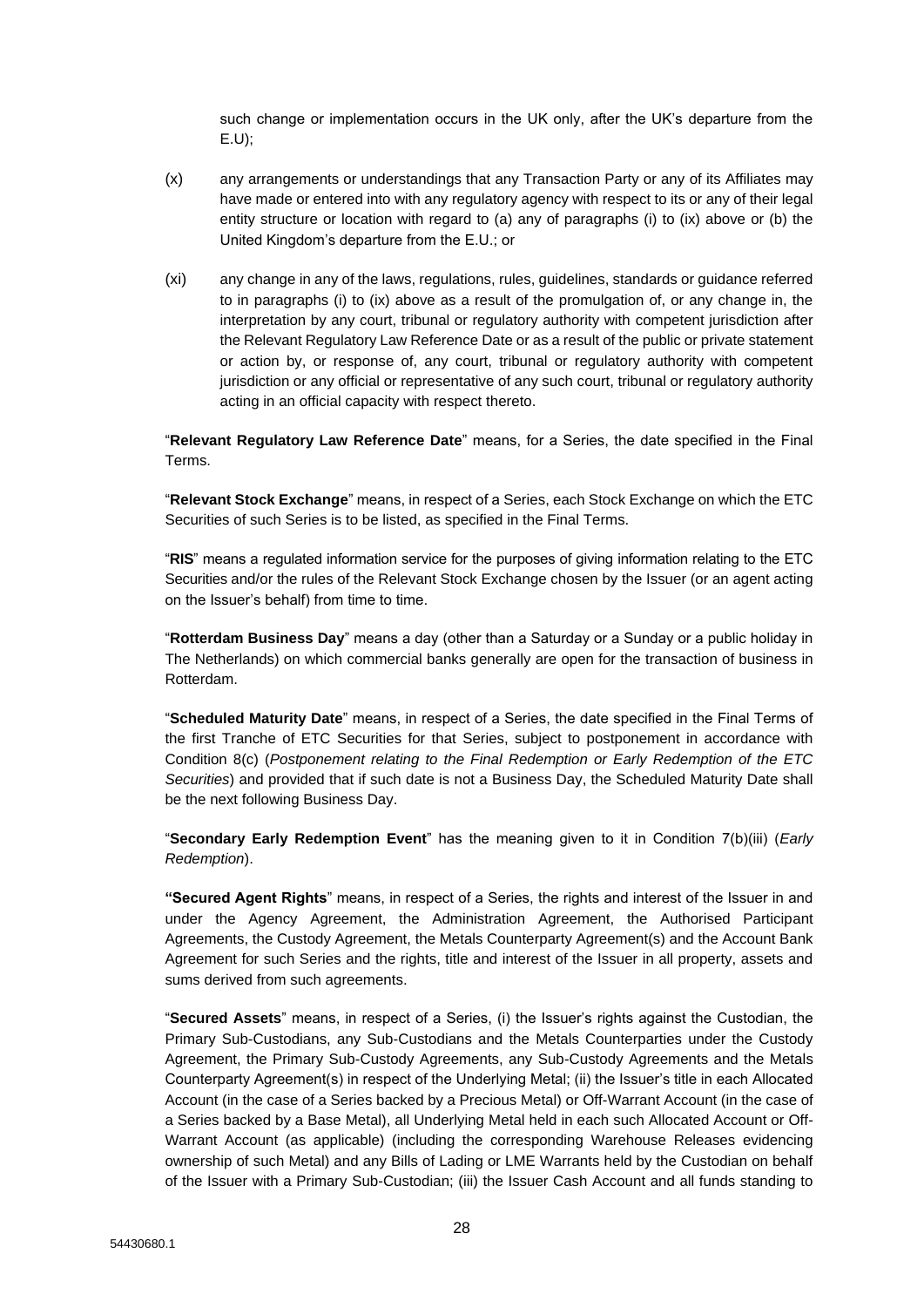such change or implementation occurs in the UK only, after the UK's departure from the E.U);

- (x) any arrangements or understandings that any Transaction Party or any of its Affiliates may have made or entered into with any regulatory agency with respect to its or any of their legal entity structure or location with regard to (a) any of paragraphs (i) to (ix) above or (b) the United Kingdom's departure from the E.U.; or
- (xi) any change in any of the laws, regulations, rules, guidelines, standards or guidance referred to in paragraphs (i) to (ix) above as a result of the promulgation of, or any change in, the interpretation by any court, tribunal or regulatory authority with competent jurisdiction after the Relevant Regulatory Law Reference Date or as a result of the public or private statement or action by, or response of, any court, tribunal or regulatory authority with competent jurisdiction or any official or representative of any such court, tribunal or regulatory authority acting in an official capacity with respect thereto.

"**Relevant Regulatory Law Reference Date**" means, for a Series, the date specified in the Final Terms.

"**Relevant Stock Exchange**" means, in respect of a Series, each Stock Exchange on which the ETC Securities of such Series is to be listed, as specified in the Final Terms.

"**RIS**" means a regulated information service for the purposes of giving information relating to the ETC Securities and/or the rules of the Relevant Stock Exchange chosen by the Issuer (or an agent acting on the Issuer's behalf) from time to time.

"**Rotterdam Business Day**" means a day (other than a Saturday or a Sunday or a public holiday in The Netherlands) on which commercial banks generally are open for the transaction of business in Rotterdam.

"**Scheduled Maturity Date**" means, in respect of a Series, the date specified in the Final Terms of the first Tranche of ETC Securities for that Series, subject to postponement in accordance with Condition 8(c) (*Postponement relating to the Final Redemption or Early Redemption of the ETC Securities*) and provided that if such date is not a Business Day, the Scheduled Maturity Date shall be the next following Business Day.

"**Secondary Early Redemption Event**" has the meaning given to it in Condition 7(b)(iii) (*Early Redemption*).

**"Secured Agent Rights**" means, in respect of a Series, the rights and interest of the Issuer in and under the Agency Agreement, the Administration Agreement, the Authorised Participant Agreements, the Custody Agreement, the Metals Counterparty Agreement(s) and the Account Bank Agreement for such Series and the rights, title and interest of the Issuer in all property, assets and sums derived from such agreements.

"**Secured Assets**" means, in respect of a Series, (i) the Issuer's rights against the Custodian, the Primary Sub-Custodians, any Sub-Custodians and the Metals Counterparties under the Custody Agreement, the Primary Sub-Custody Agreements, any Sub-Custody Agreements and the Metals Counterparty Agreement(s) in respect of the Underlying Metal; (ii) the Issuer's title in each Allocated Account (in the case of a Series backed by a Precious Metal) or Off-Warrant Account (in the case of a Series backed by a Base Metal), all Underlying Metal held in each such Allocated Account or Off-Warrant Account (as applicable) (including the corresponding Warehouse Releases evidencing ownership of such Metal) and any Bills of Lading or LME Warrants held by the Custodian on behalf of the Issuer with a Primary Sub-Custodian; (iii) the Issuer Cash Account and all funds standing to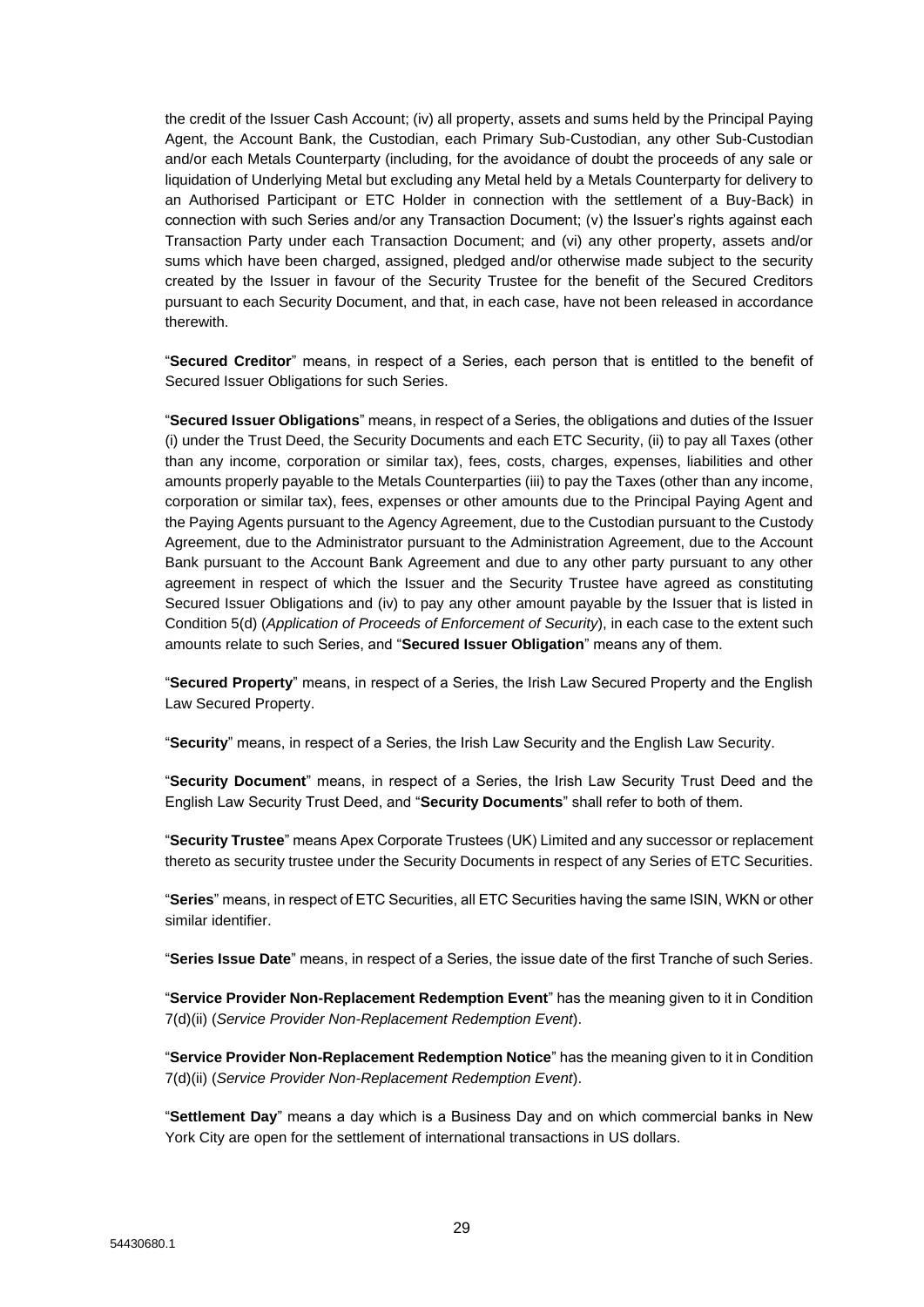the credit of the Issuer Cash Account; (iv) all property, assets and sums held by the Principal Paying Agent, the Account Bank, the Custodian, each Primary Sub-Custodian, any other Sub-Custodian and/or each Metals Counterparty (including, for the avoidance of doubt the proceeds of any sale or liquidation of Underlying Metal but excluding any Metal held by a Metals Counterparty for delivery to an Authorised Participant or ETC Holder in connection with the settlement of a Buy-Back) in connection with such Series and/or any Transaction Document; (v) the Issuer's rights against each Transaction Party under each Transaction Document; and (vi) any other property, assets and/or sums which have been charged, assigned, pledged and/or otherwise made subject to the security created by the Issuer in favour of the Security Trustee for the benefit of the Secured Creditors pursuant to each Security Document, and that, in each case, have not been released in accordance therewith.

"**Secured Creditor**" means, in respect of a Series, each person that is entitled to the benefit of Secured Issuer Obligations for such Series.

"**Secured Issuer Obligations**" means, in respect of a Series, the obligations and duties of the Issuer (i) under the Trust Deed, the Security Documents and each ETC Security, (ii) to pay all Taxes (other than any income, corporation or similar tax), fees, costs, charges, expenses, liabilities and other amounts properly payable to the Metals Counterparties (iii) to pay the Taxes (other than any income, corporation or similar tax), fees, expenses or other amounts due to the Principal Paying Agent and the Paying Agents pursuant to the Agency Agreement, due to the Custodian pursuant to the Custody Agreement, due to the Administrator pursuant to the Administration Agreement, due to the Account Bank pursuant to the Account Bank Agreement and due to any other party pursuant to any other agreement in respect of which the Issuer and the Security Trustee have agreed as constituting Secured Issuer Obligations and (iv) to pay any other amount payable by the Issuer that is listed in Condition 5(d) (*Application of Proceeds of Enforcement of Security*), in each case to the extent such amounts relate to such Series, and "**Secured Issuer Obligation**" means any of them.

"**Secured Property**" means, in respect of a Series, the Irish Law Secured Property and the English Law Secured Property.

"**Security**" means, in respect of a Series, the Irish Law Security and the English Law Security.

"**Security Document**" means, in respect of a Series, the Irish Law Security Trust Deed and the English Law Security Trust Deed, and "**Security Documents**" shall refer to both of them.

"**Security Trustee**" means Apex Corporate Trustees (UK) Limited and any successor or replacement thereto as security trustee under the Security Documents in respect of any Series of ETC Securities.

"**Series**" means, in respect of ETC Securities, all ETC Securities having the same ISIN, WKN or other similar identifier.

"**Series Issue Date**" means, in respect of a Series, the issue date of the first Tranche of such Series.

"**Service Provider Non-Replacement Redemption Event**" has the meaning given to it in Condition 7(d)(ii) (*Service Provider Non-Replacement Redemption Event*).

"**Service Provider Non-Replacement Redemption Notice**" has the meaning given to it in Condition 7(d)(ii) (*Service Provider Non-Replacement Redemption Event*).

"**Settlement Day**" means a day which is a Business Day and on which commercial banks in New York City are open for the settlement of international transactions in US dollars.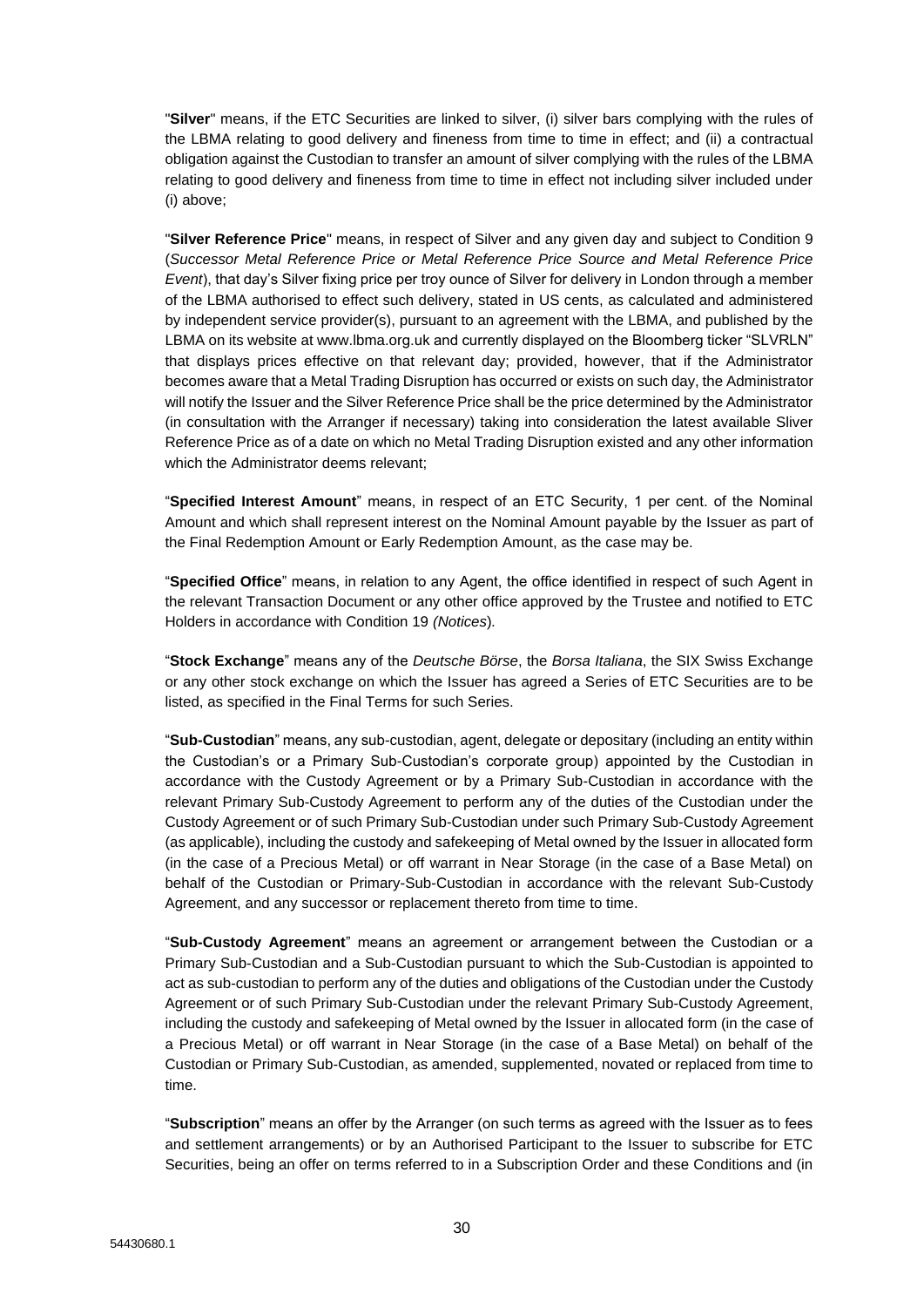"**Silver**" means, if the ETC Securities are linked to silver, (i) silver bars complying with the rules of the LBMA relating to good delivery and fineness from time to time in effect; and (ii) a contractual obligation against the Custodian to transfer an amount of silver complying with the rules of the LBMA relating to good delivery and fineness from time to time in effect not including silver included under (i) above;

"**Silver Reference Price**" means, in respect of Silver and any given day and subject to Condition 9 (*Successor Metal Reference Price or Metal Reference Price Source and Metal Reference Price Event*), that day's Silver fixing price per troy ounce of Silver for delivery in London through a member of the LBMA authorised to effect such delivery, stated in US cents, as calculated and administered by independent service provider(s), pursuant to an agreement with the LBMA, and published by the LBMA on its website at www.lbma.org.uk and currently displayed on the Bloomberg ticker "SLVRLN" that displays prices effective on that relevant day; provided, however, that if the Administrator becomes aware that a Metal Trading Disruption has occurred or exists on such day, the Administrator will notify the Issuer and the Silver Reference Price shall be the price determined by the Administrator (in consultation with the Arranger if necessary) taking into consideration the latest available Sliver Reference Price as of a date on which no Metal Trading Disruption existed and any other information which the Administrator deems relevant;

"**Specified Interest Amount**" means, in respect of an ETC Security, 1 per cent. of the Nominal Amount and which shall represent interest on the Nominal Amount payable by the Issuer as part of the Final Redemption Amount or Early Redemption Amount, as the case may be.

"**Specified Office**" means, in relation to any Agent, the office identified in respect of such Agent in the relevant Transaction Document or any other office approved by the Trustee and notified to ETC Holders in accordance with Condition 19 *(Notices*)*.*

"**Stock Exchange**" means any of the *Deutsche Börse*, the *Borsa Italiana*, the SIX Swiss Exchange or any other stock exchange on which the Issuer has agreed a Series of ETC Securities are to be listed, as specified in the Final Terms for such Series.

"**Sub-Custodian**" means, any sub-custodian, agent, delegate or depositary (including an entity within the Custodian's or a Primary Sub-Custodian's corporate group) appointed by the Custodian in accordance with the Custody Agreement or by a Primary Sub-Custodian in accordance with the relevant Primary Sub-Custody Agreement to perform any of the duties of the Custodian under the Custody Agreement or of such Primary Sub-Custodian under such Primary Sub-Custody Agreement (as applicable), including the custody and safekeeping of Metal owned by the Issuer in allocated form (in the case of a Precious Metal) or off warrant in Near Storage (in the case of a Base Metal) on behalf of the Custodian or Primary-Sub-Custodian in accordance with the relevant Sub-Custody Agreement, and any successor or replacement thereto from time to time.

"**Sub-Custody Agreement**" means an agreement or arrangement between the Custodian or a Primary Sub-Custodian and a Sub-Custodian pursuant to which the Sub-Custodian is appointed to act as sub-custodian to perform any of the duties and obligations of the Custodian under the Custody Agreement or of such Primary Sub-Custodian under the relevant Primary Sub-Custody Agreement, including the custody and safekeeping of Metal owned by the Issuer in allocated form (in the case of a Precious Metal) or off warrant in Near Storage (in the case of a Base Metal) on behalf of the Custodian or Primary Sub-Custodian, as amended, supplemented, novated or replaced from time to time.

"**Subscription**" means an offer by the Arranger (on such terms as agreed with the Issuer as to fees and settlement arrangements) or by an Authorised Participant to the Issuer to subscribe for ETC Securities, being an offer on terms referred to in a Subscription Order and these Conditions and (in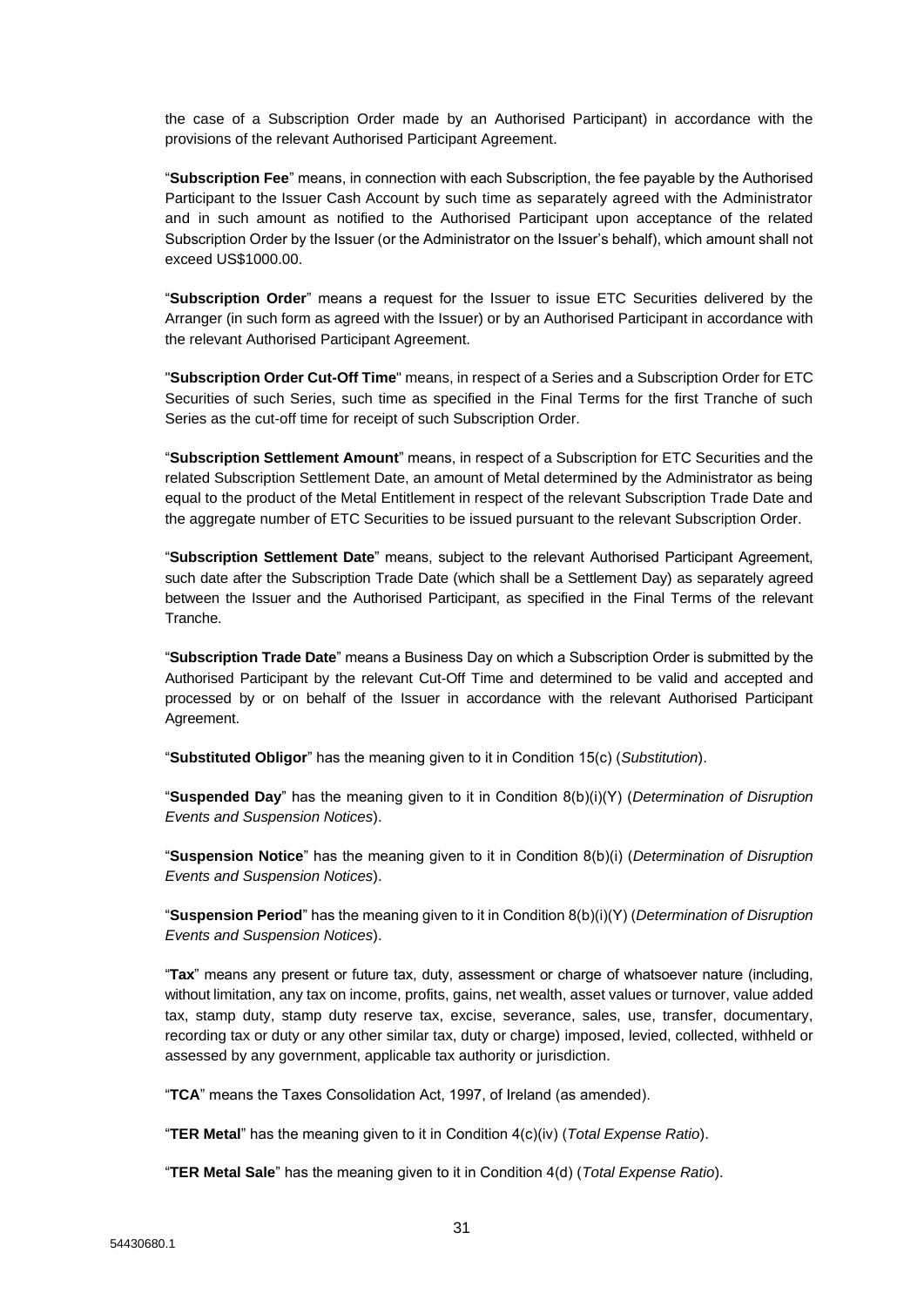the case of a Subscription Order made by an Authorised Participant) in accordance with the provisions of the relevant Authorised Participant Agreement.

"**Subscription Fee**" means, in connection with each Subscription, the fee payable by the Authorised Participant to the Issuer Cash Account by such time as separately agreed with the Administrator and in such amount as notified to the Authorised Participant upon acceptance of the related Subscription Order by the Issuer (or the Administrator on the Issuer's behalf), which amount shall not exceed US\$1000.00.

"**Subscription Order**" means a request for the Issuer to issue ETC Securities delivered by the Arranger (in such form as agreed with the Issuer) or by an Authorised Participant in accordance with the relevant Authorised Participant Agreement.

"**Subscription Order Cut-Off Time**" means, in respect of a Series and a Subscription Order for ETC Securities of such Series, such time as specified in the Final Terms for the first Tranche of such Series as the cut-off time for receipt of such Subscription Order.

"**Subscription Settlement Amount**" means, in respect of a Subscription for ETC Securities and the related Subscription Settlement Date, an amount of Metal determined by the Administrator as being equal to the product of the Metal Entitlement in respect of the relevant Subscription Trade Date and the aggregate number of ETC Securities to be issued pursuant to the relevant Subscription Order.

"**Subscription Settlement Date**" means, subject to the relevant Authorised Participant Agreement, such date after the Subscription Trade Date (which shall be a Settlement Day) as separately agreed between the Issuer and the Authorised Participant, as specified in the Final Terms of the relevant Tranche.

"**Subscription Trade Date**" means a Business Day on which a Subscription Order is submitted by the Authorised Participant by the relevant Cut-Off Time and determined to be valid and accepted and processed by or on behalf of the Issuer in accordance with the relevant Authorised Participant Agreement.

"**Substituted Obligor**" has the meaning given to it in Condition 15(c) (*Substitution*).

"**Suspended Day**" has the meaning given to it in Condition 8(b)(i)(Y) (*Determination of Disruption Events and Suspension Notices*).

"**Suspension Notice**" has the meaning given to it in Condition 8(b)(i) (*Determination of Disruption Events and Suspension Notices*).

"**Suspension Period**" has the meaning given to it in Condition 8(b)(i)(Y) (*Determination of Disruption Events and Suspension Notices*).

"**Tax**" means any present or future tax, duty, assessment or charge of whatsoever nature (including, without limitation, any tax on income, profits, gains, net wealth, asset values or turnover, value added tax, stamp duty, stamp duty reserve tax, excise, severance, sales, use, transfer, documentary, recording tax or duty or any other similar tax, duty or charge) imposed, levied, collected, withheld or assessed by any government, applicable tax authority or jurisdiction.

"**TCA**" means the Taxes Consolidation Act, 1997, of Ireland (as amended).

"**TER Metal**" has the meaning given to it in Condition 4(c)(iv) (*Total Expense Ratio*).

"**TER Metal Sale**" has the meaning given to it in Condition 4(d) (*Total Expense Ratio*).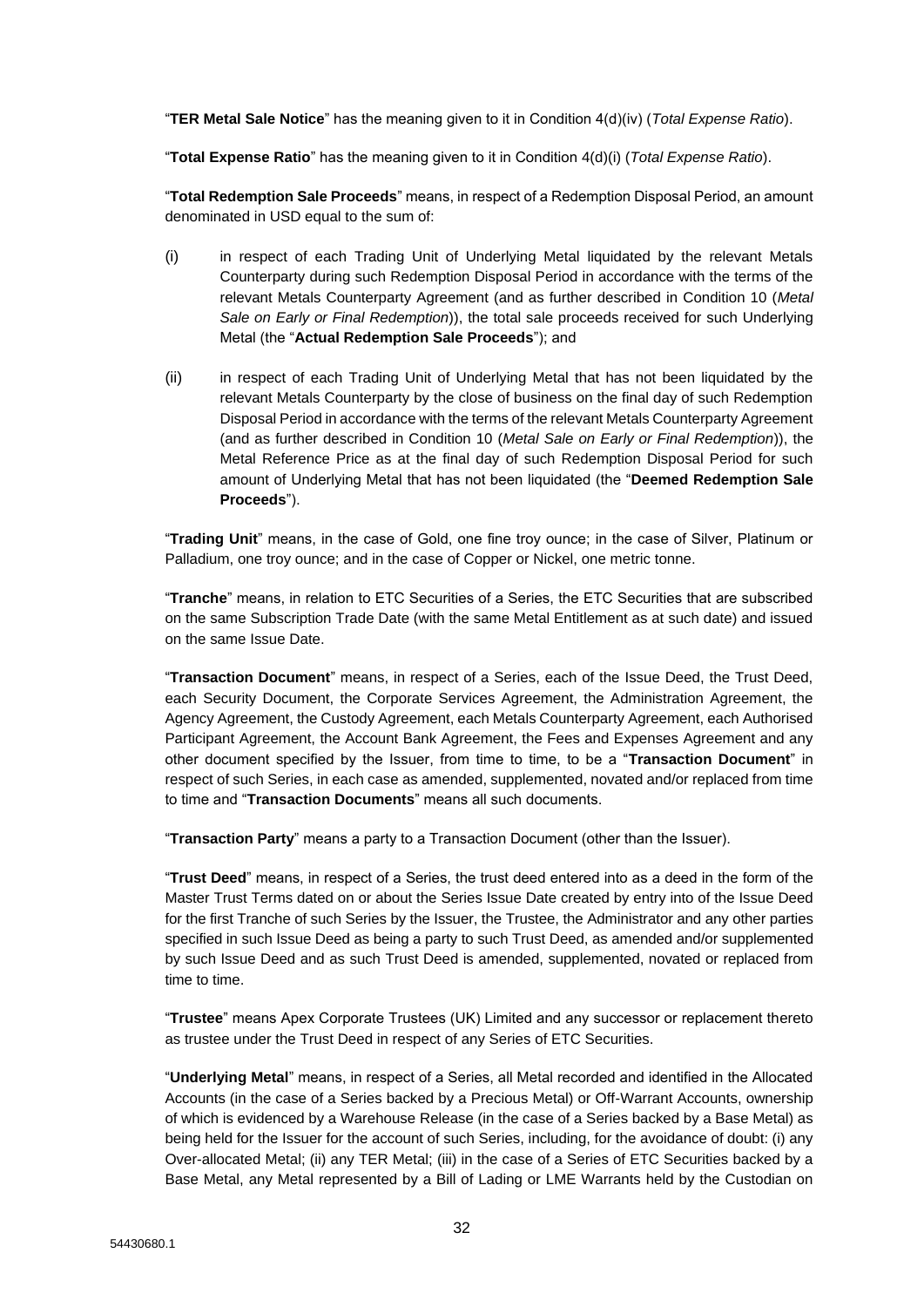"**TER Metal Sale Notice**" has the meaning given to it in Condition 4(d)(iv) (*Total Expense Ratio*).

"**Total Expense Ratio**" has the meaning given to it in Condition 4(d)(i) (*Total Expense Ratio*).

"**Total Redemption Sale Proceeds**" means, in respect of a Redemption Disposal Period, an amount denominated in USD equal to the sum of:

- (i) in respect of each Trading Unit of Underlying Metal liquidated by the relevant Metals Counterparty during such Redemption Disposal Period in accordance with the terms of the relevant Metals Counterparty Agreement (and as further described in Condition 10 (*Metal Sale on Early or Final Redemption*)), the total sale proceeds received for such Underlying Metal (the "**Actual Redemption Sale Proceeds**"); and
- (ii) in respect of each Trading Unit of Underlying Metal that has not been liquidated by the relevant Metals Counterparty by the close of business on the final day of such Redemption Disposal Period in accordance with the terms of the relevant Metals Counterparty Agreement (and as further described in Condition 10 (*Metal Sale on Early or Final Redemption*)), the Metal Reference Price as at the final day of such Redemption Disposal Period for such amount of Underlying Metal that has not been liquidated (the "**Deemed Redemption Sale Proceeds**").

"**Trading Unit**" means, in the case of Gold, one fine troy ounce; in the case of Silver, Platinum or Palladium, one troy ounce; and in the case of Copper or Nickel, one metric tonne.

"**Tranche**" means, in relation to ETC Securities of a Series, the ETC Securities that are subscribed on the same Subscription Trade Date (with the same Metal Entitlement as at such date) and issued on the same Issue Date.

"**Transaction Document**" means, in respect of a Series, each of the Issue Deed, the Trust Deed, each Security Document, the Corporate Services Agreement, the Administration Agreement, the Agency Agreement, the Custody Agreement, each Metals Counterparty Agreement, each Authorised Participant Agreement, the Account Bank Agreement, the Fees and Expenses Agreement and any other document specified by the Issuer, from time to time, to be a "**Transaction Document**" in respect of such Series, in each case as amended, supplemented, novated and/or replaced from time to time and "**Transaction Documents**" means all such documents.

"**Transaction Party**" means a party to a Transaction Document (other than the Issuer).

"**Trust Deed**" means, in respect of a Series, the trust deed entered into as a deed in the form of the Master Trust Terms dated on or about the Series Issue Date created by entry into of the Issue Deed for the first Tranche of such Series by the Issuer, the Trustee, the Administrator and any other parties specified in such Issue Deed as being a party to such Trust Deed, as amended and/or supplemented by such Issue Deed and as such Trust Deed is amended, supplemented, novated or replaced from time to time.

"**Trustee**" means Apex Corporate Trustees (UK) Limited and any successor or replacement thereto as trustee under the Trust Deed in respect of any Series of ETC Securities.

"**Underlying Metal**" means, in respect of a Series, all Metal recorded and identified in the Allocated Accounts (in the case of a Series backed by a Precious Metal) or Off-Warrant Accounts, ownership of which is evidenced by a Warehouse Release (in the case of a Series backed by a Base Metal) as being held for the Issuer for the account of such Series, including, for the avoidance of doubt: (i) any Over-allocated Metal; (ii) any TER Metal; (iii) in the case of a Series of ETC Securities backed by a Base Metal, any Metal represented by a Bill of Lading or LME Warrants held by the Custodian on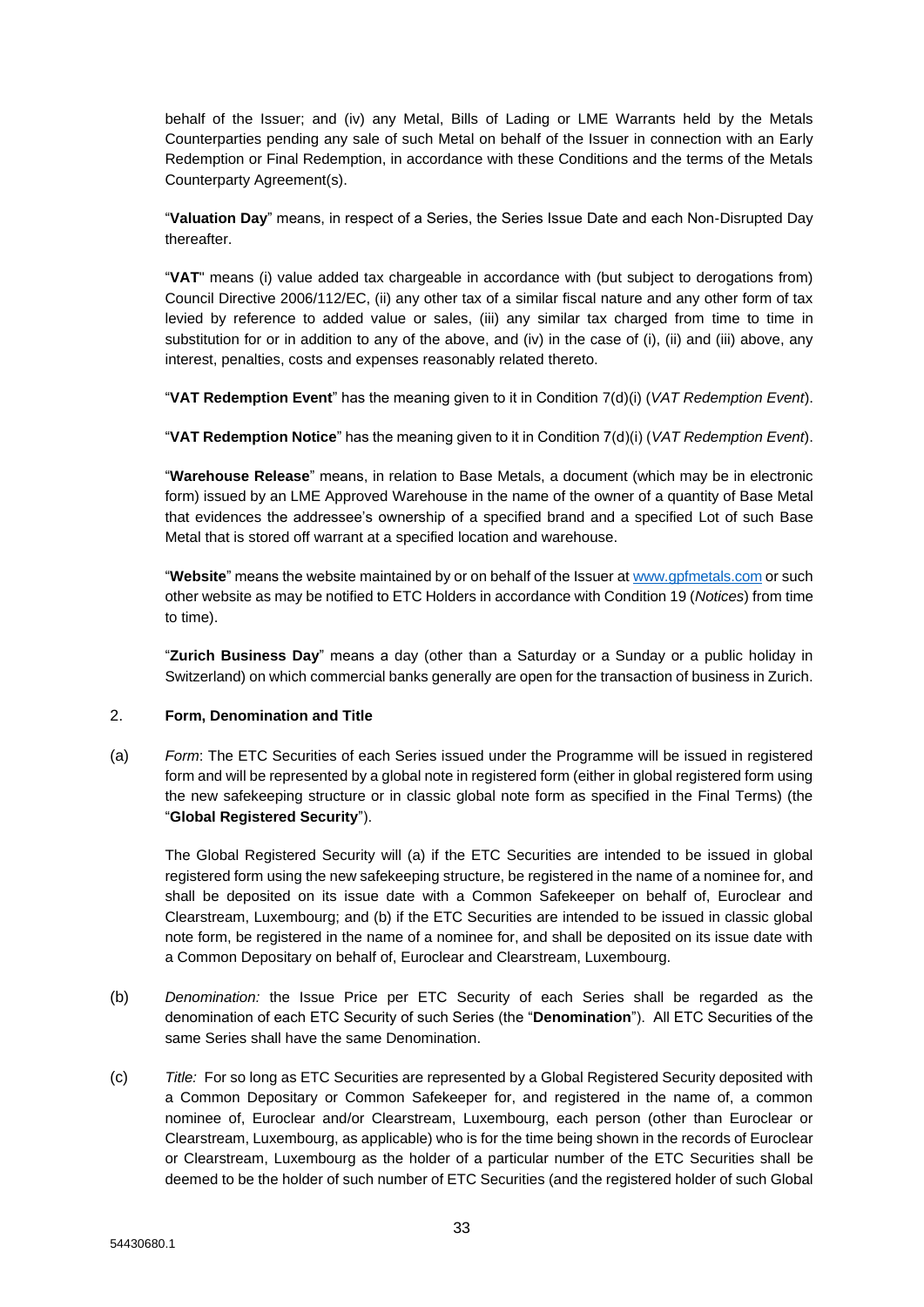behalf of the Issuer; and (iv) any Metal, Bills of Lading or LME Warrants held by the Metals Counterparties pending any sale of such Metal on behalf of the Issuer in connection with an Early Redemption or Final Redemption, in accordance with these Conditions and the terms of the Metals Counterparty Agreement(s).

"**Valuation Day**" means, in respect of a Series, the Series Issue Date and each Non-Disrupted Day thereafter.

"**VAT**" means (i) value added tax chargeable in accordance with (but subject to derogations from) Council Directive 2006/112/EC, (ii) any other tax of a similar fiscal nature and any other form of tax levied by reference to added value or sales, (iii) any similar tax charged from time to time in substitution for or in addition to any of the above, and (iv) in the case of (i), (ii) and (iii) above, any interest, penalties, costs and expenses reasonably related thereto.

"**VAT Redemption Event**" has the meaning given to it in Condition 7(d)(i) (*VAT Redemption Event*).

"**VAT Redemption Notice**" has the meaning given to it in Condition 7(d)(i) (*VAT Redemption Event*).

"**Warehouse Release**" means, in relation to Base Metals, a document (which may be in electronic form) issued by an LME Approved Warehouse in the name of the owner of a quantity of Base Metal that evidences the addressee's ownership of a specified brand and a specified Lot of such Base Metal that is stored off warrant at a specified location and warehouse.

"**Website**" means the website maintained by or on behalf of the Issuer at [www.gpfmetals.com](http://www.ridgexmetals.com/) or such other website as may be notified to ETC Holders in accordance with Condition 19 (*Notices*) from time to time).

"**Zurich Business Day**" means a day (other than a Saturday or a Sunday or a public holiday in Switzerland) on which commercial banks generally are open for the transaction of business in Zurich.

### 2. **Form, Denomination and Title**

(a) *Form*: The ETC Securities of each Series issued under the Programme will be issued in registered form and will be represented by a global note in registered form (either in global registered form using the new safekeeping structure or in classic global note form as specified in the Final Terms) (the "**Global Registered Security**").

The Global Registered Security will (a) if the ETC Securities are intended to be issued in global registered form using the new safekeeping structure, be registered in the name of a nominee for, and shall be deposited on its issue date with a Common Safekeeper on behalf of, Euroclear and Clearstream, Luxembourg; and (b) if the ETC Securities are intended to be issued in classic global note form, be registered in the name of a nominee for, and shall be deposited on its issue date with a Common Depositary on behalf of, Euroclear and Clearstream, Luxembourg.

- (b) *Denomination:* the Issue Price per ETC Security of each Series shall be regarded as the denomination of each ETC Security of such Series (the "**Denomination**"). All ETC Securities of the same Series shall have the same Denomination.
- (c) *Title:* For so long as ETC Securities are represented by a Global Registered Security deposited with a Common Depositary or Common Safekeeper for, and registered in the name of, a common nominee of, Euroclear and/or Clearstream, Luxembourg, each person (other than Euroclear or Clearstream, Luxembourg, as applicable) who is for the time being shown in the records of Euroclear or Clearstream, Luxembourg as the holder of a particular number of the ETC Securities shall be deemed to be the holder of such number of ETC Securities (and the registered holder of such Global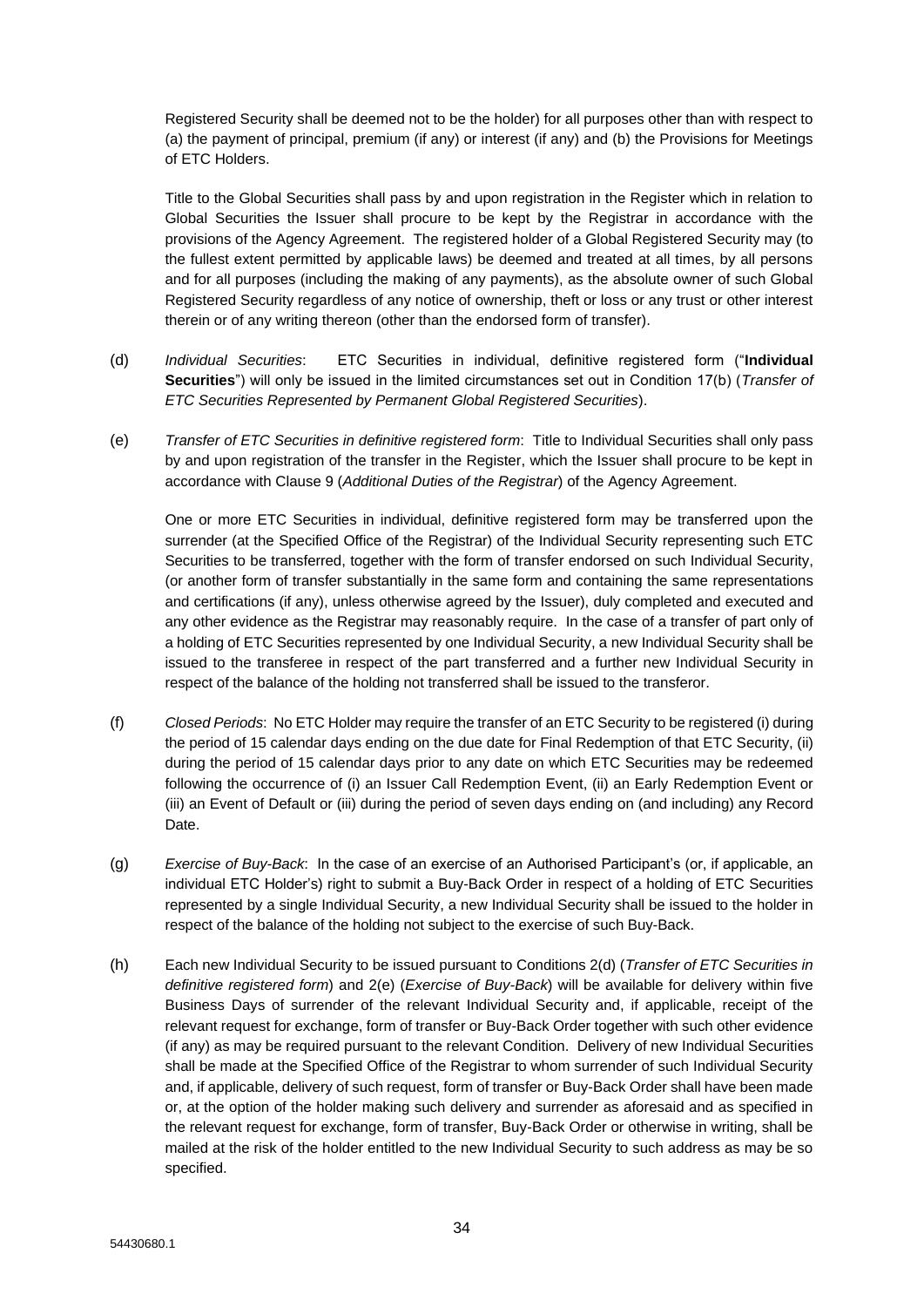Registered Security shall be deemed not to be the holder) for all purposes other than with respect to (a) the payment of principal, premium (if any) or interest (if any) and (b) the Provisions for Meetings of ETC Holders.

Title to the Global Securities shall pass by and upon registration in the Register which in relation to Global Securities the Issuer shall procure to be kept by the Registrar in accordance with the provisions of the Agency Agreement. The registered holder of a Global Registered Security may (to the fullest extent permitted by applicable laws) be deemed and treated at all times, by all persons and for all purposes (including the making of any payments), as the absolute owner of such Global Registered Security regardless of any notice of ownership, theft or loss or any trust or other interest therein or of any writing thereon (other than the endorsed form of transfer).

- (d) *Individual Securities*: ETC Securities in individual, definitive registered form ("**Individual Securities**") will only be issued in the limited circumstances set out in Condition 17(b) (*Transfer of ETC Securities Represented by Permanent Global Registered Securities*).
- (e) *Transfer of ETC Securities in definitive registered form*: Title to Individual Securities shall only pass by and upon registration of the transfer in the Register, which the Issuer shall procure to be kept in accordance with Clause 9 (*Additional Duties of the Registrar*) of the Agency Agreement.

One or more ETC Securities in individual, definitive registered form may be transferred upon the surrender (at the Specified Office of the Registrar) of the Individual Security representing such ETC Securities to be transferred, together with the form of transfer endorsed on such Individual Security, (or another form of transfer substantially in the same form and containing the same representations and certifications (if any), unless otherwise agreed by the Issuer), duly completed and executed and any other evidence as the Registrar may reasonably require. In the case of a transfer of part only of a holding of ETC Securities represented by one Individual Security, a new Individual Security shall be issued to the transferee in respect of the part transferred and a further new Individual Security in respect of the balance of the holding not transferred shall be issued to the transferor.

- (f) *Closed Periods*: No ETC Holder may require the transfer of an ETC Security to be registered (i) during the period of 15 calendar days ending on the due date for Final Redemption of that ETC Security, (ii) during the period of 15 calendar days prior to any date on which ETC Securities may be redeemed following the occurrence of (i) an Issuer Call Redemption Event, (ii) an Early Redemption Event or (iii) an Event of Default or (iii) during the period of seven days ending on (and including) any Record Date.
- (g) *Exercise of Buy-Back*: In the case of an exercise of an Authorised Participant's (or, if applicable, an individual ETC Holder's) right to submit a Buy-Back Order in respect of a holding of ETC Securities represented by a single Individual Security, a new Individual Security shall be issued to the holder in respect of the balance of the holding not subject to the exercise of such Buy-Back.
- (h) Each new Individual Security to be issued pursuant to Conditions 2(d) (*Transfer of ETC Securities in definitive registered form*) and 2(e) (*Exercise of Buy-Back*) will be available for delivery within five Business Days of surrender of the relevant Individual Security and, if applicable, receipt of the relevant request for exchange, form of transfer or Buy-Back Order together with such other evidence (if any) as may be required pursuant to the relevant Condition. Delivery of new Individual Securities shall be made at the Specified Office of the Registrar to whom surrender of such Individual Security and, if applicable, delivery of such request, form of transfer or Buy-Back Order shall have been made or, at the option of the holder making such delivery and surrender as aforesaid and as specified in the relevant request for exchange, form of transfer, Buy-Back Order or otherwise in writing, shall be mailed at the risk of the holder entitled to the new Individual Security to such address as may be so specified.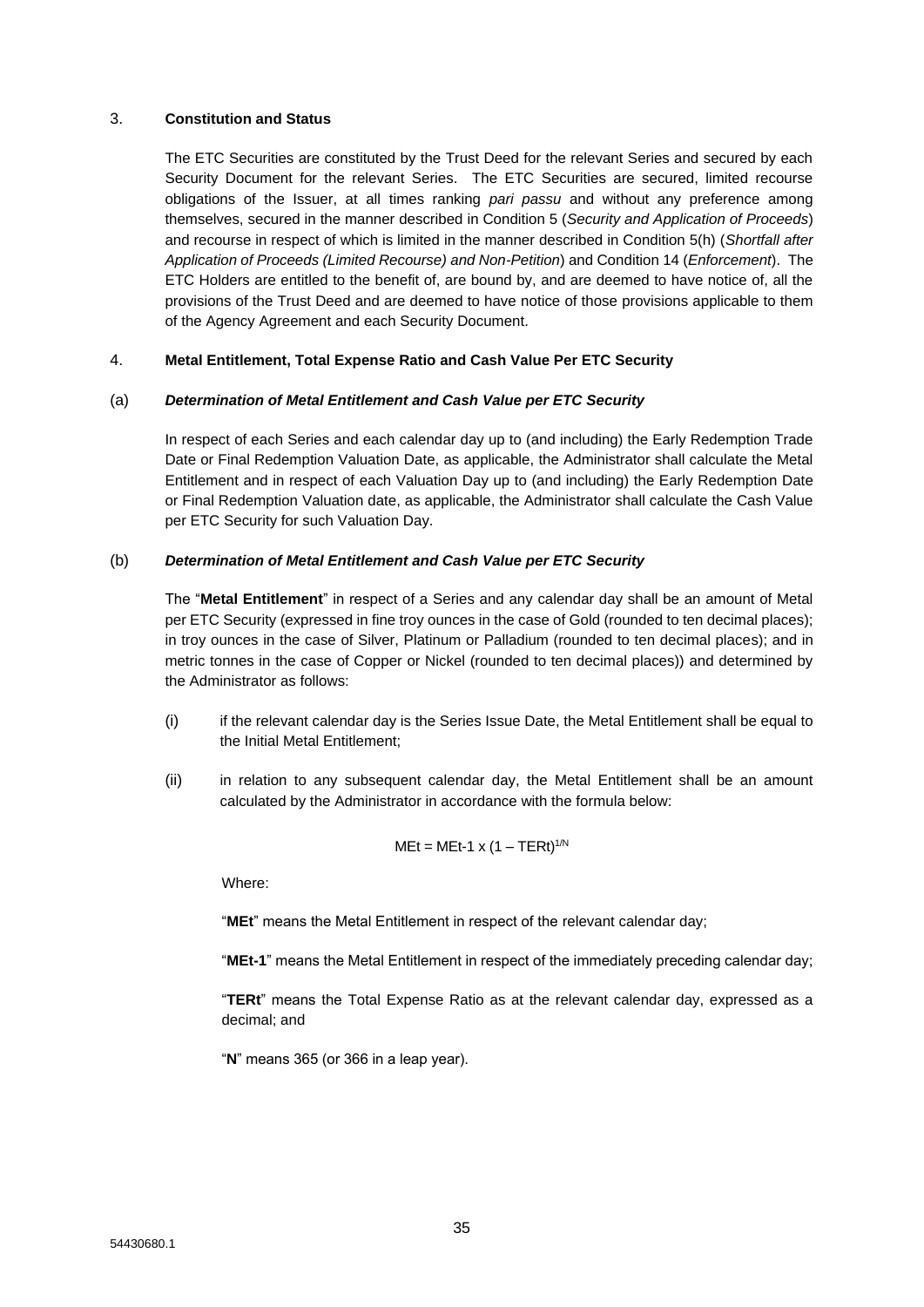## 3. **Constitution and Status**

The ETC Securities are constituted by the Trust Deed for the relevant Series and secured by each Security Document for the relevant Series. The ETC Securities are secured, limited recourse obligations of the Issuer, at all times ranking *pari passu* and without any preference among themselves, secured in the manner described in Condition 5 (*Security and Application of Proceeds*) and recourse in respect of which is limited in the manner described in Condition 5(h) (*Shortfall after Application of Proceeds (Limited Recourse) and Non-Petition*) and Condition 14 (*Enforcement*). The ETC Holders are entitled to the benefit of, are bound by, and are deemed to have notice of, all the provisions of the Trust Deed and are deemed to have notice of those provisions applicable to them of the Agency Agreement and each Security Document.

# 4. **Metal Entitlement, Total Expense Ratio and Cash Value Per ETC Security**

# (a) *Determination of Metal Entitlement and Cash Value per ETC Security*

In respect of each Series and each calendar day up to (and including) the Early Redemption Trade Date or Final Redemption Valuation Date, as applicable, the Administrator shall calculate the Metal Entitlement and in respect of each Valuation Day up to (and including) the Early Redemption Date or Final Redemption Valuation date, as applicable, the Administrator shall calculate the Cash Value per ETC Security for such Valuation Day.

# (b) *Determination of Metal Entitlement and Cash Value per ETC Security*

The "**Metal Entitlement**" in respect of a Series and any calendar day shall be an amount of Metal per ETC Security (expressed in fine troy ounces in the case of Gold (rounded to ten decimal places); in troy ounces in the case of Silver, Platinum or Palladium (rounded to ten decimal places); and in metric tonnes in the case of Copper or Nickel (rounded to ten decimal places)) and determined by the Administrator as follows:

- (i) if the relevant calendar day is the Series Issue Date, the Metal Entitlement shall be equal to the Initial Metal Entitlement;
- (ii) in relation to any subsequent calendar day, the Metal Entitlement shall be an amount calculated by the Administrator in accordance with the formula below:

$$
MEt = MEt-1 \times (1 - TERt)^{1/N}
$$

Where:

"**MEt**" means the Metal Entitlement in respect of the relevant calendar day;

"**MEt-1**" means the Metal Entitlement in respect of the immediately preceding calendar day;

"**TERt**" means the Total Expense Ratio as at the relevant calendar day, expressed as a decimal; and

"**N**" means 365 (or 366 in a leap year).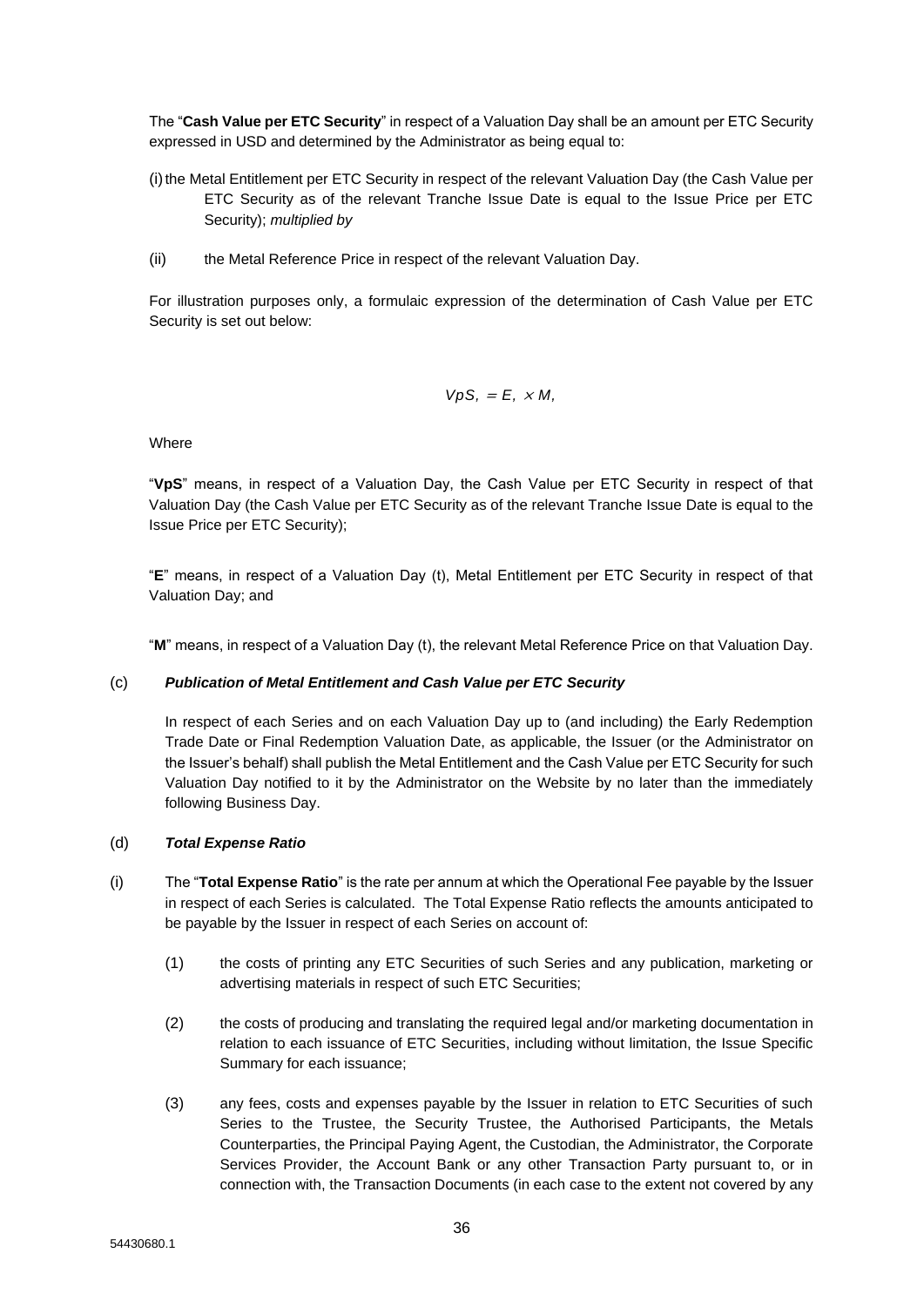The "**Cash Value per ETC Security**" in respect of a Valuation Day shall be an amount per ETC Security expressed in USD and determined by the Administrator as being equal to:

- (i) the Metal Entitlement per ETC Security in respect of the relevant Valuation Day (the Cash Value per ETC Security as of the relevant Tranche Issue Date is equal to the Issue Price per ETC Security); *multiplied by*
- (ii) the Metal Reference Price in respect of the relevant Valuation Day.

For illustration purposes only, a formulaic expression of the determination of Cash Value per ETC Security is set out below:

$$
VpS, =E, \times M,
$$

Where

"**VpS**" means, in respect of a Valuation Day, the Cash Value per ETC Security in respect of that Valuation Day (the Cash Value per ETC Security as of the relevant Tranche Issue Date is equal to the Issue Price per ETC Security);

"**E**" means, in respect of a Valuation Day (t), Metal Entitlement per ETC Security in respect of that Valuation Day; and

"**M**" means, in respect of a Valuation Day (t), the relevant Metal Reference Price on that Valuation Day.

### (c) *Publication of Metal Entitlement and Cash Value per ETC Security*

In respect of each Series and on each Valuation Day up to (and including) the Early Redemption Trade Date or Final Redemption Valuation Date, as applicable, the Issuer (or the Administrator on the Issuer's behalf) shall publish the Metal Entitlement and the Cash Value per ETC Security for such Valuation Day notified to it by the Administrator on the Website by no later than the immediately following Business Day.

# (d) *Total Expense Ratio*

- (i) The "**Total Expense Ratio**" is the rate per annum at which the Operational Fee payable by the Issuer in respect of each Series is calculated. The Total Expense Ratio reflects the amounts anticipated to be payable by the Issuer in respect of each Series on account of:
	- (1) the costs of printing any ETC Securities of such Series and any publication, marketing or advertising materials in respect of such ETC Securities;
	- (2) the costs of producing and translating the required legal and/or marketing documentation in relation to each issuance of ETC Securities, including without limitation, the Issue Specific Summary for each issuance;
	- (3) any fees, costs and expenses payable by the Issuer in relation to ETC Securities of such Series to the Trustee, the Security Trustee, the Authorised Participants, the Metals Counterparties, the Principal Paying Agent, the Custodian, the Administrator, the Corporate Services Provider, the Account Bank or any other Transaction Party pursuant to, or in connection with, the Transaction Documents (in each case to the extent not covered by any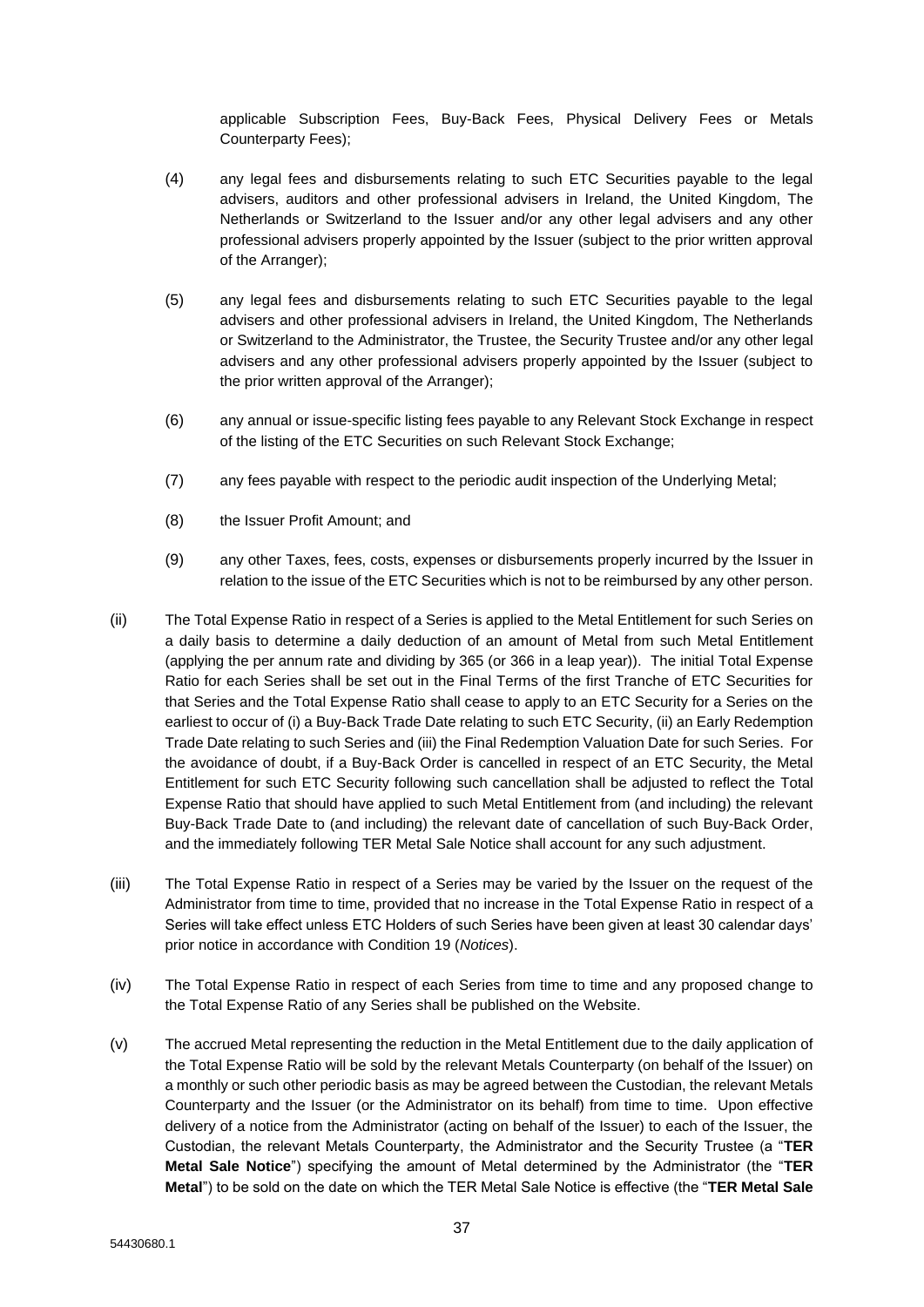applicable Subscription Fees, Buy-Back Fees, Physical Delivery Fees or Metals Counterparty Fees);

- (4) any legal fees and disbursements relating to such ETC Securities payable to the legal advisers, auditors and other professional advisers in Ireland, the United Kingdom, The Netherlands or Switzerland to the Issuer and/or any other legal advisers and any other professional advisers properly appointed by the Issuer (subject to the prior written approval of the Arranger);
- (5) any legal fees and disbursements relating to such ETC Securities payable to the legal advisers and other professional advisers in Ireland, the United Kingdom, The Netherlands or Switzerland to the Administrator, the Trustee, the Security Trustee and/or any other legal advisers and any other professional advisers properly appointed by the Issuer (subject to the prior written approval of the Arranger);
- (6) any annual or issue-specific listing fees payable to any Relevant Stock Exchange in respect of the listing of the ETC Securities on such Relevant Stock Exchange;
- (7) any fees payable with respect to the periodic audit inspection of the Underlying Metal;
- (8) the Issuer Profit Amount; and
- (9) any other Taxes, fees, costs, expenses or disbursements properly incurred by the Issuer in relation to the issue of the ETC Securities which is not to be reimbursed by any other person.
- (ii) The Total Expense Ratio in respect of a Series is applied to the Metal Entitlement for such Series on a daily basis to determine a daily deduction of an amount of Metal from such Metal Entitlement (applying the per annum rate and dividing by 365 (or 366 in a leap year)). The initial Total Expense Ratio for each Series shall be set out in the Final Terms of the first Tranche of ETC Securities for that Series and the Total Expense Ratio shall cease to apply to an ETC Security for a Series on the earliest to occur of (i) a Buy-Back Trade Date relating to such ETC Security, (ii) an Early Redemption Trade Date relating to such Series and (iii) the Final Redemption Valuation Date for such Series. For the avoidance of doubt, if a Buy-Back Order is cancelled in respect of an ETC Security, the Metal Entitlement for such ETC Security following such cancellation shall be adjusted to reflect the Total Expense Ratio that should have applied to such Metal Entitlement from (and including) the relevant Buy-Back Trade Date to (and including) the relevant date of cancellation of such Buy-Back Order, and the immediately following TER Metal Sale Notice shall account for any such adjustment.
- (iii) The Total Expense Ratio in respect of a Series may be varied by the Issuer on the request of the Administrator from time to time, provided that no increase in the Total Expense Ratio in respect of a Series will take effect unless ETC Holders of such Series have been given at least 30 calendar days' prior notice in accordance with Condition 19 (*Notices*).
- (iv) The Total Expense Ratio in respect of each Series from time to time and any proposed change to the Total Expense Ratio of any Series shall be published on the Website.
- (v) The accrued Metal representing the reduction in the Metal Entitlement due to the daily application of the Total Expense Ratio will be sold by the relevant Metals Counterparty (on behalf of the Issuer) on a monthly or such other periodic basis as may be agreed between the Custodian, the relevant Metals Counterparty and the Issuer (or the Administrator on its behalf) from time to time. Upon effective delivery of a notice from the Administrator (acting on behalf of the Issuer) to each of the Issuer, the Custodian, the relevant Metals Counterparty, the Administrator and the Security Trustee (a "**TER Metal Sale Notice**") specifying the amount of Metal determined by the Administrator (the "**TER Metal**") to be sold on the date on which the TER Metal Sale Notice is effective (the "**TER Metal Sale**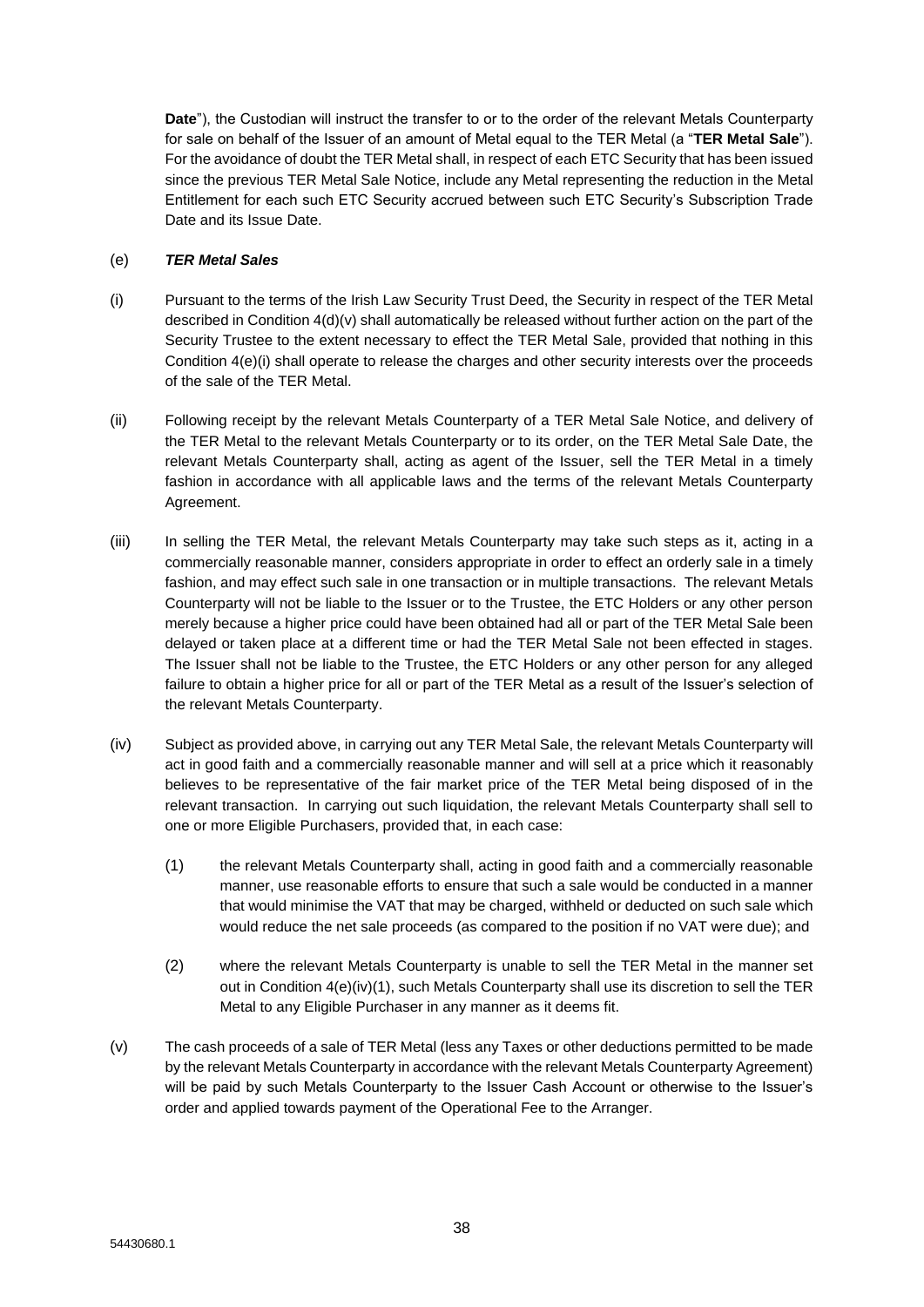**Date**"), the Custodian will instruct the transfer to or to the order of the relevant Metals Counterparty for sale on behalf of the Issuer of an amount of Metal equal to the TER Metal (a "**TER Metal Sale**"). For the avoidance of doubt the TER Metal shall, in respect of each ETC Security that has been issued since the previous TER Metal Sale Notice, include any Metal representing the reduction in the Metal Entitlement for each such ETC Security accrued between such ETC Security's Subscription Trade Date and its Issue Date.

## (e) *TER Metal Sales*

- (i) Pursuant to the terms of the Irish Law Security Trust Deed, the Security in respect of the TER Metal described in Condition 4(d)(v) shall automatically be released without further action on the part of the Security Trustee to the extent necessary to effect the TER Metal Sale, provided that nothing in this Condition 4(e)(i) shall operate to release the charges and other security interests over the proceeds of the sale of the TER Metal.
- (ii) Following receipt by the relevant Metals Counterparty of a TER Metal Sale Notice, and delivery of the TER Metal to the relevant Metals Counterparty or to its order, on the TER Metal Sale Date, the relevant Metals Counterparty shall, acting as agent of the Issuer, sell the TER Metal in a timely fashion in accordance with all applicable laws and the terms of the relevant Metals Counterparty Agreement.
- (iii) In selling the TER Metal, the relevant Metals Counterparty may take such steps as it, acting in a commercially reasonable manner, considers appropriate in order to effect an orderly sale in a timely fashion, and may effect such sale in one transaction or in multiple transactions. The relevant Metals Counterparty will not be liable to the Issuer or to the Trustee, the ETC Holders or any other person merely because a higher price could have been obtained had all or part of the TER Metal Sale been delayed or taken place at a different time or had the TER Metal Sale not been effected in stages. The Issuer shall not be liable to the Trustee, the ETC Holders or any other person for any alleged failure to obtain a higher price for all or part of the TER Metal as a result of the Issuer's selection of the relevant Metals Counterparty.
- (iv) Subject as provided above, in carrying out any TER Metal Sale, the relevant Metals Counterparty will act in good faith and a commercially reasonable manner and will sell at a price which it reasonably believes to be representative of the fair market price of the TER Metal being disposed of in the relevant transaction. In carrying out such liquidation, the relevant Metals Counterparty shall sell to one or more Eligible Purchasers, provided that, in each case:
	- (1) the relevant Metals Counterparty shall, acting in good faith and a commercially reasonable manner, use reasonable efforts to ensure that such a sale would be conducted in a manner that would minimise the VAT that may be charged, withheld or deducted on such sale which would reduce the net sale proceeds (as compared to the position if no VAT were due); and
	- (2) where the relevant Metals Counterparty is unable to sell the TER Metal in the manner set out in Condition  $4(e)(iv)(1)$ , such Metals Counterparty shall use its discretion to sell the TER Metal to any Eligible Purchaser in any manner as it deems fit.
- (v) The cash proceeds of a sale of TER Metal (less any Taxes or other deductions permitted to be made by the relevant Metals Counterparty in accordance with the relevant Metals Counterparty Agreement) will be paid by such Metals Counterparty to the Issuer Cash Account or otherwise to the Issuer's order and applied towards payment of the Operational Fee to the Arranger.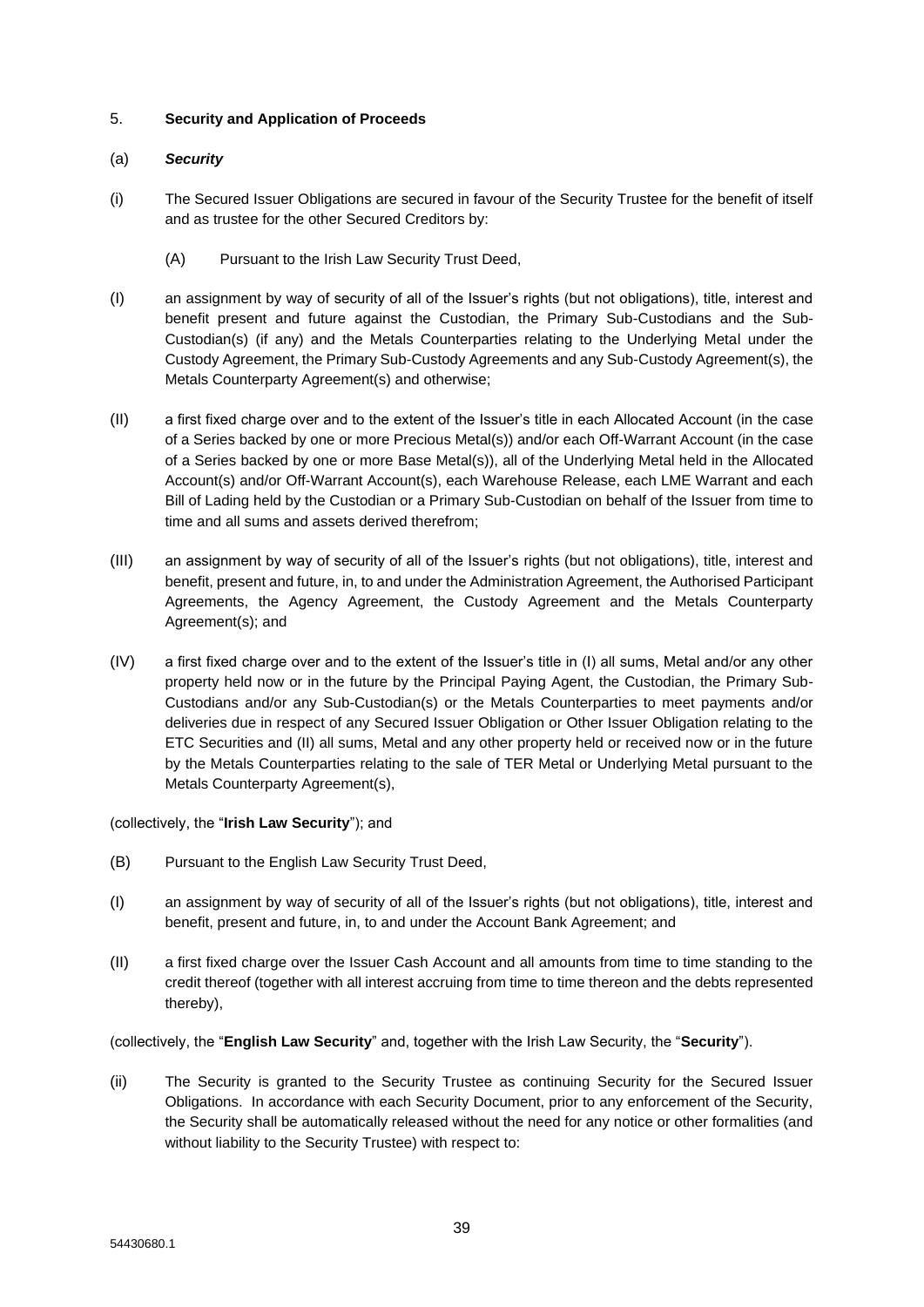## 5. **Security and Application of Proceeds**

## (a) *Security*

- (i) The Secured Issuer Obligations are secured in favour of the Security Trustee for the benefit of itself and as trustee for the other Secured Creditors by:
	- (A) Pursuant to the Irish Law Security Trust Deed,
- (I) an assignment by way of security of all of the Issuer's rights (but not obligations), title, interest and benefit present and future against the Custodian, the Primary Sub-Custodians and the Sub-Custodian(s) (if any) and the Metals Counterparties relating to the Underlying Metal under the Custody Agreement, the Primary Sub-Custody Agreements and any Sub-Custody Agreement(s), the Metals Counterparty Agreement(s) and otherwise;
- (II) a first fixed charge over and to the extent of the Issuer's title in each Allocated Account (in the case of a Series backed by one or more Precious Metal(s)) and/or each Off-Warrant Account (in the case of a Series backed by one or more Base Metal(s)), all of the Underlying Metal held in the Allocated Account(s) and/or Off-Warrant Account(s), each Warehouse Release, each LME Warrant and each Bill of Lading held by the Custodian or a Primary Sub-Custodian on behalf of the Issuer from time to time and all sums and assets derived therefrom;
- (III) an assignment by way of security of all of the Issuer's rights (but not obligations), title, interest and benefit, present and future, in, to and under the Administration Agreement, the Authorised Participant Agreements, the Agency Agreement, the Custody Agreement and the Metals Counterparty Agreement(s); and
- (IV) a first fixed charge over and to the extent of the Issuer's title in (I) all sums, Metal and/or any other property held now or in the future by the Principal Paying Agent, the Custodian, the Primary Sub-Custodians and/or any Sub-Custodian(s) or the Metals Counterparties to meet payments and/or deliveries due in respect of any Secured Issuer Obligation or Other Issuer Obligation relating to the ETC Securities and (II) all sums, Metal and any other property held or received now or in the future by the Metals Counterparties relating to the sale of TER Metal or Underlying Metal pursuant to the Metals Counterparty Agreement(s),

(collectively, the "**Irish Law Security**"); and

- (B) Pursuant to the English Law Security Trust Deed,
- (I) an assignment by way of security of all of the Issuer's rights (but not obligations), title, interest and benefit, present and future, in, to and under the Account Bank Agreement; and
- (II) a first fixed charge over the Issuer Cash Account and all amounts from time to time standing to the credit thereof (together with all interest accruing from time to time thereon and the debts represented thereby),

(collectively, the "**English Law Security**" and, together with the Irish Law Security, the "**Security**").

(ii) The Security is granted to the Security Trustee as continuing Security for the Secured Issuer Obligations. In accordance with each Security Document, prior to any enforcement of the Security, the Security shall be automatically released without the need for any notice or other formalities (and without liability to the Security Trustee) with respect to: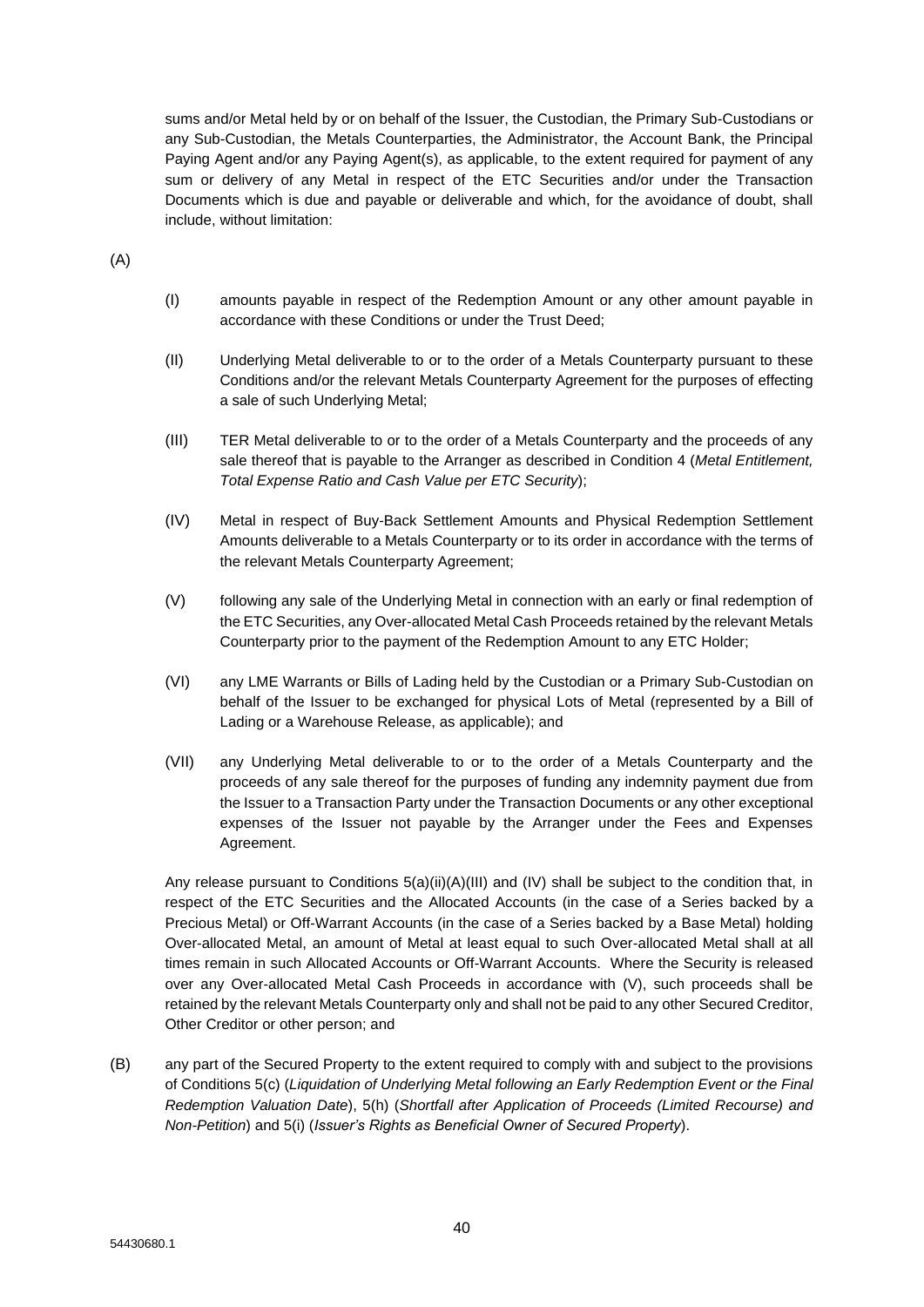sums and/or Metal held by or on behalf of the Issuer, the Custodian, the Primary Sub-Custodians or any Sub-Custodian, the Metals Counterparties, the Administrator, the Account Bank, the Principal Paying Agent and/or any Paying Agent(s), as applicable, to the extent required for payment of any sum or delivery of any Metal in respect of the ETC Securities and/or under the Transaction Documents which is due and payable or deliverable and which, for the avoidance of doubt, shall include, without limitation:

(A)

- (I) amounts payable in respect of the Redemption Amount or any other amount payable in accordance with these Conditions or under the Trust Deed;
- (II) Underlying Metal deliverable to or to the order of a Metals Counterparty pursuant to these Conditions and/or the relevant Metals Counterparty Agreement for the purposes of effecting a sale of such Underlying Metal;
- (III) TER Metal deliverable to or to the order of a Metals Counterparty and the proceeds of any sale thereof that is payable to the Arranger as described in Condition 4 (*Metal Entitlement, Total Expense Ratio and Cash Value per ETC Security*);
- (IV) Metal in respect of Buy-Back Settlement Amounts and Physical Redemption Settlement Amounts deliverable to a Metals Counterparty or to its order in accordance with the terms of the relevant Metals Counterparty Agreement;
- (V) following any sale of the Underlying Metal in connection with an early or final redemption of the ETC Securities, any Over-allocated Metal Cash Proceeds retained by the relevant Metals Counterparty prior to the payment of the Redemption Amount to any ETC Holder;
- (VI) any LME Warrants or Bills of Lading held by the Custodian or a Primary Sub-Custodian on behalf of the Issuer to be exchanged for physical Lots of Metal (represented by a Bill of Lading or a Warehouse Release, as applicable); and
- (VII) any Underlying Metal deliverable to or to the order of a Metals Counterparty and the proceeds of any sale thereof for the purposes of funding any indemnity payment due from the Issuer to a Transaction Party under the Transaction Documents or any other exceptional expenses of the Issuer not payable by the Arranger under the Fees and Expenses Agreement.

Any release pursuant to Conditions  $5(a)(ii)(A)(III)$  and  $(IV)$  shall be subject to the condition that, in respect of the ETC Securities and the Allocated Accounts (in the case of a Series backed by a Precious Metal) or Off-Warrant Accounts (in the case of a Series backed by a Base Metal) holding Over-allocated Metal, an amount of Metal at least equal to such Over-allocated Metal shall at all times remain in such Allocated Accounts or Off-Warrant Accounts. Where the Security is released over any Over-allocated Metal Cash Proceeds in accordance with (V), such proceeds shall be retained by the relevant Metals Counterparty only and shall not be paid to any other Secured Creditor, Other Creditor or other person; and

(B) any part of the Secured Property to the extent required to comply with and subject to the provisions of Conditions 5(c) (*Liquidation of Underlying Metal following an Early Redemption Event or the Final Redemption Valuation Date*), 5(h) (*Shortfall after Application of Proceeds (Limited Recourse) and Non-Petition*) and 5(i) (*Issuer's Rights as Beneficial Owner of Secured Property*).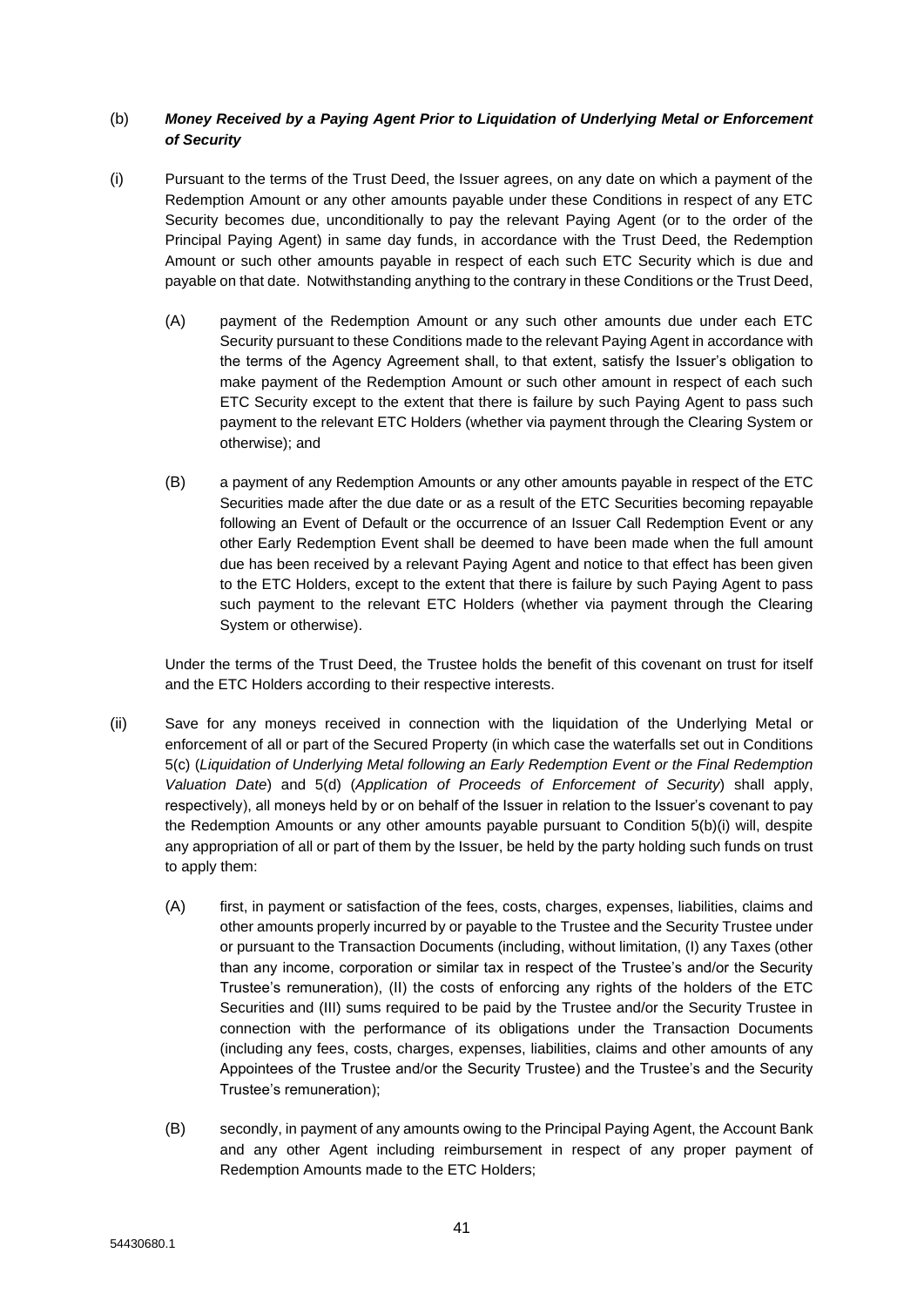# (b) *Money Received by a Paying Agent Prior to Liquidation of Underlying Metal or Enforcement of Security*

- (i) Pursuant to the terms of the Trust Deed, the Issuer agrees, on any date on which a payment of the Redemption Amount or any other amounts payable under these Conditions in respect of any ETC Security becomes due, unconditionally to pay the relevant Paying Agent (or to the order of the Principal Paying Agent) in same day funds, in accordance with the Trust Deed, the Redemption Amount or such other amounts payable in respect of each such ETC Security which is due and payable on that date. Notwithstanding anything to the contrary in these Conditions or the Trust Deed,
	- (A) payment of the Redemption Amount or any such other amounts due under each ETC Security pursuant to these Conditions made to the relevant Paying Agent in accordance with the terms of the Agency Agreement shall, to that extent, satisfy the Issuer's obligation to make payment of the Redemption Amount or such other amount in respect of each such ETC Security except to the extent that there is failure by such Paying Agent to pass such payment to the relevant ETC Holders (whether via payment through the Clearing System or otherwise); and
	- (B) a payment of any Redemption Amounts or any other amounts payable in respect of the ETC Securities made after the due date or as a result of the ETC Securities becoming repayable following an Event of Default or the occurrence of an Issuer Call Redemption Event or any other Early Redemption Event shall be deemed to have been made when the full amount due has been received by a relevant Paying Agent and notice to that effect has been given to the ETC Holders, except to the extent that there is failure by such Paying Agent to pass such payment to the relevant ETC Holders (whether via payment through the Clearing System or otherwise).

Under the terms of the Trust Deed, the Trustee holds the benefit of this covenant on trust for itself and the ETC Holders according to their respective interests.

- (ii) Save for any moneys received in connection with the liquidation of the Underlying Metal or enforcement of all or part of the Secured Property (in which case the waterfalls set out in Conditions 5(c) (*Liquidation of Underlying Metal following an Early Redemption Event or the Final Redemption Valuation Date*) and 5(d) (*Application of Proceeds of Enforcement of Security*) shall apply, respectively), all moneys held by or on behalf of the Issuer in relation to the Issuer's covenant to pay the Redemption Amounts or any other amounts payable pursuant to Condition 5(b)(i) will, despite any appropriation of all or part of them by the Issuer, be held by the party holding such funds on trust to apply them:
	- (A) first, in payment or satisfaction of the fees, costs, charges, expenses, liabilities, claims and other amounts properly incurred by or payable to the Trustee and the Security Trustee under or pursuant to the Transaction Documents (including, without limitation, (I) any Taxes (other than any income, corporation or similar tax in respect of the Trustee's and/or the Security Trustee's remuneration), (II) the costs of enforcing any rights of the holders of the ETC Securities and (III) sums required to be paid by the Trustee and/or the Security Trustee in connection with the performance of its obligations under the Transaction Documents (including any fees, costs, charges, expenses, liabilities, claims and other amounts of any Appointees of the Trustee and/or the Security Trustee) and the Trustee's and the Security Trustee's remuneration);
	- (B) secondly, in payment of any amounts owing to the Principal Paying Agent, the Account Bank and any other Agent including reimbursement in respect of any proper payment of Redemption Amounts made to the ETC Holders;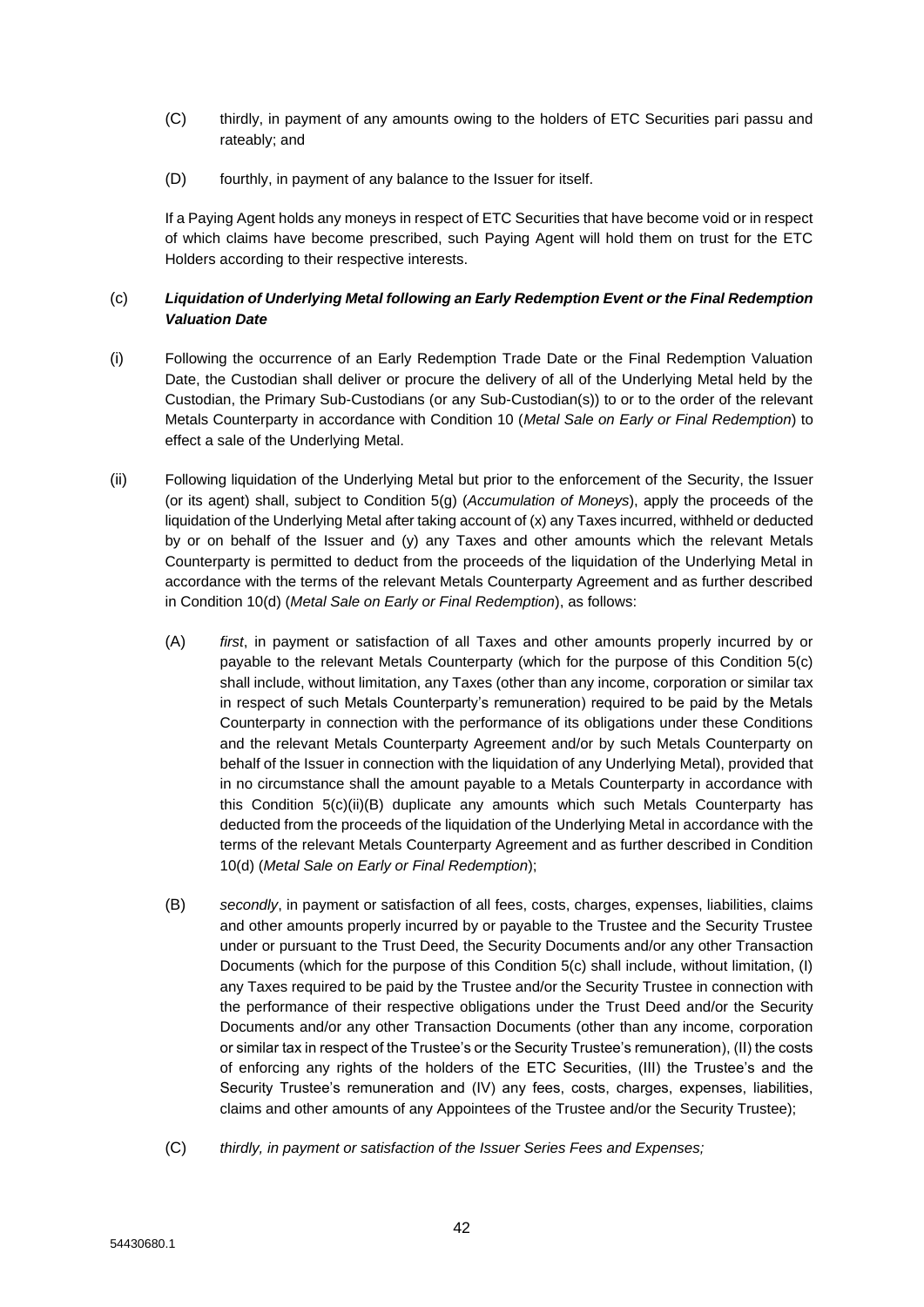- (C) thirdly, in payment of any amounts owing to the holders of ETC Securities pari passu and rateably; and
- (D) fourthly, in payment of any balance to the Issuer for itself.

If a Paying Agent holds any moneys in respect of ETC Securities that have become void or in respect of which claims have become prescribed, such Paying Agent will hold them on trust for the ETC Holders according to their respective interests.

# (c) *Liquidation of Underlying Metal following an Early Redemption Event or the Final Redemption Valuation Date*

- (i) Following the occurrence of an Early Redemption Trade Date or the Final Redemption Valuation Date, the Custodian shall deliver or procure the delivery of all of the Underlying Metal held by the Custodian, the Primary Sub-Custodians (or any Sub-Custodian(s)) to or to the order of the relevant Metals Counterparty in accordance with Condition 10 (*Metal Sale on Early or Final Redemption*) to effect a sale of the Underlying Metal.
- (ii) Following liquidation of the Underlying Metal but prior to the enforcement of the Security, the Issuer (or its agent) shall, subject to Condition 5(g) (*Accumulation of Moneys*), apply the proceeds of the liquidation of the Underlying Metal after taking account of (x) any Taxes incurred, withheld or deducted by or on behalf of the Issuer and (y) any Taxes and other amounts which the relevant Metals Counterparty is permitted to deduct from the proceeds of the liquidation of the Underlying Metal in accordance with the terms of the relevant Metals Counterparty Agreement and as further described in Condition 10(d) (*Metal Sale on Early or Final Redemption*), as follows:
	- (A) *first*, in payment or satisfaction of all Taxes and other amounts properly incurred by or payable to the relevant Metals Counterparty (which for the purpose of this Condition 5(c) shall include, without limitation, any Taxes (other than any income, corporation or similar tax in respect of such Metals Counterparty's remuneration) required to be paid by the Metals Counterparty in connection with the performance of its obligations under these Conditions and the relevant Metals Counterparty Agreement and/or by such Metals Counterparty on behalf of the Issuer in connection with the liquidation of any Underlying Metal), provided that in no circumstance shall the amount payable to a Metals Counterparty in accordance with this Condition 5(c)(ii)(B) duplicate any amounts which such Metals Counterparty has deducted from the proceeds of the liquidation of the Underlying Metal in accordance with the terms of the relevant Metals Counterparty Agreement and as further described in Condition 10(d) (*Metal Sale on Early or Final Redemption*);
	- (B) *secondly*, in payment or satisfaction of all fees, costs, charges, expenses, liabilities, claims and other amounts properly incurred by or payable to the Trustee and the Security Trustee under or pursuant to the Trust Deed, the Security Documents and/or any other Transaction Documents (which for the purpose of this Condition 5(c) shall include, without limitation, (I) any Taxes required to be paid by the Trustee and/or the Security Trustee in connection with the performance of their respective obligations under the Trust Deed and/or the Security Documents and/or any other Transaction Documents (other than any income, corporation or similar tax in respect of the Trustee's or the Security Trustee's remuneration), (II) the costs of enforcing any rights of the holders of the ETC Securities, (III) the Trustee's and the Security Trustee's remuneration and (IV) any fees, costs, charges, expenses, liabilities, claims and other amounts of any Appointees of the Trustee and/or the Security Trustee);
	- (C) *thirdly, in payment or satisfaction of the Issuer Series Fees and Expenses;*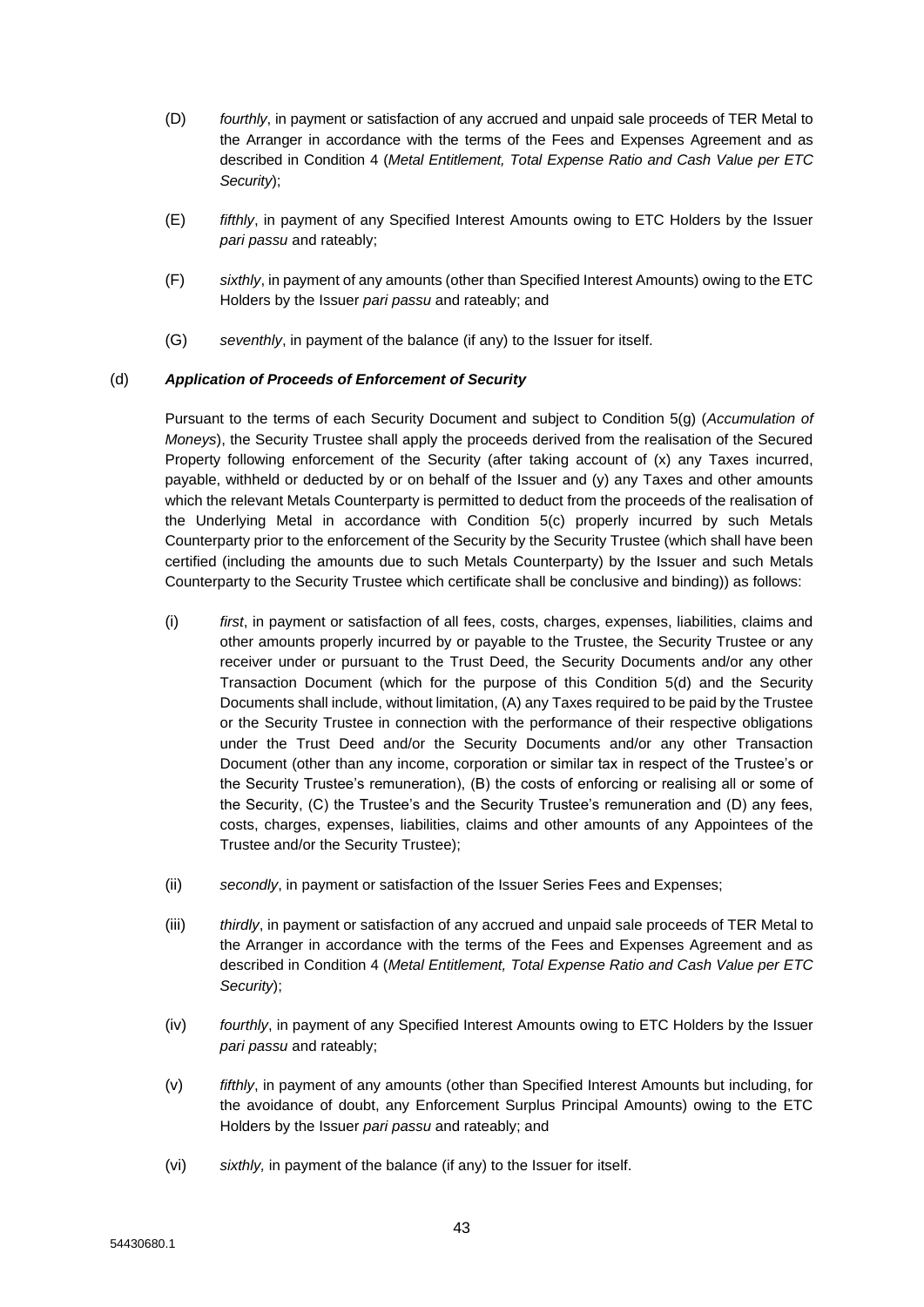- (D) *fourthly*, in payment or satisfaction of any accrued and unpaid sale proceeds of TER Metal to the Arranger in accordance with the terms of the Fees and Expenses Agreement and as described in Condition 4 (*Metal Entitlement, Total Expense Ratio and Cash Value per ETC Security*);
- (E) *fifthly*, in payment of any Specified Interest Amounts owing to ETC Holders by the Issuer *pari passu* and rateably;
- (F) *sixthly*, in payment of any amounts (other than Specified Interest Amounts) owing to the ETC Holders by the Issuer *pari passu* and rateably; and
- (G) *seventhly*, in payment of the balance (if any) to the Issuer for itself.

## (d) *Application of Proceeds of Enforcement of Security*

Pursuant to the terms of each Security Document and subject to Condition 5(g) (*Accumulation of Moneys*), the Security Trustee shall apply the proceeds derived from the realisation of the Secured Property following enforcement of the Security (after taking account of (x) any Taxes incurred, payable, withheld or deducted by or on behalf of the Issuer and (y) any Taxes and other amounts which the relevant Metals Counterparty is permitted to deduct from the proceeds of the realisation of the Underlying Metal in accordance with Condition 5(c) properly incurred by such Metals Counterparty prior to the enforcement of the Security by the Security Trustee (which shall have been certified (including the amounts due to such Metals Counterparty) by the Issuer and such Metals Counterparty to the Security Trustee which certificate shall be conclusive and binding)) as follows:

- (i) *first*, in payment or satisfaction of all fees, costs, charges, expenses, liabilities, claims and other amounts properly incurred by or payable to the Trustee, the Security Trustee or any receiver under or pursuant to the Trust Deed, the Security Documents and/or any other Transaction Document (which for the purpose of this Condition 5(d) and the Security Documents shall include, without limitation, (A) any Taxes required to be paid by the Trustee or the Security Trustee in connection with the performance of their respective obligations under the Trust Deed and/or the Security Documents and/or any other Transaction Document (other than any income, corporation or similar tax in respect of the Trustee's or the Security Trustee's remuneration), (B) the costs of enforcing or realising all or some of the Security, (C) the Trustee's and the Security Trustee's remuneration and (D) any fees, costs, charges, expenses, liabilities, claims and other amounts of any Appointees of the Trustee and/or the Security Trustee);
- (ii) *secondly*, in payment or satisfaction of the Issuer Series Fees and Expenses;
- (iii) *thirdly*, in payment or satisfaction of any accrued and unpaid sale proceeds of TER Metal to the Arranger in accordance with the terms of the Fees and Expenses Agreement and as described in Condition 4 (*Metal Entitlement, Total Expense Ratio and Cash Value per ETC Security*);
- (iv) *fourthly*, in payment of any Specified Interest Amounts owing to ETC Holders by the Issuer *pari passu* and rateably;
- (v) *fifthly*, in payment of any amounts (other than Specified Interest Amounts but including, for the avoidance of doubt, any Enforcement Surplus Principal Amounts) owing to the ETC Holders by the Issuer *pari passu* and rateably; and
- (vi) *sixthly,* in payment of the balance (if any) to the Issuer for itself.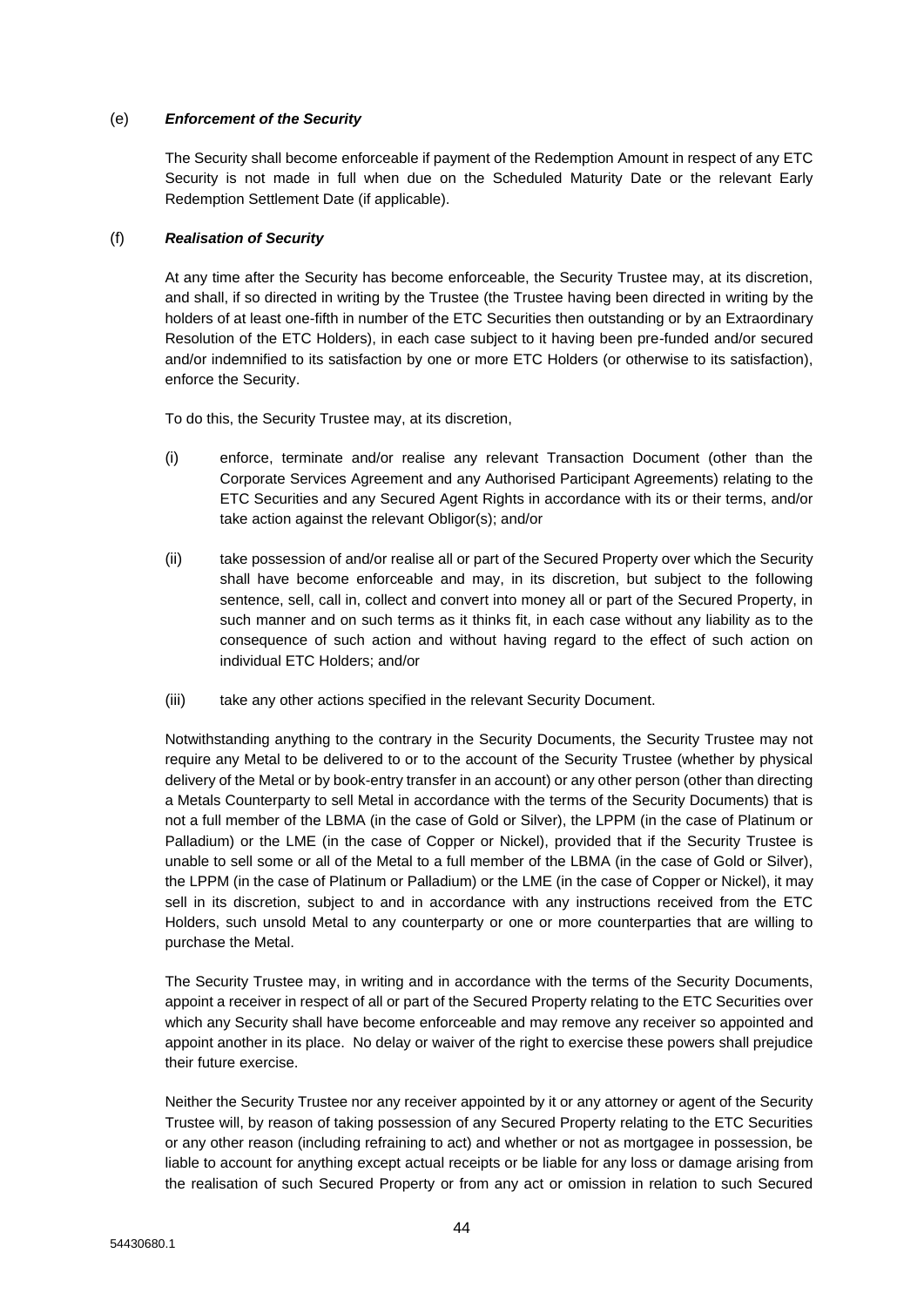## (e) *Enforcement of the Security*

The Security shall become enforceable if payment of the Redemption Amount in respect of any ETC Security is not made in full when due on the Scheduled Maturity Date or the relevant Early Redemption Settlement Date (if applicable).

## (f) *Realisation of Security*

At any time after the Security has become enforceable, the Security Trustee may, at its discretion, and shall, if so directed in writing by the Trustee (the Trustee having been directed in writing by the holders of at least one-fifth in number of the ETC Securities then outstanding or by an Extraordinary Resolution of the ETC Holders), in each case subject to it having been pre-funded and/or secured and/or indemnified to its satisfaction by one or more ETC Holders (or otherwise to its satisfaction), enforce the Security.

To do this, the Security Trustee may, at its discretion,

- (i) enforce, terminate and/or realise any relevant Transaction Document (other than the Corporate Services Agreement and any Authorised Participant Agreements) relating to the ETC Securities and any Secured Agent Rights in accordance with its or their terms, and/or take action against the relevant Obligor(s); and/or
- (ii) take possession of and/or realise all or part of the Secured Property over which the Security shall have become enforceable and may, in its discretion, but subject to the following sentence, sell, call in, collect and convert into money all or part of the Secured Property, in such manner and on such terms as it thinks fit, in each case without any liability as to the consequence of such action and without having regard to the effect of such action on individual ETC Holders; and/or
- (iii) take any other actions specified in the relevant Security Document.

Notwithstanding anything to the contrary in the Security Documents, the Security Trustee may not require any Metal to be delivered to or to the account of the Security Trustee (whether by physical delivery of the Metal or by book-entry transfer in an account) or any other person (other than directing a Metals Counterparty to sell Metal in accordance with the terms of the Security Documents) that is not a full member of the LBMA (in the case of Gold or Silver), the LPPM (in the case of Platinum or Palladium) or the LME (in the case of Copper or Nickel), provided that if the Security Trustee is unable to sell some or all of the Metal to a full member of the LBMA (in the case of Gold or Silver), the LPPM (in the case of Platinum or Palladium) or the LME (in the case of Copper or Nickel), it may sell in its discretion, subject to and in accordance with any instructions received from the ETC Holders, such unsold Metal to any counterparty or one or more counterparties that are willing to purchase the Metal.

The Security Trustee may, in writing and in accordance with the terms of the Security Documents, appoint a receiver in respect of all or part of the Secured Property relating to the ETC Securities over which any Security shall have become enforceable and may remove any receiver so appointed and appoint another in its place. No delay or waiver of the right to exercise these powers shall prejudice their future exercise.

Neither the Security Trustee nor any receiver appointed by it or any attorney or agent of the Security Trustee will, by reason of taking possession of any Secured Property relating to the ETC Securities or any other reason (including refraining to act) and whether or not as mortgagee in possession, be liable to account for anything except actual receipts or be liable for any loss or damage arising from the realisation of such Secured Property or from any act or omission in relation to such Secured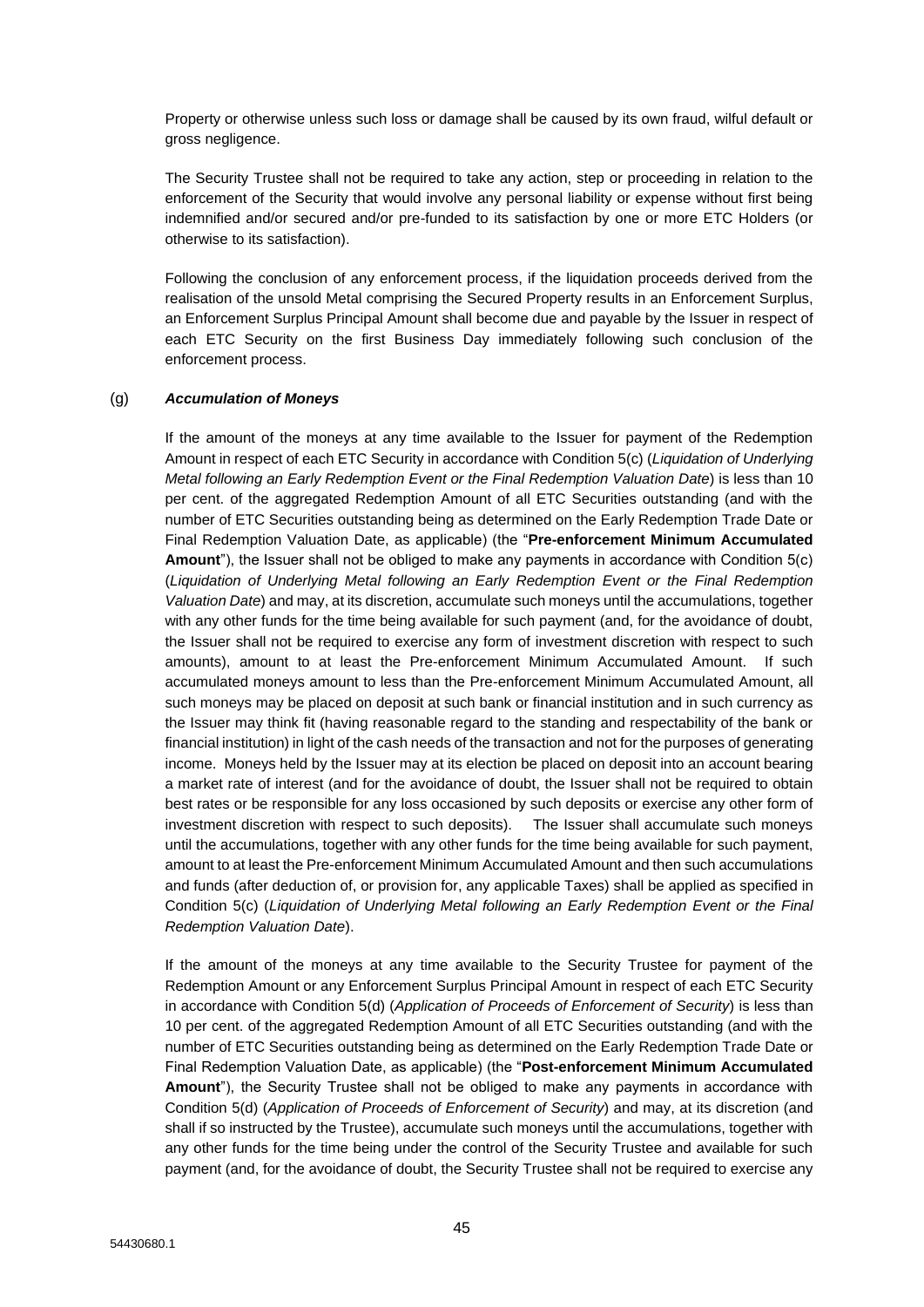Property or otherwise unless such loss or damage shall be caused by its own fraud, wilful default or gross negligence.

The Security Trustee shall not be required to take any action, step or proceeding in relation to the enforcement of the Security that would involve any personal liability or expense without first being indemnified and/or secured and/or pre-funded to its satisfaction by one or more ETC Holders (or otherwise to its satisfaction).

Following the conclusion of any enforcement process, if the liquidation proceeds derived from the realisation of the unsold Metal comprising the Secured Property results in an Enforcement Surplus, an Enforcement Surplus Principal Amount shall become due and payable by the Issuer in respect of each ETC Security on the first Business Day immediately following such conclusion of the enforcement process.

### (g) *Accumulation of Moneys*

If the amount of the moneys at any time available to the Issuer for payment of the Redemption Amount in respect of each ETC Security in accordance with Condition 5(c) (*Liquidation of Underlying Metal following an Early Redemption Event or the Final Redemption Valuation Date*) is less than 10 per cent. of the aggregated Redemption Amount of all ETC Securities outstanding (and with the number of ETC Securities outstanding being as determined on the Early Redemption Trade Date or Final Redemption Valuation Date, as applicable) (the "**Pre-enforcement Minimum Accumulated Amount**"), the Issuer shall not be obliged to make any payments in accordance with Condition 5(c) (*Liquidation of Underlying Metal following an Early Redemption Event or the Final Redemption Valuation Date*) and may, at its discretion, accumulate such moneys until the accumulations, together with any other funds for the time being available for such payment (and, for the avoidance of doubt, the Issuer shall not be required to exercise any form of investment discretion with respect to such amounts), amount to at least the Pre-enforcement Minimum Accumulated Amount. If such accumulated moneys amount to less than the Pre-enforcement Minimum Accumulated Amount, all such moneys may be placed on deposit at such bank or financial institution and in such currency as the Issuer may think fit (having reasonable regard to the standing and respectability of the bank or financial institution) in light of the cash needs of the transaction and not for the purposes of generating income. Moneys held by the Issuer may at its election be placed on deposit into an account bearing a market rate of interest (and for the avoidance of doubt, the Issuer shall not be required to obtain best rates or be responsible for any loss occasioned by such deposits or exercise any other form of investment discretion with respect to such deposits). The Issuer shall accumulate such moneys until the accumulations, together with any other funds for the time being available for such payment, amount to at least the Pre-enforcement Minimum Accumulated Amount and then such accumulations and funds (after deduction of, or provision for, any applicable Taxes) shall be applied as specified in Condition 5(c) (*Liquidation of Underlying Metal following an Early Redemption Event or the Final Redemption Valuation Date*).

If the amount of the moneys at any time available to the Security Trustee for payment of the Redemption Amount or any Enforcement Surplus Principal Amount in respect of each ETC Security in accordance with Condition 5(d) (*Application of Proceeds of Enforcement of Security*) is less than 10 per cent. of the aggregated Redemption Amount of all ETC Securities outstanding (and with the number of ETC Securities outstanding being as determined on the Early Redemption Trade Date or Final Redemption Valuation Date, as applicable) (the "**Post-enforcement Minimum Accumulated Amount**"), the Security Trustee shall not be obliged to make any payments in accordance with Condition 5(d) (*Application of Proceeds of Enforcement of Security*) and may, at its discretion (and shall if so instructed by the Trustee), accumulate such moneys until the accumulations, together with any other funds for the time being under the control of the Security Trustee and available for such payment (and, for the avoidance of doubt, the Security Trustee shall not be required to exercise any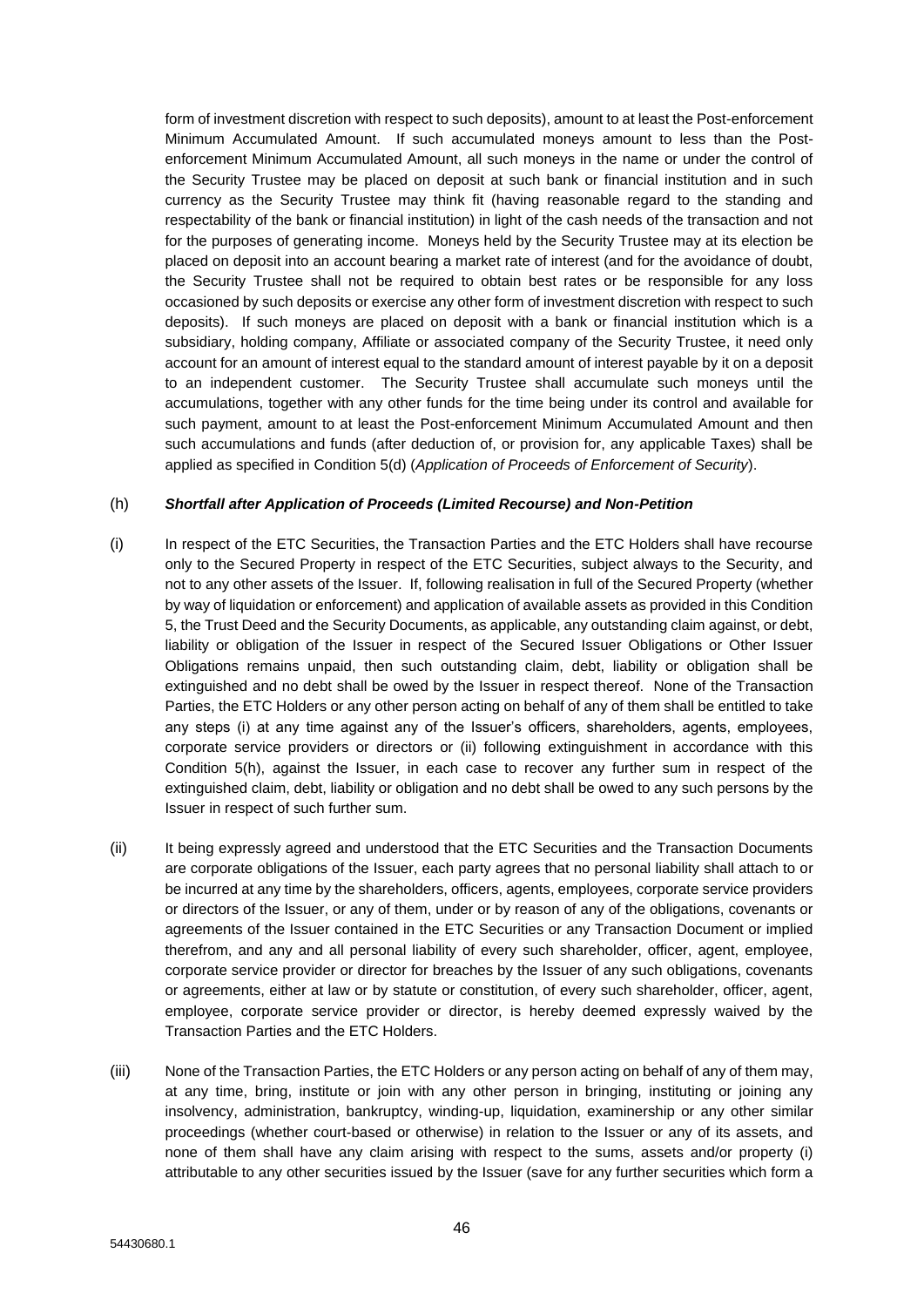form of investment discretion with respect to such deposits), amount to at least the Post-enforcement Minimum Accumulated Amount. If such accumulated moneys amount to less than the Postenforcement Minimum Accumulated Amount, all such moneys in the name or under the control of the Security Trustee may be placed on deposit at such bank or financial institution and in such currency as the Security Trustee may think fit (having reasonable regard to the standing and respectability of the bank or financial institution) in light of the cash needs of the transaction and not for the purposes of generating income. Moneys held by the Security Trustee may at its election be placed on deposit into an account bearing a market rate of interest (and for the avoidance of doubt, the Security Trustee shall not be required to obtain best rates or be responsible for any loss occasioned by such deposits or exercise any other form of investment discretion with respect to such deposits). If such moneys are placed on deposit with a bank or financial institution which is a subsidiary, holding company, Affiliate or associated company of the Security Trustee, it need only account for an amount of interest equal to the standard amount of interest payable by it on a deposit to an independent customer. The Security Trustee shall accumulate such moneys until the accumulations, together with any other funds for the time being under its control and available for such payment, amount to at least the Post-enforcement Minimum Accumulated Amount and then such accumulations and funds (after deduction of, or provision for, any applicable Taxes) shall be applied as specified in Condition 5(d) (*Application of Proceeds of Enforcement of Security*).

## (h) *Shortfall after Application of Proceeds (Limited Recourse) and Non-Petition*

- (i) In respect of the ETC Securities, the Transaction Parties and the ETC Holders shall have recourse only to the Secured Property in respect of the ETC Securities, subject always to the Security, and not to any other assets of the Issuer. If, following realisation in full of the Secured Property (whether by way of liquidation or enforcement) and application of available assets as provided in this Condition 5, the Trust Deed and the Security Documents, as applicable, any outstanding claim against, or debt, liability or obligation of the Issuer in respect of the Secured Issuer Obligations or Other Issuer Obligations remains unpaid, then such outstanding claim, debt, liability or obligation shall be extinguished and no debt shall be owed by the Issuer in respect thereof. None of the Transaction Parties, the ETC Holders or any other person acting on behalf of any of them shall be entitled to take any steps (i) at any time against any of the Issuer's officers, shareholders, agents, employees, corporate service providers or directors or (ii) following extinguishment in accordance with this Condition 5(h), against the Issuer, in each case to recover any further sum in respect of the extinguished claim, debt, liability or obligation and no debt shall be owed to any such persons by the Issuer in respect of such further sum.
- (ii) It being expressly agreed and understood that the ETC Securities and the Transaction Documents are corporate obligations of the Issuer, each party agrees that no personal liability shall attach to or be incurred at any time by the shareholders, officers, agents, employees, corporate service providers or directors of the Issuer, or any of them, under or by reason of any of the obligations, covenants or agreements of the Issuer contained in the ETC Securities or any Transaction Document or implied therefrom, and any and all personal liability of every such shareholder, officer, agent, employee, corporate service provider or director for breaches by the Issuer of any such obligations, covenants or agreements, either at law or by statute or constitution, of every such shareholder, officer, agent, employee, corporate service provider or director, is hereby deemed expressly waived by the Transaction Parties and the ETC Holders.
- (iii) None of the Transaction Parties, the ETC Holders or any person acting on behalf of any of them may, at any time, bring, institute or join with any other person in bringing, instituting or joining any insolvency, administration, bankruptcy, winding-up, liquidation, examinership or any other similar proceedings (whether court-based or otherwise) in relation to the Issuer or any of its assets, and none of them shall have any claim arising with respect to the sums, assets and/or property (i) attributable to any other securities issued by the Issuer (save for any further securities which form a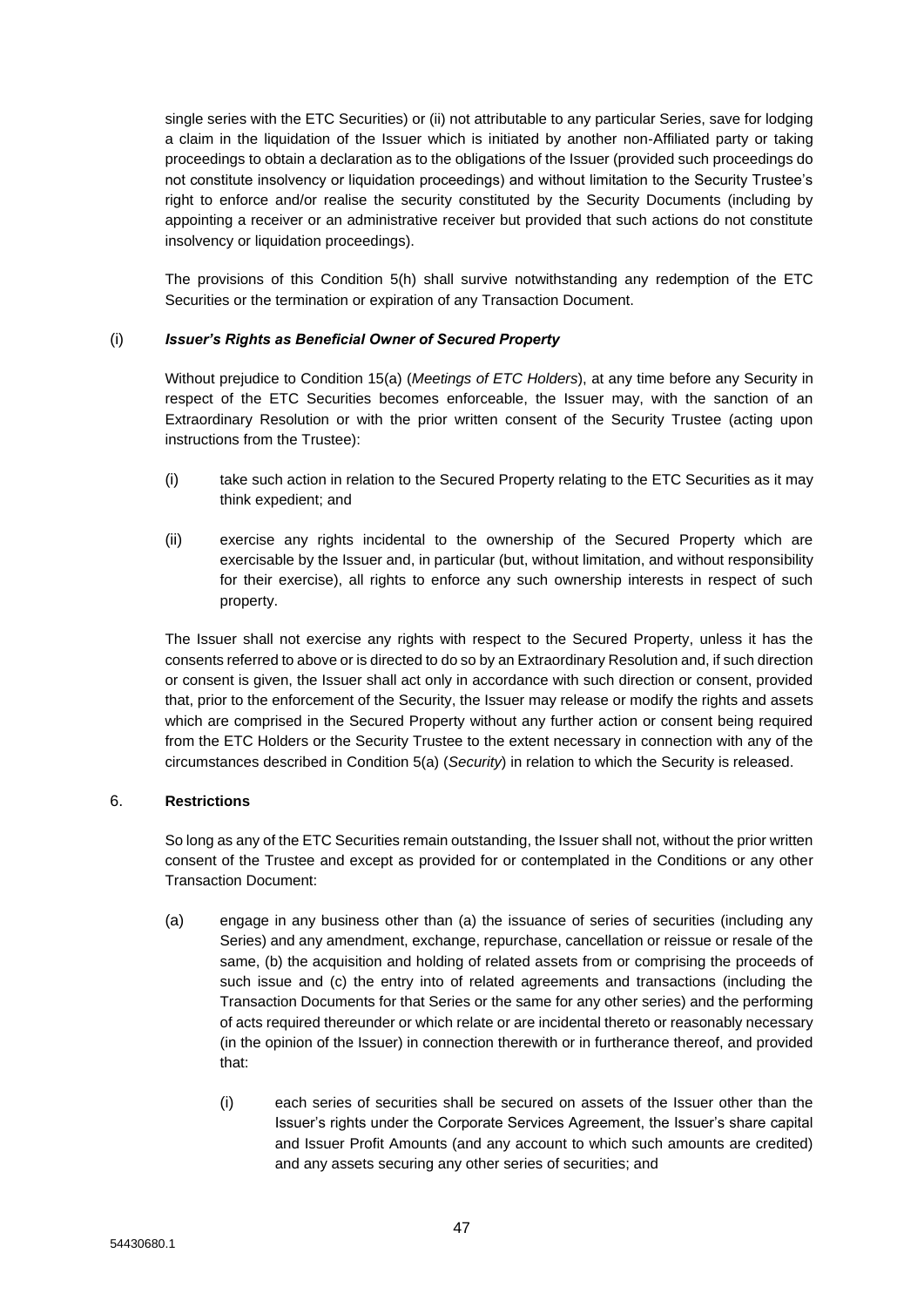single series with the ETC Securities) or (ii) not attributable to any particular Series, save for lodging a claim in the liquidation of the Issuer which is initiated by another non-Affiliated party or taking proceedings to obtain a declaration as to the obligations of the Issuer (provided such proceedings do not constitute insolvency or liquidation proceedings) and without limitation to the Security Trustee's right to enforce and/or realise the security constituted by the Security Documents (including by appointing a receiver or an administrative receiver but provided that such actions do not constitute insolvency or liquidation proceedings).

The provisions of this Condition 5(h) shall survive notwithstanding any redemption of the ETC Securities or the termination or expiration of any Transaction Document.

## (i) *Issuer's Rights as Beneficial Owner of Secured Property*

Without prejudice to Condition 15(a) (*Meetings of ETC Holders*), at any time before any Security in respect of the ETC Securities becomes enforceable, the Issuer may, with the sanction of an Extraordinary Resolution or with the prior written consent of the Security Trustee (acting upon instructions from the Trustee):

- (i) take such action in relation to the Secured Property relating to the ETC Securities as it may think expedient; and
- (ii) exercise any rights incidental to the ownership of the Secured Property which are exercisable by the Issuer and, in particular (but, without limitation, and without responsibility for their exercise), all rights to enforce any such ownership interests in respect of such property.

The Issuer shall not exercise any rights with respect to the Secured Property, unless it has the consents referred to above or is directed to do so by an Extraordinary Resolution and, if such direction or consent is given, the Issuer shall act only in accordance with such direction or consent, provided that, prior to the enforcement of the Security, the Issuer may release or modify the rights and assets which are comprised in the Secured Property without any further action or consent being required from the ETC Holders or the Security Trustee to the extent necessary in connection with any of the circumstances described in Condition 5(a) (*Security*) in relation to which the Security is released.

# 6. **Restrictions**

So long as any of the ETC Securities remain outstanding, the Issuer shall not, without the prior written consent of the Trustee and except as provided for or contemplated in the Conditions or any other Transaction Document:

- (a) engage in any business other than (a) the issuance of series of securities (including any Series) and any amendment, exchange, repurchase, cancellation or reissue or resale of the same, (b) the acquisition and holding of related assets from or comprising the proceeds of such issue and (c) the entry into of related agreements and transactions (including the Transaction Documents for that Series or the same for any other series) and the performing of acts required thereunder or which relate or are incidental thereto or reasonably necessary (in the opinion of the Issuer) in connection therewith or in furtherance thereof, and provided that:
	- (i) each series of securities shall be secured on assets of the Issuer other than the Issuer's rights under the Corporate Services Agreement, the Issuer's share capital and Issuer Profit Amounts (and any account to which such amounts are credited) and any assets securing any other series of securities; and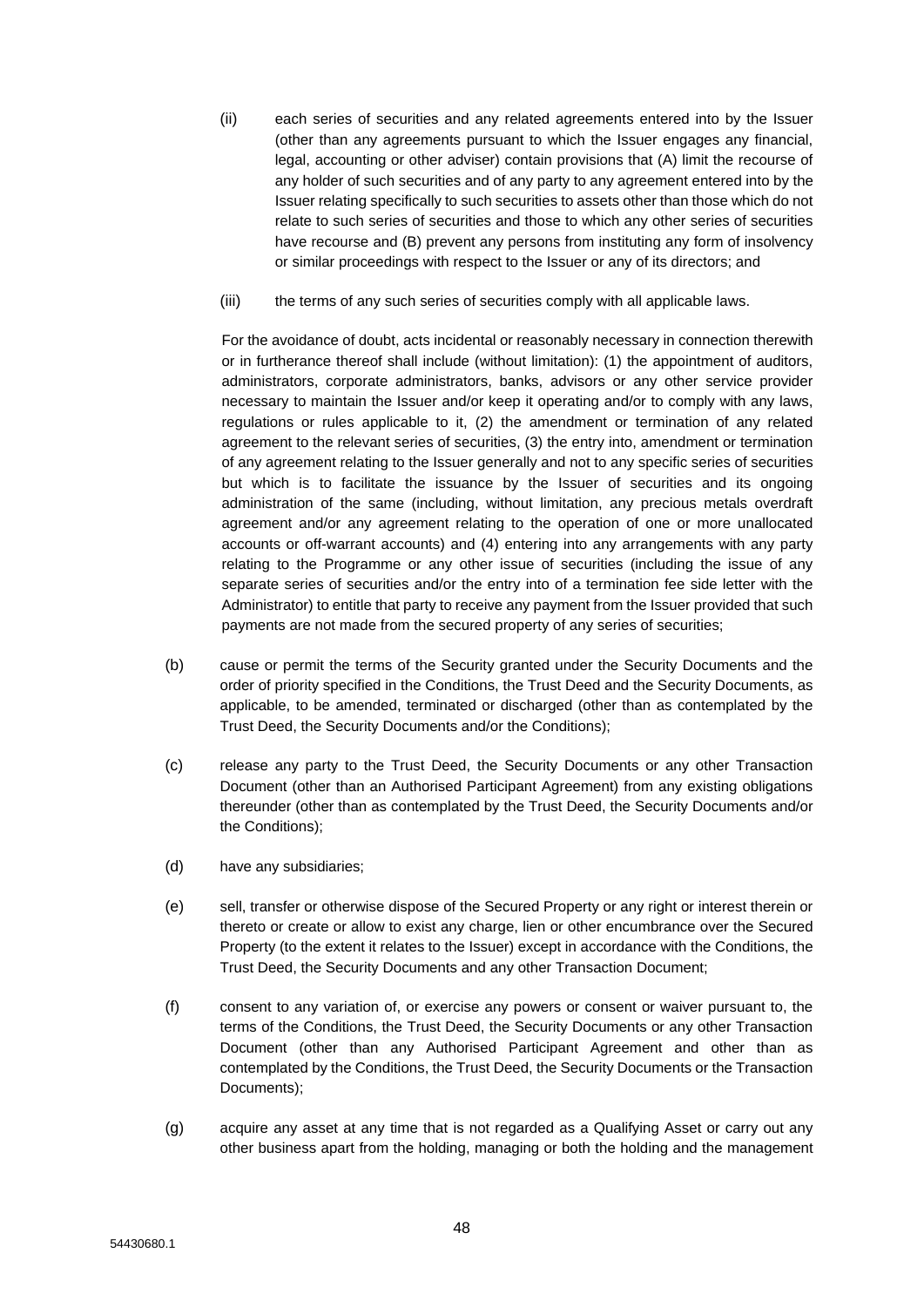- (ii) each series of securities and any related agreements entered into by the Issuer (other than any agreements pursuant to which the Issuer engages any financial, legal, accounting or other adviser) contain provisions that (A) limit the recourse of any holder of such securities and of any party to any agreement entered into by the Issuer relating specifically to such securities to assets other than those which do not relate to such series of securities and those to which any other series of securities have recourse and (B) prevent any persons from instituting any form of insolvency or similar proceedings with respect to the Issuer or any of its directors; and
- (iii) the terms of any such series of securities comply with all applicable laws.

For the avoidance of doubt, acts incidental or reasonably necessary in connection therewith or in furtherance thereof shall include (without limitation): (1) the appointment of auditors, administrators, corporate administrators, banks, advisors or any other service provider necessary to maintain the Issuer and/or keep it operating and/or to comply with any laws, regulations or rules applicable to it, (2) the amendment or termination of any related agreement to the relevant series of securities, (3) the entry into, amendment or termination of any agreement relating to the Issuer generally and not to any specific series of securities but which is to facilitate the issuance by the Issuer of securities and its ongoing administration of the same (including, without limitation, any precious metals overdraft agreement and/or any agreement relating to the operation of one or more unallocated accounts or off-warrant accounts) and (4) entering into any arrangements with any party relating to the Programme or any other issue of securities (including the issue of any separate series of securities and/or the entry into of a termination fee side letter with the Administrator) to entitle that party to receive any payment from the Issuer provided that such payments are not made from the secured property of any series of securities;

- (b) cause or permit the terms of the Security granted under the Security Documents and the order of priority specified in the Conditions, the Trust Deed and the Security Documents, as applicable, to be amended, terminated or discharged (other than as contemplated by the Trust Deed, the Security Documents and/or the Conditions);
- (c) release any party to the Trust Deed, the Security Documents or any other Transaction Document (other than an Authorised Participant Agreement) from any existing obligations thereunder (other than as contemplated by the Trust Deed, the Security Documents and/or the Conditions);
- (d) have any subsidiaries;
- (e) sell, transfer or otherwise dispose of the Secured Property or any right or interest therein or thereto or create or allow to exist any charge, lien or other encumbrance over the Secured Property (to the extent it relates to the Issuer) except in accordance with the Conditions, the Trust Deed, the Security Documents and any other Transaction Document;
- (f) consent to any variation of, or exercise any powers or consent or waiver pursuant to, the terms of the Conditions, the Trust Deed, the Security Documents or any other Transaction Document (other than any Authorised Participant Agreement and other than as contemplated by the Conditions, the Trust Deed, the Security Documents or the Transaction Documents);
- (g) acquire any asset at any time that is not regarded as a Qualifying Asset or carry out any other business apart from the holding, managing or both the holding and the management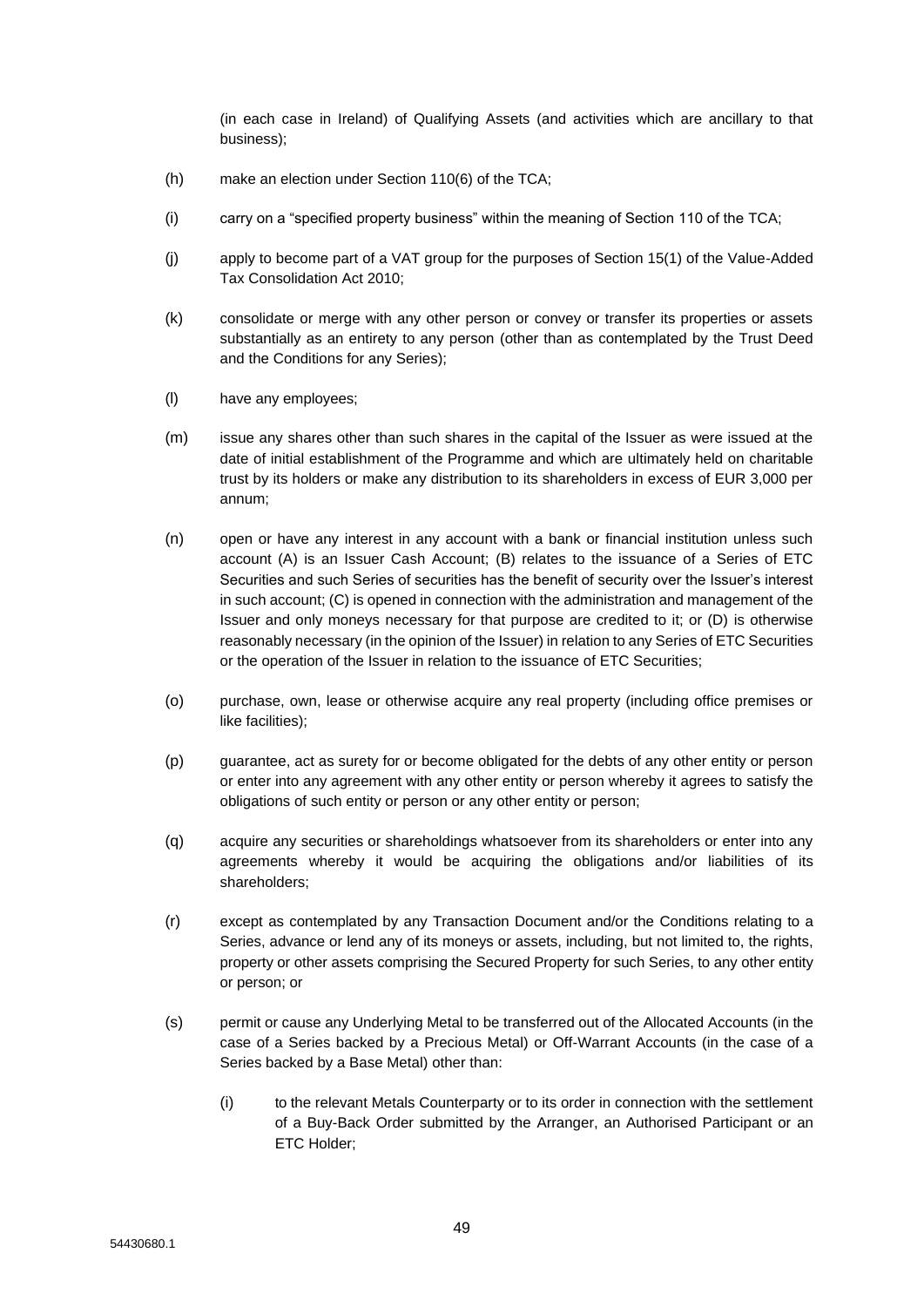(in each case in Ireland) of Qualifying Assets (and activities which are ancillary to that business);

- (h) make an election under Section 110(6) of the TCA;
- (i) carry on a "specified property business" within the meaning of Section 110 of the TCA;
- (j) apply to become part of a VAT group for the purposes of Section 15(1) of the Value-Added Tax Consolidation Act 2010;
- (k) consolidate or merge with any other person or convey or transfer its properties or assets substantially as an entirety to any person (other than as contemplated by the Trust Deed and the Conditions for any Series);
- (l) have any employees;
- (m) issue any shares other than such shares in the capital of the Issuer as were issued at the date of initial establishment of the Programme and which are ultimately held on charitable trust by its holders or make any distribution to its shareholders in excess of EUR 3,000 per annum;
- (n) open or have any interest in any account with a bank or financial institution unless such account (A) is an Issuer Cash Account; (B) relates to the issuance of a Series of ETC Securities and such Series of securities has the benefit of security over the Issuer's interest in such account; (C) is opened in connection with the administration and management of the Issuer and only moneys necessary for that purpose are credited to it; or (D) is otherwise reasonably necessary (in the opinion of the Issuer) in relation to any Series of ETC Securities or the operation of the Issuer in relation to the issuance of ETC Securities;
- (o) purchase, own, lease or otherwise acquire any real property (including office premises or like facilities);
- (p) guarantee, act as surety for or become obligated for the debts of any other entity or person or enter into any agreement with any other entity or person whereby it agrees to satisfy the obligations of such entity or person or any other entity or person;
- (q) acquire any securities or shareholdings whatsoever from its shareholders or enter into any agreements whereby it would be acquiring the obligations and/or liabilities of its shareholders;
- (r) except as contemplated by any Transaction Document and/or the Conditions relating to a Series, advance or lend any of its moneys or assets, including, but not limited to, the rights, property or other assets comprising the Secured Property for such Series, to any other entity or person; or
- (s) permit or cause any Underlying Metal to be transferred out of the Allocated Accounts (in the case of a Series backed by a Precious Metal) or Off-Warrant Accounts (in the case of a Series backed by a Base Metal) other than:
	- (i) to the relevant Metals Counterparty or to its order in connection with the settlement of a Buy-Back Order submitted by the Arranger, an Authorised Participant or an ETC Holder;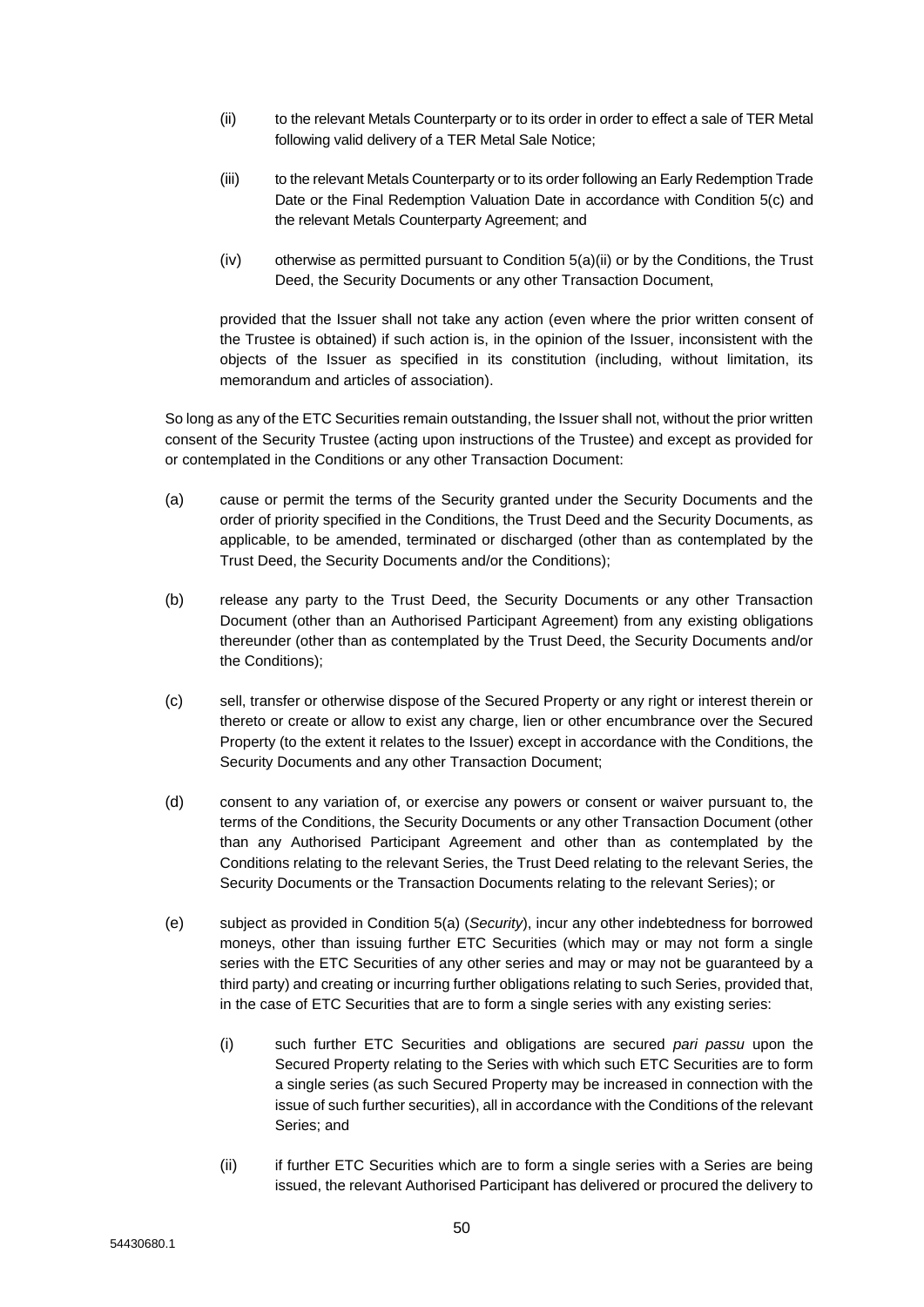- (ii) to the relevant Metals Counterparty or to its order in order to effect a sale of TER Metal following valid delivery of a TER Metal Sale Notice;
- (iii) to the relevant Metals Counterparty or to its order following an Early Redemption Trade Date or the Final Redemption Valuation Date in accordance with Condition 5(c) and the relevant Metals Counterparty Agreement; and
- (iv) otherwise as permitted pursuant to Condition 5(a)(ii) or by the Conditions, the Trust Deed, the Security Documents or any other Transaction Document,

provided that the Issuer shall not take any action (even where the prior written consent of the Trustee is obtained) if such action is, in the opinion of the Issuer, inconsistent with the objects of the Issuer as specified in its constitution (including, without limitation, its memorandum and articles of association).

So long as any of the ETC Securities remain outstanding, the Issuer shall not, without the prior written consent of the Security Trustee (acting upon instructions of the Trustee) and except as provided for or contemplated in the Conditions or any other Transaction Document:

- (a) cause or permit the terms of the Security granted under the Security Documents and the order of priority specified in the Conditions, the Trust Deed and the Security Documents, as applicable, to be amended, terminated or discharged (other than as contemplated by the Trust Deed, the Security Documents and/or the Conditions);
- (b) release any party to the Trust Deed, the Security Documents or any other Transaction Document (other than an Authorised Participant Agreement) from any existing obligations thereunder (other than as contemplated by the Trust Deed, the Security Documents and/or the Conditions);
- (c) sell, transfer or otherwise dispose of the Secured Property or any right or interest therein or thereto or create or allow to exist any charge, lien or other encumbrance over the Secured Property (to the extent it relates to the Issuer) except in accordance with the Conditions, the Security Documents and any other Transaction Document;
- (d) consent to any variation of, or exercise any powers or consent or waiver pursuant to, the terms of the Conditions, the Security Documents or any other Transaction Document (other than any Authorised Participant Agreement and other than as contemplated by the Conditions relating to the relevant Series, the Trust Deed relating to the relevant Series, the Security Documents or the Transaction Documents relating to the relevant Series); or
- (e) subject as provided in Condition 5(a) (*Security*), incur any other indebtedness for borrowed moneys, other than issuing further ETC Securities (which may or may not form a single series with the ETC Securities of any other series and may or may not be guaranteed by a third party) and creating or incurring further obligations relating to such Series, provided that, in the case of ETC Securities that are to form a single series with any existing series:
	- (i) such further ETC Securities and obligations are secured *pari passu* upon the Secured Property relating to the Series with which such ETC Securities are to form a single series (as such Secured Property may be increased in connection with the issue of such further securities), all in accordance with the Conditions of the relevant Series; and
	- (ii) if further ETC Securities which are to form a single series with a Series are being issued, the relevant Authorised Participant has delivered or procured the delivery to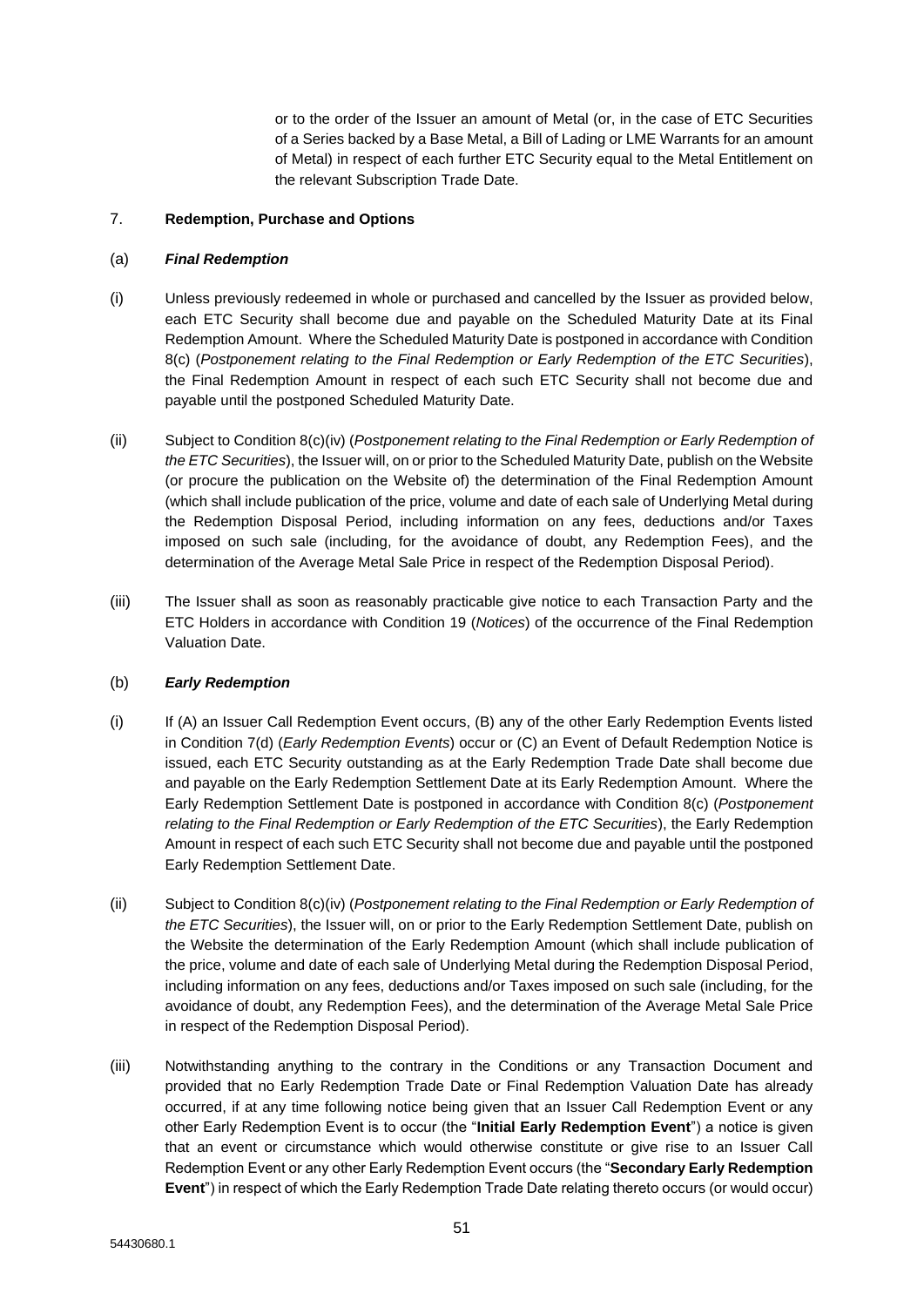or to the order of the Issuer an amount of Metal (or, in the case of ETC Securities of a Series backed by a Base Metal, a Bill of Lading or LME Warrants for an amount of Metal) in respect of each further ETC Security equal to the Metal Entitlement on the relevant Subscription Trade Date.

## 7. **Redemption, Purchase and Options**

### (a) *Final Redemption*

- (i) Unless previously redeemed in whole or purchased and cancelled by the Issuer as provided below, each ETC Security shall become due and payable on the Scheduled Maturity Date at its Final Redemption Amount. Where the Scheduled Maturity Date is postponed in accordance with Condition 8(c) (*Postponement relating to the Final Redemption or Early Redemption of the ETC Securities*), the Final Redemption Amount in respect of each such ETC Security shall not become due and payable until the postponed Scheduled Maturity Date.
- (ii) Subject to Condition 8(c)(iv) (*Postponement relating to the Final Redemption or Early Redemption of the ETC Securities*), the Issuer will, on or prior to the Scheduled Maturity Date, publish on the Website (or procure the publication on the Website of) the determination of the Final Redemption Amount (which shall include publication of the price, volume and date of each sale of Underlying Metal during the Redemption Disposal Period, including information on any fees, deductions and/or Taxes imposed on such sale (including, for the avoidance of doubt, any Redemption Fees), and the determination of the Average Metal Sale Price in respect of the Redemption Disposal Period).
- (iii) The Issuer shall as soon as reasonably practicable give notice to each Transaction Party and the ETC Holders in accordance with Condition 19 (*Notices*) of the occurrence of the Final Redemption Valuation Date.

### (b) *Early Redemption*

- (i) If (A) an Issuer Call Redemption Event occurs, (B) any of the other Early Redemption Events listed in Condition 7(d) (*Early Redemption Events*) occur or (C) an Event of Default Redemption Notice is issued, each ETC Security outstanding as at the Early Redemption Trade Date shall become due and payable on the Early Redemption Settlement Date at its Early Redemption Amount. Where the Early Redemption Settlement Date is postponed in accordance with Condition 8(c) (*Postponement relating to the Final Redemption or Early Redemption of the ETC Securities*), the Early Redemption Amount in respect of each such ETC Security shall not become due and payable until the postponed Early Redemption Settlement Date.
- (ii) Subject to Condition 8(c)(iv) (*Postponement relating to the Final Redemption or Early Redemption of the ETC Securities*), the Issuer will, on or prior to the Early Redemption Settlement Date, publish on the Website the determination of the Early Redemption Amount (which shall include publication of the price, volume and date of each sale of Underlying Metal during the Redemption Disposal Period, including information on any fees, deductions and/or Taxes imposed on such sale (including, for the avoidance of doubt, any Redemption Fees), and the determination of the Average Metal Sale Price in respect of the Redemption Disposal Period).
- (iii) Notwithstanding anything to the contrary in the Conditions or any Transaction Document and provided that no Early Redemption Trade Date or Final Redemption Valuation Date has already occurred, if at any time following notice being given that an Issuer Call Redemption Event or any other Early Redemption Event is to occur (the "**Initial Early Redemption Event**") a notice is given that an event or circumstance which would otherwise constitute or give rise to an Issuer Call Redemption Event or any other Early Redemption Event occurs (the "**Secondary Early Redemption Event**") in respect of which the Early Redemption Trade Date relating thereto occurs (or would occur)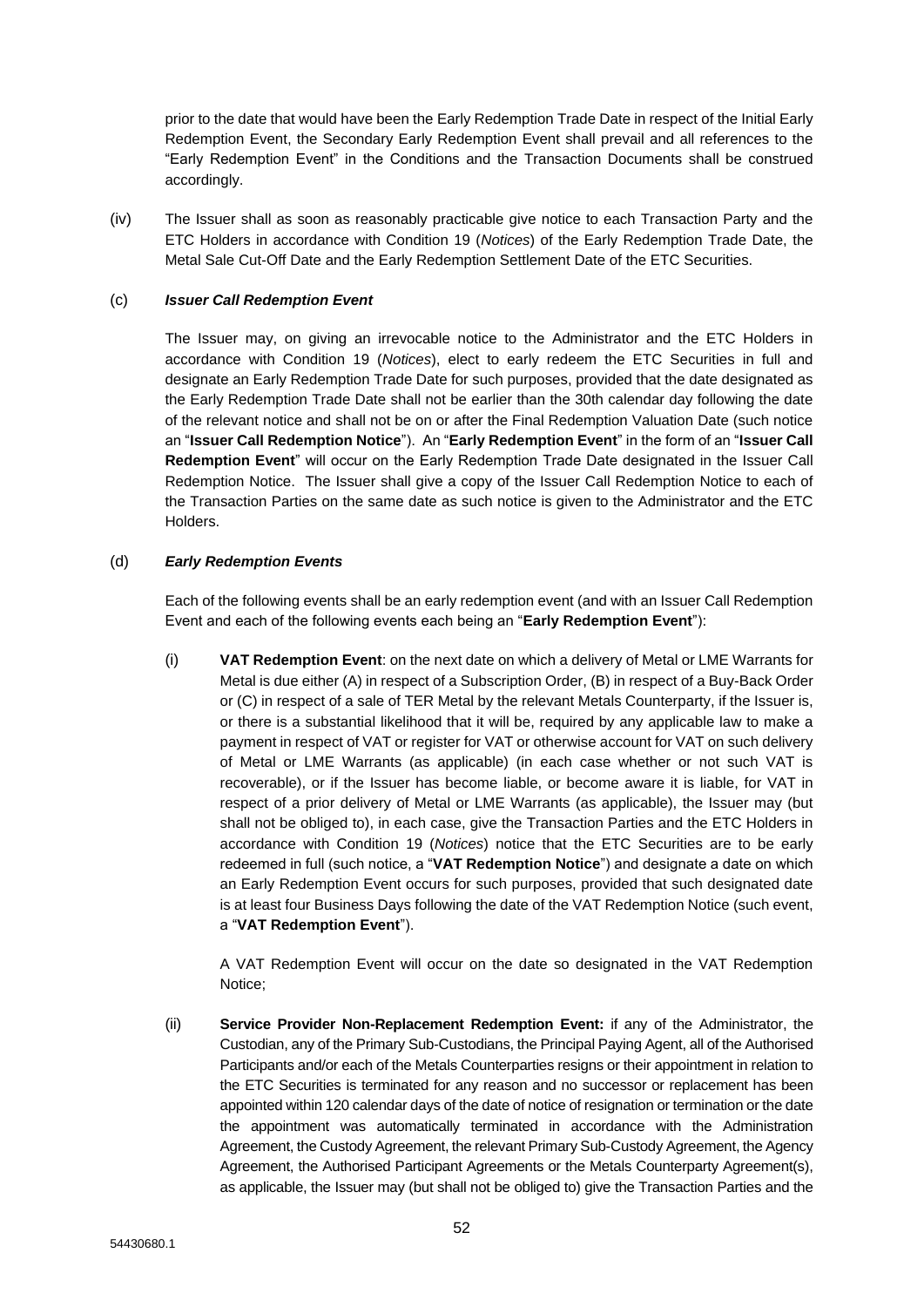prior to the date that would have been the Early Redemption Trade Date in respect of the Initial Early Redemption Event, the Secondary Early Redemption Event shall prevail and all references to the "Early Redemption Event" in the Conditions and the Transaction Documents shall be construed accordingly.

(iv) The Issuer shall as soon as reasonably practicable give notice to each Transaction Party and the ETC Holders in accordance with Condition 19 (*Notices*) of the Early Redemption Trade Date, the Metal Sale Cut-Off Date and the Early Redemption Settlement Date of the ETC Securities.

## (c) *Issuer Call Redemption Event*

The Issuer may, on giving an irrevocable notice to the Administrator and the ETC Holders in accordance with Condition 19 (*Notices*), elect to early redeem the ETC Securities in full and designate an Early Redemption Trade Date for such purposes, provided that the date designated as the Early Redemption Trade Date shall not be earlier than the 30th calendar day following the date of the relevant notice and shall not be on or after the Final Redemption Valuation Date (such notice an "**Issuer Call Redemption Notice**"). An "**Early Redemption Event**" in the form of an "**Issuer Call Redemption Event**" will occur on the Early Redemption Trade Date designated in the Issuer Call Redemption Notice. The Issuer shall give a copy of the Issuer Call Redemption Notice to each of the Transaction Parties on the same date as such notice is given to the Administrator and the ETC Holders.

## (d) *Early Redemption Events*

Each of the following events shall be an early redemption event (and with an Issuer Call Redemption Event and each of the following events each being an "**Early Redemption Event**"):

(i) **VAT Redemption Event**: on the next date on which a delivery of Metal or LME Warrants for Metal is due either (A) in respect of a Subscription Order, (B) in respect of a Buy-Back Order or (C) in respect of a sale of TER Metal by the relevant Metals Counterparty, if the Issuer is, or there is a substantial likelihood that it will be, required by any applicable law to make a payment in respect of VAT or register for VAT or otherwise account for VAT on such delivery of Metal or LME Warrants (as applicable) (in each case whether or not such VAT is recoverable), or if the Issuer has become liable, or become aware it is liable, for VAT in respect of a prior delivery of Metal or LME Warrants (as applicable), the Issuer may (but shall not be obliged to), in each case, give the Transaction Parties and the ETC Holders in accordance with Condition 19 (*Notices*) notice that the ETC Securities are to be early redeemed in full (such notice, a "**VAT Redemption Notice**") and designate a date on which an Early Redemption Event occurs for such purposes, provided that such designated date is at least four Business Days following the date of the VAT Redemption Notice (such event, a "**VAT Redemption Event**").

A VAT Redemption Event will occur on the date so designated in the VAT Redemption Notice;

(ii) **Service Provider Non-Replacement Redemption Event:** if any of the Administrator, the Custodian, any of the Primary Sub-Custodians, the Principal Paying Agent, all of the Authorised Participants and/or each of the Metals Counterparties resigns or their appointment in relation to the ETC Securities is terminated for any reason and no successor or replacement has been appointed within 120 calendar days of the date of notice of resignation or termination or the date the appointment was automatically terminated in accordance with the Administration Agreement, the Custody Agreement, the relevant Primary Sub-Custody Agreement, the Agency Agreement, the Authorised Participant Agreements or the Metals Counterparty Agreement(s), as applicable, the Issuer may (but shall not be obliged to) give the Transaction Parties and the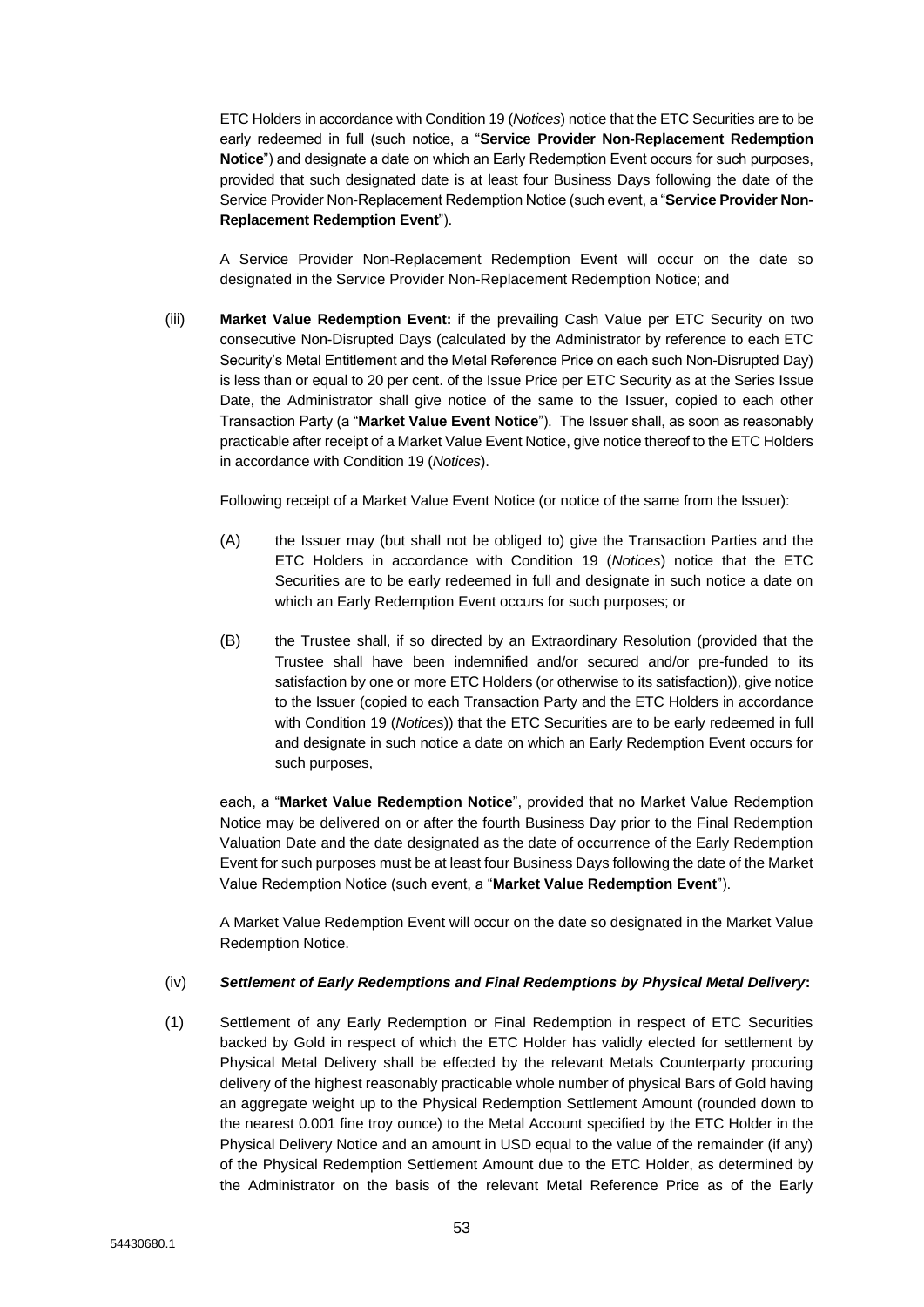ETC Holders in accordance with Condition 19 (*Notices*) notice that the ETC Securities are to be early redeemed in full (such notice, a "**Service Provider Non-Replacement Redemption Notice**") and designate a date on which an Early Redemption Event occurs for such purposes, provided that such designated date is at least four Business Days following the date of the Service Provider Non-Replacement Redemption Notice (such event, a "**Service Provider Non-Replacement Redemption Event**").

A Service Provider Non-Replacement Redemption Event will occur on the date so designated in the Service Provider Non-Replacement Redemption Notice; and

(iii) **Market Value Redemption Event:** if the prevailing Cash Value per ETC Security on two consecutive Non-Disrupted Days (calculated by the Administrator by reference to each ETC Security's Metal Entitlement and the Metal Reference Price on each such Non-Disrupted Day) is less than or equal to 20 per cent. of the Issue Price per ETC Security as at the Series Issue Date, the Administrator shall give notice of the same to the Issuer, copied to each other Transaction Party (a "**Market Value Event Notice**"). The Issuer shall, as soon as reasonably practicable after receipt of a Market Value Event Notice, give notice thereof to the ETC Holders in accordance with Condition 19 (*Notices*).

Following receipt of a Market Value Event Notice (or notice of the same from the Issuer):

- (A) the Issuer may (but shall not be obliged to) give the Transaction Parties and the ETC Holders in accordance with Condition 19 (*Notices*) notice that the ETC Securities are to be early redeemed in full and designate in such notice a date on which an Early Redemption Event occurs for such purposes; or
- (B) the Trustee shall, if so directed by an Extraordinary Resolution (provided that the Trustee shall have been indemnified and/or secured and/or pre-funded to its satisfaction by one or more ETC Holders (or otherwise to its satisfaction)), give notice to the Issuer (copied to each Transaction Party and the ETC Holders in accordance with Condition 19 (*Notices*)) that the ETC Securities are to be early redeemed in full and designate in such notice a date on which an Early Redemption Event occurs for such purposes,

each, a "**Market Value Redemption Notice**", provided that no Market Value Redemption Notice may be delivered on or after the fourth Business Day prior to the Final Redemption Valuation Date and the date designated as the date of occurrence of the Early Redemption Event for such purposes must be at least four Business Days following the date of the Market Value Redemption Notice (such event, a "**Market Value Redemption Event**").

A Market Value Redemption Event will occur on the date so designated in the Market Value Redemption Notice.

# (iv) *Settlement of Early Redemptions and Final Redemptions by Physical Metal Delivery***:**

(1) Settlement of any Early Redemption or Final Redemption in respect of ETC Securities backed by Gold in respect of which the ETC Holder has validly elected for settlement by Physical Metal Delivery shall be effected by the relevant Metals Counterparty procuring delivery of the highest reasonably practicable whole number of physical Bars of Gold having an aggregate weight up to the Physical Redemption Settlement Amount (rounded down to the nearest 0.001 fine troy ounce) to the Metal Account specified by the ETC Holder in the Physical Delivery Notice and an amount in USD equal to the value of the remainder (if any) of the Physical Redemption Settlement Amount due to the ETC Holder, as determined by the Administrator on the basis of the relevant Metal Reference Price as of the Early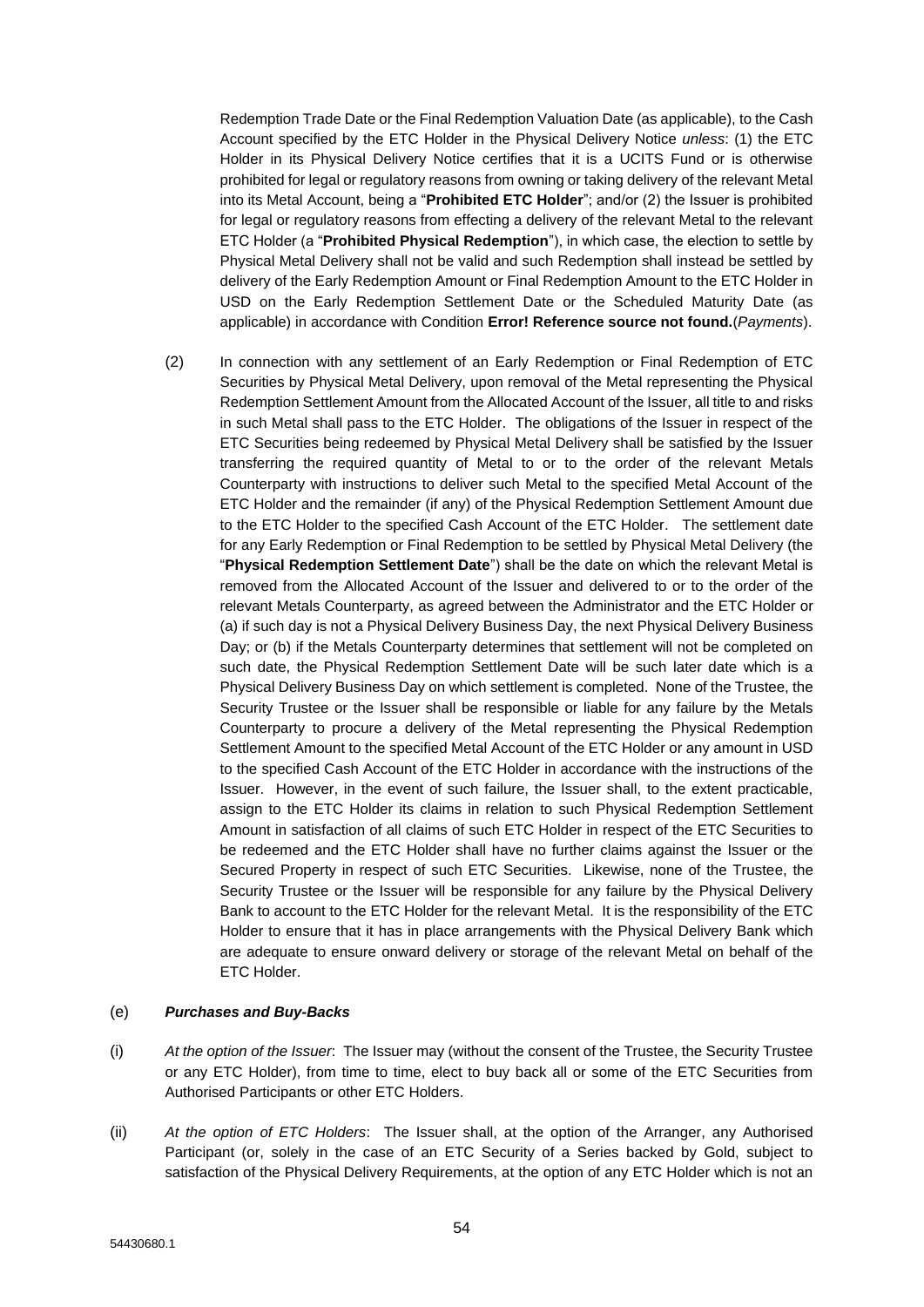Redemption Trade Date or the Final Redemption Valuation Date (as applicable), to the Cash Account specified by the ETC Holder in the Physical Delivery Notice *unless*: (1) the ETC Holder in its Physical Delivery Notice certifies that it is a UCITS Fund or is otherwise prohibited for legal or regulatory reasons from owning or taking delivery of the relevant Metal into its Metal Account, being a "**Prohibited ETC Holder**"; and/or (2) the Issuer is prohibited for legal or regulatory reasons from effecting a delivery of the relevant Metal to the relevant ETC Holder (a "**Prohibited Physical Redemption**"), in which case, the election to settle by Physical Metal Delivery shall not be valid and such Redemption shall instead be settled by delivery of the Early Redemption Amount or Final Redemption Amount to the ETC Holder in USD on the Early Redemption Settlement Date or the Scheduled Maturity Date (as applicable) in accordance with Condition **Error! Reference source not found.**(*Payments*).

(2) In connection with any settlement of an Early Redemption or Final Redemption of ETC Securities by Physical Metal Delivery, upon removal of the Metal representing the Physical Redemption Settlement Amount from the Allocated Account of the Issuer, all title to and risks in such Metal shall pass to the ETC Holder. The obligations of the Issuer in respect of the ETC Securities being redeemed by Physical Metal Delivery shall be satisfied by the Issuer transferring the required quantity of Metal to or to the order of the relevant Metals Counterparty with instructions to deliver such Metal to the specified Metal Account of the ETC Holder and the remainder (if any) of the Physical Redemption Settlement Amount due to the ETC Holder to the specified Cash Account of the ETC Holder. The settlement date for any Early Redemption or Final Redemption to be settled by Physical Metal Delivery (the "**Physical Redemption Settlement Date**") shall be the date on which the relevant Metal is removed from the Allocated Account of the Issuer and delivered to or to the order of the relevant Metals Counterparty, as agreed between the Administrator and the ETC Holder or (a) if such day is not a Physical Delivery Business Day, the next Physical Delivery Business Day; or (b) if the Metals Counterparty determines that settlement will not be completed on such date, the Physical Redemption Settlement Date will be such later date which is a Physical Delivery Business Day on which settlement is completed. None of the Trustee, the Security Trustee or the Issuer shall be responsible or liable for any failure by the Metals Counterparty to procure a delivery of the Metal representing the Physical Redemption Settlement Amount to the specified Metal Account of the ETC Holder or any amount in USD to the specified Cash Account of the ETC Holder in accordance with the instructions of the Issuer. However, in the event of such failure, the Issuer shall, to the extent practicable, assign to the ETC Holder its claims in relation to such Physical Redemption Settlement Amount in satisfaction of all claims of such ETC Holder in respect of the ETC Securities to be redeemed and the ETC Holder shall have no further claims against the Issuer or the Secured Property in respect of such ETC Securities. Likewise, none of the Trustee, the Security Trustee or the Issuer will be responsible for any failure by the Physical Delivery Bank to account to the ETC Holder for the relevant Metal. It is the responsibility of the ETC Holder to ensure that it has in place arrangements with the Physical Delivery Bank which are adequate to ensure onward delivery or storage of the relevant Metal on behalf of the ETC Holder.

## (e) *Purchases and Buy-Backs*

- (i) *At the option of the Issuer*: The Issuer may (without the consent of the Trustee, the Security Trustee or any ETC Holder), from time to time, elect to buy back all or some of the ETC Securities from Authorised Participants or other ETC Holders.
- (ii) *At the option of ETC Holders*: The Issuer shall, at the option of the Arranger, any Authorised Participant (or, solely in the case of an ETC Security of a Series backed by Gold, subject to satisfaction of the Physical Delivery Requirements, at the option of any ETC Holder which is not an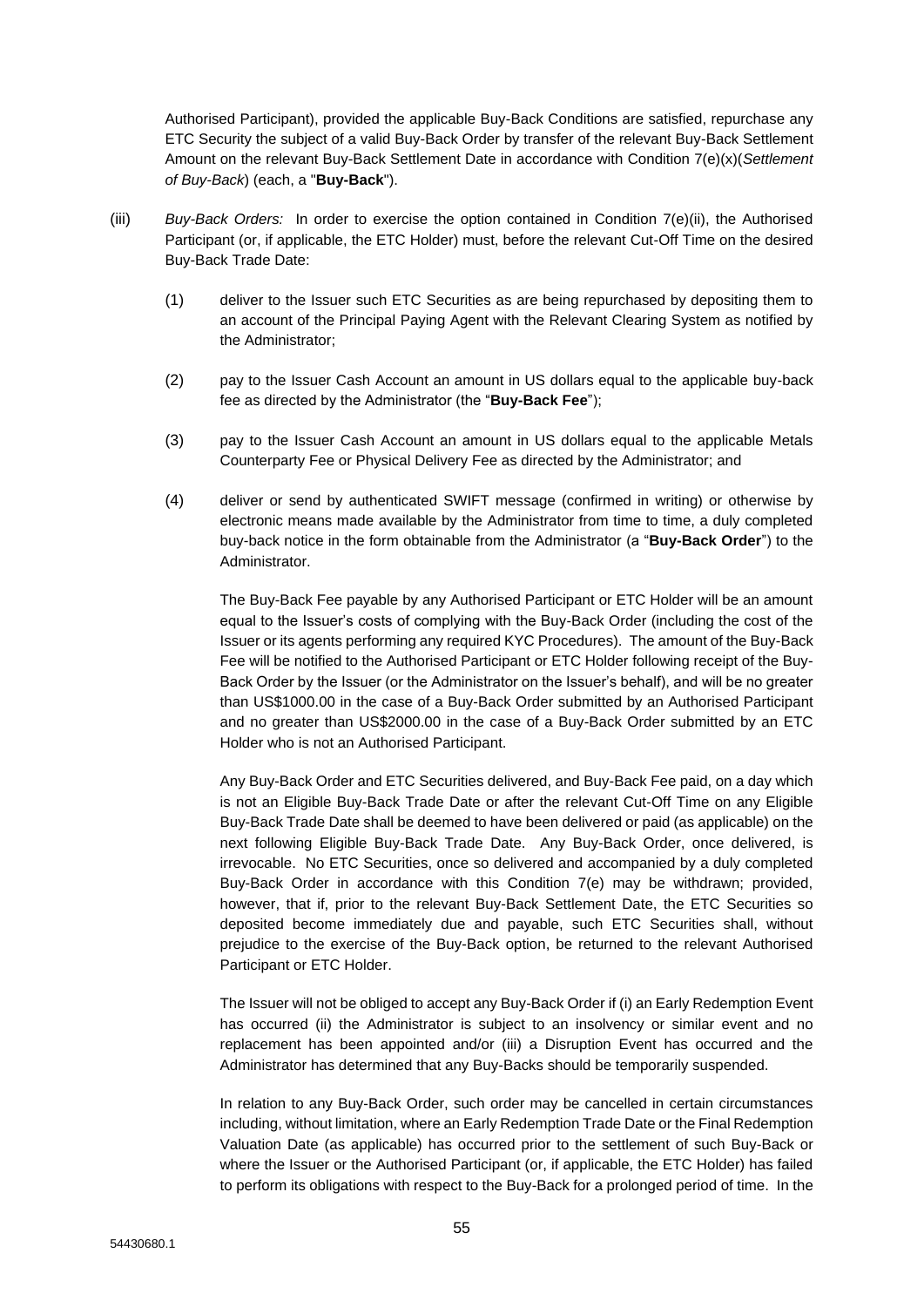Authorised Participant), provided the applicable Buy-Back Conditions are satisfied, repurchase any ETC Security the subject of a valid Buy-Back Order by transfer of the relevant Buy-Back Settlement Amount on the relevant Buy-Back Settlement Date in accordance with Condition 7(e)(x)(*Settlement of Buy-Back*) (each, a "**Buy-Back**").

- (iii) *Buy-Back Orders:* In order to exercise the option contained in Condition 7(e)(ii), the Authorised Participant (or, if applicable, the ETC Holder) must, before the relevant Cut-Off Time on the desired Buy-Back Trade Date:
	- (1) deliver to the Issuer such ETC Securities as are being repurchased by depositing them to an account of the Principal Paying Agent with the Relevant Clearing System as notified by the Administrator;
	- (2) pay to the Issuer Cash Account an amount in US dollars equal to the applicable buy-back fee as directed by the Administrator (the "**Buy-Back Fee**");
	- (3) pay to the Issuer Cash Account an amount in US dollars equal to the applicable Metals Counterparty Fee or Physical Delivery Fee as directed by the Administrator; and
	- (4) deliver or send by authenticated SWIFT message (confirmed in writing) or otherwise by electronic means made available by the Administrator from time to time, a duly completed buy-back notice in the form obtainable from the Administrator (a "**Buy-Back Order**") to the Administrator.

The Buy-Back Fee payable by any Authorised Participant or ETC Holder will be an amount equal to the Issuer's costs of complying with the Buy-Back Order (including the cost of the Issuer or its agents performing any required KYC Procedures). The amount of the Buy-Back Fee will be notified to the Authorised Participant or ETC Holder following receipt of the Buy-Back Order by the Issuer (or the Administrator on the Issuer's behalf), and will be no greater than US\$1000.00 in the case of a Buy-Back Order submitted by an Authorised Participant and no greater than US\$2000.00 in the case of a Buy-Back Order submitted by an ETC Holder who is not an Authorised Participant.

Any Buy-Back Order and ETC Securities delivered, and Buy-Back Fee paid, on a day which is not an Eligible Buy-Back Trade Date or after the relevant Cut-Off Time on any Eligible Buy-Back Trade Date shall be deemed to have been delivered or paid (as applicable) on the next following Eligible Buy-Back Trade Date. Any Buy-Back Order, once delivered, is irrevocable. No ETC Securities, once so delivered and accompanied by a duly completed Buy-Back Order in accordance with this Condition 7(e) may be withdrawn; provided, however, that if, prior to the relevant Buy-Back Settlement Date, the ETC Securities so deposited become immediately due and payable, such ETC Securities shall, without prejudice to the exercise of the Buy-Back option, be returned to the relevant Authorised Participant or ETC Holder.

The Issuer will not be obliged to accept any Buy-Back Order if (i) an Early Redemption Event has occurred (ii) the Administrator is subject to an insolvency or similar event and no replacement has been appointed and/or (iii) a Disruption Event has occurred and the Administrator has determined that any Buy-Backs should be temporarily suspended.

In relation to any Buy-Back Order, such order may be cancelled in certain circumstances including, without limitation, where an Early Redemption Trade Date or the Final Redemption Valuation Date (as applicable) has occurred prior to the settlement of such Buy-Back or where the Issuer or the Authorised Participant (or, if applicable, the ETC Holder) has failed to perform its obligations with respect to the Buy-Back for a prolonged period of time. In the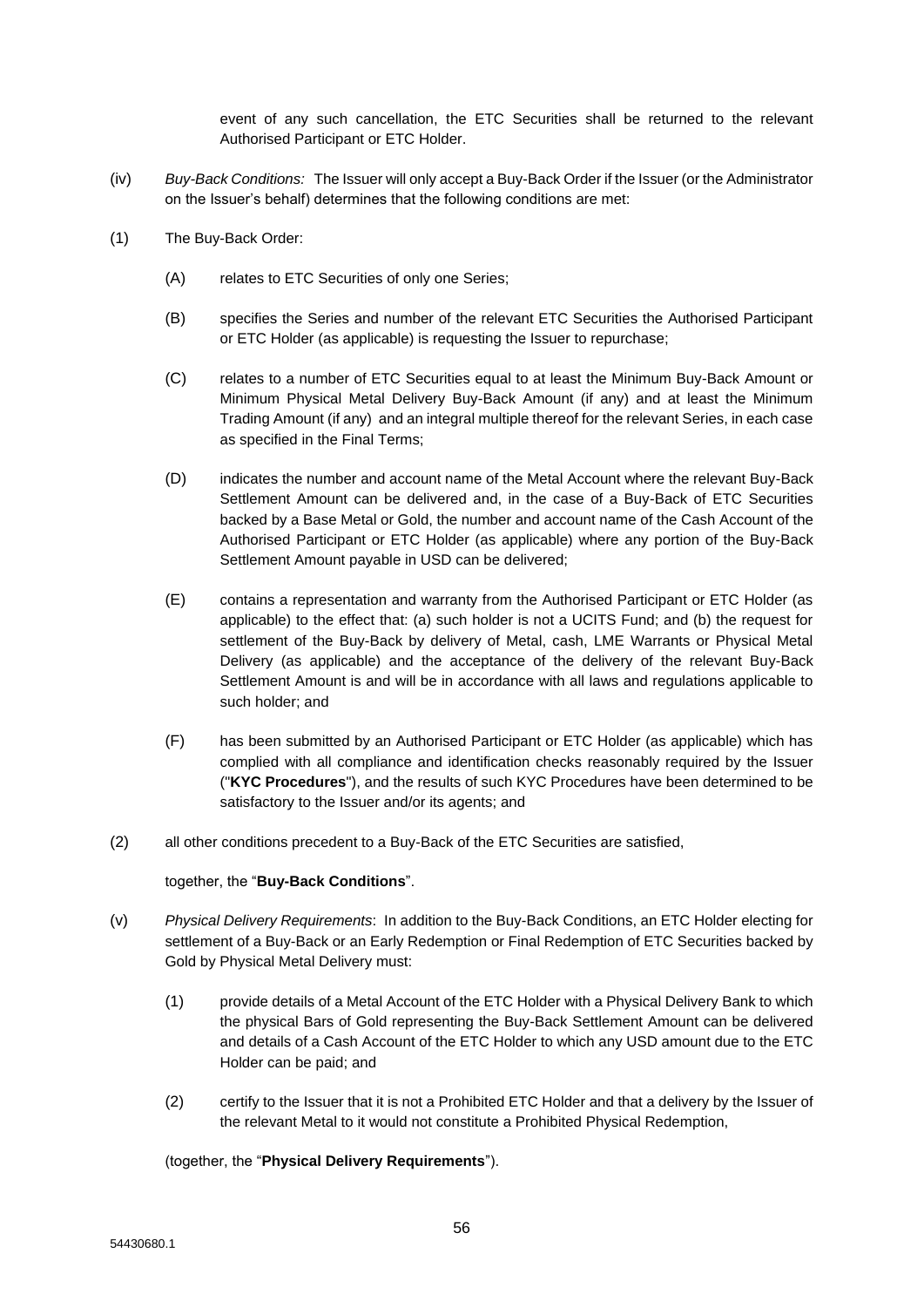event of any such cancellation, the ETC Securities shall be returned to the relevant Authorised Participant or ETC Holder.

- (iv) *Buy-Back Conditions:* The Issuer will only accept a Buy-Back Order if the Issuer (or the Administrator on the Issuer's behalf) determines that the following conditions are met:
- (1) The Buy-Back Order:
	- (A) relates to ETC Securities of only one Series;
	- (B) specifies the Series and number of the relevant ETC Securities the Authorised Participant or ETC Holder (as applicable) is requesting the Issuer to repurchase;
	- (C) relates to a number of ETC Securities equal to at least the Minimum Buy-Back Amount or Minimum Physical Metal Delivery Buy-Back Amount (if any) and at least the Minimum Trading Amount (if any) and an integral multiple thereof for the relevant Series, in each case as specified in the Final Terms;
	- (D) indicates the number and account name of the Metal Account where the relevant Buy-Back Settlement Amount can be delivered and, in the case of a Buy-Back of ETC Securities backed by a Base Metal or Gold, the number and account name of the Cash Account of the Authorised Participant or ETC Holder (as applicable) where any portion of the Buy-Back Settlement Amount payable in USD can be delivered;
	- (E) contains a representation and warranty from the Authorised Participant or ETC Holder (as applicable) to the effect that: (a) such holder is not a UCITS Fund; and (b) the request for settlement of the Buy-Back by delivery of Metal, cash, LME Warrants or Physical Metal Delivery (as applicable) and the acceptance of the delivery of the relevant Buy-Back Settlement Amount is and will be in accordance with all laws and regulations applicable to such holder; and
	- (F) has been submitted by an Authorised Participant or ETC Holder (as applicable) which has complied with all compliance and identification checks reasonably required by the Issuer ("**KYC Procedures**"), and the results of such KYC Procedures have been determined to be satisfactory to the Issuer and/or its agents; and
- (2) all other conditions precedent to a Buy-Back of the ETC Securities are satisfied,

together, the "**Buy-Back Conditions**".

- (v) *Physical Delivery Requirements*: In addition to the Buy-Back Conditions, an ETC Holder electing for settlement of a Buy-Back or an Early Redemption or Final Redemption of ETC Securities backed by Gold by Physical Metal Delivery must:
	- (1) provide details of a Metal Account of the ETC Holder with a Physical Delivery Bank to which the physical Bars of Gold representing the Buy-Back Settlement Amount can be delivered and details of a Cash Account of the ETC Holder to which any USD amount due to the ETC Holder can be paid; and
	- (2) certify to the Issuer that it is not a Prohibited ETC Holder and that a delivery by the Issuer of the relevant Metal to it would not constitute a Prohibited Physical Redemption,

(together, the "**Physical Delivery Requirements**").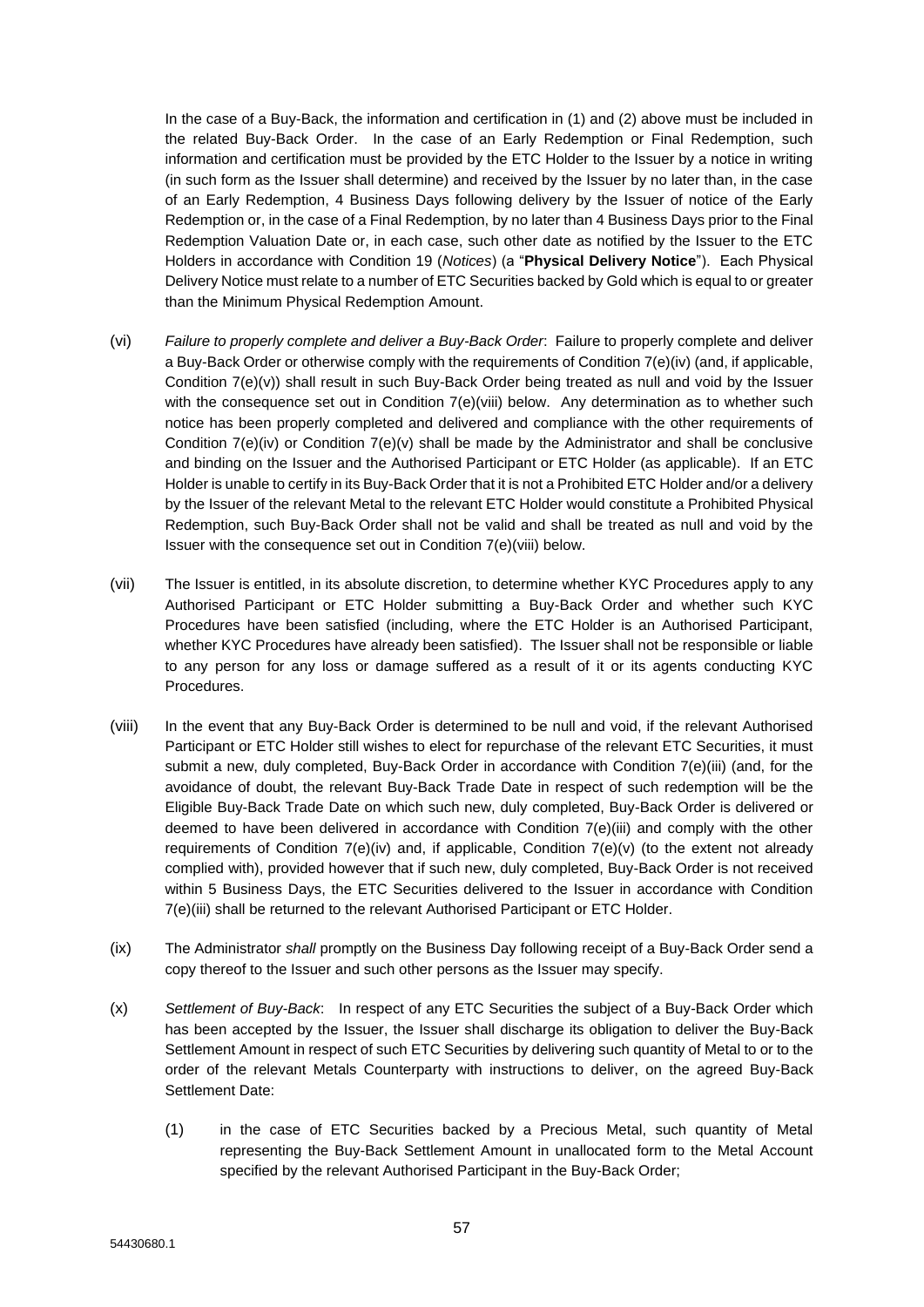In the case of a Buy-Back, the information and certification in (1) and (2) above must be included in the related Buy-Back Order. In the case of an Early Redemption or Final Redemption, such information and certification must be provided by the ETC Holder to the Issuer by a notice in writing (in such form as the Issuer shall determine) and received by the Issuer by no later than, in the case of an Early Redemption, 4 Business Days following delivery by the Issuer of notice of the Early Redemption or, in the case of a Final Redemption, by no later than 4 Business Days prior to the Final Redemption Valuation Date or, in each case, such other date as notified by the Issuer to the ETC Holders in accordance with Condition 19 (*Notices*) (a "**Physical Delivery Notice**"). Each Physical Delivery Notice must relate to a number of ETC Securities backed by Gold which is equal to or greater than the Minimum Physical Redemption Amount.

- (vi) *Failure to properly complete and deliver a Buy-Back Order*: Failure to properly complete and deliver a Buy-Back Order or otherwise comply with the requirements of Condition 7(e)(iv) (and, if applicable, Condition 7(e)(v)) shall result in such Buy-Back Order being treated as null and void by the Issuer with the consequence set out in Condition 7(e)(viii) below. Any determination as to whether such notice has been properly completed and delivered and compliance with the other requirements of Condition  $7(e)(iv)$  or Condition  $7(e)(v)$  shall be made by the Administrator and shall be conclusive and binding on the Issuer and the Authorised Participant or ETC Holder (as applicable). If an ETC Holder is unable to certify in its Buy-Back Order that it is not a Prohibited ETC Holder and/or a delivery by the Issuer of the relevant Metal to the relevant ETC Holder would constitute a Prohibited Physical Redemption, such Buy-Back Order shall not be valid and shall be treated as null and void by the Issuer with the consequence set out in Condition 7(e)(viii) below.
- (vii) The Issuer is entitled, in its absolute discretion, to determine whether KYC Procedures apply to any Authorised Participant or ETC Holder submitting a Buy-Back Order and whether such KYC Procedures have been satisfied (including, where the ETC Holder is an Authorised Participant, whether KYC Procedures have already been satisfied). The Issuer shall not be responsible or liable to any person for any loss or damage suffered as a result of it or its agents conducting KYC Procedures.
- (viii) In the event that any Buy-Back Order is determined to be null and void, if the relevant Authorised Participant or ETC Holder still wishes to elect for repurchase of the relevant ETC Securities, it must submit a new, duly completed, Buy-Back Order in accordance with Condition 7(e)(iii) (and, for the avoidance of doubt, the relevant Buy-Back Trade Date in respect of such redemption will be the Eligible Buy-Back Trade Date on which such new, duly completed, Buy-Back Order is delivered or deemed to have been delivered in accordance with Condition 7(e)(iii) and comply with the other requirements of Condition  $7(e)(iv)$  and, if applicable, Condition  $7(e)(v)$  (to the extent not already complied with), provided however that if such new, duly completed, Buy-Back Order is not received within 5 Business Days, the ETC Securities delivered to the Issuer in accordance with Condition 7(e)(iii) shall be returned to the relevant Authorised Participant or ETC Holder.
- (ix) The Administrator *shall* promptly on the Business Day following receipt of a Buy-Back Order send a copy thereof to the Issuer and such other persons as the Issuer may specify.
- (x) *Settlement of Buy-Back*: In respect of any ETC Securities the subject of a Buy-Back Order which has been accepted by the Issuer, the Issuer shall discharge its obligation to deliver the Buy-Back Settlement Amount in respect of such ETC Securities by delivering such quantity of Metal to or to the order of the relevant Metals Counterparty with instructions to deliver, on the agreed Buy-Back Settlement Date:
	- (1) in the case of ETC Securities backed by a Precious Metal, such quantity of Metal representing the Buy-Back Settlement Amount in unallocated form to the Metal Account specified by the relevant Authorised Participant in the Buy-Back Order;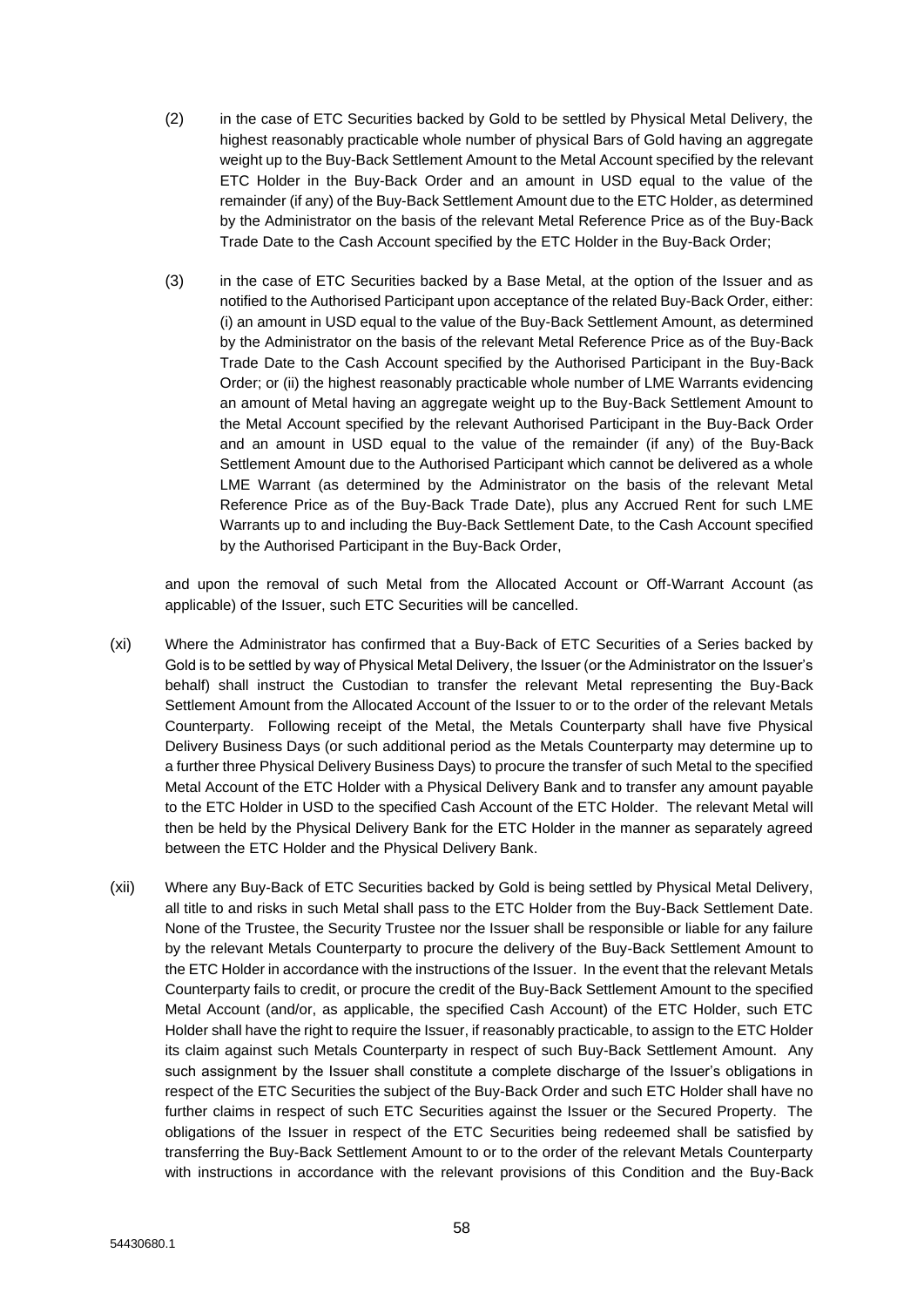- (2) in the case of ETC Securities backed by Gold to be settled by Physical Metal Delivery, the highest reasonably practicable whole number of physical Bars of Gold having an aggregate weight up to the Buy-Back Settlement Amount to the Metal Account specified by the relevant ETC Holder in the Buy-Back Order and an amount in USD equal to the value of the remainder (if any) of the Buy-Back Settlement Amount due to the ETC Holder, as determined by the Administrator on the basis of the relevant Metal Reference Price as of the Buy-Back Trade Date to the Cash Account specified by the ETC Holder in the Buy-Back Order;
- (3) in the case of ETC Securities backed by a Base Metal, at the option of the Issuer and as notified to the Authorised Participant upon acceptance of the related Buy-Back Order, either: (i) an amount in USD equal to the value of the Buy-Back Settlement Amount, as determined by the Administrator on the basis of the relevant Metal Reference Price as of the Buy-Back Trade Date to the Cash Account specified by the Authorised Participant in the Buy-Back Order; or (ii) the highest reasonably practicable whole number of LME Warrants evidencing an amount of Metal having an aggregate weight up to the Buy-Back Settlement Amount to the Metal Account specified by the relevant Authorised Participant in the Buy-Back Order and an amount in USD equal to the value of the remainder (if any) of the Buy-Back Settlement Amount due to the Authorised Participant which cannot be delivered as a whole LME Warrant (as determined by the Administrator on the basis of the relevant Metal Reference Price as of the Buy-Back Trade Date), plus any Accrued Rent for such LME Warrants up to and including the Buy-Back Settlement Date, to the Cash Account specified by the Authorised Participant in the Buy-Back Order,

and upon the removal of such Metal from the Allocated Account or Off-Warrant Account (as applicable) of the Issuer, such ETC Securities will be cancelled.

- (xi) Where the Administrator has confirmed that a Buy-Back of ETC Securities of a Series backed by Gold is to be settled by way of Physical Metal Delivery, the Issuer (or the Administrator on the Issuer's behalf) shall instruct the Custodian to transfer the relevant Metal representing the Buy-Back Settlement Amount from the Allocated Account of the Issuer to or to the order of the relevant Metals Counterparty. Following receipt of the Metal, the Metals Counterparty shall have five Physical Delivery Business Days (or such additional period as the Metals Counterparty may determine up to a further three Physical Delivery Business Days) to procure the transfer of such Metal to the specified Metal Account of the ETC Holder with a Physical Delivery Bank and to transfer any amount payable to the ETC Holder in USD to the specified Cash Account of the ETC Holder. The relevant Metal will then be held by the Physical Delivery Bank for the ETC Holder in the manner as separately agreed between the ETC Holder and the Physical Delivery Bank.
- (xii) Where any Buy-Back of ETC Securities backed by Gold is being settled by Physical Metal Delivery, all title to and risks in such Metal shall pass to the ETC Holder from the Buy-Back Settlement Date. None of the Trustee, the Security Trustee nor the Issuer shall be responsible or liable for any failure by the relevant Metals Counterparty to procure the delivery of the Buy-Back Settlement Amount to the ETC Holder in accordance with the instructions of the Issuer. In the event that the relevant Metals Counterparty fails to credit, or procure the credit of the Buy-Back Settlement Amount to the specified Metal Account (and/or, as applicable, the specified Cash Account) of the ETC Holder, such ETC Holder shall have the right to require the Issuer, if reasonably practicable, to assign to the ETC Holder its claim against such Metals Counterparty in respect of such Buy-Back Settlement Amount. Any such assignment by the Issuer shall constitute a complete discharge of the Issuer's obligations in respect of the ETC Securities the subject of the Buy-Back Order and such ETC Holder shall have no further claims in respect of such ETC Securities against the Issuer or the Secured Property. The obligations of the Issuer in respect of the ETC Securities being redeemed shall be satisfied by transferring the Buy-Back Settlement Amount to or to the order of the relevant Metals Counterparty with instructions in accordance with the relevant provisions of this Condition and the Buy-Back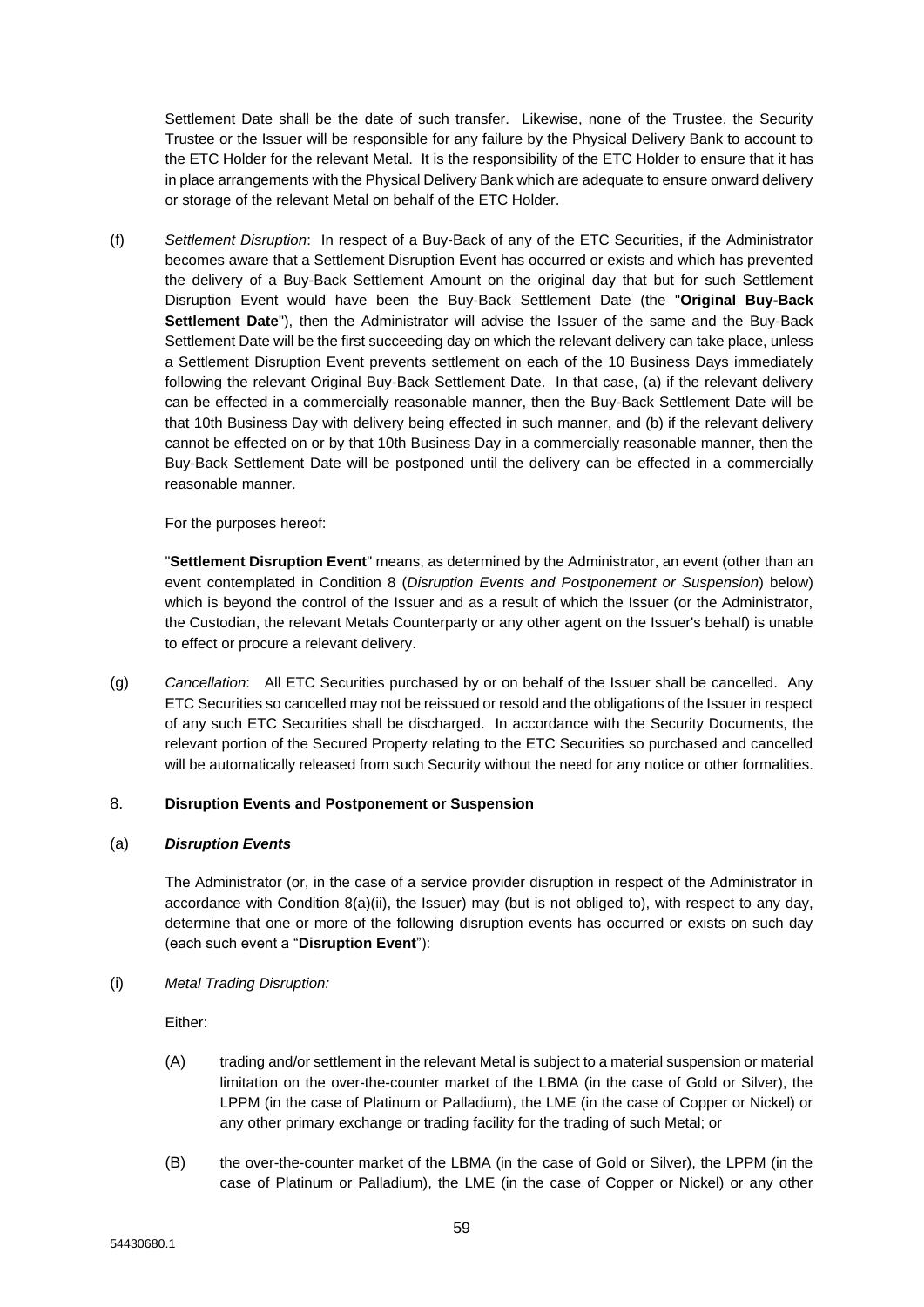Settlement Date shall be the date of such transfer. Likewise, none of the Trustee, the Security Trustee or the Issuer will be responsible for any failure by the Physical Delivery Bank to account to the ETC Holder for the relevant Metal. It is the responsibility of the ETC Holder to ensure that it has in place arrangements with the Physical Delivery Bank which are adequate to ensure onward delivery or storage of the relevant Metal on behalf of the ETC Holder.

(f) *Settlement Disruption*: In respect of a Buy-Back of any of the ETC Securities, if the Administrator becomes aware that a Settlement Disruption Event has occurred or exists and which has prevented the delivery of a Buy-Back Settlement Amount on the original day that but for such Settlement Disruption Event would have been the Buy-Back Settlement Date (the "**Original Buy-Back Settlement Date**"), then the Administrator will advise the Issuer of the same and the Buy-Back Settlement Date will be the first succeeding day on which the relevant delivery can take place, unless a Settlement Disruption Event prevents settlement on each of the 10 Business Days immediately following the relevant Original Buy-Back Settlement Date. In that case, (a) if the relevant delivery can be effected in a commercially reasonable manner, then the Buy-Back Settlement Date will be that 10th Business Day with delivery being effected in such manner, and (b) if the relevant delivery cannot be effected on or by that 10th Business Day in a commercially reasonable manner, then the Buy-Back Settlement Date will be postponed until the delivery can be effected in a commercially reasonable manner.

For the purposes hereof:

"**Settlement Disruption Event**" means, as determined by the Administrator, an event (other than an event contemplated in Condition 8 (*Disruption Events and Postponement or Suspension*) below) which is beyond the control of the Issuer and as a result of which the Issuer (or the Administrator, the Custodian, the relevant Metals Counterparty or any other agent on the Issuer's behalf) is unable to effect or procure a relevant delivery.

(g) *Cancellation*: All ETC Securities purchased by or on behalf of the Issuer shall be cancelled. Any ETC Securities so cancelled may not be reissued or resold and the obligations of the Issuer in respect of any such ETC Securities shall be discharged. In accordance with the Security Documents, the relevant portion of the Secured Property relating to the ETC Securities so purchased and cancelled will be automatically released from such Security without the need for any notice or other formalities.

# 8. **Disruption Events and Postponement or Suspension**

### (a) *Disruption Events*

The Administrator (or, in the case of a service provider disruption in respect of the Administrator in accordance with Condition 8(a)(ii), the Issuer) may (but is not obliged to), with respect to any day, determine that one or more of the following disruption events has occurred or exists on such day (each such event a "**Disruption Event**"):

(i) *Metal Trading Disruption:* 

Either:

- (A) trading and/or settlement in the relevant Metal is subject to a material suspension or material limitation on the over-the-counter market of the LBMA (in the case of Gold or Silver), the LPPM (in the case of Platinum or Palladium), the LME (in the case of Copper or Nickel) or any other primary exchange or trading facility for the trading of such Metal; or
- (B) the over-the-counter market of the LBMA (in the case of Gold or Silver), the LPPM (in the case of Platinum or Palladium), the LME (in the case of Copper or Nickel) or any other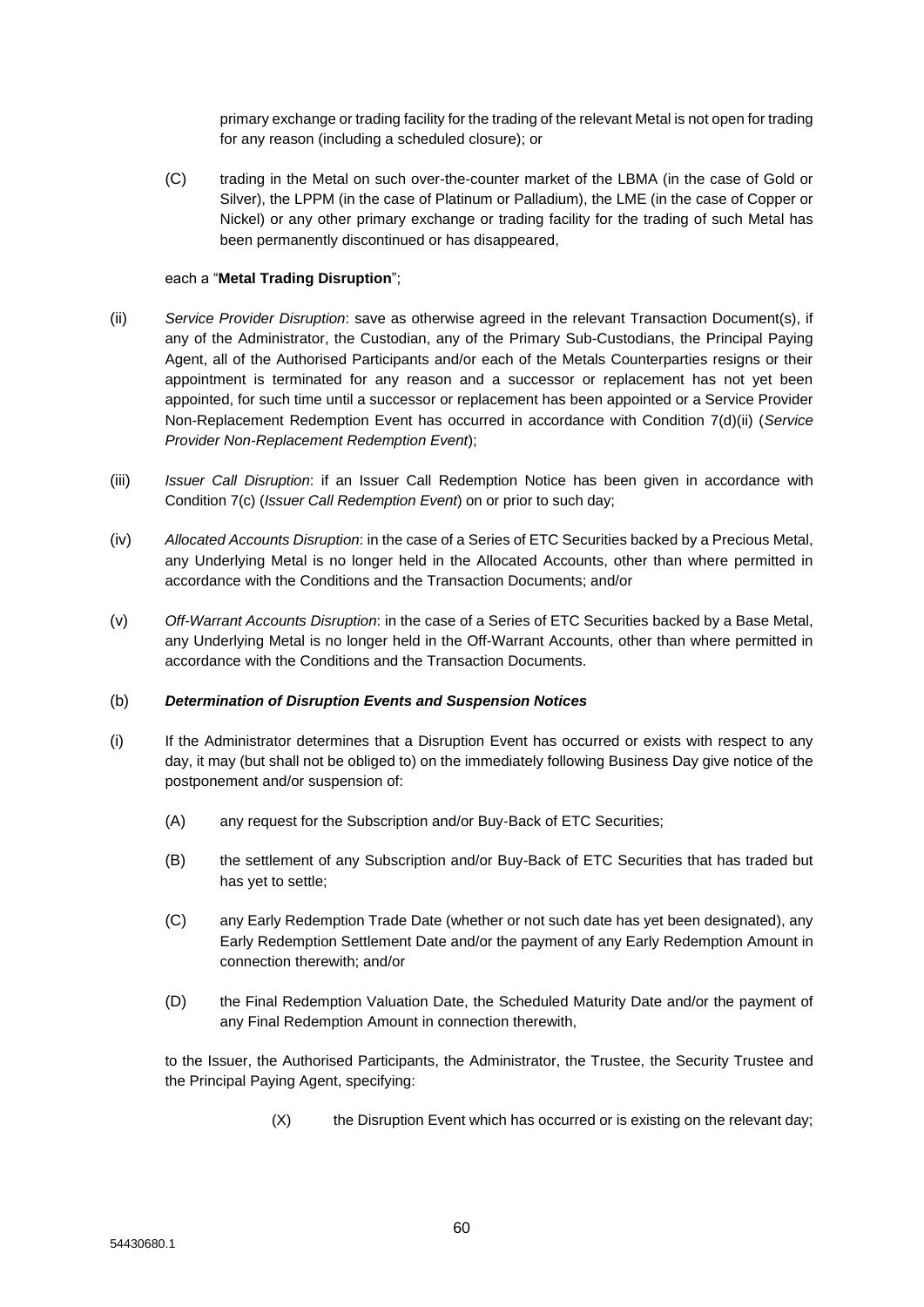primary exchange or trading facility for the trading of the relevant Metal is not open for trading for any reason (including a scheduled closure); or

(C) trading in the Metal on such over-the-counter market of the LBMA (in the case of Gold or Silver), the LPPM (in the case of Platinum or Palladium), the LME (in the case of Copper or Nickel) or any other primary exchange or trading facility for the trading of such Metal has been permanently discontinued or has disappeared,

### each a "**Metal Trading Disruption**";

- (ii) *Service Provider Disruption*: save as otherwise agreed in the relevant Transaction Document(s), if any of the Administrator, the Custodian, any of the Primary Sub-Custodians, the Principal Paying Agent, all of the Authorised Participants and/or each of the Metals Counterparties resigns or their appointment is terminated for any reason and a successor or replacement has not yet been appointed, for such time until a successor or replacement has been appointed or a Service Provider Non-Replacement Redemption Event has occurred in accordance with Condition 7(d)(ii) (*Service Provider Non-Replacement Redemption Event*);
- (iii) *Issuer Call Disruption*: if an Issuer Call Redemption Notice has been given in accordance with Condition 7(c) (*Issuer Call Redemption Event*) on or prior to such day;
- (iv) *Allocated Accounts Disruption*: in the case of a Series of ETC Securities backed by a Precious Metal, any Underlying Metal is no longer held in the Allocated Accounts, other than where permitted in accordance with the Conditions and the Transaction Documents; and/or
- (v) *Off-Warrant Accounts Disruption*: in the case of a Series of ETC Securities backed by a Base Metal, any Underlying Metal is no longer held in the Off-Warrant Accounts, other than where permitted in accordance with the Conditions and the Transaction Documents.

# (b) *Determination of Disruption Events and Suspension Notices*

- (i) If the Administrator determines that a Disruption Event has occurred or exists with respect to any day, it may (but shall not be obliged to) on the immediately following Business Day give notice of the postponement and/or suspension of:
	- (A) any request for the Subscription and/or Buy-Back of ETC Securities;
	- (B) the settlement of any Subscription and/or Buy-Back of ETC Securities that has traded but has yet to settle;
	- (C) any Early Redemption Trade Date (whether or not such date has yet been designated), any Early Redemption Settlement Date and/or the payment of any Early Redemption Amount in connection therewith; and/or
	- (D) the Final Redemption Valuation Date, the Scheduled Maturity Date and/or the payment of any Final Redemption Amount in connection therewith,

to the Issuer, the Authorised Participants, the Administrator, the Trustee, the Security Trustee and the Principal Paying Agent, specifying:

(X) the Disruption Event which has occurred or is existing on the relevant day;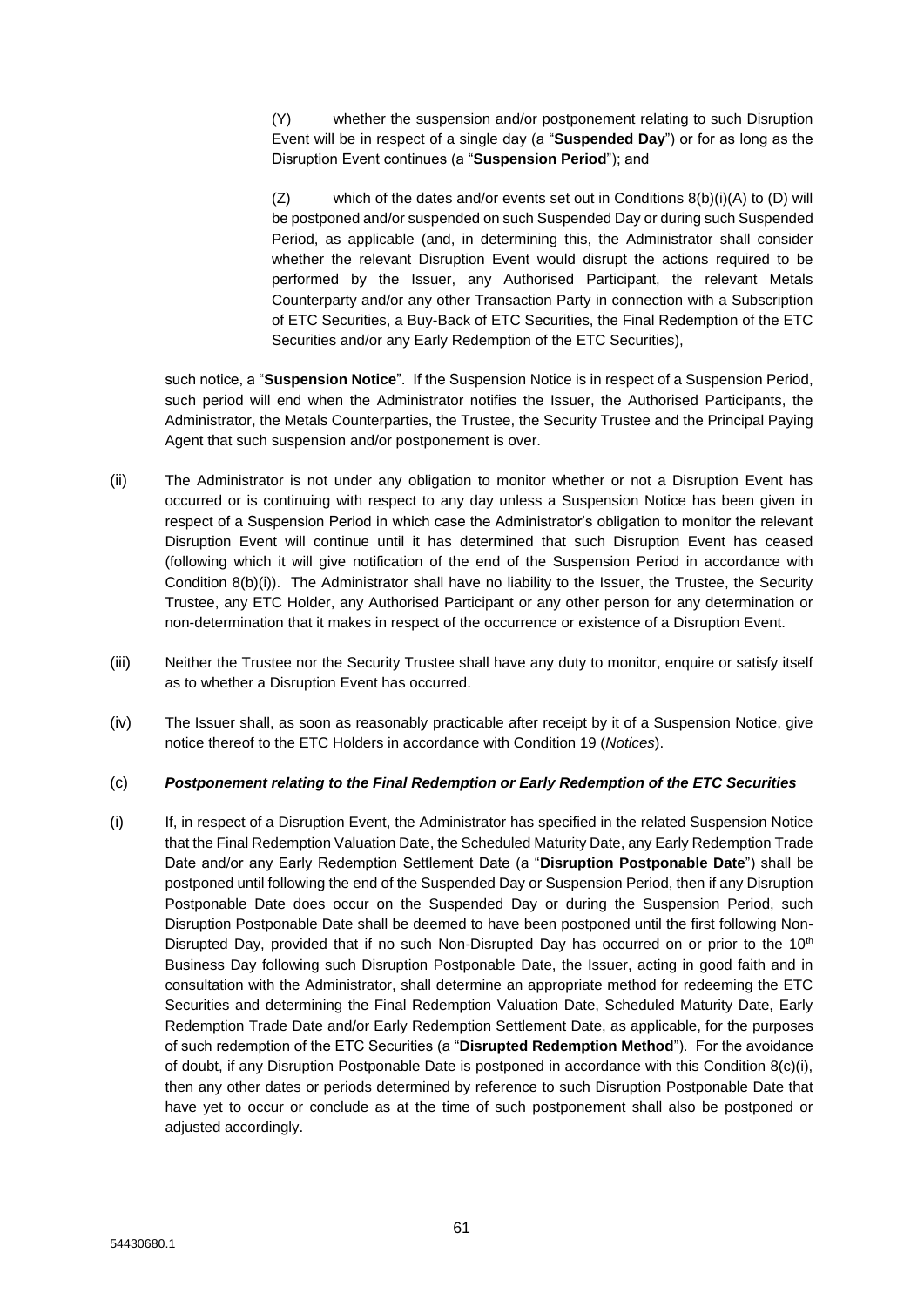(Y) whether the suspension and/or postponement relating to such Disruption Event will be in respect of a single day (a "**Suspended Day**") or for as long as the Disruption Event continues (a "**Suspension Period**"); and

(Z) which of the dates and/or events set out in Conditions  $8(b)(i)(A)$  to (D) will be postponed and/or suspended on such Suspended Day or during such Suspended Period, as applicable (and, in determining this, the Administrator shall consider whether the relevant Disruption Event would disrupt the actions required to be performed by the Issuer, any Authorised Participant, the relevant Metals Counterparty and/or any other Transaction Party in connection with a Subscription of ETC Securities, a Buy-Back of ETC Securities, the Final Redemption of the ETC Securities and/or any Early Redemption of the ETC Securities),

such notice, a "**Suspension Notice**". If the Suspension Notice is in respect of a Suspension Period, such period will end when the Administrator notifies the Issuer, the Authorised Participants, the Administrator, the Metals Counterparties, the Trustee, the Security Trustee and the Principal Paying Agent that such suspension and/or postponement is over.

- (ii) The Administrator is not under any obligation to monitor whether or not a Disruption Event has occurred or is continuing with respect to any day unless a Suspension Notice has been given in respect of a Suspension Period in which case the Administrator's obligation to monitor the relevant Disruption Event will continue until it has determined that such Disruption Event has ceased (following which it will give notification of the end of the Suspension Period in accordance with Condition 8(b)(i)). The Administrator shall have no liability to the Issuer, the Trustee, the Security Trustee, any ETC Holder, any Authorised Participant or any other person for any determination or non-determination that it makes in respect of the occurrence or existence of a Disruption Event.
- (iii) Neither the Trustee nor the Security Trustee shall have any duty to monitor, enquire or satisfy itself as to whether a Disruption Event has occurred.
- (iv) The Issuer shall, as soon as reasonably practicable after receipt by it of a Suspension Notice, give notice thereof to the ETC Holders in accordance with Condition 19 (*Notices*).

# (c) *Postponement relating to the Final Redemption or Early Redemption of the ETC Securities*

(i) If, in respect of a Disruption Event, the Administrator has specified in the related Suspension Notice that the Final Redemption Valuation Date, the Scheduled Maturity Date, any Early Redemption Trade Date and/or any Early Redemption Settlement Date (a "**Disruption Postponable Date**") shall be postponed until following the end of the Suspended Day or Suspension Period, then if any Disruption Postponable Date does occur on the Suspended Day or during the Suspension Period, such Disruption Postponable Date shall be deemed to have been postponed until the first following Non-Disrupted Day, provided that if no such Non-Disrupted Day has occurred on or prior to the  $10<sup>th</sup>$ Business Day following such Disruption Postponable Date, the Issuer, acting in good faith and in consultation with the Administrator, shall determine an appropriate method for redeeming the ETC Securities and determining the Final Redemption Valuation Date, Scheduled Maturity Date, Early Redemption Trade Date and/or Early Redemption Settlement Date, as applicable, for the purposes of such redemption of the ETC Securities (a "**Disrupted Redemption Method**"). For the avoidance of doubt, if any Disruption Postponable Date is postponed in accordance with this Condition 8(c)(i), then any other dates or periods determined by reference to such Disruption Postponable Date that have yet to occur or conclude as at the time of such postponement shall also be postponed or adjusted accordingly.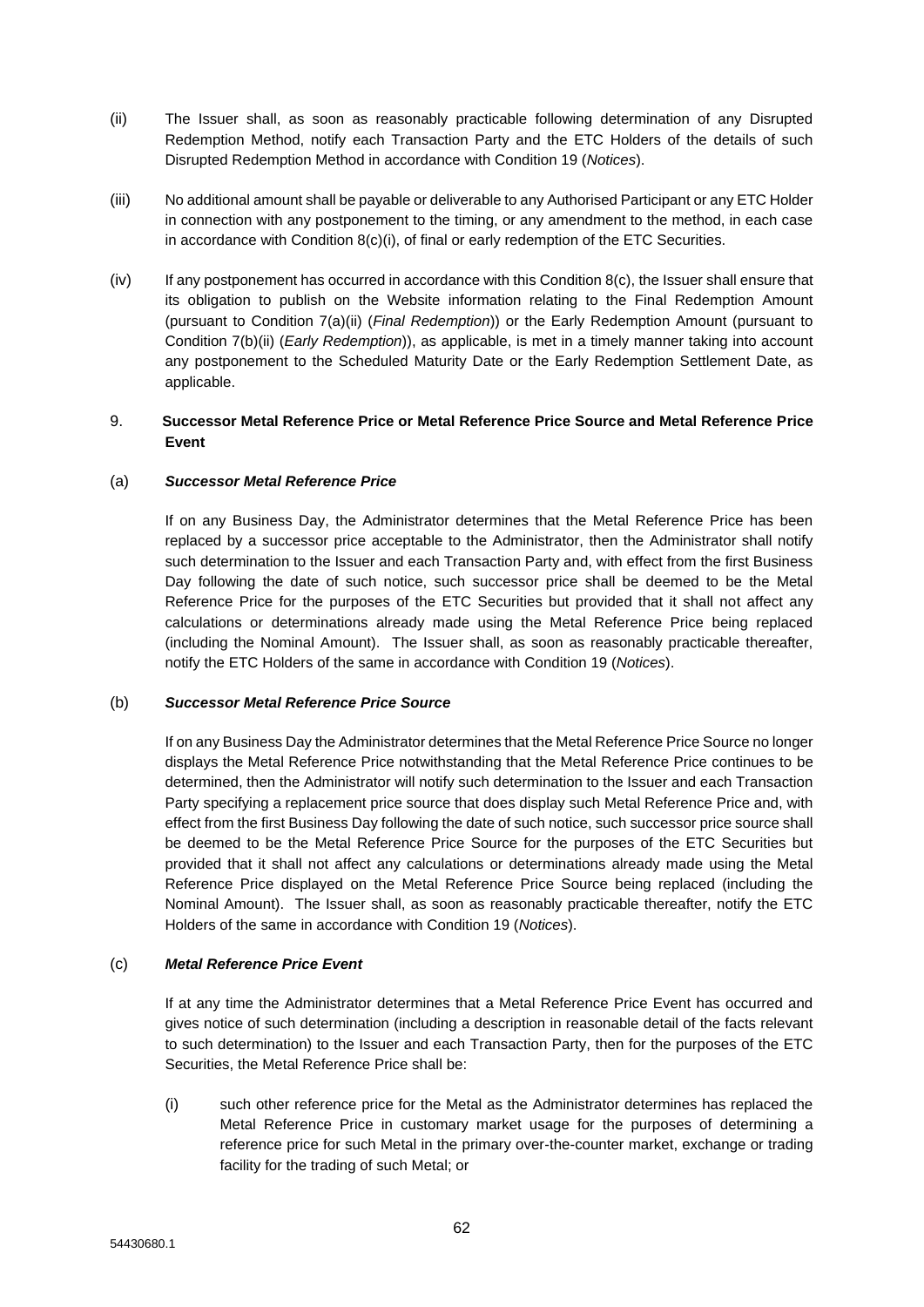- (ii) The Issuer shall, as soon as reasonably practicable following determination of any Disrupted Redemption Method, notify each Transaction Party and the ETC Holders of the details of such Disrupted Redemption Method in accordance with Condition 19 (*Notices*).
- (iii) No additional amount shall be payable or deliverable to any Authorised Participant or any ETC Holder in connection with any postponement to the timing, or any amendment to the method, in each case in accordance with Condition  $8(c)(i)$ , of final or early redemption of the ETC Securities.
- $(iv)$  If any postponement has occurred in accordance with this Condition  $8(c)$ , the Issuer shall ensure that its obligation to publish on the Website information relating to the Final Redemption Amount (pursuant to Condition 7(a)(ii) (*Final Redemption*)) or the Early Redemption Amount (pursuant to Condition 7(b)(ii) (*Early Redemption*)), as applicable, is met in a timely manner taking into account any postponement to the Scheduled Maturity Date or the Early Redemption Settlement Date, as applicable.

## 9. **Successor Metal Reference Price or Metal Reference Price Source and Metal Reference Price Event**

## (a) *Successor Metal Reference Price*

If on any Business Day, the Administrator determines that the Metal Reference Price has been replaced by a successor price acceptable to the Administrator, then the Administrator shall notify such determination to the Issuer and each Transaction Party and, with effect from the first Business Day following the date of such notice, such successor price shall be deemed to be the Metal Reference Price for the purposes of the ETC Securities but provided that it shall not affect any calculations or determinations already made using the Metal Reference Price being replaced (including the Nominal Amount). The Issuer shall, as soon as reasonably practicable thereafter, notify the ETC Holders of the same in accordance with Condition 19 (*Notices*).

### (b) *Successor Metal Reference Price Source*

If on any Business Day the Administrator determines that the Metal Reference Price Source no longer displays the Metal Reference Price notwithstanding that the Metal Reference Price continues to be determined, then the Administrator will notify such determination to the Issuer and each Transaction Party specifying a replacement price source that does display such Metal Reference Price and, with effect from the first Business Day following the date of such notice, such successor price source shall be deemed to be the Metal Reference Price Source for the purposes of the ETC Securities but provided that it shall not affect any calculations or determinations already made using the Metal Reference Price displayed on the Metal Reference Price Source being replaced (including the Nominal Amount). The Issuer shall, as soon as reasonably practicable thereafter, notify the ETC Holders of the same in accordance with Condition 19 (*Notices*).

# (c) *Metal Reference Price Event*

If at any time the Administrator determines that a Metal Reference Price Event has occurred and gives notice of such determination (including a description in reasonable detail of the facts relevant to such determination) to the Issuer and each Transaction Party, then for the purposes of the ETC Securities, the Metal Reference Price shall be:

(i) such other reference price for the Metal as the Administrator determines has replaced the Metal Reference Price in customary market usage for the purposes of determining a reference price for such Metal in the primary over-the-counter market, exchange or trading facility for the trading of such Metal; or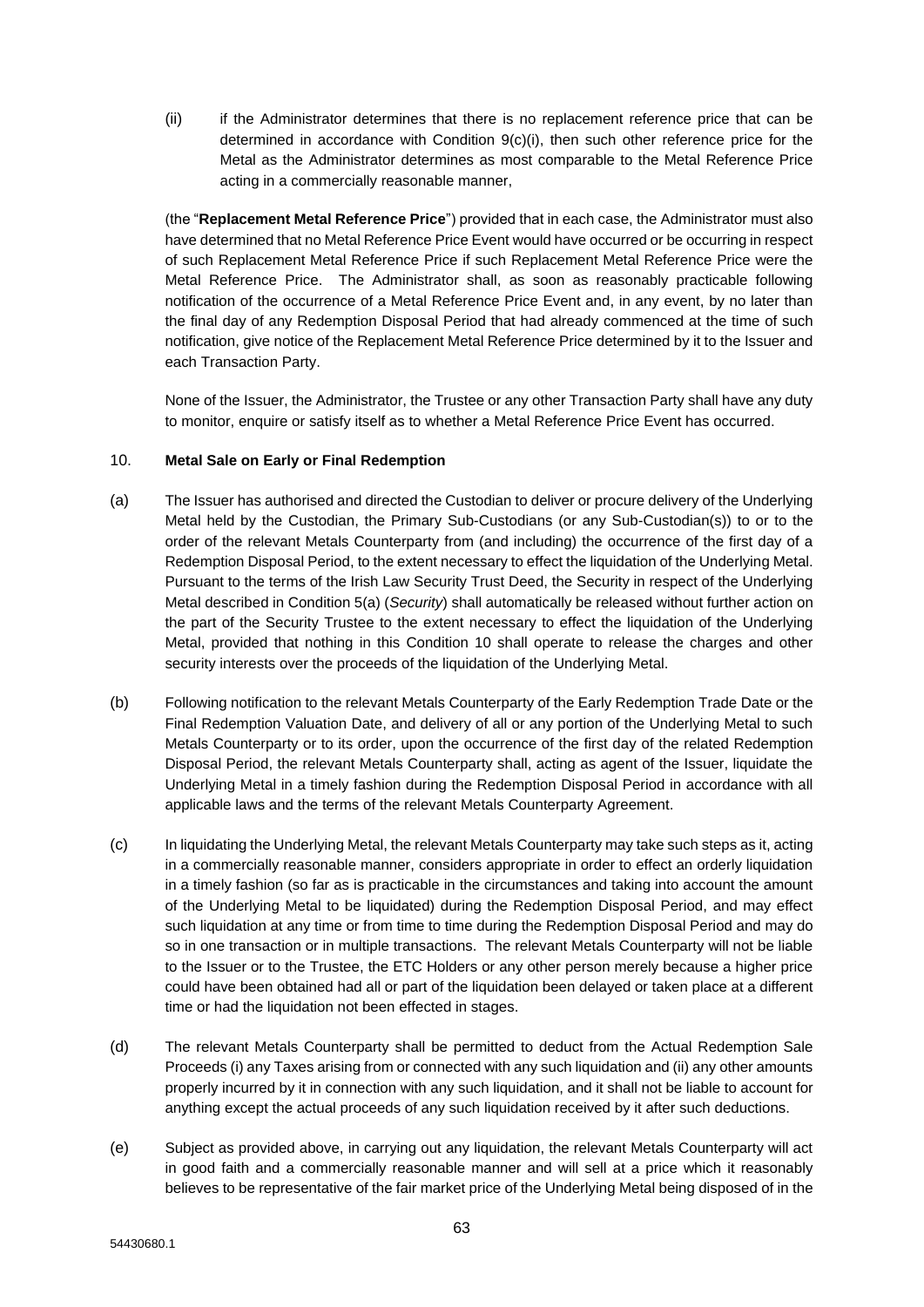(ii) if the Administrator determines that there is no replacement reference price that can be determined in accordance with Condition  $9(c)(i)$ , then such other reference price for the Metal as the Administrator determines as most comparable to the Metal Reference Price acting in a commercially reasonable manner,

(the "**Replacement Metal Reference Price**") provided that in each case, the Administrator must also have determined that no Metal Reference Price Event would have occurred or be occurring in respect of such Replacement Metal Reference Price if such Replacement Metal Reference Price were the Metal Reference Price. The Administrator shall, as soon as reasonably practicable following notification of the occurrence of a Metal Reference Price Event and, in any event, by no later than the final day of any Redemption Disposal Period that had already commenced at the time of such notification, give notice of the Replacement Metal Reference Price determined by it to the Issuer and each Transaction Party.

None of the Issuer, the Administrator, the Trustee or any other Transaction Party shall have any duty to monitor, enquire or satisfy itself as to whether a Metal Reference Price Event has occurred.

# 10. **Metal Sale on Early or Final Redemption**

- (a) The Issuer has authorised and directed the Custodian to deliver or procure delivery of the Underlying Metal held by the Custodian, the Primary Sub-Custodians (or any Sub-Custodian(s)) to or to the order of the relevant Metals Counterparty from (and including) the occurrence of the first day of a Redemption Disposal Period, to the extent necessary to effect the liquidation of the Underlying Metal. Pursuant to the terms of the Irish Law Security Trust Deed, the Security in respect of the Underlying Metal described in Condition 5(a) (*Security*) shall automatically be released without further action on the part of the Security Trustee to the extent necessary to effect the liquidation of the Underlying Metal, provided that nothing in this Condition 10 shall operate to release the charges and other security interests over the proceeds of the liquidation of the Underlying Metal.
- (b) Following notification to the relevant Metals Counterparty of the Early Redemption Trade Date or the Final Redemption Valuation Date, and delivery of all or any portion of the Underlying Metal to such Metals Counterparty or to its order, upon the occurrence of the first day of the related Redemption Disposal Period, the relevant Metals Counterparty shall, acting as agent of the Issuer, liquidate the Underlying Metal in a timely fashion during the Redemption Disposal Period in accordance with all applicable laws and the terms of the relevant Metals Counterparty Agreement.
- (c) In liquidating the Underlying Metal, the relevant Metals Counterparty may take such steps as it, acting in a commercially reasonable manner, considers appropriate in order to effect an orderly liquidation in a timely fashion (so far as is practicable in the circumstances and taking into account the amount of the Underlying Metal to be liquidated) during the Redemption Disposal Period, and may effect such liquidation at any time or from time to time during the Redemption Disposal Period and may do so in one transaction or in multiple transactions. The relevant Metals Counterparty will not be liable to the Issuer or to the Trustee, the ETC Holders or any other person merely because a higher price could have been obtained had all or part of the liquidation been delayed or taken place at a different time or had the liquidation not been effected in stages.
- (d) The relevant Metals Counterparty shall be permitted to deduct from the Actual Redemption Sale Proceeds (i) any Taxes arising from or connected with any such liquidation and (ii) any other amounts properly incurred by it in connection with any such liquidation, and it shall not be liable to account for anything except the actual proceeds of any such liquidation received by it after such deductions.
- (e) Subject as provided above, in carrying out any liquidation, the relevant Metals Counterparty will act in good faith and a commercially reasonable manner and will sell at a price which it reasonably believes to be representative of the fair market price of the Underlying Metal being disposed of in the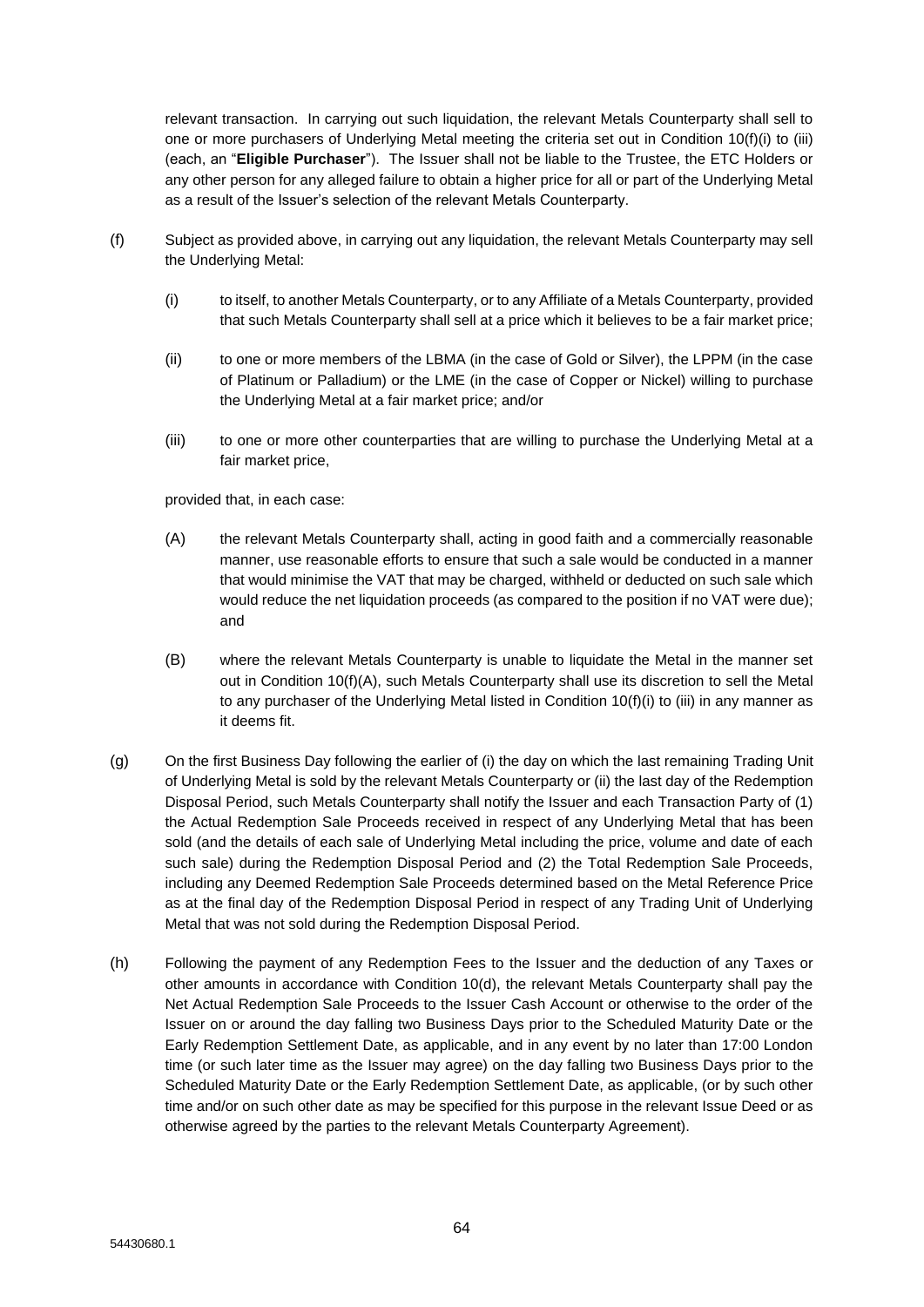relevant transaction. In carrying out such liquidation, the relevant Metals Counterparty shall sell to one or more purchasers of Underlying Metal meeting the criteria set out in Condition 10(f)(i) to (iii) (each, an "**Eligible Purchaser**"). The Issuer shall not be liable to the Trustee, the ETC Holders or any other person for any alleged failure to obtain a higher price for all or part of the Underlying Metal as a result of the Issuer's selection of the relevant Metals Counterparty.

- (f) Subject as provided above, in carrying out any liquidation, the relevant Metals Counterparty may sell the Underlying Metal:
	- (i) to itself, to another Metals Counterparty, or to any Affiliate of a Metals Counterparty, provided that such Metals Counterparty shall sell at a price which it believes to be a fair market price;
	- (ii) to one or more members of the LBMA (in the case of Gold or Silver), the LPPM (in the case of Platinum or Palladium) or the LME (in the case of Copper or Nickel) willing to purchase the Underlying Metal at a fair market price; and/or
	- (iii) to one or more other counterparties that are willing to purchase the Underlying Metal at a fair market price,

provided that, in each case:

- (A) the relevant Metals Counterparty shall, acting in good faith and a commercially reasonable manner, use reasonable efforts to ensure that such a sale would be conducted in a manner that would minimise the VAT that may be charged, withheld or deducted on such sale which would reduce the net liquidation proceeds (as compared to the position if no VAT were due); and
- (B) where the relevant Metals Counterparty is unable to liquidate the Metal in the manner set out in Condition 10(f)(A), such Metals Counterparty shall use its discretion to sell the Metal to any purchaser of the Underlying Metal listed in Condition 10(f)(i) to (iii) in any manner as it deems fit.
- (g) On the first Business Day following the earlier of (i) the day on which the last remaining Trading Unit of Underlying Metal is sold by the relevant Metals Counterparty or (ii) the last day of the Redemption Disposal Period, such Metals Counterparty shall notify the Issuer and each Transaction Party of (1) the Actual Redemption Sale Proceeds received in respect of any Underlying Metal that has been sold (and the details of each sale of Underlying Metal including the price, volume and date of each such sale) during the Redemption Disposal Period and (2) the Total Redemption Sale Proceeds, including any Deemed Redemption Sale Proceeds determined based on the Metal Reference Price as at the final day of the Redemption Disposal Period in respect of any Trading Unit of Underlying Metal that was not sold during the Redemption Disposal Period.
- (h) Following the payment of any Redemption Fees to the Issuer and the deduction of any Taxes or other amounts in accordance with Condition 10(d), the relevant Metals Counterparty shall pay the Net Actual Redemption Sale Proceeds to the Issuer Cash Account or otherwise to the order of the Issuer on or around the day falling two Business Days prior to the Scheduled Maturity Date or the Early Redemption Settlement Date, as applicable, and in any event by no later than 17:00 London time (or such later time as the Issuer may agree) on the day falling two Business Days prior to the Scheduled Maturity Date or the Early Redemption Settlement Date, as applicable, (or by such other time and/or on such other date as may be specified for this purpose in the relevant Issue Deed or as otherwise agreed by the parties to the relevant Metals Counterparty Agreement).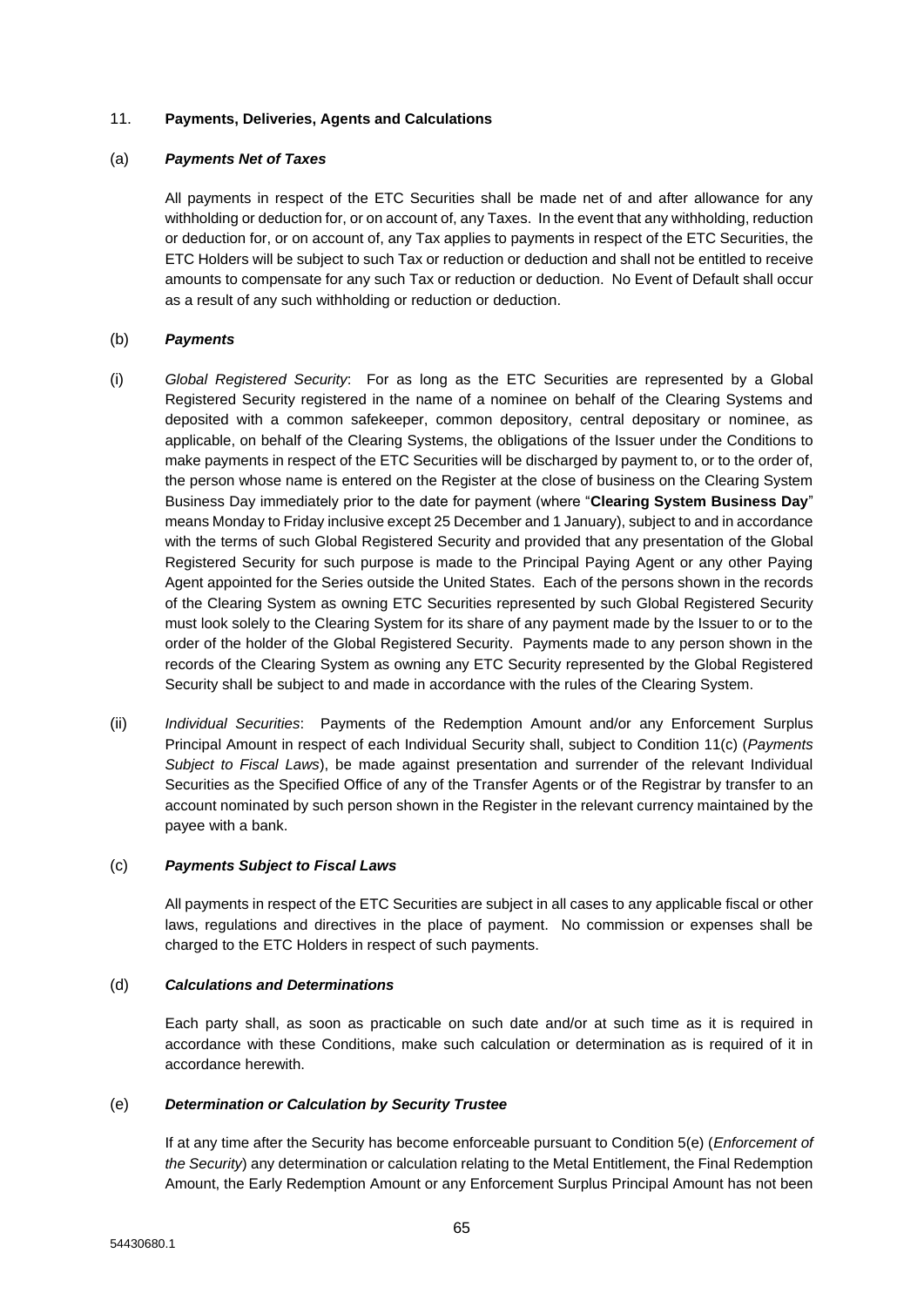### 11. **Payments, Deliveries, Agents and Calculations**

#### (a) *Payments Net of Taxes*

All payments in respect of the ETC Securities shall be made net of and after allowance for any withholding or deduction for, or on account of, any Taxes. In the event that any withholding, reduction or deduction for, or on account of, any Tax applies to payments in respect of the ETC Securities, the ETC Holders will be subject to such Tax or reduction or deduction and shall not be entitled to receive amounts to compensate for any such Tax or reduction or deduction. No Event of Default shall occur as a result of any such withholding or reduction or deduction.

### (b) *Payments*

- (i) *Global Registered Security*: For as long as the ETC Securities are represented by a Global Registered Security registered in the name of a nominee on behalf of the Clearing Systems and deposited with a common safekeeper, common depository, central depositary or nominee, as applicable, on behalf of the Clearing Systems, the obligations of the Issuer under the Conditions to make payments in respect of the ETC Securities will be discharged by payment to, or to the order of, the person whose name is entered on the Register at the close of business on the Clearing System Business Day immediately prior to the date for payment (where "**Clearing System Business Day**" means Monday to Friday inclusive except 25 December and 1 January), subject to and in accordance with the terms of such Global Registered Security and provided that any presentation of the Global Registered Security for such purpose is made to the Principal Paying Agent or any other Paying Agent appointed for the Series outside the United States. Each of the persons shown in the records of the Clearing System as owning ETC Securities represented by such Global Registered Security must look solely to the Clearing System for its share of any payment made by the Issuer to or to the order of the holder of the Global Registered Security. Payments made to any person shown in the records of the Clearing System as owning any ETC Security represented by the Global Registered Security shall be subject to and made in accordance with the rules of the Clearing System.
- (ii) *Individual Securities*: Payments of the Redemption Amount and/or any Enforcement Surplus Principal Amount in respect of each Individual Security shall, subject to Condition 11(c) (*Payments Subject to Fiscal Laws*), be made against presentation and surrender of the relevant Individual Securities as the Specified Office of any of the Transfer Agents or of the Registrar by transfer to an account nominated by such person shown in the Register in the relevant currency maintained by the payee with a bank.

### (c) *Payments Subject to Fiscal Laws*

All payments in respect of the ETC Securities are subject in all cases to any applicable fiscal or other laws, regulations and directives in the place of payment. No commission or expenses shall be charged to the ETC Holders in respect of such payments.

#### (d) *Calculations and Determinations*

Each party shall, as soon as practicable on such date and/or at such time as it is required in accordance with these Conditions, make such calculation or determination as is required of it in accordance herewith.

### (e) *Determination or Calculation by Security Trustee*

If at any time after the Security has become enforceable pursuant to Condition 5(e) (*Enforcement of the Security*) any determination or calculation relating to the Metal Entitlement, the Final Redemption Amount, the Early Redemption Amount or any Enforcement Surplus Principal Amount has not been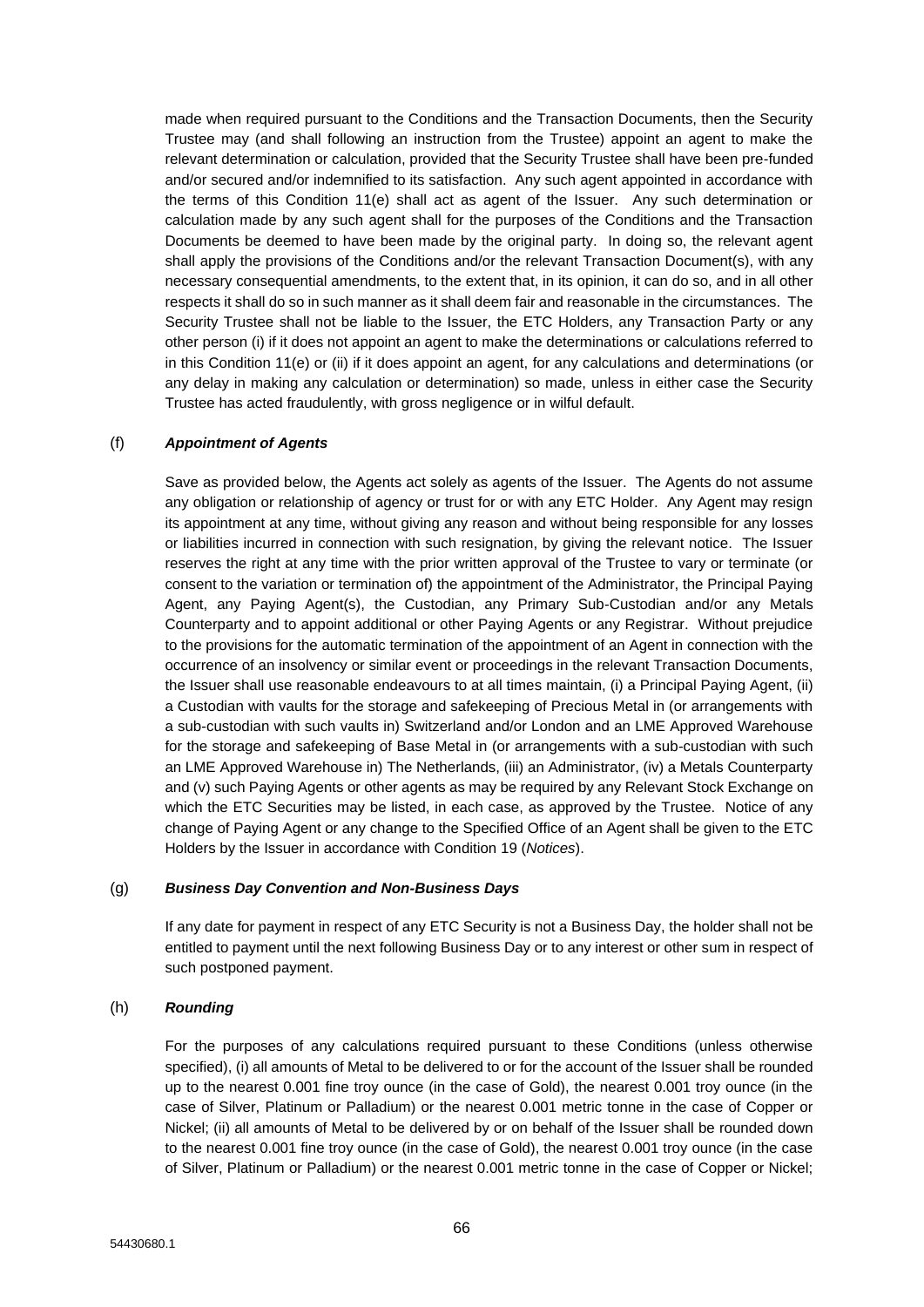made when required pursuant to the Conditions and the Transaction Documents, then the Security Trustee may (and shall following an instruction from the Trustee) appoint an agent to make the relevant determination or calculation, provided that the Security Trustee shall have been pre-funded and/or secured and/or indemnified to its satisfaction. Any such agent appointed in accordance with the terms of this Condition 11(e) shall act as agent of the Issuer. Any such determination or calculation made by any such agent shall for the purposes of the Conditions and the Transaction Documents be deemed to have been made by the original party. In doing so, the relevant agent shall apply the provisions of the Conditions and/or the relevant Transaction Document(s), with any necessary consequential amendments, to the extent that, in its opinion, it can do so, and in all other respects it shall do so in such manner as it shall deem fair and reasonable in the circumstances. The Security Trustee shall not be liable to the Issuer, the ETC Holders, any Transaction Party or any other person (i) if it does not appoint an agent to make the determinations or calculations referred to in this Condition 11(e) or (ii) if it does appoint an agent, for any calculations and determinations (or any delay in making any calculation or determination) so made, unless in either case the Security Trustee has acted fraudulently, with gross negligence or in wilful default.

## (f) *Appointment of Agents*

Save as provided below, the Agents act solely as agents of the Issuer. The Agents do not assume any obligation or relationship of agency or trust for or with any ETC Holder. Any Agent may resign its appointment at any time, without giving any reason and without being responsible for any losses or liabilities incurred in connection with such resignation, by giving the relevant notice. The Issuer reserves the right at any time with the prior written approval of the Trustee to vary or terminate (or consent to the variation or termination of) the appointment of the Administrator, the Principal Paying Agent, any Paying Agent(s), the Custodian, any Primary Sub-Custodian and/or any Metals Counterparty and to appoint additional or other Paying Agents or any Registrar. Without prejudice to the provisions for the automatic termination of the appointment of an Agent in connection with the occurrence of an insolvency or similar event or proceedings in the relevant Transaction Documents, the Issuer shall use reasonable endeavours to at all times maintain, (i) a Principal Paying Agent, (ii) a Custodian with vaults for the storage and safekeeping of Precious Metal in (or arrangements with a sub-custodian with such vaults in) Switzerland and/or London and an LME Approved Warehouse for the storage and safekeeping of Base Metal in (or arrangements with a sub-custodian with such an LME Approved Warehouse in) The Netherlands, (iii) an Administrator, (iv) a Metals Counterparty and (v) such Paying Agents or other agents as may be required by any Relevant Stock Exchange on which the ETC Securities may be listed, in each case, as approved by the Trustee. Notice of any change of Paying Agent or any change to the Specified Office of an Agent shall be given to the ETC Holders by the Issuer in accordance with Condition 19 (*Notices*).

### (g) *Business Day Convention and Non-Business Days*

If any date for payment in respect of any ETC Security is not a Business Day, the holder shall not be entitled to payment until the next following Business Day or to any interest or other sum in respect of such postponed payment.

# (h) *Rounding*

For the purposes of any calculations required pursuant to these Conditions (unless otherwise specified), (i) all amounts of Metal to be delivered to or for the account of the Issuer shall be rounded up to the nearest 0.001 fine troy ounce (in the case of Gold), the nearest 0.001 troy ounce (in the case of Silver, Platinum or Palladium) or the nearest 0.001 metric tonne in the case of Copper or Nickel; (ii) all amounts of Metal to be delivered by or on behalf of the Issuer shall be rounded down to the nearest 0.001 fine troy ounce (in the case of Gold), the nearest 0.001 troy ounce (in the case of Silver, Platinum or Palladium) or the nearest 0.001 metric tonne in the case of Copper or Nickel;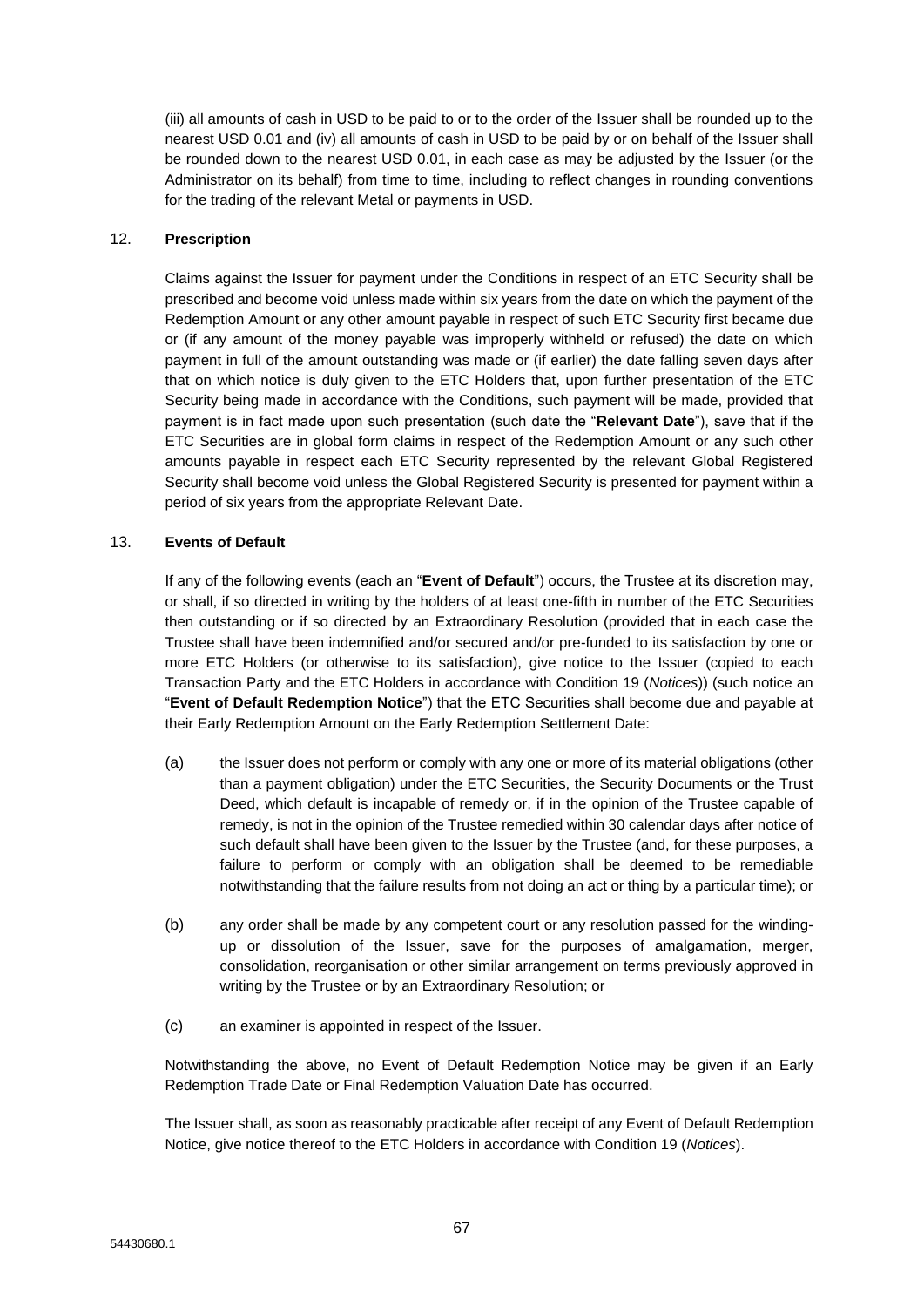(iii) all amounts of cash in USD to be paid to or to the order of the Issuer shall be rounded up to the nearest USD 0.01 and (iv) all amounts of cash in USD to be paid by or on behalf of the Issuer shall be rounded down to the nearest USD 0.01, in each case as may be adjusted by the Issuer (or the Administrator on its behalf) from time to time, including to reflect changes in rounding conventions for the trading of the relevant Metal or payments in USD.

## 12. **Prescription**

Claims against the Issuer for payment under the Conditions in respect of an ETC Security shall be prescribed and become void unless made within six years from the date on which the payment of the Redemption Amount or any other amount payable in respect of such ETC Security first became due or (if any amount of the money payable was improperly withheld or refused) the date on which payment in full of the amount outstanding was made or (if earlier) the date falling seven days after that on which notice is duly given to the ETC Holders that, upon further presentation of the ETC Security being made in accordance with the Conditions, such payment will be made, provided that payment is in fact made upon such presentation (such date the "**Relevant Date**"), save that if the ETC Securities are in global form claims in respect of the Redemption Amount or any such other amounts payable in respect each ETC Security represented by the relevant Global Registered Security shall become void unless the Global Registered Security is presented for payment within a period of six years from the appropriate Relevant Date.

## 13. **Events of Default**

If any of the following events (each an "**Event of Default**") occurs, the Trustee at its discretion may, or shall, if so directed in writing by the holders of at least one-fifth in number of the ETC Securities then outstanding or if so directed by an Extraordinary Resolution (provided that in each case the Trustee shall have been indemnified and/or secured and/or pre-funded to its satisfaction by one or more ETC Holders (or otherwise to its satisfaction), give notice to the Issuer (copied to each Transaction Party and the ETC Holders in accordance with Condition 19 (*Notices*)) (such notice an "**Event of Default Redemption Notice**") that the ETC Securities shall become due and payable at their Early Redemption Amount on the Early Redemption Settlement Date:

- (a) the Issuer does not perform or comply with any one or more of its material obligations (other than a payment obligation) under the ETC Securities, the Security Documents or the Trust Deed, which default is incapable of remedy or, if in the opinion of the Trustee capable of remedy, is not in the opinion of the Trustee remedied within 30 calendar days after notice of such default shall have been given to the Issuer by the Trustee (and, for these purposes, a failure to perform or comply with an obligation shall be deemed to be remediable notwithstanding that the failure results from not doing an act or thing by a particular time); or
- (b) any order shall be made by any competent court or any resolution passed for the windingup or dissolution of the Issuer, save for the purposes of amalgamation, merger, consolidation, reorganisation or other similar arrangement on terms previously approved in writing by the Trustee or by an Extraordinary Resolution; or
- (c) an examiner is appointed in respect of the Issuer.

Notwithstanding the above, no Event of Default Redemption Notice may be given if an Early Redemption Trade Date or Final Redemption Valuation Date has occurred.

The Issuer shall, as soon as reasonably practicable after receipt of any Event of Default Redemption Notice, give notice thereof to the ETC Holders in accordance with Condition 19 (*Notices*).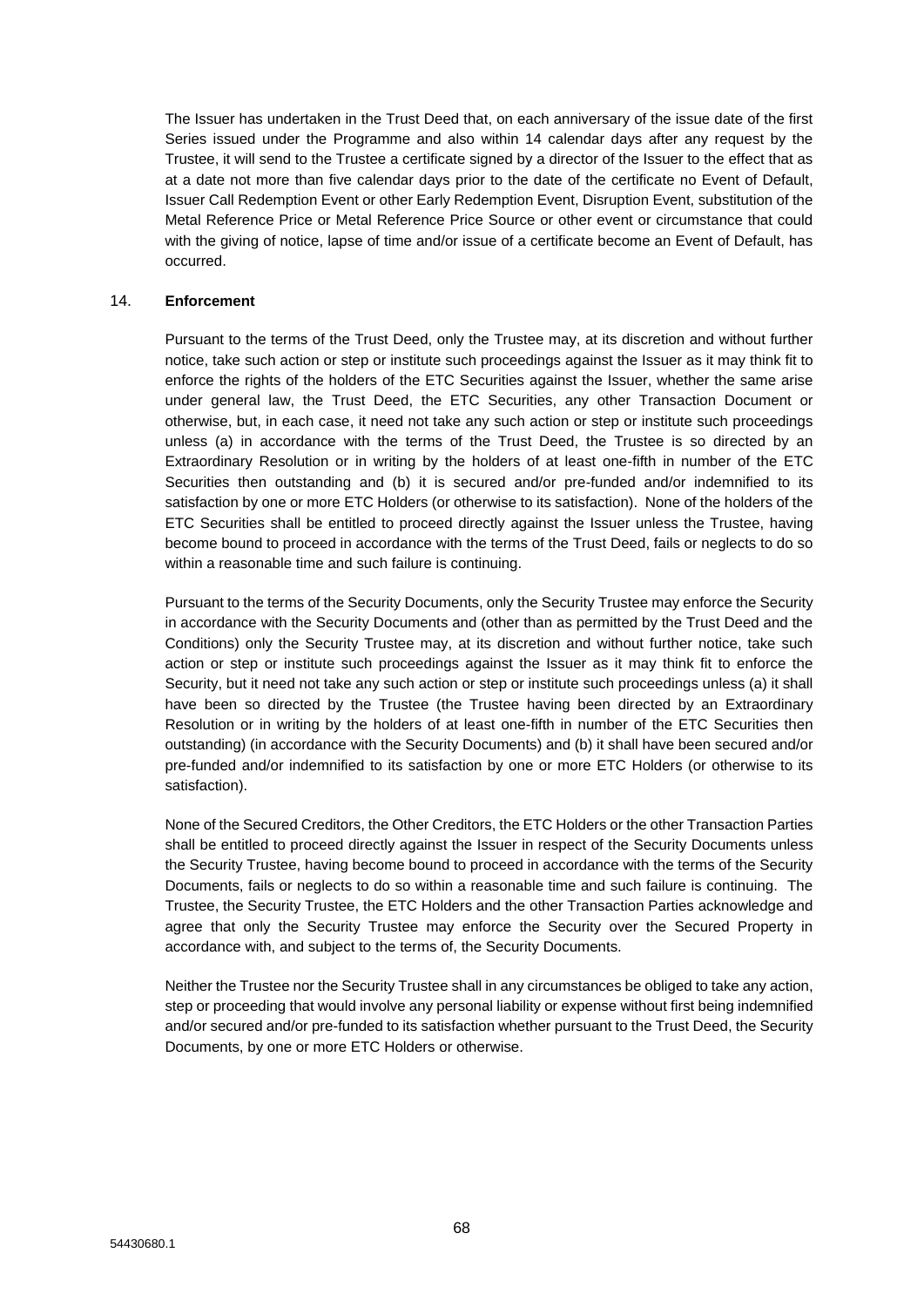The Issuer has undertaken in the Trust Deed that, on each anniversary of the issue date of the first Series issued under the Programme and also within 14 calendar days after any request by the Trustee, it will send to the Trustee a certificate signed by a director of the Issuer to the effect that as at a date not more than five calendar days prior to the date of the certificate no Event of Default, Issuer Call Redemption Event or other Early Redemption Event, Disruption Event, substitution of the Metal Reference Price or Metal Reference Price Source or other event or circumstance that could with the giving of notice, lapse of time and/or issue of a certificate become an Event of Default, has occurred.

### 14. **Enforcement**

Pursuant to the terms of the Trust Deed, only the Trustee may, at its discretion and without further notice, take such action or step or institute such proceedings against the Issuer as it may think fit to enforce the rights of the holders of the ETC Securities against the Issuer, whether the same arise under general law, the Trust Deed, the ETC Securities, any other Transaction Document or otherwise, but, in each case, it need not take any such action or step or institute such proceedings unless (a) in accordance with the terms of the Trust Deed, the Trustee is so directed by an Extraordinary Resolution or in writing by the holders of at least one-fifth in number of the ETC Securities then outstanding and (b) it is secured and/or pre-funded and/or indemnified to its satisfaction by one or more ETC Holders (or otherwise to its satisfaction). None of the holders of the ETC Securities shall be entitled to proceed directly against the Issuer unless the Trustee, having become bound to proceed in accordance with the terms of the Trust Deed, fails or neglects to do so within a reasonable time and such failure is continuing.

Pursuant to the terms of the Security Documents, only the Security Trustee may enforce the Security in accordance with the Security Documents and (other than as permitted by the Trust Deed and the Conditions) only the Security Trustee may, at its discretion and without further notice, take such action or step or institute such proceedings against the Issuer as it may think fit to enforce the Security, but it need not take any such action or step or institute such proceedings unless (a) it shall have been so directed by the Trustee (the Trustee having been directed by an Extraordinary Resolution or in writing by the holders of at least one-fifth in number of the ETC Securities then outstanding) (in accordance with the Security Documents) and (b) it shall have been secured and/or pre-funded and/or indemnified to its satisfaction by one or more ETC Holders (or otherwise to its satisfaction).

None of the Secured Creditors, the Other Creditors, the ETC Holders or the other Transaction Parties shall be entitled to proceed directly against the Issuer in respect of the Security Documents unless the Security Trustee, having become bound to proceed in accordance with the terms of the Security Documents, fails or neglects to do so within a reasonable time and such failure is continuing. The Trustee, the Security Trustee, the ETC Holders and the other Transaction Parties acknowledge and agree that only the Security Trustee may enforce the Security over the Secured Property in accordance with, and subject to the terms of, the Security Documents.

Neither the Trustee nor the Security Trustee shall in any circumstances be obliged to take any action, step or proceeding that would involve any personal liability or expense without first being indemnified and/or secured and/or pre-funded to its satisfaction whether pursuant to the Trust Deed, the Security Documents, by one or more ETC Holders or otherwise.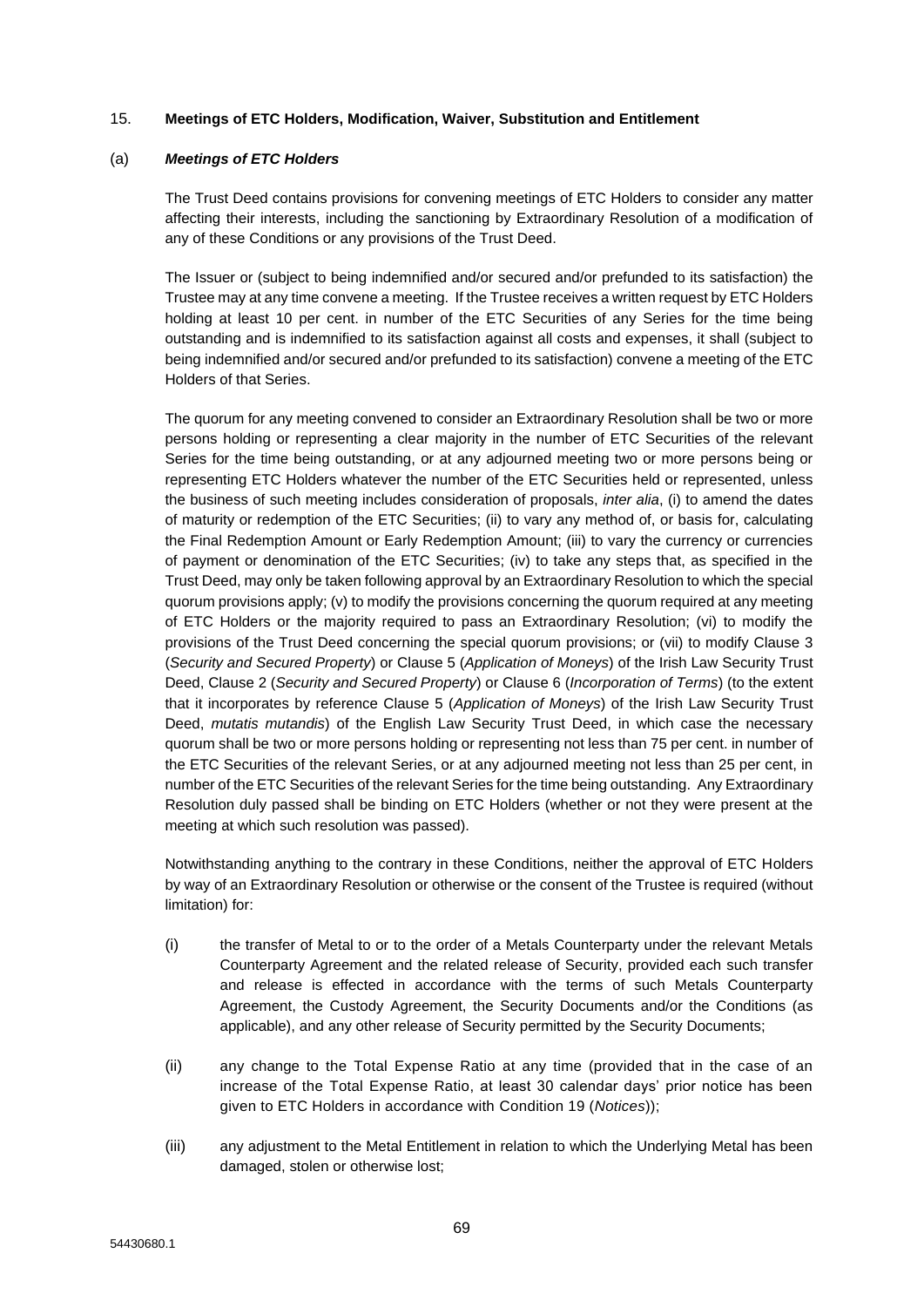#### 15. **Meetings of ETC Holders, Modification, Waiver, Substitution and Entitlement**

#### (a) *Meetings of ETC Holders*

The Trust Deed contains provisions for convening meetings of ETC Holders to consider any matter affecting their interests, including the sanctioning by Extraordinary Resolution of a modification of any of these Conditions or any provisions of the Trust Deed.

The Issuer or (subject to being indemnified and/or secured and/or prefunded to its satisfaction) the Trustee may at any time convene a meeting. If the Trustee receives a written request by ETC Holders holding at least 10 per cent. in number of the ETC Securities of any Series for the time being outstanding and is indemnified to its satisfaction against all costs and expenses, it shall (subject to being indemnified and/or secured and/or prefunded to its satisfaction) convene a meeting of the ETC Holders of that Series.

The quorum for any meeting convened to consider an Extraordinary Resolution shall be two or more persons holding or representing a clear majority in the number of ETC Securities of the relevant Series for the time being outstanding, or at any adjourned meeting two or more persons being or representing ETC Holders whatever the number of the ETC Securities held or represented, unless the business of such meeting includes consideration of proposals, *inter alia*, (i) to amend the dates of maturity or redemption of the ETC Securities; (ii) to vary any method of, or basis for, calculating the Final Redemption Amount or Early Redemption Amount; (iii) to vary the currency or currencies of payment or denomination of the ETC Securities; (iv) to take any steps that, as specified in the Trust Deed, may only be taken following approval by an Extraordinary Resolution to which the special quorum provisions apply; (v) to modify the provisions concerning the quorum required at any meeting of ETC Holders or the majority required to pass an Extraordinary Resolution; (vi) to modify the provisions of the Trust Deed concerning the special quorum provisions; or (vii) to modify Clause 3 (*Security and Secured Property*) or Clause 5 (*Application of Moneys*) of the Irish Law Security Trust Deed, Clause 2 (*Security and Secured Property*) or Clause 6 (*Incorporation of Terms*) (to the extent that it incorporates by reference Clause 5 (*Application of Moneys*) of the Irish Law Security Trust Deed, *mutatis mutandis*) of the English Law Security Trust Deed, in which case the necessary quorum shall be two or more persons holding or representing not less than 75 per cent. in number of the ETC Securities of the relevant Series, or at any adjourned meeting not less than 25 per cent, in number of the ETC Securities of the relevant Series for the time being outstanding. Any Extraordinary Resolution duly passed shall be binding on ETC Holders (whether or not they were present at the meeting at which such resolution was passed).

Notwithstanding anything to the contrary in these Conditions, neither the approval of ETC Holders by way of an Extraordinary Resolution or otherwise or the consent of the Trustee is required (without limitation) for:

- (i) the transfer of Metal to or to the order of a Metals Counterparty under the relevant Metals Counterparty Agreement and the related release of Security, provided each such transfer and release is effected in accordance with the terms of such Metals Counterparty Agreement, the Custody Agreement, the Security Documents and/or the Conditions (as applicable), and any other release of Security permitted by the Security Documents;
- (ii) any change to the Total Expense Ratio at any time (provided that in the case of an increase of the Total Expense Ratio, at least 30 calendar days' prior notice has been given to ETC Holders in accordance with Condition 19 (*Notices*));
- (iii) any adjustment to the Metal Entitlement in relation to which the Underlying Metal has been damaged, stolen or otherwise lost;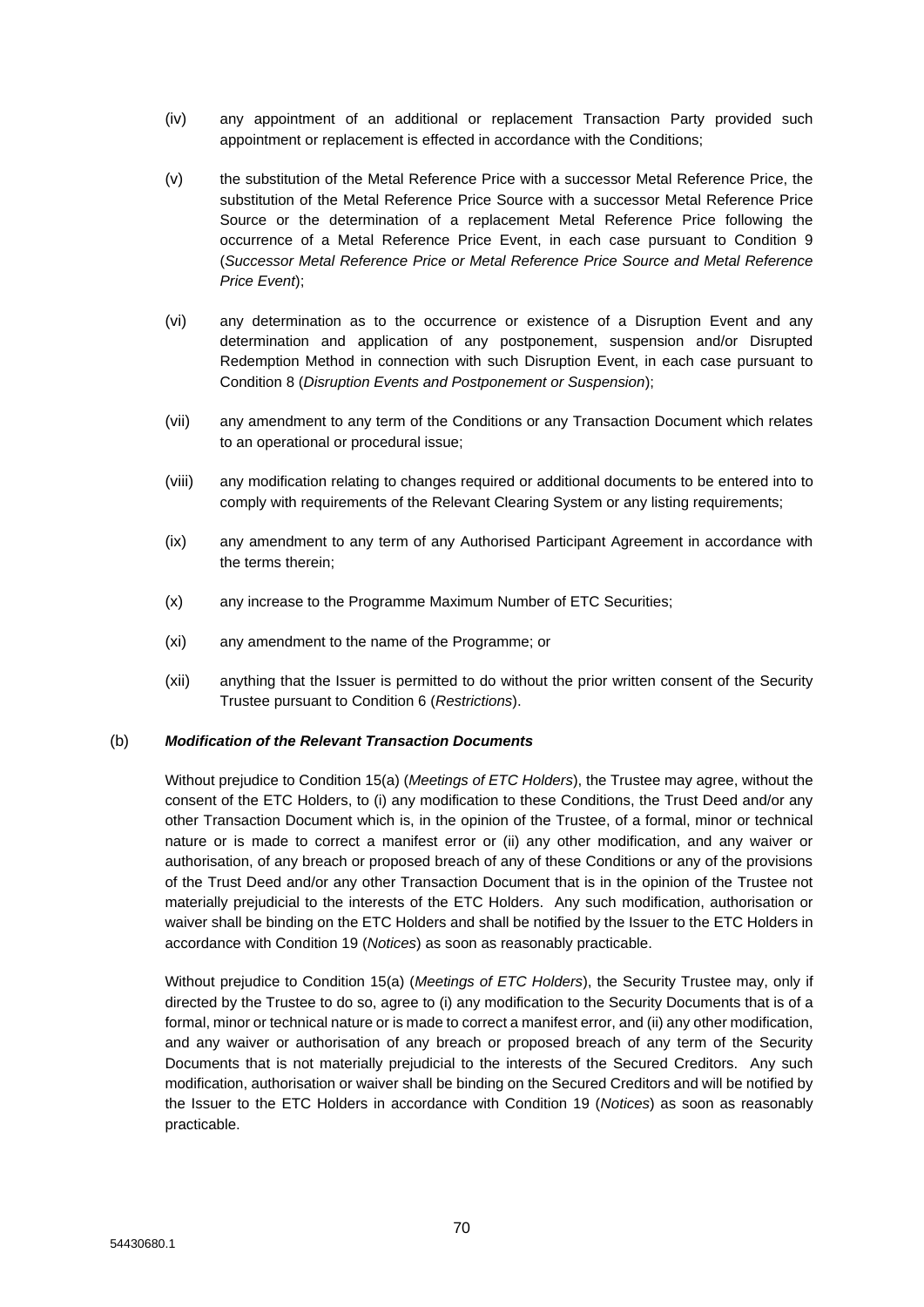- (iv) any appointment of an additional or replacement Transaction Party provided such appointment or replacement is effected in accordance with the Conditions;
- (v) the substitution of the Metal Reference Price with a successor Metal Reference Price, the substitution of the Metal Reference Price Source with a successor Metal Reference Price Source or the determination of a replacement Metal Reference Price following the occurrence of a Metal Reference Price Event, in each case pursuant to Condition 9 (*Successor Metal Reference Price or Metal Reference Price Source and Metal Reference Price Event*);
- (vi) any determination as to the occurrence or existence of a Disruption Event and any determination and application of any postponement, suspension and/or Disrupted Redemption Method in connection with such Disruption Event, in each case pursuant to Condition 8 (*Disruption Events and Postponement or Suspension*);
- (vii) any amendment to any term of the Conditions or any Transaction Document which relates to an operational or procedural issue;
- (viii) any modification relating to changes required or additional documents to be entered into to comply with requirements of the Relevant Clearing System or any listing requirements;
- (ix) any amendment to any term of any Authorised Participant Agreement in accordance with the terms therein;
- (x) any increase to the Programme Maximum Number of ETC Securities;
- (xi) any amendment to the name of the Programme; or
- (xii) anything that the Issuer is permitted to do without the prior written consent of the Security Trustee pursuant to Condition 6 (*Restrictions*).

### (b) *Modification of the Relevant Transaction Documents*

Without prejudice to Condition 15(a) (*Meetings of ETC Holders*), the Trustee may agree, without the consent of the ETC Holders, to (i) any modification to these Conditions, the Trust Deed and/or any other Transaction Document which is, in the opinion of the Trustee, of a formal, minor or technical nature or is made to correct a manifest error or (ii) any other modification, and any waiver or authorisation, of any breach or proposed breach of any of these Conditions or any of the provisions of the Trust Deed and/or any other Transaction Document that is in the opinion of the Trustee not materially prejudicial to the interests of the ETC Holders. Any such modification, authorisation or waiver shall be binding on the ETC Holders and shall be notified by the Issuer to the ETC Holders in accordance with Condition 19 (*Notices*) as soon as reasonably practicable.

Without prejudice to Condition 15(a) (*Meetings of ETC Holders*), the Security Trustee may, only if directed by the Trustee to do so, agree to (i) any modification to the Security Documents that is of a formal, minor or technical nature or is made to correct a manifest error, and (ii) any other modification, and any waiver or authorisation of any breach or proposed breach of any term of the Security Documents that is not materially prejudicial to the interests of the Secured Creditors. Any such modification, authorisation or waiver shall be binding on the Secured Creditors and will be notified by the Issuer to the ETC Holders in accordance with Condition 19 (*Notices*) as soon as reasonably practicable.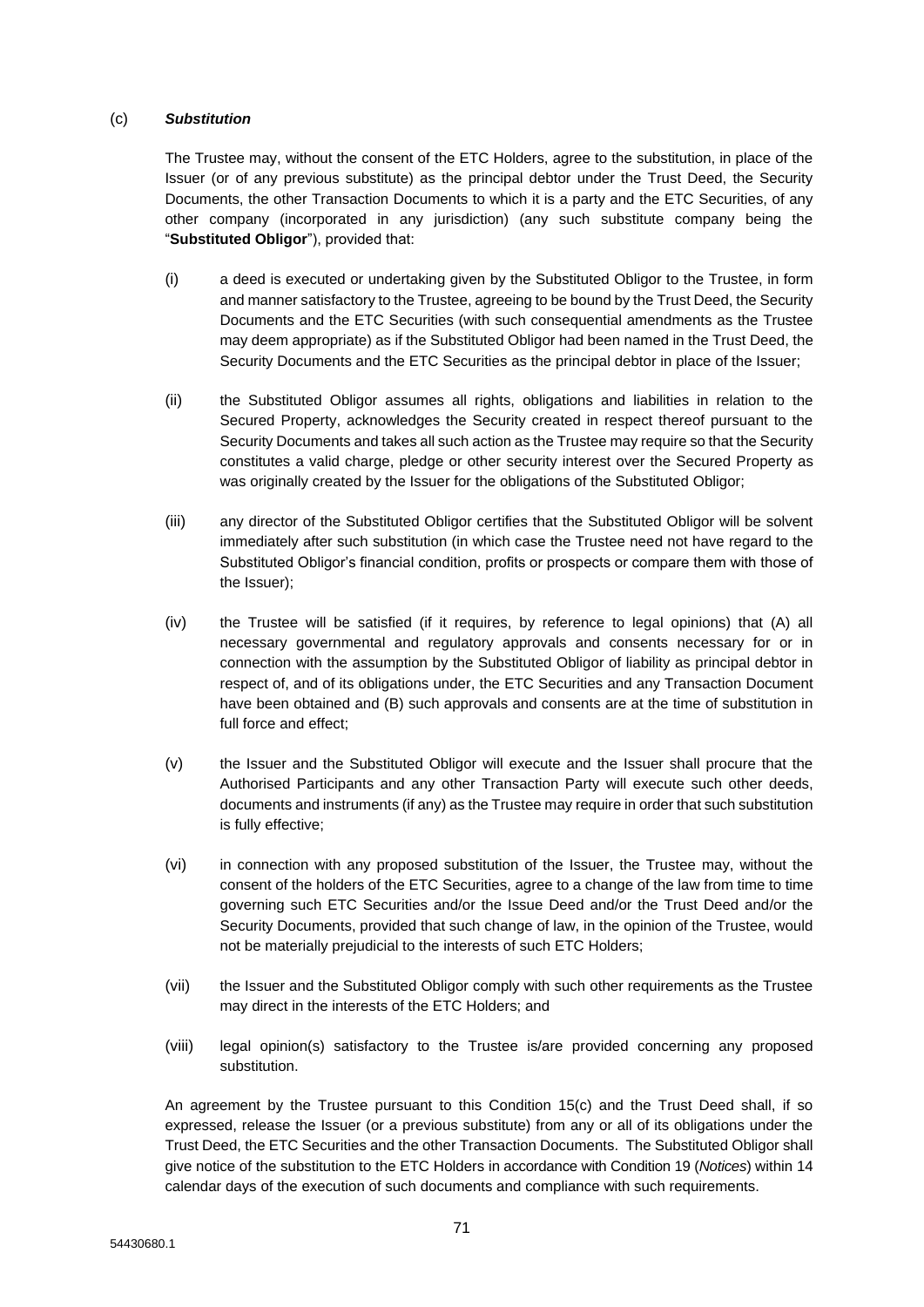### (c) *Substitution*

The Trustee may, without the consent of the ETC Holders, agree to the substitution, in place of the Issuer (or of any previous substitute) as the principal debtor under the Trust Deed, the Security Documents, the other Transaction Documents to which it is a party and the ETC Securities, of any other company (incorporated in any jurisdiction) (any such substitute company being the "**Substituted Obligor**"), provided that:

- (i) a deed is executed or undertaking given by the Substituted Obligor to the Trustee, in form and manner satisfactory to the Trustee, agreeing to be bound by the Trust Deed, the Security Documents and the ETC Securities (with such consequential amendments as the Trustee may deem appropriate) as if the Substituted Obligor had been named in the Trust Deed, the Security Documents and the ETC Securities as the principal debtor in place of the Issuer;
- (ii) the Substituted Obligor assumes all rights, obligations and liabilities in relation to the Secured Property, acknowledges the Security created in respect thereof pursuant to the Security Documents and takes all such action as the Trustee may require so that the Security constitutes a valid charge, pledge or other security interest over the Secured Property as was originally created by the Issuer for the obligations of the Substituted Obligor;
- (iii) any director of the Substituted Obligor certifies that the Substituted Obligor will be solvent immediately after such substitution (in which case the Trustee need not have regard to the Substituted Obligor's financial condition, profits or prospects or compare them with those of the Issuer);
- (iv) the Trustee will be satisfied (if it requires, by reference to legal opinions) that (A) all necessary governmental and regulatory approvals and consents necessary for or in connection with the assumption by the Substituted Obligor of liability as principal debtor in respect of, and of its obligations under, the ETC Securities and any Transaction Document have been obtained and (B) such approvals and consents are at the time of substitution in full force and effect;
- (v) the Issuer and the Substituted Obligor will execute and the Issuer shall procure that the Authorised Participants and any other Transaction Party will execute such other deeds, documents and instruments (if any) as the Trustee may require in order that such substitution is fully effective;
- (vi) in connection with any proposed substitution of the Issuer, the Trustee may, without the consent of the holders of the ETC Securities, agree to a change of the law from time to time governing such ETC Securities and/or the Issue Deed and/or the Trust Deed and/or the Security Documents, provided that such change of law, in the opinion of the Trustee, would not be materially prejudicial to the interests of such ETC Holders;
- (vii) the Issuer and the Substituted Obligor comply with such other requirements as the Trustee may direct in the interests of the ETC Holders; and
- (viii) legal opinion(s) satisfactory to the Trustee is/are provided concerning any proposed substitution.

An agreement by the Trustee pursuant to this Condition 15(c) and the Trust Deed shall, if so expressed, release the Issuer (or a previous substitute) from any or all of its obligations under the Trust Deed, the ETC Securities and the other Transaction Documents. The Substituted Obligor shall give notice of the substitution to the ETC Holders in accordance with Condition 19 (*Notices*) within 14 calendar days of the execution of such documents and compliance with such requirements.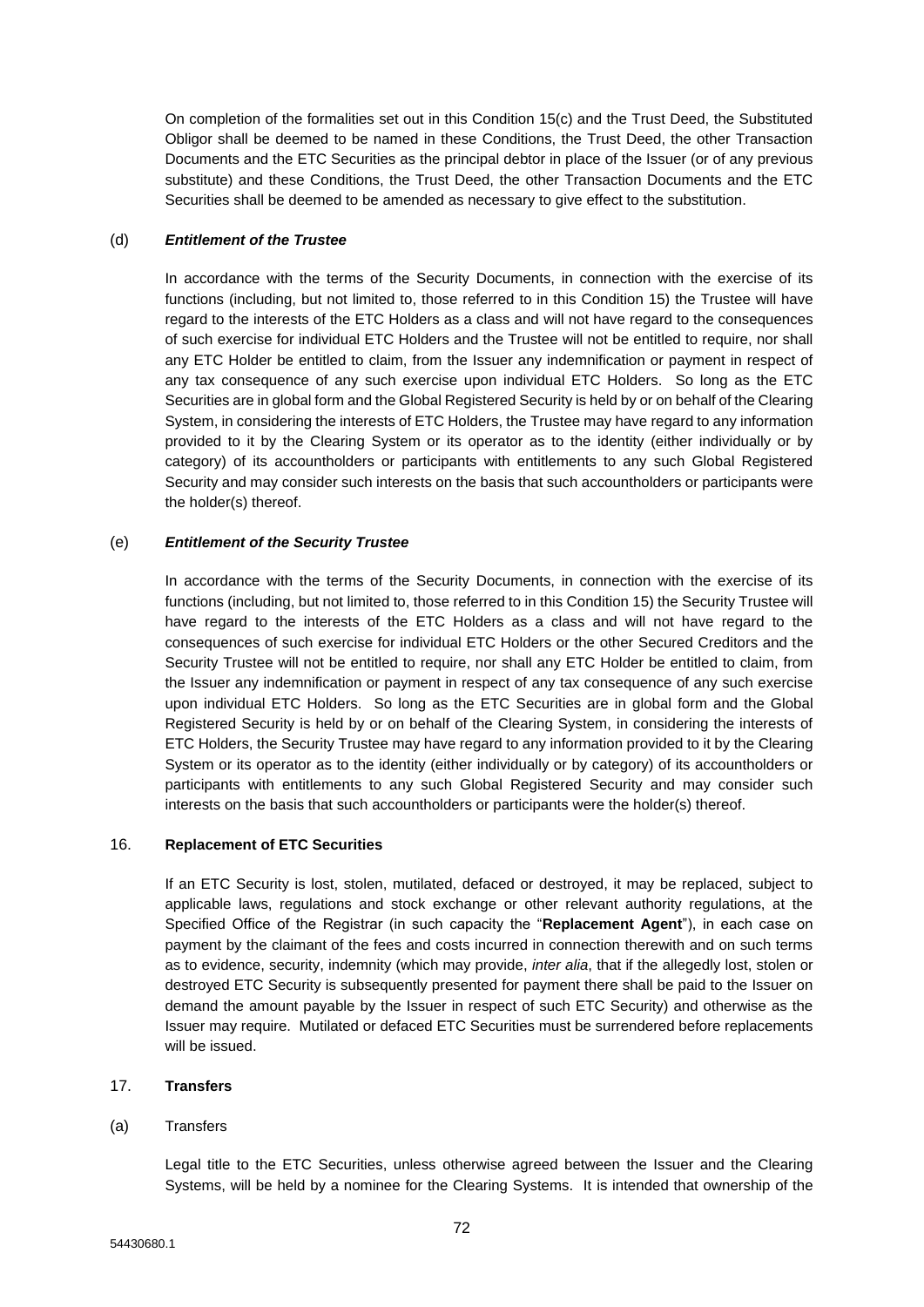On completion of the formalities set out in this Condition 15(c) and the Trust Deed, the Substituted Obligor shall be deemed to be named in these Conditions, the Trust Deed, the other Transaction Documents and the ETC Securities as the principal debtor in place of the Issuer (or of any previous substitute) and these Conditions, the Trust Deed, the other Transaction Documents and the ETC Securities shall be deemed to be amended as necessary to give effect to the substitution.

### (d) *Entitlement of the Trustee*

In accordance with the terms of the Security Documents, in connection with the exercise of its functions (including, but not limited to, those referred to in this Condition 15) the Trustee will have regard to the interests of the ETC Holders as a class and will not have regard to the consequences of such exercise for individual ETC Holders and the Trustee will not be entitled to require, nor shall any ETC Holder be entitled to claim, from the Issuer any indemnification or payment in respect of any tax consequence of any such exercise upon individual ETC Holders. So long as the ETC Securities are in global form and the Global Registered Security is held by or on behalf of the Clearing System, in considering the interests of ETC Holders, the Trustee may have regard to any information provided to it by the Clearing System or its operator as to the identity (either individually or by category) of its accountholders or participants with entitlements to any such Global Registered Security and may consider such interests on the basis that such accountholders or participants were the holder(s) thereof.

## (e) *Entitlement of the Security Trustee*

In accordance with the terms of the Security Documents, in connection with the exercise of its functions (including, but not limited to, those referred to in this Condition 15) the Security Trustee will have regard to the interests of the ETC Holders as a class and will not have regard to the consequences of such exercise for individual ETC Holders or the other Secured Creditors and the Security Trustee will not be entitled to require, nor shall any ETC Holder be entitled to claim, from the Issuer any indemnification or payment in respect of any tax consequence of any such exercise upon individual ETC Holders. So long as the ETC Securities are in global form and the Global Registered Security is held by or on behalf of the Clearing System, in considering the interests of ETC Holders, the Security Trustee may have regard to any information provided to it by the Clearing System or its operator as to the identity (either individually or by category) of its accountholders or participants with entitlements to any such Global Registered Security and may consider such interests on the basis that such accountholders or participants were the holder(s) thereof.

### 16. **Replacement of ETC Securities**

If an ETC Security is lost, stolen, mutilated, defaced or destroyed, it may be replaced, subject to applicable laws, regulations and stock exchange or other relevant authority regulations, at the Specified Office of the Registrar (in such capacity the "**Replacement Agent**"), in each case on payment by the claimant of the fees and costs incurred in connection therewith and on such terms as to evidence, security, indemnity (which may provide, *inter alia*, that if the allegedly lost, stolen or destroyed ETC Security is subsequently presented for payment there shall be paid to the Issuer on demand the amount payable by the Issuer in respect of such ETC Security) and otherwise as the Issuer may require. Mutilated or defaced ETC Securities must be surrendered before replacements will be issued.

### 17. **Transfers**

### (a) Transfers

Legal title to the ETC Securities, unless otherwise agreed between the Issuer and the Clearing Systems, will be held by a nominee for the Clearing Systems. It is intended that ownership of the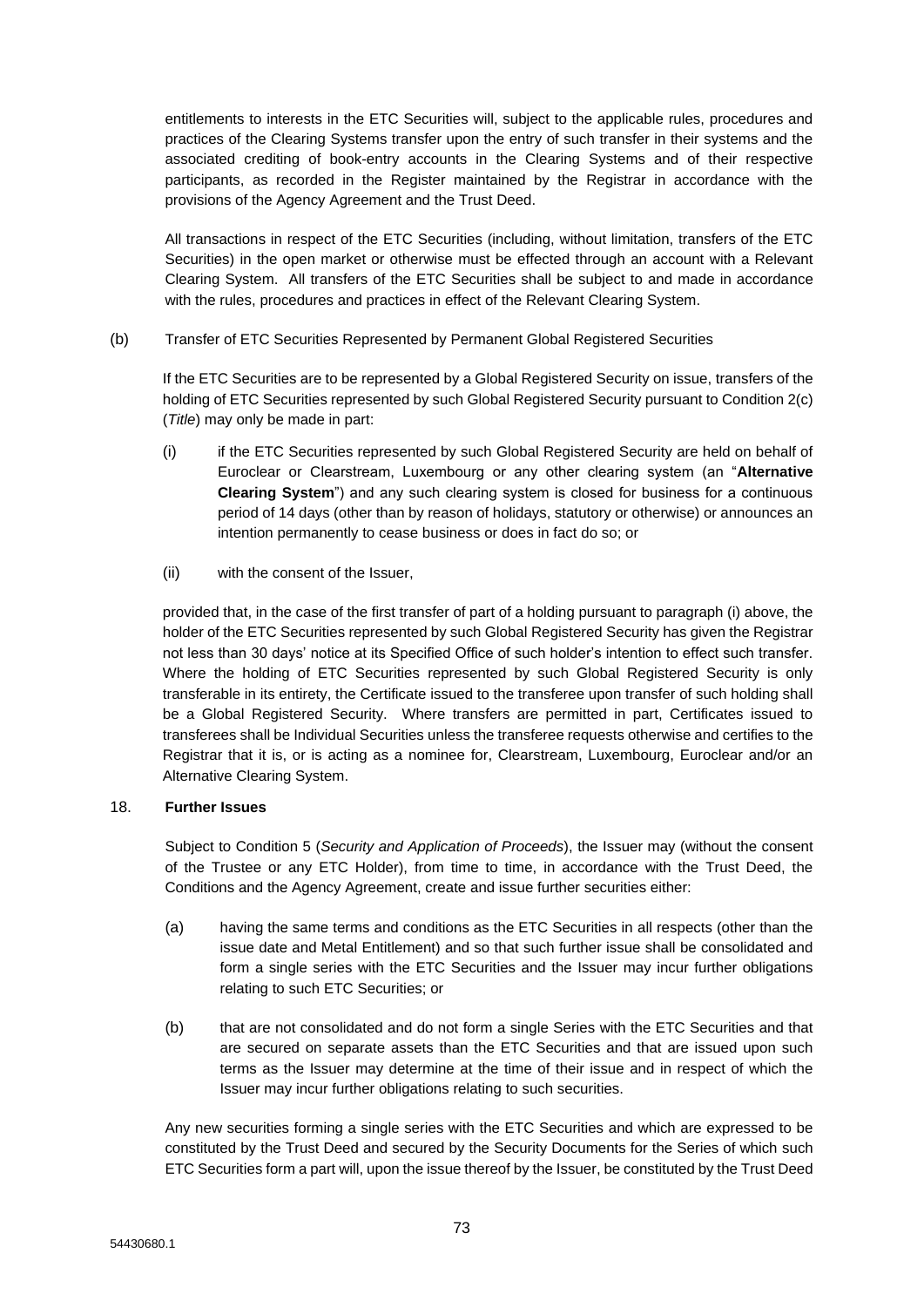entitlements to interests in the ETC Securities will, subject to the applicable rules, procedures and practices of the Clearing Systems transfer upon the entry of such transfer in their systems and the associated crediting of book-entry accounts in the Clearing Systems and of their respective participants, as recorded in the Register maintained by the Registrar in accordance with the provisions of the Agency Agreement and the Trust Deed.

All transactions in respect of the ETC Securities (including, without limitation, transfers of the ETC Securities) in the open market or otherwise must be effected through an account with a Relevant Clearing System. All transfers of the ETC Securities shall be subject to and made in accordance with the rules, procedures and practices in effect of the Relevant Clearing System.

(b) Transfer of ETC Securities Represented by Permanent Global Registered Securities

If the ETC Securities are to be represented by a Global Registered Security on issue, transfers of the holding of ETC Securities represented by such Global Registered Security pursuant to Condition 2(c) (*Title*) may only be made in part:

- (i) if the ETC Securities represented by such Global Registered Security are held on behalf of Euroclear or Clearstream, Luxembourg or any other clearing system (an "**Alternative Clearing System**") and any such clearing system is closed for business for a continuous period of 14 days (other than by reason of holidays, statutory or otherwise) or announces an intention permanently to cease business or does in fact do so; or
- (ii) with the consent of the Issuer,

provided that, in the case of the first transfer of part of a holding pursuant to paragraph (i) above, the holder of the ETC Securities represented by such Global Registered Security has given the Registrar not less than 30 days' notice at its Specified Office of such holder's intention to effect such transfer. Where the holding of ETC Securities represented by such Global Registered Security is only transferable in its entirety, the Certificate issued to the transferee upon transfer of such holding shall be a Global Registered Security. Where transfers are permitted in part, Certificates issued to transferees shall be Individual Securities unless the transferee requests otherwise and certifies to the Registrar that it is, or is acting as a nominee for, Clearstream, Luxembourg, Euroclear and/or an Alternative Clearing System.

# 18. **Further Issues**

Subject to Condition 5 (*Security and Application of Proceeds*), the Issuer may (without the consent of the Trustee or any ETC Holder), from time to time, in accordance with the Trust Deed, the Conditions and the Agency Agreement, create and issue further securities either:

- (a) having the same terms and conditions as the ETC Securities in all respects (other than the issue date and Metal Entitlement) and so that such further issue shall be consolidated and form a single series with the ETC Securities and the Issuer may incur further obligations relating to such ETC Securities; or
- (b) that are not consolidated and do not form a single Series with the ETC Securities and that are secured on separate assets than the ETC Securities and that are issued upon such terms as the Issuer may determine at the time of their issue and in respect of which the Issuer may incur further obligations relating to such securities.

Any new securities forming a single series with the ETC Securities and which are expressed to be constituted by the Trust Deed and secured by the Security Documents for the Series of which such ETC Securities form a part will, upon the issue thereof by the Issuer, be constituted by the Trust Deed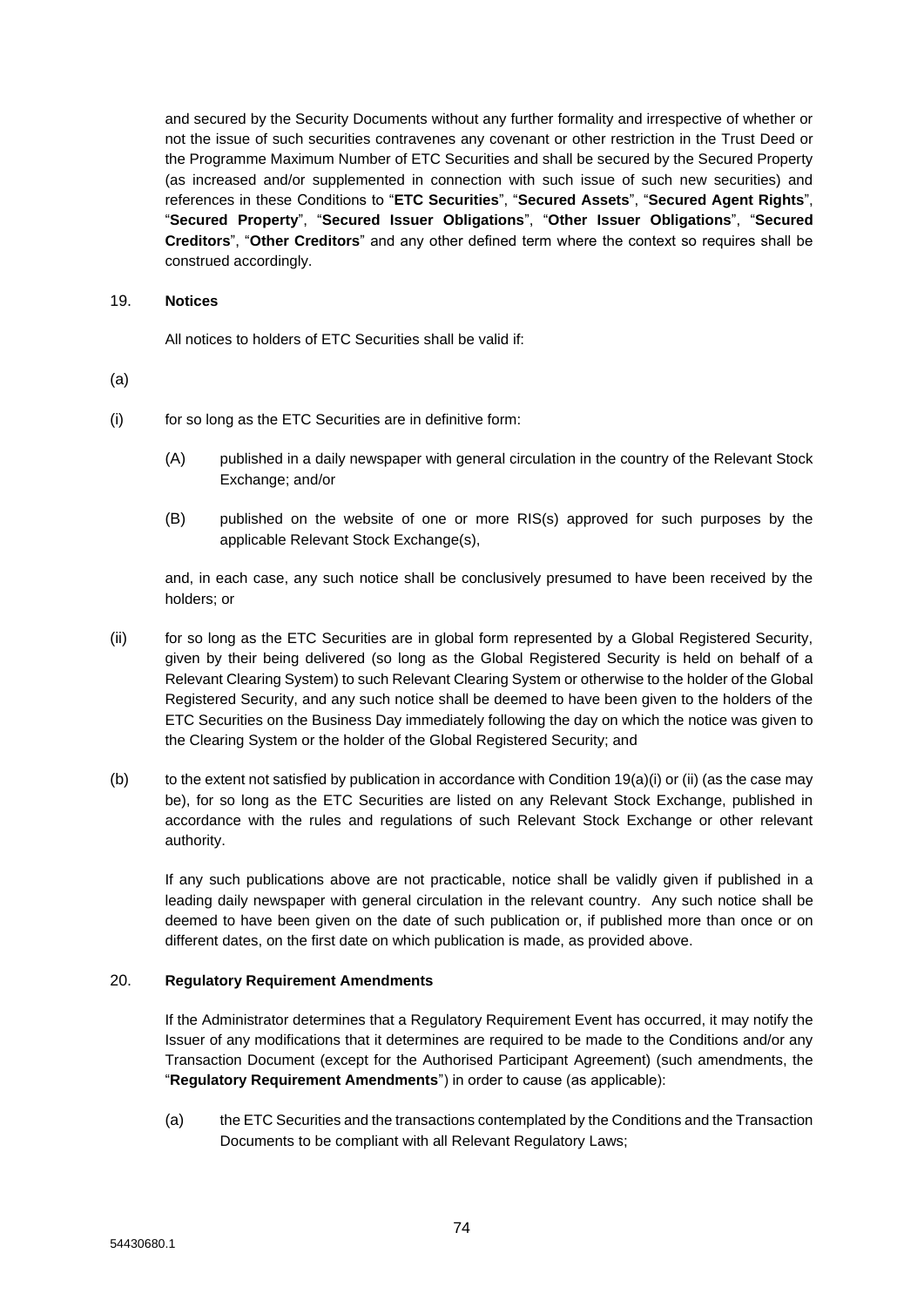and secured by the Security Documents without any further formality and irrespective of whether or not the issue of such securities contravenes any covenant or other restriction in the Trust Deed or the Programme Maximum Number of ETC Securities and shall be secured by the Secured Property (as increased and/or supplemented in connection with such issue of such new securities) and references in these Conditions to "**ETC Securities**", "**Secured Assets**", "**Secured Agent Rights**", "**Secured Property**", "**Secured Issuer Obligations**", "**Other Issuer Obligations**", "**Secured Creditors**", "**Other Creditors**" and any other defined term where the context so requires shall be construed accordingly.

# 19. **Notices**

All notices to holders of ETC Securities shall be valid if:

(a)

- (i) for so long as the ETC Securities are in definitive form:
	- (A) published in a daily newspaper with general circulation in the country of the Relevant Stock Exchange; and/or
	- (B) published on the website of one or more RIS(s) approved for such purposes by the applicable Relevant Stock Exchange(s),

and, in each case, any such notice shall be conclusively presumed to have been received by the holders; or

- (ii) for so long as the ETC Securities are in global form represented by a Global Registered Security, given by their being delivered (so long as the Global Registered Security is held on behalf of a Relevant Clearing System) to such Relevant Clearing System or otherwise to the holder of the Global Registered Security, and any such notice shall be deemed to have been given to the holders of the ETC Securities on the Business Day immediately following the day on which the notice was given to the Clearing System or the holder of the Global Registered Security; and
- (b) to the extent not satisfied by publication in accordance with Condition  $19(a)(i)$  or (ii) (as the case may be), for so long as the ETC Securities are listed on any Relevant Stock Exchange, published in accordance with the rules and regulations of such Relevant Stock Exchange or other relevant authority.

If any such publications above are not practicable, notice shall be validly given if published in a leading daily newspaper with general circulation in the relevant country. Any such notice shall be deemed to have been given on the date of such publication or, if published more than once or on different dates, on the first date on which publication is made, as provided above.

# 20. **Regulatory Requirement Amendments**

If the Administrator determines that a Regulatory Requirement Event has occurred, it may notify the Issuer of any modifications that it determines are required to be made to the Conditions and/or any Transaction Document (except for the Authorised Participant Agreement) (such amendments, the "**Regulatory Requirement Amendments**") in order to cause (as applicable):

(a) the ETC Securities and the transactions contemplated by the Conditions and the Transaction Documents to be compliant with all Relevant Regulatory Laws;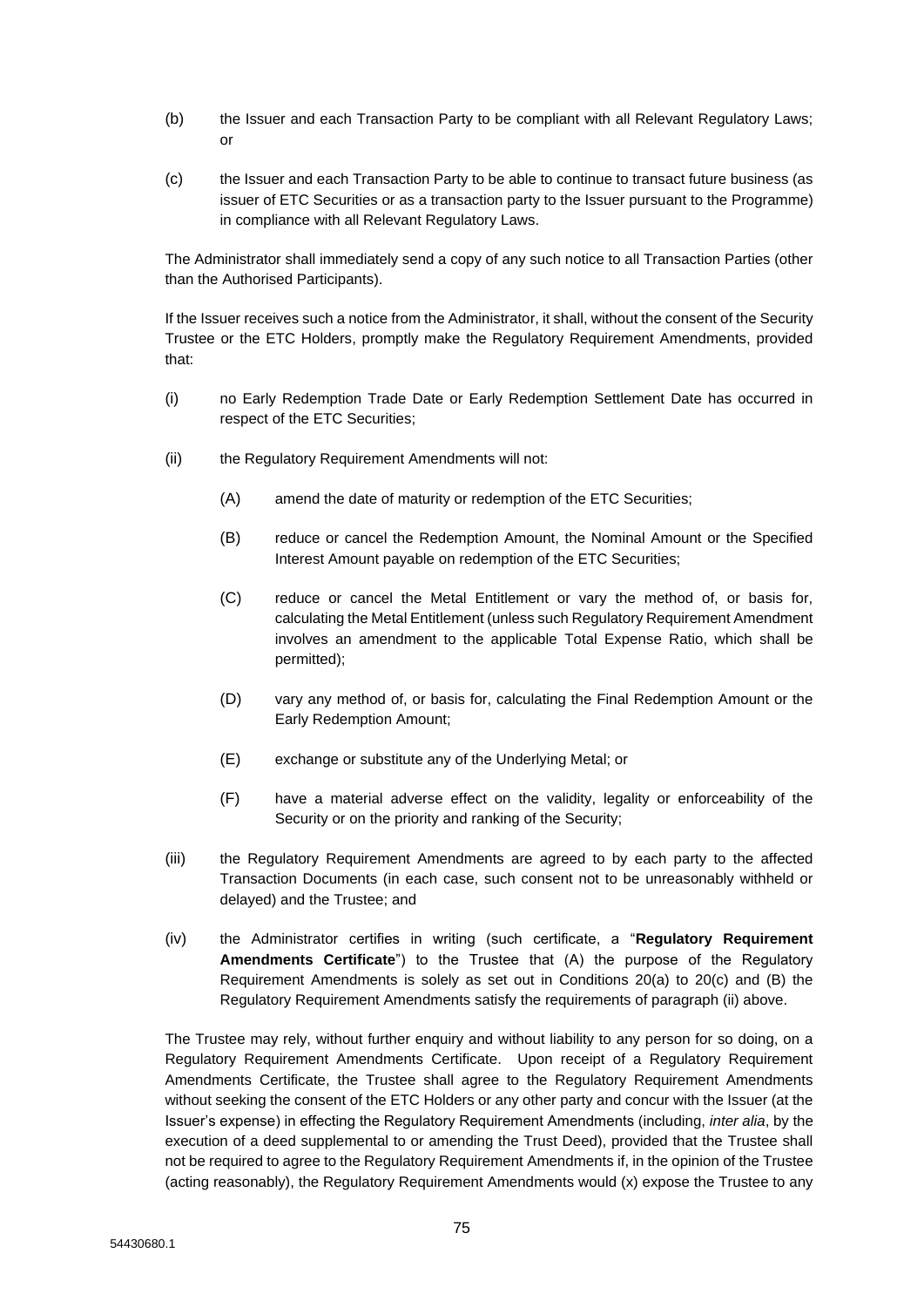- (b) the Issuer and each Transaction Party to be compliant with all Relevant Regulatory Laws; or
- (c) the Issuer and each Transaction Party to be able to continue to transact future business (as issuer of ETC Securities or as a transaction party to the Issuer pursuant to the Programme) in compliance with all Relevant Regulatory Laws.

The Administrator shall immediately send a copy of any such notice to all Transaction Parties (other than the Authorised Participants).

If the Issuer receives such a notice from the Administrator, it shall, without the consent of the Security Trustee or the ETC Holders, promptly make the Regulatory Requirement Amendments, provided that:

- (i) no Early Redemption Trade Date or Early Redemption Settlement Date has occurred in respect of the ETC Securities;
- (ii) the Regulatory Requirement Amendments will not:
	- (A) amend the date of maturity or redemption of the ETC Securities;
	- (B) reduce or cancel the Redemption Amount, the Nominal Amount or the Specified Interest Amount payable on redemption of the ETC Securities;
	- (C) reduce or cancel the Metal Entitlement or vary the method of, or basis for, calculating the Metal Entitlement (unless such Regulatory Requirement Amendment involves an amendment to the applicable Total Expense Ratio, which shall be permitted);
	- (D) vary any method of, or basis for, calculating the Final Redemption Amount or the Early Redemption Amount;
	- (E) exchange or substitute any of the Underlying Metal; or
	- (F) have a material adverse effect on the validity, legality or enforceability of the Security or on the priority and ranking of the Security;
- (iii) the Regulatory Requirement Amendments are agreed to by each party to the affected Transaction Documents (in each case, such consent not to be unreasonably withheld or delayed) and the Trustee; and
- (iv) the Administrator certifies in writing (such certificate, a "**Regulatory Requirement Amendments Certificate**") to the Trustee that (A) the purpose of the Regulatory Requirement Amendments is solely as set out in Conditions 20(a) to 20(c) and (B) the Regulatory Requirement Amendments satisfy the requirements of paragraph (ii) above.

The Trustee may rely, without further enquiry and without liability to any person for so doing, on a Regulatory Requirement Amendments Certificate. Upon receipt of a Regulatory Requirement Amendments Certificate, the Trustee shall agree to the Regulatory Requirement Amendments without seeking the consent of the ETC Holders or any other party and concur with the Issuer (at the Issuer's expense) in effecting the Regulatory Requirement Amendments (including, *inter alia*, by the execution of a deed supplemental to or amending the Trust Deed), provided that the Trustee shall not be required to agree to the Regulatory Requirement Amendments if, in the opinion of the Trustee (acting reasonably), the Regulatory Requirement Amendments would (x) expose the Trustee to any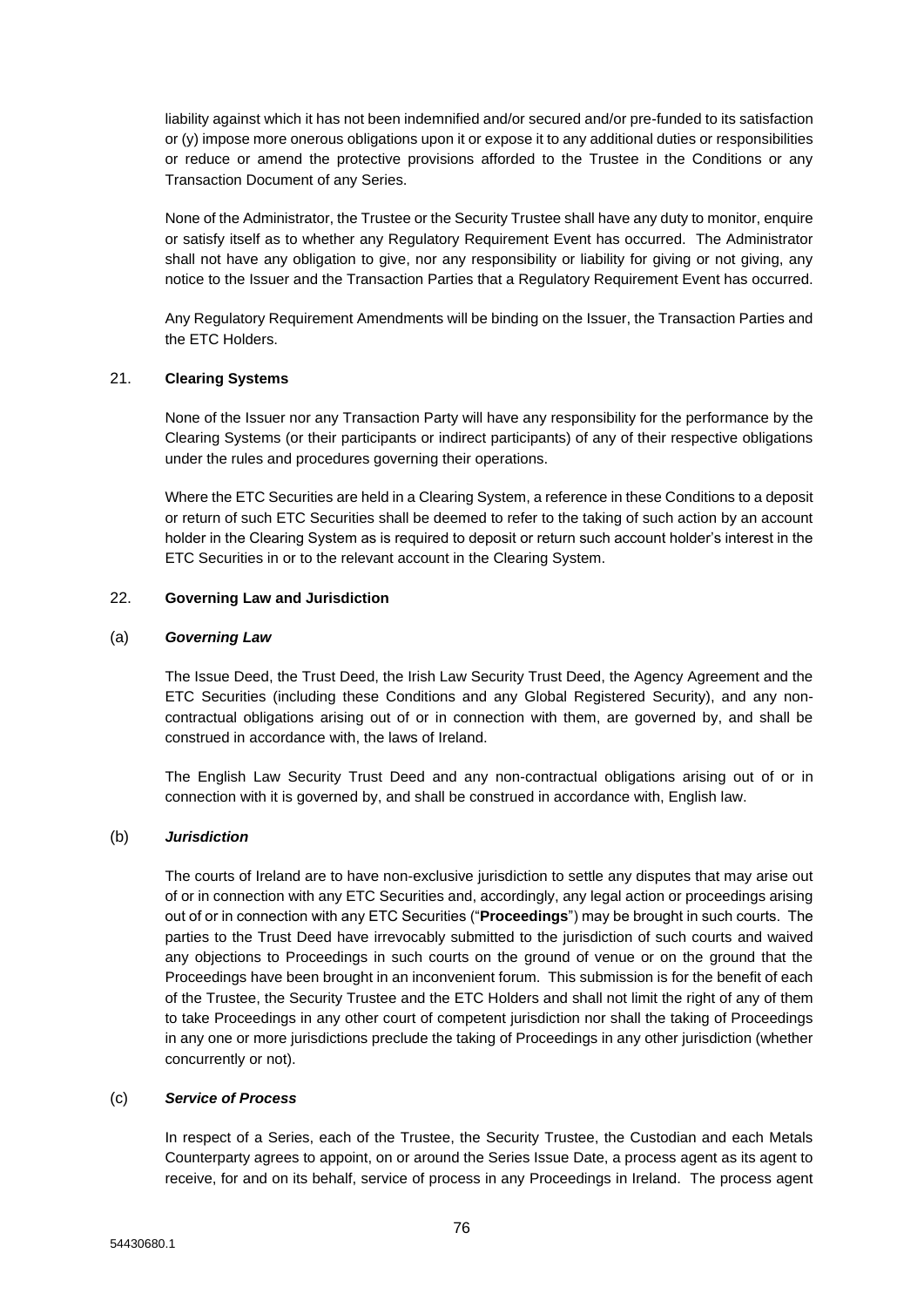liability against which it has not been indemnified and/or secured and/or pre-funded to its satisfaction or (y) impose more onerous obligations upon it or expose it to any additional duties or responsibilities or reduce or amend the protective provisions afforded to the Trustee in the Conditions or any Transaction Document of any Series.

None of the Administrator, the Trustee or the Security Trustee shall have any duty to monitor, enquire or satisfy itself as to whether any Regulatory Requirement Event has occurred. The Administrator shall not have any obligation to give, nor any responsibility or liability for giving or not giving, any notice to the Issuer and the Transaction Parties that a Regulatory Requirement Event has occurred.

Any Regulatory Requirement Amendments will be binding on the Issuer, the Transaction Parties and the ETC Holders.

# 21. **Clearing Systems**

None of the Issuer nor any Transaction Party will have any responsibility for the performance by the Clearing Systems (or their participants or indirect participants) of any of their respective obligations under the rules and procedures governing their operations.

Where the ETC Securities are held in a Clearing System, a reference in these Conditions to a deposit or return of such ETC Securities shall be deemed to refer to the taking of such action by an account holder in the Clearing System as is required to deposit or return such account holder's interest in the ETC Securities in or to the relevant account in the Clearing System.

# 22. **Governing Law and Jurisdiction**

# (a) *Governing Law*

The Issue Deed, the Trust Deed, the Irish Law Security Trust Deed, the Agency Agreement and the ETC Securities (including these Conditions and any Global Registered Security), and any noncontractual obligations arising out of or in connection with them, are governed by, and shall be construed in accordance with, the laws of Ireland.

The English Law Security Trust Deed and any non-contractual obligations arising out of or in connection with it is governed by, and shall be construed in accordance with, English law.

# (b) *Jurisdiction*

The courts of Ireland are to have non-exclusive jurisdiction to settle any disputes that may arise out of or in connection with any ETC Securities and, accordingly, any legal action or proceedings arising out of or in connection with any ETC Securities ("**Proceedings**") may be brought in such courts. The parties to the Trust Deed have irrevocably submitted to the jurisdiction of such courts and waived any objections to Proceedings in such courts on the ground of venue or on the ground that the Proceedings have been brought in an inconvenient forum. This submission is for the benefit of each of the Trustee, the Security Trustee and the ETC Holders and shall not limit the right of any of them to take Proceedings in any other court of competent jurisdiction nor shall the taking of Proceedings in any one or more jurisdictions preclude the taking of Proceedings in any other jurisdiction (whether concurrently or not).

# (c) *Service of Process*

In respect of a Series, each of the Trustee, the Security Trustee, the Custodian and each Metals Counterparty agrees to appoint, on or around the Series Issue Date, a process agent as its agent to receive, for and on its behalf, service of process in any Proceedings in Ireland. The process agent